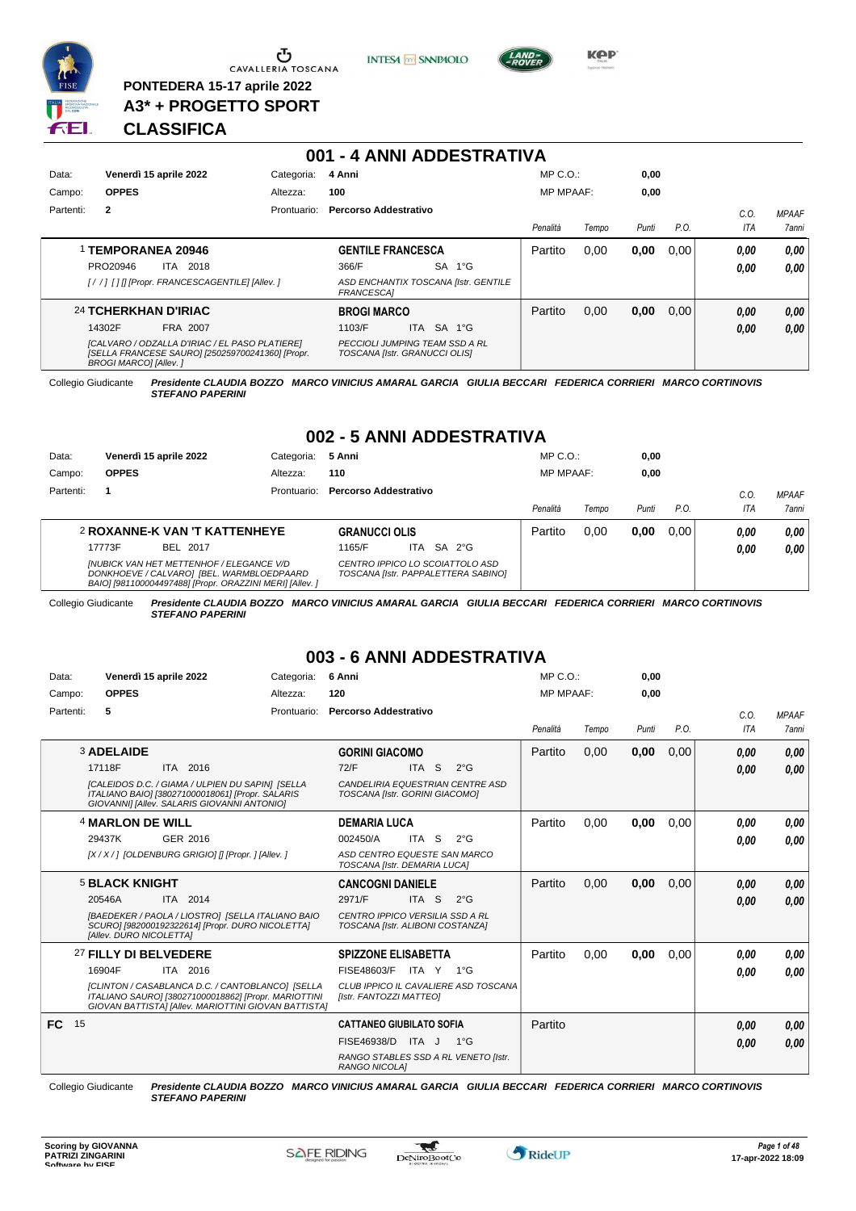

**PONTEDERA 15-17 aprile 2022 A3\* + PROGETTO SPORT** **INTESA** M SANPAOLO



**KPP** 

# **CLASSIFICA**

|           |                               |                                                                                                    |             | 001 - 4 ANNI ADDESTRATIVA                                              |            |           |                                      |                  |       |       |      |      |              |
|-----------|-------------------------------|----------------------------------------------------------------------------------------------------|-------------|------------------------------------------------------------------------|------------|-----------|--------------------------------------|------------------|-------|-------|------|------|--------------|
| Data:     | Venerdì 15 aprile 2022        |                                                                                                    | Categoria:  | 4 Anni                                                                 |            |           |                                      | $MP C. O.$ :     |       | 0,00  |      |      |              |
| Campo:    | <b>OPPES</b>                  |                                                                                                    | Altezza:    | 100                                                                    |            |           |                                      | <b>MP MPAAF:</b> |       | 0,00  |      |      |              |
| Partenti: | $\overline{2}$                |                                                                                                    | Prontuario: | Percorso Addestrativo                                                  |            |           |                                      |                  |       |       |      | C.O. | <b>MPAAF</b> |
|           |                               |                                                                                                    |             |                                                                        |            |           |                                      | Penalità         | Tempo | Punti | P.O. | ITA  | 7anni        |
|           | 1 TEMPORANEA 20946            |                                                                                                    |             | <b>GENTILE FRANCESCA</b>                                               |            |           |                                      | Partito          | 0.00  | 0,00  | 0.00 | 0.00 | 0,00         |
|           | PRO20946                      | 2018<br>ITA                                                                                        |             | 366/F                                                                  |            | <b>SA</b> | $1^{\circ}G$                         |                  |       |       |      | 0.00 | 0,00         |
|           |                               | [//] [1] [Propr. FRANCESCAGENTILE] [Allev. ]                                                       |             | FRANCESCA]                                                             |            |           | ASD ENCHANTIX TOSCANA [Istr. GENTILE |                  |       |       |      |      |              |
|           | 24 TCHERKHAN D'IRIAC          |                                                                                                    |             | <b>BROGI MARCO</b>                                                     |            |           |                                      | Partito          | 0,00  | 0,00  | 0.00 | 0,00 | 0.00         |
|           | 14302F                        | FRA 2007                                                                                           |             | 1103/F                                                                 | <b>ITA</b> | <b>SA</b> | $1^{\circ}G$                         |                  |       |       |      | 0,00 | 0,00         |
|           | <b>BROGI MARCOI [Allev. ]</b> | [CALVARO / ODZALLA D'IRIAC / EL PASO PLATIERE]<br>[SELLA FRANCESE SAURO] [250259700241360] [Propr. |             | <b>PECCIOLI JUMPING TEAM SSD A RL</b><br>TOSCANA [Istr. GRANUCCI OLIS] |            |           |                                      |                  |       |       |      |      |              |

Collegio Giudicante *Presidente CLAUDIA BOZZO MARCO VINICIUS AMARAL GARCIA GIULIA BECCARI FEDERICA CORRIERI MARCO CORTINOVIS*

*STEFANO PAPERINI*

# **002 - 5 ANNI ADDESTRATIVA**

| Data:     | Venerdì 15 aprile 2022                                                                                                                                   | Categoria:  | 5 Anni                |                                                                        | $MP C. O.$ :     |       | 0,00  |      |      |              |
|-----------|----------------------------------------------------------------------------------------------------------------------------------------------------------|-------------|-----------------------|------------------------------------------------------------------------|------------------|-------|-------|------|------|--------------|
| Campo:    | <b>OPPES</b>                                                                                                                                             | Altezza:    | 110                   |                                                                        | <b>MP MPAAF:</b> |       | 0,00  |      |      |              |
| Partenti: |                                                                                                                                                          | Prontuario: | Percorso Addestrativo |                                                                        |                  |       |       |      | C.O. | <b>MPAAF</b> |
|           |                                                                                                                                                          |             |                       |                                                                        | Penalità         | Tempo | Punti | P.O. | ITA  | 7anni        |
|           | <b>2 ROXANNE-K VAN 'T KATTENHEYE</b>                                                                                                                     |             | <b>GRANUCCI OLIS</b>  |                                                                        | Partito          | 0.00  | 0.00  | 0.00 | 0.00 | 0,00         |
|           | 17773F<br>BEL 2017                                                                                                                                       |             | 1165/F                | ITA SA 2°G                                                             |                  |       |       |      | 0.00 | 0,00         |
|           | <b>INUBICK VAN HET METTENHOF / ELEGANCE V/D</b><br>DONKHOEVE / CALVARO] [BEL. WARMBLOEDPAARD<br>BAIO] [981100004497488] [Propr. ORAZZINI MERI] [Allev. ] |             |                       | CENTRO IPPICO LO SCOIATTOLO ASD<br>TOSCANA IIstr. PAPPALETTERA SABINOI |                  |       |       |      |      |              |

Collegio Giudicante *Presidente CLAUDIA BOZZO MARCO VINICIUS AMARAL GARCIA GIULIA BECCARI FEDERICA CORRIERI MARCO CORTINOVIS STEFANO PAPERINI*

# **003 - 6 ANNI ADDESTRATIVA**

| Data:     | Venerdì 15 aprile 2022                                                                                                                                           | Categoria:  | 6 Anni                                                              | $MP C. O.$ :     |       | 0,00  |      |      |              |
|-----------|------------------------------------------------------------------------------------------------------------------------------------------------------------------|-------------|---------------------------------------------------------------------|------------------|-------|-------|------|------|--------------|
| Campo:    | <b>OPPES</b>                                                                                                                                                     | Altezza:    | 120                                                                 | <b>MP MPAAF:</b> |       | 0.00  |      |      |              |
| Partenti: | 5                                                                                                                                                                | Prontuario: | Percorso Addestrativo                                               |                  |       |       |      | C.O. | <b>MPAAF</b> |
|           |                                                                                                                                                                  |             |                                                                     | Penalità         | Tempo | Punti | P.O. | ITA  | 7anni        |
|           | <b>3 ADELAIDE</b>                                                                                                                                                |             | <b>GORINI GIACOMO</b>                                               | Partito          | 0,00  | 0,00  | 0,00 | 0.00 | 0,00         |
|           | 17118F<br>ITA 2016                                                                                                                                               |             | ITA <sub>S</sub><br>72/F<br>$2^{\circ}$ G                           |                  |       |       |      | 0.00 | 0,00         |
|           | [CALEIDOS D.C. / GIAMA / ULPIEN DU SAPIN] [SELLA<br>ITALIANO BAIO] [380271000018061] [Propr. SALARIS<br>GIOVANNI] [Allev. SALARIS GIOVANNI ANTONIO]              |             | CANDELIRIA EQUESTRIAN CENTRE ASD<br>TOSCANA [Istr. GORINI GIACOMO]  |                  |       |       |      |      |              |
|           | 4 MARLON DE WILL                                                                                                                                                 |             | <b>DEMARIA LUCA</b>                                                 | Partito          | 0,00  | 0,00  | 0,00 | 0.00 | 0,00         |
|           | 29437K<br>GER 2016                                                                                                                                               |             | 002450/A<br>ITA S<br>$2^{\circ}$ G                                  |                  |       |       |      | 0.00 | 0.00         |
|           | [X / X / ] [OLDENBURG GRIGIO] [] [Propr. ] [Allev. ]                                                                                                             |             | ASD CENTRO EQUESTE SAN MARCO<br>TOSCANA [Istr. DEMARIA LUCA]        |                  |       |       |      |      |              |
|           | <b>5 BLACK KNIGHT</b>                                                                                                                                            |             | <b>CANCOGNI DANIELE</b>                                             | Partito          | 0,00  | 0,00  | 0,00 | 0,00 | 0,00         |
|           | 20546A<br>ITA 2014                                                                                                                                               |             | 2971/F<br>ITA <sub>S</sub><br>$2^{\circ}$ G                         |                  |       |       |      | 0.00 | 0,00         |
|           |                                                                                                                                                                  |             |                                                                     |                  |       |       |      |      |              |
|           | [BAEDEKER / PAOLA / LIOSTRO] [SELLA ITALIANO BAIO<br>SCURO] [982000192322614] [Propr. DURO NICOLETTA]<br>[Allev. DURO NICOLETTA]                                 |             | CENTRO IPPICO VERSILIA SSD A RL<br>TOSCANA [Istr. ALIBONI COSTANZA] |                  |       |       |      |      |              |
|           | 27 FILLY DI BELVEDERE                                                                                                                                            |             | <b>SPIZZONE ELISABETTA</b>                                          | Partito          | 0.00  | 0,00  | 0.00 | 0.00 | 0,00         |
|           | 16904F<br>ITA 2016                                                                                                                                               |             | FISE48603/F ITA Y 1°G                                               |                  |       |       |      | 0.00 | 0,00         |
|           | [CLINTON / CASABLANCA D.C. / CANTOBLANCO] [SELLA<br>ITALIANO SAURO] [380271000018862] [Propr. MARIOTTINI<br>GIOVAN BATTISTAI [Allev. MARIOTTINI GIOVAN BATTISTA] |             | CLUB IPPICO IL CAVALIERE ASD TOSCANA<br>[Istr. FANTOZZI MATTEO]     |                  |       |       |      |      |              |
| FC.       | 15                                                                                                                                                               |             | <b>CATTANEO GIUBILATO SOFIA</b>                                     | Partito          |       |       |      | 0.00 | 0,00         |
|           |                                                                                                                                                                  |             | FISE46938/D<br>ITA J<br>$1^{\circ}G$                                |                  |       |       |      | 0.00 | 0,00         |

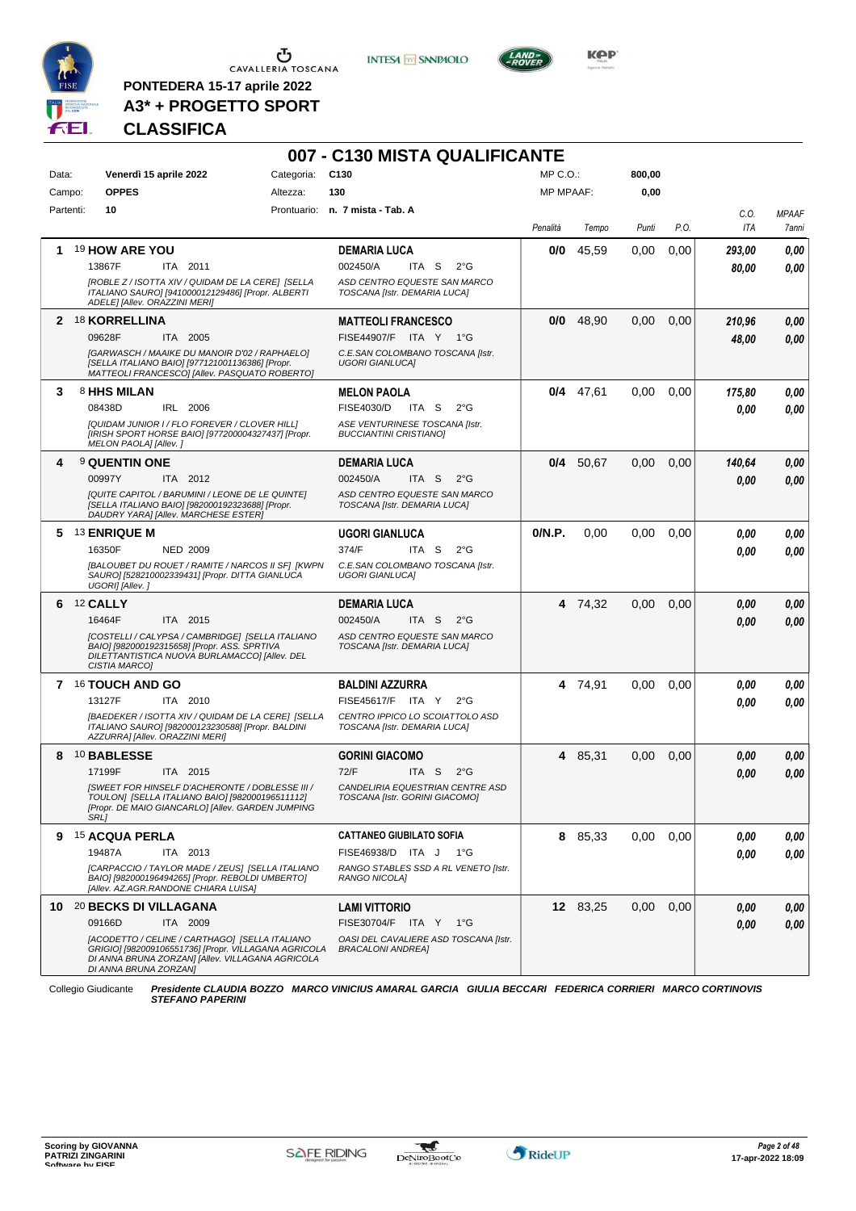

 $\begin{array}{c}\n\bullet \\
\bullet \\
\bullet \\
\bullet\n\end{array}$  CAVALLERIA TOSCANA

**PONTEDERA 15-17 aprile 2022 A3\* + PROGETTO SPORT** **INTESA** M SANPAOLO



**Kep** 

# **CLASSIFICA**

|           |                                                                                                                                                                                     | 007 - C130 MISTA QUALIFICANTE                                      |                  |          |        |      |             |                       |
|-----------|-------------------------------------------------------------------------------------------------------------------------------------------------------------------------------------|--------------------------------------------------------------------|------------------|----------|--------|------|-------------|-----------------------|
| Data:     | Categoria: C130<br>Venerdì 15 aprile 2022                                                                                                                                           |                                                                    | $MP C. O.$ :     |          | 800,00 |      |             |                       |
| Campo:    | <b>OPPES</b><br>Altezza:                                                                                                                                                            | 130                                                                | <b>MP MPAAF:</b> |          | 0,00   |      |             |                       |
| Partenti: | 10                                                                                                                                                                                  | Prontuario: n. 7 mista - Tab. A                                    | Penalità         | Tempo    | Punti  | P.O. | C.O.<br>ITA | <b>MPAAF</b><br>7anni |
| 1.        | 19 HOW ARE YOU                                                                                                                                                                      | <b>DEMARIA LUCA</b>                                                | 0/0              | 45,59    | 0,00   | 0,00 | 293,00      | 0,00                  |
|           | 13867F<br>ITA 2011                                                                                                                                                                  | 002450/A<br>ITA S<br>$2^{\circ}G$                                  |                  |          |        |      | 80,00       | 0.00                  |
|           | [ROBLE Z / ISOTTA XIV / QUIDAM DE LA CERE] [SELLA<br>ITALIANO SAURO] [941000012129486] [Propr. ALBERTI<br>ADELE] [Allev. ORAZZINI MERI]                                             | ASD CENTRO EQUESTE SAN MARCO<br>TOSCANA [Istr. DEMARIA LUCA]       |                  |          |        |      |             |                       |
|           | 2 18 KORRELLINA                                                                                                                                                                     | <b>MATTEOLI FRANCESCO</b>                                          | 0/0              | 48,90    | 0,00   | 0,00 | 210,96      | 0,00                  |
|           | 09628F<br>ITA 2005                                                                                                                                                                  | FISE44907/F ITA Y 1°G                                              |                  |          |        |      | 48,00       | 0,00                  |
|           | [GARWASCH / MAAIKE DU MANOIR D'02 / RAPHAELO]<br>ISELLA ITALIANO BAIO] [977121001136386] [Propr.<br>MATTEOLI FRANCESCO] [Allev. PASQUATO ROBERTO]                                   | C.E.SAN COLOMBANO TOSCANA [Istr.<br><b>UGORI GIANLUCAI</b>         |                  |          |        |      |             |                       |
| 3.        | 8 HHS MILAN                                                                                                                                                                         | <b>MELON PAOLA</b>                                                 | 0/4              | 47,61    | 0,00   | 0.00 | 175,80      | 0,00                  |
|           | 08438D<br>IRL 2006                                                                                                                                                                  | FISE4030/D<br>ITA S<br>$2^{\circ}G$                                |                  |          |        |      | 0.00        | 0.00                  |
|           | [QUIDAM JUNIOR I / FLO FOREVER / CLOVER HILL]<br>[IRISH SPORT HORSE BAIO] [977200004327437] [Propr.<br>MELON PAOLA] [Allev.]                                                        | ASE VENTURINESE TOSCANA [Istr.<br><b>BUCCIANTINI CRISTIANOI</b>    |                  |          |        |      |             |                       |
| 4         | <sup>9</sup> QUENTIN ONE                                                                                                                                                            | <b>DEMARIA LUCA</b>                                                | 0/4              | 50,67    | 0,00   | 0,00 | 140,64      | 0,00                  |
|           | 00997Y<br>ITA 2012                                                                                                                                                                  | 002450/A<br>ITA S<br>$2^{\circ}G$                                  |                  |          |        |      | 0.00        | 0.00                  |
|           | [QUITE CAPITOL / BARUMINI / LEONE DE LE QUINTE]<br>[SELLA ITALIANO BAIO] [982000192323688] [Propr.<br>DAUDRY YARA] [Allev. MARCHESE ESTER]                                          | ASD CENTRO EQUESTE SAN MARCO<br>TOSCANA [Istr. DEMARIA LUCA]       |                  |          |        |      |             |                       |
|           | 5 13 ENRIQUE M                                                                                                                                                                      | UGORI GIANLUCA                                                     | 0/N.P.           | 0,00     | 0,00   | 0,00 | 0.00        | 0,00                  |
|           | 16350F<br><b>NED 2009</b>                                                                                                                                                           | 374/F<br>ITA S<br>$2^{\circ}G$                                     |                  |          |        |      | 0.00        | 0.00                  |
|           | [BALOUBET DU ROUET / RAMITE / NARCOS II SFI [KWPN<br>SAURO] [528210002339431] [Propr. DITTA GIANLUCA<br>UGORI] [Allev.]                                                             | C.E.SAN COLOMBANO TOSCANA [Istr.<br><b>UGORI GIANLUCA]</b>         |                  |          |        |      |             |                       |
| 6         | <b>12 CALLY</b>                                                                                                                                                                     | <b>DEMARIA LUCA</b>                                                |                  | 4 74,32  | 0,00   | 0,00 | 0.00        | 0,00                  |
|           | ITA 2015<br>16464F                                                                                                                                                                  | 002450/A<br>ITA S<br>$2^{\circ}G$                                  |                  |          |        |      | 0.00        | 0.00                  |
|           | [COSTELLI / CALYPSA / CAMBRIDGE] [SELLA ITALIANO<br>BAIO] [982000192315658] [Propr. ASS. SPRTIVA<br>DILETTANTISTICA NUOVA BURLAMACCOI [Allev. DEL<br>CISTIA MARCO]                  | ASD CENTRO EQUESTE SAN MARCO<br>TOSCANA [Istr. DEMARIA LUCA]       |                  |          |        |      |             |                       |
|           | 7 16 TOUCH AND GO                                                                                                                                                                   | <b>BALDINI AZZURRA</b>                                             |                  | 4 74,91  | 0,00   | 0.00 | 0.00        | 0,00                  |
|           | 13127F<br>ITA 2010                                                                                                                                                                  | FISE45617/F ITA Y<br>$2^{\circ}G$                                  |                  |          |        |      | 0.00        | 0.00                  |
|           | [BAEDEKER / ISOTTA XIV / QUIDAM DE LA CERE] [SELLA<br>ITALIANO SAURO] [982000123230588] [Propr. BALDINI<br>AZZURRA] [Allev. ORAZZINI MERI]                                          | CENTRO IPPICO LO SCOIATTOLO ASD<br>TOSCANA [Istr. DEMARIA LUCA]    |                  |          |        |      |             |                       |
| 8         | 10 BABLESSE                                                                                                                                                                         | <b>GORINI GIACOMO</b>                                              | 4                | 85,31    | 0,00   | 0,00 | 0,00        | 0,00                  |
|           | 17199F<br>ITA 2015                                                                                                                                                                  | 72/F<br>ITA S $2^{\circ}G$                                         |                  |          |        |      | 0.00        | 0,00                  |
|           | [SWEET FOR HINSELF D'ACHERONTE / DOBLESSE III /<br>TOULON] [SELLA ITALIANO BAIO] [982000196511112]<br>[Propr. DE MAIO GIANCARLO] [Allev. GARDEN JUMPING<br><b>SRL1</b>              | CANDELIRIA EQUESTRIAN CENTRE ASD<br>TOSCANA [Istr. GORINI GIACOMO] |                  |          |        |      |             |                       |
|           | 9 15 ACQUA PERLA                                                                                                                                                                    | <b>CATTANEO GIUBILATO SOFIA</b>                                    |                  | 8 85,33  | 0,00   | 0,00 | 0,00        | 0,00                  |
|           | 19487A<br>ITA 2013                                                                                                                                                                  | FISE46938/D ITA J<br>− 1°G                                         |                  |          |        |      | 0,00        | 0,00                  |
|           | [CARPACCIO / TAYLOR MADE / ZEUS] [SELLA ITALIANO<br>BAIO] [982000196494265] [Propr. REBOLDI UMBERTO]<br>[Allev. AZ.AGR.RANDONE CHIARA LUISA]                                        | RANGO STABLES SSD A RL VENETO [Istr.<br><b>RANGO NICOLAI</b>       |                  |          |        |      |             |                       |
|           | 10 20 BECKS DI VILLAGANA                                                                                                                                                            | <b>LAMI VITTORIO</b>                                               |                  | 12 83,25 | 0,00   | 0,00 | 0,00        | 0,00                  |
|           | 09166D<br>ITA 2009                                                                                                                                                                  | FISE30704/F ITA Y 1°G                                              |                  |          |        |      | 0,00        | 0,00                  |
|           | [ACODETTO / CELINE / CARTHAGO] [SELLA ITALIANO<br>GRIGIO] [982009106551736] [Propr. VILLAGANA AGRICOLA<br>DI ANNA BRUNA ZORZAN] [Allev. VILLAGANA AGRICOLA<br>DI ANNA BRUNA ZORZAN] | OASI DEL CAVALIERE ASD TOSCANA [Istr.<br><b>BRACALONI ANDREA]</b>  |                  |          |        |      |             |                       |

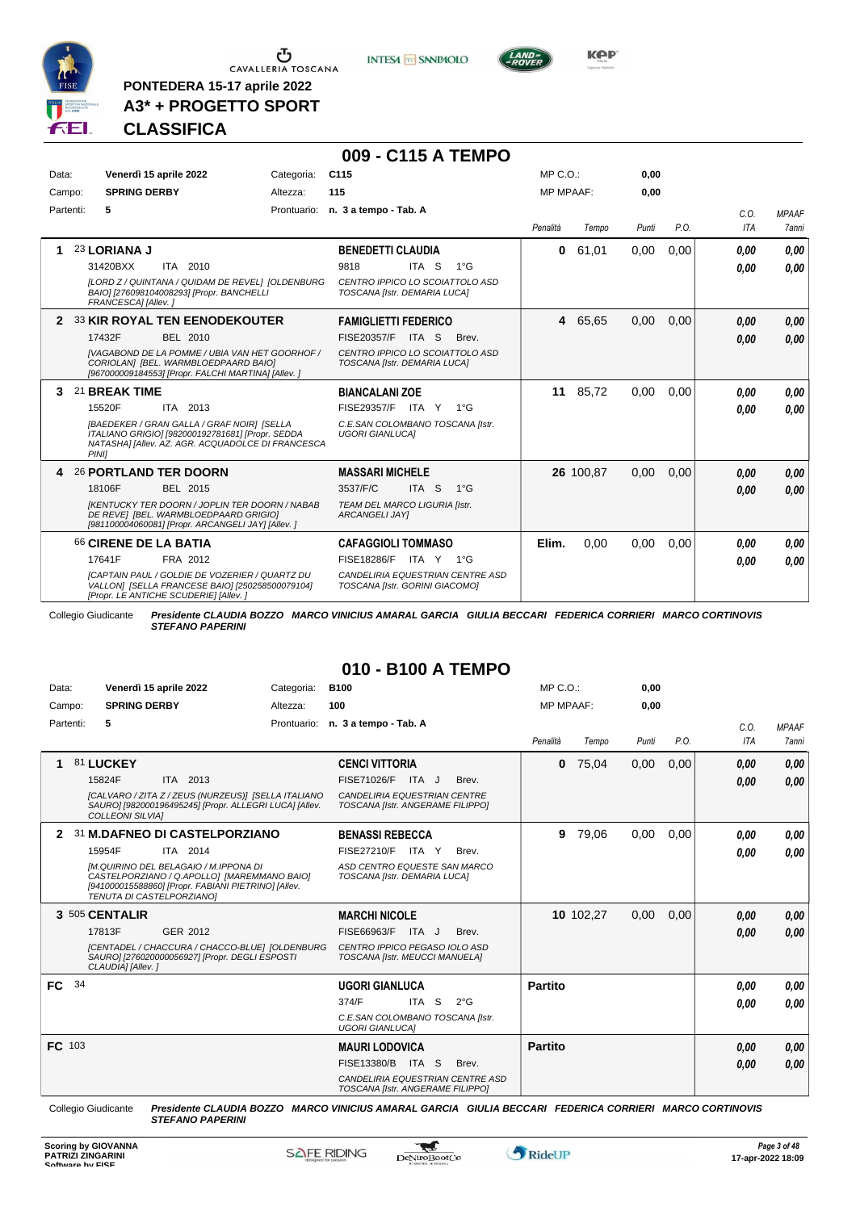

 $\begin{array}{c}\n\bullet \\
\bullet \\
\bullet \\
\bullet\n\end{array}$  CAVALLERIA TOSCANA

**PONTEDERA 15-17 aprile 2022 A3\* + PROGETTO SPORT** **INTESA** M SANPAOLO

**009 - C115 A TEMPO**



**Kep** 

## **CLASSIFICA**

| Data:     | Venerdì 15 aprile 2022                                                                                                                                                                                                                                    | Categoria: | C <sub>115</sub>                                                                                                                                                                                 | MP C. O.         |                   | 0,00         |              |                      |                              |
|-----------|-----------------------------------------------------------------------------------------------------------------------------------------------------------------------------------------------------------------------------------------------------------|------------|--------------------------------------------------------------------------------------------------------------------------------------------------------------------------------------------------|------------------|-------------------|--------------|--------------|----------------------|------------------------------|
| Campo:    | <b>SPRING DERBY</b>                                                                                                                                                                                                                                       | Altezza:   | 115                                                                                                                                                                                              | <b>MP MPAAF:</b> |                   | 0,00         |              |                      |                              |
| Partenti: | 5                                                                                                                                                                                                                                                         |            | Prontuario: n. 3 a tempo - Tab. A                                                                                                                                                                | Penalità         | Tempo             | Punti        | P.O.         | C.O.<br>ITA          | <b>MPAAF</b><br><b>7anni</b> |
|           | 23 LORIANA J<br>ITA 2010<br>31420BXX<br>[LORD Z / QUINTANA / QUIDAM DE REVEL] [OLDENBURG<br>BAIO] [276098104008293] [Propr. BANCHELLI<br>FRANCESCA] [Allev.]                                                                                              |            | <b>BENEDETTI CLAUDIA</b><br>ITA <sub>S</sub><br>$1^{\circ}G$<br>9818<br>CENTRO IPPICO LO SCOIATTOLO ASD<br>TOSCANA [Istr. DEMARIA LUCA]                                                          | $\mathbf{0}$     | 61.01             | 0.00         | 0,00         | 0.00<br>0.00         | 0,00<br>0,00                 |
| 2         | <b>33 KIR ROYAL TEN EENODEKOUTER</b><br>17432F<br>BEL 2010<br>[VAGABOND DE LA POMME / UBIA VAN HET GOORHOF /<br>CORIOLANI [BEL. WARMBLOEDPAARD BAIO]<br>[967000009184553] [Propr. FALCHI MARTINA] [Allev. ]                                               |            | <b>FAMIGLIETTI FEDERICO</b><br>FISE20357/F<br>ITA S<br>Brev.<br>CENTRO IPPICO LO SCOIATTOLO ASD<br>TOSCANA [Istr. DEMARIA LUCA]                                                                  |                  | 4 65,65           | 0,00         | 0,00         | 0,00<br>0,00         | 0,00<br>0,00                 |
| 3.        | 21 BREAK TIME<br>15520F<br>ITA 2013<br>[BAEDEKER / GRAN GALLA / GRAF NOIR] [SELLA<br>ITALIANO GRIGIO] [982000192781681] [Propr. SEDDA<br>NATASHA] [Allev. AZ. AGR. ACQUADOLCE DI FRANCESCA<br>PINI1                                                       |            | <b>BIANCALANI ZOE</b><br>FISE29357/F ITA Y 1°G<br>C.E.SAN COLOMBANO TOSCANA [Istr.<br><b>UGORI GIANLUCAI</b>                                                                                     | 11               | 85,72             | 0.00         | 0,00         | 0.00<br>0.00         | 0.00<br>0.00                 |
| 4         | <b>26 PORTLAND TER DOORN</b><br>18106F<br>BEL 2015<br><b>IKENTUCKY TER DOORN / JOPLIN TER DOORN / NABAB</b><br>DE REVEI [BEL. WARMBLOEDPAARD GRIGIO]<br>[981100004060081] [Propr. ARCANGELI JAY] [Allev. ]<br>66 CIRENE DE LA BATIA<br>17641F<br>FRA 2012 |            | <b>MASSARI MICHELE</b><br>ITA <sub>S</sub><br>3537/F/C<br>$1^{\circ}G$<br>TEAM DEL MARCO LIGURIA [Istr.<br><b>ARCANGELI JAYI</b><br><b>CAFAGGIOLI TOMMASO</b><br><b>FISE18286/F</b><br>ITA Y 1°G | Elim.            | 26 100,87<br>0.00 | 0,00<br>0.00 | 0,00<br>0.00 | 0.00<br>0.00<br>0.00 | 0,00<br>0.00<br>0,00         |
|           | <b>ICAPTAIN PAUL / GOLDIE DE VOZERIER / QUARTZ DU</b><br>VALLON1 [SELLA FRANCESE BAIO] [250258500079104]<br>[Propr. LE ANTICHE SCUDERIE] [Allev. ]                                                                                                        |            | CANDELIRIA EQUESTRIAN CENTRE ASD<br>TOSCANA [Istr. GORINI GIACOMO]                                                                                                                               |                  |                   |              |              | 0.00                 | 0,00                         |

Collegio Giudicante *Presidente CLAUDIA BOZZO MARCO VINICIUS AMARAL GARCIA GIULIA BECCARI FEDERICA CORRIERI MARCO CORTINOVIS STEFANO PAPERINI*

### **010 - B100 A TEMPO**

| Data:         |    | Venerdì 15 aprile 2022                                                                                                                                                   | Categoria:  | <b>B100</b>                                                          | MP C. O.         |           | 0,00  |      |      |              |
|---------------|----|--------------------------------------------------------------------------------------------------------------------------------------------------------------------------|-------------|----------------------------------------------------------------------|------------------|-----------|-------|------|------|--------------|
| Campo:        |    | <b>SPRING DERBY</b>                                                                                                                                                      | Altezza:    | 100                                                                  | <b>MP MPAAF:</b> |           | 0,00  |      |      |              |
| Partenti:     |    | 5                                                                                                                                                                        | Prontuario: | n. 3 a tempo - Tab. A                                                |                  |           |       |      | C.0. | <b>MPAAF</b> |
|               |    |                                                                                                                                                                          |             |                                                                      | Penalità         | Tempo     | Punti | P.O. | ITA  | 7anni        |
| 1             |    | 81 LUCKEY                                                                                                                                                                |             | <b>CENCI VITTORIA</b>                                                | $\bf{0}$         | 75,04     | 0,00  | 0,00 | 0.00 | 0,00         |
|               |    | 15824F<br>ITA 2013                                                                                                                                                       |             | FISE71026/F<br>Brev.<br>ITA J                                        |                  |           |       |      | 0.00 | 0,00         |
|               |    | [CALVARO / ZITA Z / ZEUS (NURZEUS)] [SELLA ITALIANO<br>SAURO] [982000196495245] [Propr. ALLEGRI LUCA] [Allev.<br><b>COLLEONI SILVIAI</b>                                 |             | CANDELIRIA EQUESTRIAN CENTRE<br>TOSCANA [Istr. ANGERAME FILIPPO]     |                  |           |       |      |      |              |
| 2             |    | 31 M.DAFNEO DI CASTELPORZIANO                                                                                                                                            |             | <b>BENASSI REBECCA</b>                                               | 9                | 79,06     | 0.00  | 0,00 | 0.00 | 0,00         |
|               |    | 15954F<br>ITA 2014                                                                                                                                                       |             | FISE27210/F<br>ITA Y<br>Brev.                                        |                  |           |       |      | 0.00 | 0,00         |
|               |    | IM.QUIRINO DEL BELAGAIO / M.IPPONA DI<br>CASTELPORZIANO / Q.APOLLO] [MAREMMANO BAIO]<br>[941000015588860] [Propr. FABIANI PIETRINO] [Allev.<br>TENUTA DI CASTELPORZIANO] |             | ASD CENTRO EQUESTE SAN MARCO<br>TOSCANA [Istr. DEMARIA LUCA]         |                  |           |       |      |      |              |
|               |    | 3 505 CENTALIR                                                                                                                                                           |             | <b>MARCHI NICOLE</b>                                                 |                  | 10 102,27 | 0,00  | 0,00 | 0.00 | 0,00         |
|               |    | 17813F<br>GER 2012                                                                                                                                                       |             | FISE66963/F<br>Brev.<br>ITA J                                        |                  |           |       |      | 0.00 | 0.00         |
|               |    | [CENTADEL / CHACCURA / CHACCO-BLUE] [OLDENBURG<br>SAURO] [276020000056927] [Propr. DEGLI ESPOSTI<br>CLAUDIA] [Allev.]                                                    |             | CENTRO IPPICO PEGASO IOLO ASD<br>TOSCANA [Istr. MEUCCI MANUELA]      |                  |           |       |      |      |              |
| FC.           | 34 |                                                                                                                                                                          |             | <b>UGORI GIANLUCA</b>                                                | Partito          |           |       |      | 0.00 | 0,00         |
|               |    |                                                                                                                                                                          |             | 374/F<br>ITA S<br>$2^{\circ}$ G                                      |                  |           |       |      | 0.00 | 0.00         |
|               |    |                                                                                                                                                                          |             | C.E.SAN COLOMBANO TOSCANA [Istr.<br><b>UGORI GIANLUCAI</b>           |                  |           |       |      |      |              |
| <b>FC</b> 103 |    |                                                                                                                                                                          |             | <b>MAURI LODOVICA</b>                                                | <b>Partito</b>   |           |       |      | 0,00 | 0,00         |
|               |    |                                                                                                                                                                          |             | FISE13380/B<br>ITA S<br>Brev.                                        |                  |           |       |      | 0.00 | 0,00         |
|               |    |                                                                                                                                                                          |             | CANDELIRIA EQUESTRIAN CENTRE ASD<br>TOSCANA [Istr. ANGERAME FILIPPO] |                  |           |       |      |      |              |

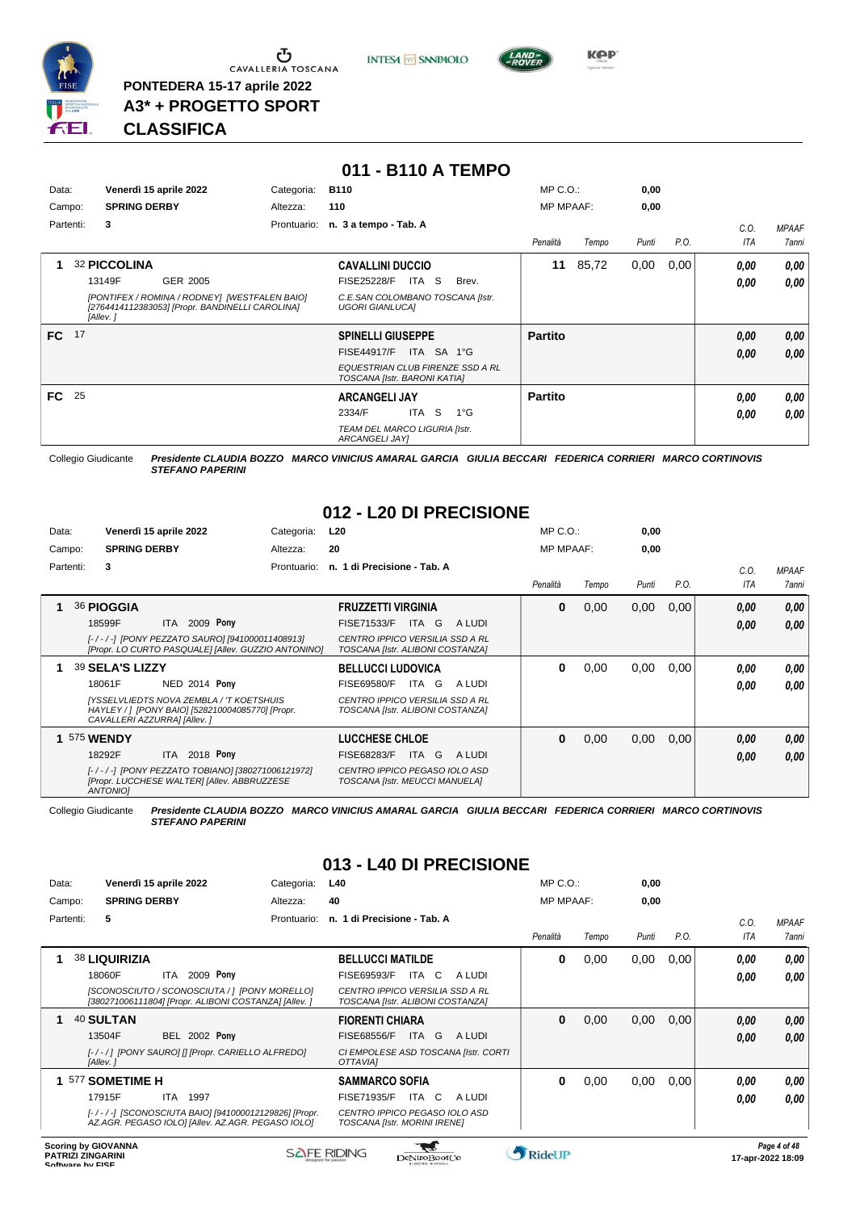

**PONTEDERA 15-17 aprile 2022 A3\* + PROGETTO SPORT** **INTESA** M SANPAOLO



**Kep** 

# *STEFANO PAPERINI* **CLASSIFICA**

| Data: |           | Venerdì 15 aprile 2022                                                                                       | Categoria:  | <b>B110</b>                                                      | $MP C. O.$ :     |       | 0,00  |      |      |              |
|-------|-----------|--------------------------------------------------------------------------------------------------------------|-------------|------------------------------------------------------------------|------------------|-------|-------|------|------|--------------|
|       | Campo:    | <b>SPRING DERBY</b>                                                                                          | Altezza:    | 110                                                              | <b>MP MPAAF:</b> |       | 0,00  |      |      |              |
|       | Partenti: | 3                                                                                                            | Prontuario: | n. 3 a tempo - Tab. A                                            |                  |       |       |      | C.O. | <b>MPAAF</b> |
|       |           |                                                                                                              |             |                                                                  | Penalità         | Tempo | Punti | P.O. | ITA  | 7anni        |
|       |           | 32 PICCOLINA                                                                                                 |             | <b>CAVALLINI DUCCIO</b>                                          | 11               | 85,72 | 0,00  | 0,00 | 0.00 | 0,00         |
|       |           | 13149F<br>GER 2005                                                                                           |             | <b>FISE25228/F</b><br>ITA S<br>Brev.                             |                  |       |       |      | 0.00 | 0,00         |
|       |           | [PONTIFEX / ROMINA / RODNEY] [WESTFALEN BAIO]<br>[2764414112383053] [Propr. BANDINELLI CAROLINA]<br>[Allev.] |             | C.E.SAN COLOMBANO TOSCANA [Istr.<br><b>UGORI GIANLUCAI</b>       |                  |       |       |      |      |              |
| FC.   | 17        |                                                                                                              |             | <b>SPINELLI GIUSEPPE</b>                                         | <b>Partito</b>   |       |       |      | 0,00 | 0,00         |
|       |           |                                                                                                              |             | <b>FISE44917/F</b><br>ITA SA 1°G                                 |                  |       |       |      | 0,00 | 0,00         |
|       |           |                                                                                                              |             | EQUESTRIAN CLUB FIRENZE SSD A RL<br>TOSCANA [Istr. BARONI KATIA] |                  |       |       |      |      |              |
| FC.   | 25        |                                                                                                              |             | <b>ARCANGELI JAY</b>                                             | <b>Partito</b>   |       |       |      | 0.00 | 0,00         |
|       |           |                                                                                                              |             | <b>S</b><br>2334/F<br>ITA<br>$1^{\circ}$ G                       |                  |       |       |      | 0,00 | 0.00         |
|       |           |                                                                                                              |             | TEAM DEL MARCO LIGURIA [Istr.<br>ARCANGELI JAY]                  |                  |       |       |      |      |              |

**011 - B110 A TEMPO**

Collegio Giudicante *Presidente CLAUDIA BOZZO MARCO VINICIUS AMARAL GARCIA GIULIA BECCARI FEDERICA CORRIERI MARCO CORTINOVIS STEFANO PAPERINI*

# **012 - L20 DI PRECISIONE**

| Data:     | Venerdì 15 aprile 2022                                                                                                      | Categoria:  | L <sub>20</sub>                                                            | $MP C. O.$ :     |       | 0,00  |      |      |                     |
|-----------|-----------------------------------------------------------------------------------------------------------------------------|-------------|----------------------------------------------------------------------------|------------------|-------|-------|------|------|---------------------|
| Campo:    | <b>SPRING DERBY</b>                                                                                                         | Altezza:    | 20                                                                         | <b>MP MPAAF:</b> |       | 0,00  |      |      |                     |
| Partenti: | 3                                                                                                                           | Prontuario: | n. 1 di Precisione - Tab. A                                                |                  |       |       |      | C.0  | <b>MPAAF</b>        |
|           |                                                                                                                             |             |                                                                            | Penalità         | Tempo | Punti | P.O. | ITA  | <i><b>7anni</b></i> |
|           | 36 PIOGGIA                                                                                                                  |             | <b>FRUZZETTI VIRGINIA</b>                                                  | 0                | 0,00  | 0,00  | 0,00 | 0,00 | 0,00                |
|           | 18599F<br>2009 Pony<br>ITA.                                                                                                 |             | ITA G<br><b>FISE71533/F</b><br>A LUDI                                      |                  |       |       |      | 0.00 | 0.00                |
|           | [-/-/-] [PONY PEZZATO SAURO] [941000011408913]<br>[Propr. LO CURTO PASQUALE] [Allev. GUZZIO ANTONINO]                       |             | <b>CENTRO IPPICO VERSILIA SSD A RL</b><br>TOSCANA [Istr. ALIBONI COSTANZA] |                  |       |       |      |      |                     |
|           | 39 SELA'S LIZZY                                                                                                             |             | <b>BELLUCCI LUDOVICA</b>                                                   | 0                | 0,00  | 0,00  | 0,00 | 0,00 | 0,00                |
|           | 18061F<br>NED 2014 Pony                                                                                                     |             | <b>FISE69580/F</b><br>ITA<br>G<br>A LUDI                                   |                  |       |       |      | 0,00 | 0.00                |
|           | [YSSELVLIEDTS NOVA ZEMBLA / 'T KOETSHUIS<br>HAYLEY / 1 [PONY BAIO] [528210004085770] [Propr.<br>CAVALLERI AZZURRA] [Allev.] |             | <b>CENTRO IPPICO VERSILIA SSD A RL</b><br>TOSCANA [Istr. ALIBONI COSTANZA] |                  |       |       |      |      |                     |
|           | 575 WENDY                                                                                                                   |             | <b>LUCCHESE CHLOE</b>                                                      | 0                | 0,00  | 0,00  | 0,00 | 0,00 | 0,00                |
|           | 2018 Pony<br>18292F<br>ITA I                                                                                                |             | <b>FISE68283/F</b><br>ITA G<br>A LUDI                                      |                  |       |       |      | 0,00 | 0.00                |
|           | [-/-/-] [PONY PEZZATO TOBIANO] [380271006121972]<br>[Propr. LUCCHESE WALTER] [Allev. ABBRUZZESE<br><b>ANTONIOI</b>          |             | CENTRO IPPICO PEGASO IOLO ASD<br>TOSCANA [Istr. MEUCCI MANUELA]            |                  |       |       |      |      |                     |

Collegio Giudicante *Presidente CLAUDIA BOZZO MARCO VINICIUS AMARAL GARCIA GIULIA BECCARI FEDERICA CORRIERI MARCO CORTINOVIS STEFANO PAPERINI*

# **013 - L40 DI PRECISIONE**

| Data:     | Venerdì 15 aprile 2022                                                                                    | Categoria:  | L40                                                                        | MP C. O.         |       | 0,00  |      |      |              |
|-----------|-----------------------------------------------------------------------------------------------------------|-------------|----------------------------------------------------------------------------|------------------|-------|-------|------|------|--------------|
| Campo:    | <b>SPRING DERBY</b>                                                                                       | Altezza:    | 40                                                                         | <b>MP MPAAF:</b> |       | 0,00  |      |      |              |
| Partenti: | 5                                                                                                         | Prontuario: | n. 1 di Precisione - Tab. A                                                |                  |       |       |      | C.0. | <b>MPAAF</b> |
|           |                                                                                                           |             |                                                                            | Penalità         | Tempo | Punti | P.O. | ITA  | 7anni        |
|           | 38 LIQUIRIZIA                                                                                             |             | <b>BELLUCCI MATILDE</b>                                                    | 0                | 0,00  | 0,00  | 0,00 | 0.00 | 0,00         |
|           | 2009 Pony<br>18060F<br>ITA                                                                                |             | <b>FISE69593/F</b><br>ITA C<br>A LUDI                                      |                  |       |       |      | 0,00 | 0,00         |
|           | [SCONOSCIUTO / SCONOSCIUTA / 1 [PONY MORELLO]<br>[380271006111804] [Propr. ALIBONI COSTANZA] [Allev. ]    |             | <b>CENTRO IPPICO VERSILIA SSD A RL</b><br>TOSCANA [Istr. ALIBONI COSTANZA] |                  |       |       |      |      |              |
|           | 40 SULTAN                                                                                                 |             | <b>FIORENTI CHIARA</b>                                                     | 0                | 0,00  | 0,00  | 0,00 | 0,00 | 0.00         |
|           | <b>BEL 2002 Pony</b><br>13504F                                                                            |             | <b>FISE68556/F</b><br>ITA G<br>A LUDI                                      |                  |       |       |      | 0,00 | 0.00         |
|           | [-/-/] [PONY SAURO] [] [Propr. CARIELLO ALFREDO]<br>[Allev.]                                              |             | CI EMPOLESE ASD TOSCANA [Istr. CORTI<br>OTTAVIAI                           |                  |       |       |      |      |              |
|           | 1 577 SOMETIME H                                                                                          |             | <b>SAMMARCO SOFIA</b>                                                      | 0                | 0,00  | 0,00  | 0,00 | 0.00 | 0,00         |
|           | 17915F<br><b>ITA</b><br>1997                                                                              |             | <b>FISE71935/F</b><br>ITA<br>C.<br>A LUDI                                  |                  |       |       |      | 0.00 | 0.00         |
|           | [-/-/-] [SCONOSCIUTA BAIO] [941000012129826] [Propr.<br>AZ.AGR. PEGASO IOLO] [Allev. AZ.AGR. PEGASO IOLO] |             | CENTRO IPPICO PEGASO IOLO ASD<br>TOSCANA [Istr. MORINI IRENE]              |                  |       |       |      |      |              |
|           |                                                                                                           |             |                                                                            |                  |       |       |      |      |              |

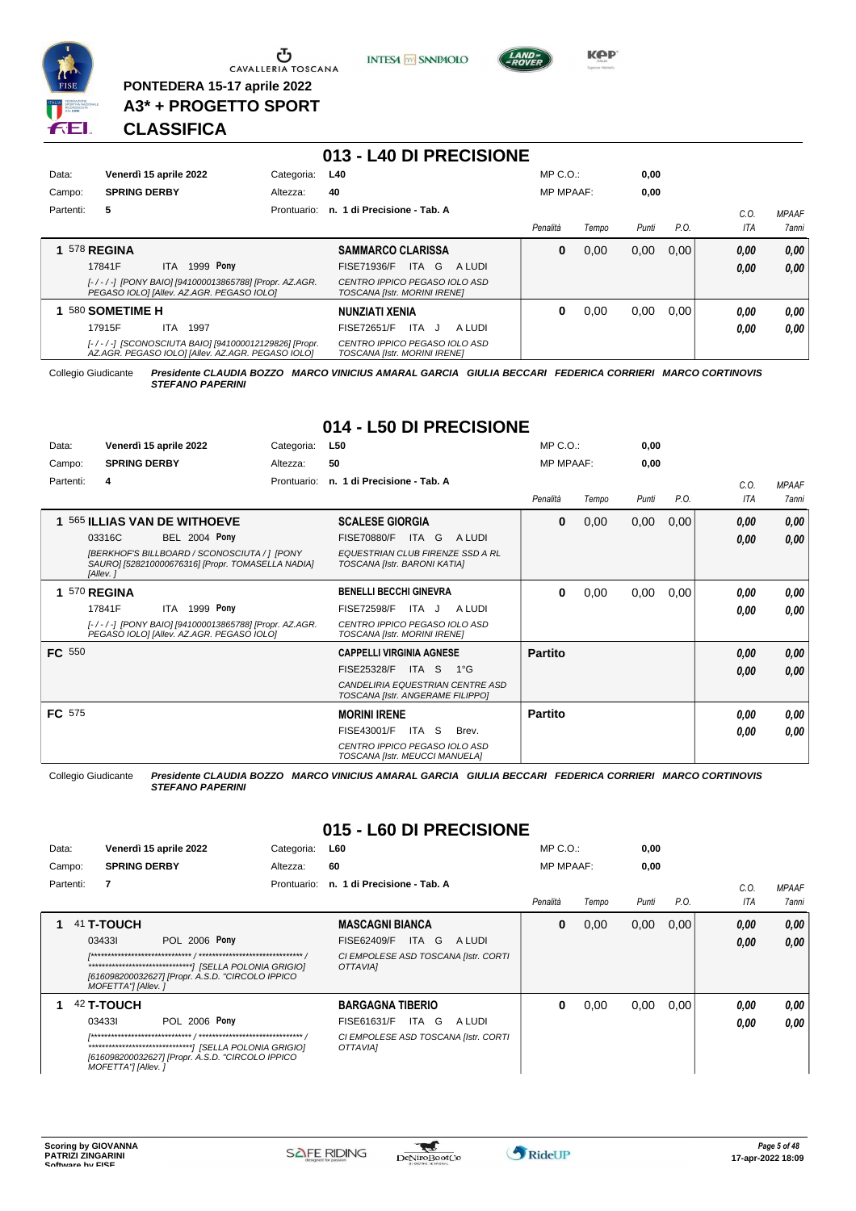

 $\begin{array}{c}\n\bullet \\
\bullet \\
\bullet \\
\bullet \\
\bullet\n\end{array}$  CAVALLERIA TOSCANA

**PONTEDERA 15-17 aprile 2022 A3\* + PROGETTO SPORT** **INTESA** M SANPAOLO



**KPP** 

# **CLASSIFICA**

|           |                                                                                                           |             | 013 - L40 DI PRECISIONE                                              |                  |       |       |      |            |              |
|-----------|-----------------------------------------------------------------------------------------------------------|-------------|----------------------------------------------------------------------|------------------|-------|-------|------|------------|--------------|
| Data:     | Venerdì 15 aprile 2022                                                                                    | Categoria:  | L40                                                                  | $MP C. O.$ :     |       | 0,00  |      |            |              |
| Campo:    | <b>SPRING DERBY</b>                                                                                       | Altezza:    | 40                                                                   | <b>MP MPAAF:</b> |       | 0,00  |      |            |              |
| Partenti: | 5                                                                                                         | Prontuario: | n. 1 di Precisione - Tab. A                                          |                  |       |       |      | C.O.       | <b>MPAAF</b> |
|           |                                                                                                           |             |                                                                      | Penalità         | Tempo | Punti | P.O. | <b>ITA</b> | 7anni        |
|           | 578 REGINA                                                                                                |             | <b>SAMMARCO CLARISSA</b>                                             | 0                | 0,00  | 0,00  | 0.00 | 0.00       | 0,00         |
|           | 1999 <b>Pony</b><br>17841F<br>ITA.                                                                        |             | FISE71936/F<br>ITA<br>G<br>A LUDI                                    |                  |       |       |      | 0.00       | 0,00         |
|           | [-/-/-] [PONY BAIO] [941000013865788] [Propr. AZ.AGR.<br>PEGASO IOLO] [Allev. AZ.AGR. PEGASO IOLO]        |             | CENTRO IPPICO PEGASO IOLO ASD<br><b>TOSCANA [Istr. MORINI IRENE]</b> |                  |       |       |      |            |              |
|           | 580 SOMETIME H                                                                                            |             | <b>NUNZIATI XENIA</b>                                                | 0                | 0,00  | 0,00  | 0.00 | 0,00       | 0,00         |
|           | 17915F<br>ITA.<br>1997                                                                                    |             | FISE72651/F<br><b>ITA</b><br>A LUDI<br>- 1                           |                  |       |       |      | 0.00       | 0,00         |
|           | [-/-/-] [SCONOSCIUTA BAIO] [941000012129826] [Propr.<br>AZ.AGR. PEGASO IOLO] [Allev. AZ.AGR. PEGASO IOLO] |             | CENTRO IPPICO PEGASO IOLO ASD<br>TOSCANA [Istr. MORINI IRENE]        |                  |       |       |      |            |              |

Collegio Giudicante *Presidente CLAUDIA BOZZO MARCO VINICIUS AMARAL GARCIA GIULIA BECCARI FEDERICA CORRIERI MARCO CORTINOVIS STEFANO PAPERINI*

# **014 - L50 DI PRECISIONE**

| Data:         | Venerdì 15 aprile 2022                                                                                               | Categoria:  | L50                                                                     | $MP C. O.$ :     |       | 0,00  |      |      |              |
|---------------|----------------------------------------------------------------------------------------------------------------------|-------------|-------------------------------------------------------------------------|------------------|-------|-------|------|------|--------------|
| Campo:        | <b>SPRING DERBY</b>                                                                                                  | Altezza:    | 50                                                                      | <b>MP MPAAF:</b> |       | 0,00  |      |      |              |
| Partenti:     | 4                                                                                                                    | Prontuario: | n. 1 di Precisione - Tab. A                                             |                  |       |       |      | C.O. | <b>MPAAF</b> |
|               |                                                                                                                      |             |                                                                         | Penalità         | Tempo | Punti | P.O. | ITA  | 7anni        |
| 1             | 565 ILLIAS VAN DE WITHOEVE                                                                                           |             | <b>SCALESE GIORGIA</b>                                                  | $\bf{0}$         | 0,00  | 0,00  | 0,00 | 0,00 | 0,00         |
|               | <b>BEL 2004 Pony</b><br>03316C                                                                                       |             | A LUDI<br><b>FISE70880/F</b><br>ITA G                                   |                  |       |       |      | 0.00 | 0.00         |
|               | <b>IBERKHOF'S BILLBOARD / SCONOSCIUTA / 1 IPONY</b><br>SAURO] [528210000676316] [Propr. TOMASELLA NADIA]<br>[Allev.] |             | <b>EQUESTRIAN CLUB FIRENZE SSD A RL</b><br>TOSCANA [Istr. BARONI KATIA] |                  |       |       |      |      |              |
|               | <sup>570</sup> REGINA                                                                                                |             | <b>BENELLI BECCHI GINEVRA</b>                                           | 0                | 0,00  | 0,00  | 0,00 | 0.00 | 0,00         |
|               | 1999 <b>Pony</b><br>17841F<br>ITA                                                                                    |             | <b>FISE72598/F</b><br>A LUDI<br>ITA J                                   |                  |       |       |      | 0.00 | 0.00         |
|               | [-/-/-] [PONY BAIO] [941000013865788] [Propr. AZ.AGR.<br>PEGASO IOLO] [Allev. AZ.AGR. PEGASO IOLO]                   |             | CENTRO IPPICO PEGASO IOLO ASD<br>TOSCANA [Istr. MORINI IRENE]           |                  |       |       |      |      |              |
| <b>FC</b> 550 |                                                                                                                      |             | <b>CAPPELLI VIRGINIA AGNESE</b>                                         | <b>Partito</b>   |       |       |      | 0,00 | 0,00         |
|               |                                                                                                                      |             | FISE25328/F<br>ITA S<br>$1^{\circ}$ G                                   |                  |       |       |      | 0,00 | 0.00         |
|               |                                                                                                                      |             | CANDELIRIA EQUESTRIAN CENTRE ASD<br>TOSCANA [Istr. ANGERAME FILIPPO]    |                  |       |       |      |      |              |
| <b>FC</b> 575 |                                                                                                                      |             | <b>MORINI IRENE</b>                                                     | <b>Partito</b>   |       |       |      | 0.00 | 0,00         |
|               |                                                                                                                      |             | FISE43001/F<br>ITA S<br>Brev.                                           |                  |       |       |      | 0.00 | 0.00         |
|               |                                                                                                                      |             | CENTRO IPPICO PEGASO IOLO ASD<br>TOSCANA [Istr. MEUCCI MANUELA]         |                  |       |       |      |      |              |

Collegio Giudicante *Presidente CLAUDIA BOZZO MARCO VINICIUS AMARAL GARCIA GIULIA BECCARI FEDERICA CORRIERI MARCO CORTINOVIS STEFANO PAPERINI*

# **015 - L60 DI PRECISIONE**

| Data:     |                                             | Venerdì 15 aprile 2022                                            | Categoria:  | <b>L60</b>                                                                                       |       |        | $MP C. O.$ :     |       | 0,00  |      |              |                              |
|-----------|---------------------------------------------|-------------------------------------------------------------------|-------------|--------------------------------------------------------------------------------------------------|-------|--------|------------------|-------|-------|------|--------------|------------------------------|
| Campo:    | <b>SPRING DERBY</b>                         |                                                                   | Altezza:    | 60                                                                                               |       |        | <b>MP MPAAF:</b> |       | 0,00  |      |              |                              |
| Partenti: | 7                                           |                                                                   | Prontuario: | n. 1 di Precisione - Tab. A                                                                      |       |        | Penalità         | Tempo | Punti | P.O. | C.0<br>ITA   | MPAAF<br><i><b>7anni</b></i> |
|           | 41 T-TOUCH<br>034331<br>MOFETTA"] [Allev. ] | POL 2006 Pony<br>[616098200032627] [Propr. A.S.D. "CIRCOLO IPPICO |             | <b>MASCAGNI BIANCA</b><br><b>FISE62409/F</b><br>CI EMPOLESE ASD TOSCANA [Istr. CORTI<br>OTTAVIAI | ITA G | A LUDI | 0                | 0,00  | 0,00  | 0,00 | 0,00<br>0,00 | 0,00<br>0.00                 |
| 1         | 42 T-TOUCH<br>034331<br>MOFETTA"] [Allev. ] | POL 2006 Pony<br>[616098200032627] [Propr. A.S.D. "CIRCOLO IPPICO |             | <b>BARGAGNA TIBERIO</b><br>FISE61631/F<br>CI EMPOLESE ASD TOSCANA [Istr. CORTI<br>OTTAVIAI       | ITA G | A LUDI | 0                | 0,00  | 0,00  | 0.00 | 0,00<br>0,00 | 0,00<br>0.00                 |

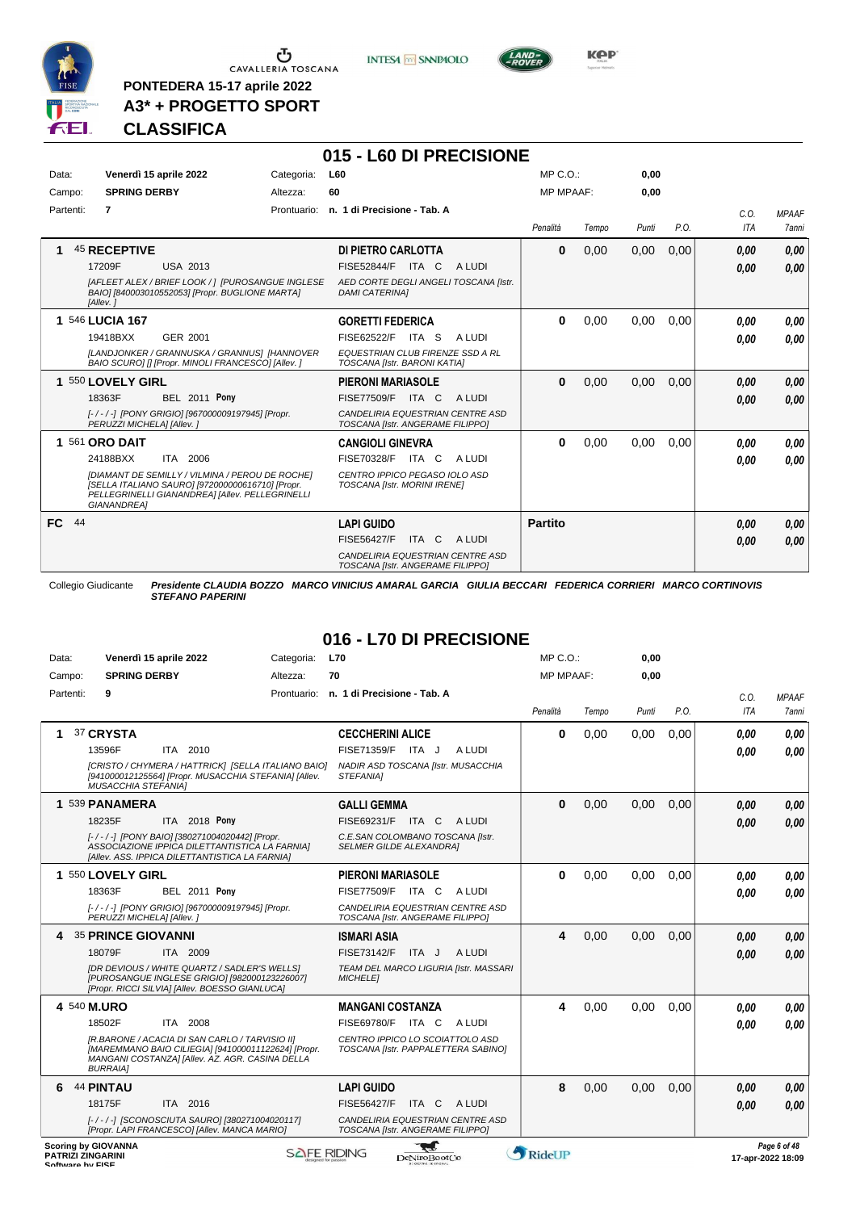

 $\begin{array}{c}\n\bullet \\
\bullet \\
\bullet \\
\bullet\n\end{array}$  CAVALLERIA TOSCANA

**PONTEDERA 15-17 aprile 2022 A3\* + PROGETTO SPORT** **INTESA** M SANPAOLO

**015 - L60 DI PRECISIONE**



**Kep** 

# **CLASSIFICA**

| Data:     |                            | Venerdì 15 aprile 2022                                                                                                                                 | Categoria:  | <b>L60</b>                                                              | MP C. O.         |       | 0,00  |      |      |              |
|-----------|----------------------------|--------------------------------------------------------------------------------------------------------------------------------------------------------|-------------|-------------------------------------------------------------------------|------------------|-------|-------|------|------|--------------|
| Campo:    | <b>SPRING DERBY</b>        |                                                                                                                                                        | Altezza:    | 60                                                                      | <b>MP MPAAF:</b> |       | 0.00  |      |      |              |
| Partenti: | 7                          |                                                                                                                                                        | Prontuario: | n. 1 di Precisione - Tab. A                                             |                  |       |       |      | C.O. | <b>MPAAF</b> |
|           |                            |                                                                                                                                                        |             |                                                                         | Penalità         | Tempo | Punti | P.O. | ITA  | <b>7anni</b> |
|           | <b>45 RECEPTIVE</b>        |                                                                                                                                                        |             | DI PIETRO CARLOTTA                                                      | $\bf{0}$         | 0,00  | 0,00  | 0,00 | 0,00 | 0,00         |
|           | 17209F                     | <b>USA 2013</b>                                                                                                                                        |             | <b>FISE52844/F</b><br>ITA C<br>A LUDI                                   |                  |       |       |      | 0,00 | 0,00         |
|           | [Allev.]                   | [AFLEET ALEX / BRIEF LOOK / ] [PUROSANGUE INGLESE<br>BAIO] [840003010552053] [Propr. BUGLIONE MARTA]                                                   |             | AED CORTE DEGLI ANGELI TOSCANA [Istr.<br><b>DAMI CATERINAI</b>          |                  |       |       |      |      |              |
|           | 1 546 LUCIA 167            |                                                                                                                                                        |             | <b>GORETTI FEDERICA</b>                                                 | 0                | 0,00  | 0,00  | 0.00 | 0,00 | 0,00         |
|           | 19418BXX                   | GER 2001                                                                                                                                               |             | FISE62522/F ITA S<br>A LUDI                                             |                  |       |       |      | 0.00 | 0.00         |
|           |                            | <b>ILANDJONKER / GRANNUSKA / GRANNUS1 IHANNOVER</b><br>BAIO SCUROI [] [Propr. MINOLI FRANCESCO] [Allev. ]                                              |             | <b>EQUESTRIAN CLUB FIRENZE SSD A RL</b><br>TOSCANA [Istr. BARONI KATIA] |                  |       |       |      |      |              |
|           | 1 550 LOVELY GIRL          |                                                                                                                                                        |             | <b>PIERONI MARIASOLE</b>                                                | $\bf{0}$         | 0,00  | 0,00  | 0.00 | 0,00 | 0,00         |
|           | 18363F                     | <b>BEL 2011 Pony</b>                                                                                                                                   |             | <b>FISE77509/F</b><br>ITA C<br>A LUDI                                   |                  |       |       |      | 0,00 | 0.00         |
|           | PERUZZI MICHELA] [Allev. ] | [-/-/-] [PONY GRIGIO] [967000009197945] [Propr.                                                                                                        |             | CANDELIRIA EQUESTRIAN CENTRE ASD<br>TOSCANA [Istr. ANGERAME FILIPPO]    |                  |       |       |      |      |              |
|           | 1 561 ORO DAIT             |                                                                                                                                                        |             | <b>CANGIOLI GINEVRA</b>                                                 | $\bf{0}$         | 0,00  | 0,00  | 0,00 | 0.00 | 0,00         |
|           | 24188BXX                   | ITA 2006                                                                                                                                               |             | FISE70328/F<br>ITA C<br>A LUDI                                          |                  |       |       |      | 0.00 | 0.00         |
|           | GIANANDREA]                | [DIAMANT DE SEMILLY / VILMINA / PEROU DE ROCHE]<br>[SELLA ITALIANO SAURO] [972000000616710] [Propr.<br>PELLEGRINELLI GIANANDREA] [Allev. PELLEGRINELLI |             | CENTRO IPPICO PEGASO IOLO ASD<br>TOSCANA [Istr. MORINI IRENE]           |                  |       |       |      |      |              |
| FC 44     |                            |                                                                                                                                                        |             | <b>LAPI GUIDO</b>                                                       | <b>Partito</b>   |       |       |      | 0,00 | 0,00         |
|           |                            |                                                                                                                                                        |             | FISE56427/F<br>ITA C<br>A LUDI                                          |                  |       |       |      | 0,00 | 0,00         |
|           |                            |                                                                                                                                                        |             | CANDELIRIA EQUESTRIAN CENTRE ASD<br>TOSCANA [Istr. ANGERAME FILIPPO]    |                  |       |       |      |      |              |

Collegio Giudicante *Presidente CLAUDIA BOZZO MARCO VINICIUS AMARAL GARCIA GIULIA BECCARI FEDERICA CORRIERI MARCO CORTINOVIS STEFANO PAPERINI*

# **016 - L70 DI PRECISIONE**

| Data:                                                                      | Venerdì 15 aprile 2022                                                                                                                                                      | Categoria:         | <b>L70</b>                                                             | MP C.O.:         |       | 0,00  |      |            |                                   |
|----------------------------------------------------------------------------|-----------------------------------------------------------------------------------------------------------------------------------------------------------------------------|--------------------|------------------------------------------------------------------------|------------------|-------|-------|------|------------|-----------------------------------|
| Campo:                                                                     | <b>SPRING DERBY</b>                                                                                                                                                         | Altezza:           | 70                                                                     | <b>MP MPAAF:</b> |       | 0.00  |      |            |                                   |
| Partenti:                                                                  | 9                                                                                                                                                                           | Prontuario:        | n. 1 di Precisione - Tab. A                                            |                  |       |       |      | C.O.       | <b>MPAAF</b>                      |
|                                                                            |                                                                                                                                                                             |                    |                                                                        | Penalità         | Tempo | Punti | P.O. | <b>ITA</b> | <b>7anni</b>                      |
|                                                                            | 37 CRYSTA                                                                                                                                                                   |                    | <b>CECCHERINI ALICE</b>                                                | $\bf{0}$         | 0,00  | 0,00  | 0.00 | 0.00       | 0.00                              |
|                                                                            | ITA 2010<br>13596F                                                                                                                                                          |                    | FISE71359/F ITA J<br>A LUDI                                            |                  |       |       |      | 0.00       | 0.00                              |
|                                                                            | [CRISTO / CHYMERA / HATTRICK] [SELLA ITALIANO BAIO]<br>[941000012125564] [Propr. MUSACCHIA STEFANIA] [Allev.<br><b>MUSACCHIA STEFANIA1</b>                                  |                    | NADIR ASD TOSCANA [Istr. MUSACCHIA<br>STEFANIA1                        |                  |       |       |      |            |                                   |
|                                                                            | 1 539 PANAMERA                                                                                                                                                              |                    | <b>GALLI GEMMA</b>                                                     | $\mathbf{0}$     | 0,00  | 0,00  | 0,00 | 0.00       | 0,00                              |
|                                                                            | 18235F<br>ITA 2018 Pony                                                                                                                                                     |                    | FISE69231/F ITA C<br>A LUDI                                            |                  |       |       |      | 0.00       | 0.00                              |
|                                                                            | [-/-/-] [PONY BAIO] [380271004020442] [Propr.<br>ASSOCIAZIONE IPPICA DILETTANTISTICA LA FARNIA]<br>[Allev. ASS. IPPICA DILETTANTISTICA LA FARNIA]                           |                    | C.E.SAN COLOMBANO TOSCANA [Istr.<br><b>SELMER GILDE ALEXANDRA1</b>     |                  |       |       |      |            |                                   |
|                                                                            | 1 550 LOVELY GIRL                                                                                                                                                           |                    | <b>PIERONI MARIASOLE</b>                                               | $\bf{0}$         | 0,00  | 0,00  | 0,00 | 0.00       | 0.00                              |
|                                                                            | <b>BEL 2011 Pony</b><br>18363F                                                                                                                                              |                    | <b>FISE77509/F ITA C</b><br>A LUDI                                     |                  |       |       |      | 0.00       | 0.00                              |
|                                                                            | [-/-/-] [PONY GRIGIO] [967000009197945] [Propr.<br>PERUZZI MICHELA] [Allev.]                                                                                                |                    | CANDELIRIA EQUESTRIAN CENTRE ASD<br>TOSCANA [Istr. ANGERAME FILIPPO]   |                  |       |       |      |            |                                   |
| 4                                                                          | <b>35 PRINCE GIOVANNI</b>                                                                                                                                                   |                    | <b>ISMARI ASIA</b>                                                     | 4                | 0,00  | 0.00  | 0.00 | 0.00       | 0,00                              |
|                                                                            | 18079F<br>ITA 2009                                                                                                                                                          |                    | <b>FISE73142/F</b><br>ITA J<br>A LUDI                                  |                  |       |       |      | 0.00       | 0.00                              |
|                                                                            | IDR DEVIOUS / WHITE QUARTZ / SADLER'S WELLSI<br>[PUROSANGUE INGLESE GRIGIO] [982000123226007]<br>[Propr. RICCI SILVIA] [Allev. BOESSO GIANLUCA]                             |                    | TEAM DEL MARCO LIGURIA [Istr. MASSARI<br><b>MICHELE1</b>               |                  |       |       |      |            |                                   |
| 4 540 M.URO                                                                |                                                                                                                                                                             |                    | <b>MANGANI COSTANZA</b>                                                | 4                | 0,00  | 0,00  | 0,00 | 0.00       | 0,00                              |
|                                                                            | ITA 2008<br>18502F                                                                                                                                                          |                    | FISE69780/F ITA C<br>A LUDI                                            |                  |       |       |      | 0.00       | 0.00                              |
|                                                                            | [R.BARONE / ACACIA DI SAN CARLO / TARVISIO II]<br>[MAREMMANO BAIO CILIEGIA] [941000011122624] [Propr.<br>MANGANI COSTANZA] [Allev. AZ. AGR. CASINA DELLA<br><b>BURRAIA1</b> |                    | CENTRO IPPICO LO SCOIATTOLO ASD<br>TOSCANA [Istr. PAPPALETTERA SABINO] |                  |       |       |      |            |                                   |
| 6                                                                          | <b>44 PINTAU</b>                                                                                                                                                            |                    | <b>LAPI GUIDO</b>                                                      | 8                | 0,00  | 0.00  | 0.00 | 0.00       | 0,00                              |
|                                                                            | 18175F<br>ITA 2016                                                                                                                                                          |                    | <b>FISE56427/F</b><br>ITA C<br>A LUDI                                  |                  |       |       |      | 0.00       | 0.00                              |
|                                                                            | [-/-/-] [SCONOSCIUTA SAURO] [380271004020117]<br>[Propr. LAPI FRANCESCO] [Allev. MANCA MARIO]                                                                               |                    | CANDELIRIA EQUESTRIAN CENTRE ASD<br>TOSCANA [Istr. ANGERAME FILIPPO]   |                  |       |       |      |            |                                   |
| <b>Scoring by GIOVANNA</b><br><b>PATRIZI ZINGARINI</b><br>Coffware by EICE |                                                                                                                                                                             | <b>SAFE RIDING</b> | DeNiroBootCo                                                           | <b>RideUP</b>    |       |       |      |            | Page 6 of 48<br>17-apr-2022 18:09 |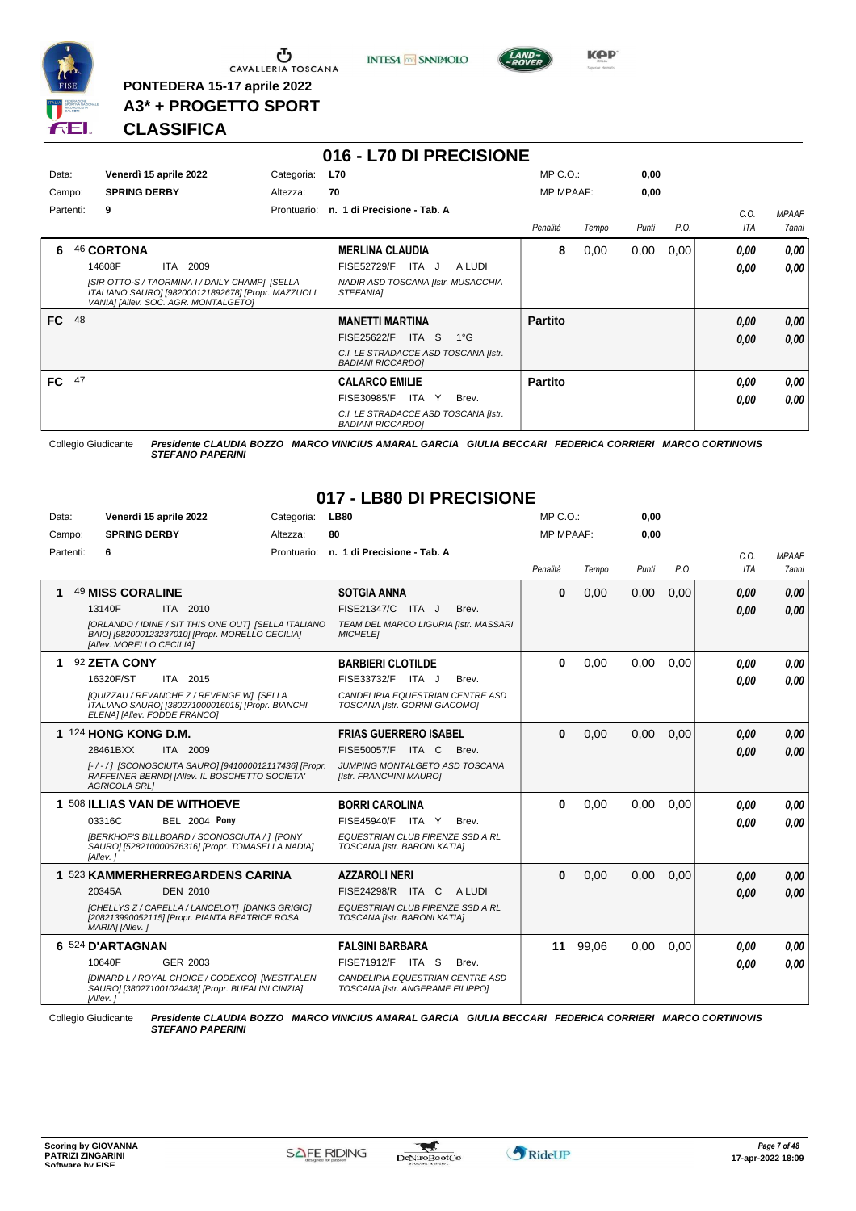

 $\begin{array}{c}\n\bullet \\
\bullet \\
\bullet \\
\bullet \\
\bullet\n\end{array}$  CAVALLERIA TOSCANA

**PONTEDERA 15-17 aprile 2022 A3\* + PROGETTO SPORT** **INTESA M** SANPAOLO



# **CLASSIFICA**

|           |                                                                                                                                              |             | 016 - L70 DI PRECISIONE                                          |                  |       |       |      |      |              |
|-----------|----------------------------------------------------------------------------------------------------------------------------------------------|-------------|------------------------------------------------------------------|------------------|-------|-------|------|------|--------------|
| Data:     | Venerdì 15 aprile 2022                                                                                                                       | Categoria:  | <b>L70</b>                                                       | $MP C. O.$ :     |       | 0,00  |      |      |              |
| Campo:    | <b>SPRING DERBY</b>                                                                                                                          | Altezza:    | 70                                                               | <b>MP MPAAF:</b> |       | 0,00  |      |      |              |
| Partenti: | 9                                                                                                                                            | Prontuario: | n. 1 di Precisione - Tab. A                                      |                  |       |       |      | C.O. | <b>MPAAF</b> |
|           |                                                                                                                                              |             |                                                                  | Penalità         | Tempo | Punti | P.O. | ITA  | 7anni        |
| 6         | <b>46 CORTONA</b>                                                                                                                            |             | <b>MERLINA CLAUDIA</b>                                           | 8                | 0,00  | 0,00  | 0,00 | 0,00 | 0.00         |
|           | 14608F<br>ITA<br>2009                                                                                                                        |             | <b>FISE52729/F</b><br>ITA J<br>A LUDI                            |                  |       |       |      | 0.00 | 0.00         |
|           | [SIR OTTO-S / TAORMINA I / DAILY CHAMP] [SELLA<br>ITALIANO SAURO] [982000121892678] [Propr. MAZZUOLI<br>VANIA] [Allev. SOC. AGR. MONTALGETO] |             | NADIR ASD TOSCANA [Istr. MUSACCHIA<br><i><b>STEFANIAI</b></i>    |                  |       |       |      |      |              |
| FC 48     |                                                                                                                                              |             | <b>MANETTI MARTINA</b>                                           | <b>Partito</b>   |       |       |      | 0.00 | 0,00         |
|           |                                                                                                                                              |             | <b>FISE25622/F</b><br>ITA S<br>$1^{\circ}$ G                     |                  |       |       |      | 0.00 | 0.00         |
|           |                                                                                                                                              |             | C.I. LE STRADACCE ASD TOSCANA [Istr.<br><b>BADIANI RICCARDOI</b> |                  |       |       |      |      |              |
| FC 47     |                                                                                                                                              |             | <b>CALARCO EMILIE</b>                                            | <b>Partito</b>   |       |       |      | 0.00 | 0,00         |
|           |                                                                                                                                              |             | FISE30985/F<br>ITA Y<br>Brev.                                    |                  |       |       |      | 0.00 | 0,00         |
|           |                                                                                                                                              |             | C.I. LE STRADACCE ASD TOSCANA [Istr.<br><b>BADIANI RICCARDOI</b> |                  |       |       |      |      |              |

Collegio Giudicante *Presidente CLAUDIA BOZZO MARCO VINICIUS AMARAL GARCIA GIULIA BECCARI FEDERICA CORRIERI MARCO CORTINOVIS STEFANO PAPERINI*

# **017 - LB80 DI PRECISIONE**

| Data:     | Venerdì 15 aprile 2022                                                                                                               | Categoria:  | <b>LB80</b>                                                          | $MP C. O.$ :     |       | 0,00  |      |            |              |
|-----------|--------------------------------------------------------------------------------------------------------------------------------------|-------------|----------------------------------------------------------------------|------------------|-------|-------|------|------------|--------------|
| Campo:    | <b>SPRING DERBY</b>                                                                                                                  | Altezza:    | 80                                                                   | <b>MP MPAAF:</b> |       | 0.00  |      |            |              |
| Partenti: | 6                                                                                                                                    | Prontuario: | n. 1 di Precisione - Tab. A                                          |                  |       |       |      | C.O.       | <b>MPAAF</b> |
|           |                                                                                                                                      |             |                                                                      | Penalità         | Tempo | Punti | P.O. | <b>ITA</b> | 7anni        |
|           | 49 MISS CORALINE                                                                                                                     |             | <b>SOTGIA ANNA</b>                                                   | $\bf{0}$         | 0,00  | 0,00  | 0,00 | 0.00       | 0,00         |
|           | 13140F<br>ITA 2010                                                                                                                   |             | FISE21347/C ITA J<br>Brev.                                           |                  |       |       |      | 0.00       | 0.00         |
|           | [ORLANDO / IDINE / SIT THIS ONE OUT] [SELLA ITALIANO<br>BAIO] [982000123237010] [Propr. MORELLO CECILIA]<br>[Allev. MORELLO CECILIA] |             | TEAM DEL MARCO LIGURIA [Istr. MASSARI<br><b>MICHELET</b>             |                  |       |       |      |            |              |
|           | 92 ZETA CONY                                                                                                                         |             | <b>BARBIERI CLOTILDE</b>                                             | $\bf{0}$         | 0,00  | 0.00  | 0.00 | 0.00       | 0.00         |
|           | 16320F/ST<br>ITA 2015                                                                                                                |             | FISE33732/F ITA J<br>Brev.                                           |                  |       |       |      | 0.00       | 0.00         |
|           | [QUIZZAU / REVANCHE Z / REVENGE W] [SELLA<br>ITALIANO SAURO] [380271000016015] [Propr. BIANCHI<br>ELENA] [Allev. FODDE FRANCO]       |             | CANDELIRIA EQUESTRIAN CENTRE ASD<br>TOSCANA [Istr. GORINI GIACOMO]   |                  |       |       |      |            |              |
|           | 1 124 HONG KONG D.M.                                                                                                                 |             | <b>FRIAS GUERRERO ISABEL</b>                                         | $\bf{0}$         | 0,00  | 0,00  | 0,00 | 0.00       | 0,00         |
|           | 28461BXX<br>ITA 2009                                                                                                                 |             | FISE50057/F ITA C<br>Brev.                                           |                  |       |       |      | 0.00       | 0.00         |
|           | [-/-/] [SCONOSCIUTA SAURO] [941000012117436] [Propr.<br>RAFFEINER BERND] [Allev. IL BOSCHETTO SOCIETA'<br><b>AGRICOLA SRL1</b>       |             | JUMPING MONTALGETO ASD TOSCANA<br>[Istr. FRANCHINI MAURO]            |                  |       |       |      |            |              |
|           | 1 508 ILLIAS VAN DE WITHOEVE                                                                                                         |             | <b>BORRI CAROLINA</b>                                                | $\bf{0}$         | 0,00  | 0,00  | 0,00 | 0.00       | 0.00         |
|           | 03316C<br><b>BEL 2004 Pony</b>                                                                                                       |             | <b>FISE45940/F</b><br>Brev.<br>ITA Y                                 |                  |       |       |      | 0.00       | 0.00         |
|           | [BERKHOF'S BILLBOARD / SCONOSCIUTA / 1 [PONY<br>SAURO] [528210000676316] [Propr. TOMASELLA NADIA]<br>[Allev.]                        |             | EQUESTRIAN CLUB FIRENZE SSD A RL<br>TOSCANA [Istr. BARONI KATIA]     |                  |       |       |      |            |              |
|           | 1 523 KAMMERHERREGARDENS CARINA                                                                                                      |             | <b>AZZAROLI NERI</b>                                                 | $\bf{0}$         | 0,00  | 0,00  | 0,00 | 0.00       | 0,00         |
|           | <b>DEN 2010</b><br>20345A                                                                                                            |             | FISE24298/R ITA C<br>A LUDI                                          |                  |       |       |      | 0.00       | 0.00         |
|           | [CHELLYS Z / CAPELLA / LANCELOT] [DANKS GRIGIO]<br>[208213990052115] [Propr. PIANTA BEATRICE ROSA<br>MARIA] [Allev.]                 |             | EQUESTRIAN CLUB FIRENZE SSD A RL<br>TOSCANA [Istr. BARONI KATIA]     |                  |       |       |      |            |              |
|           | 6 524 D'ARTAGNAN                                                                                                                     |             | <b>FALSINI BARBARA</b>                                               | 11               | 99,06 | 0,00  | 0,00 | 0.00       | 0.00         |
|           | 10640F<br>GER 2003                                                                                                                   |             | FISE71912/F<br>ITA S<br>Brev.                                        |                  |       |       |      | 0.00       | 0.00         |
|           | [DINARD L / ROYAL CHOICE / CODEXCO] [WESTFALEN<br>SAURO] [380271001024438] [Propr. BUFALINI CINZIA]<br>[Allev.]                      |             | CANDELIRIA EQUESTRIAN CENTRE ASD<br>TOSCANA [Istr. ANGERAME FILIPPO] |                  |       |       |      |            |              |

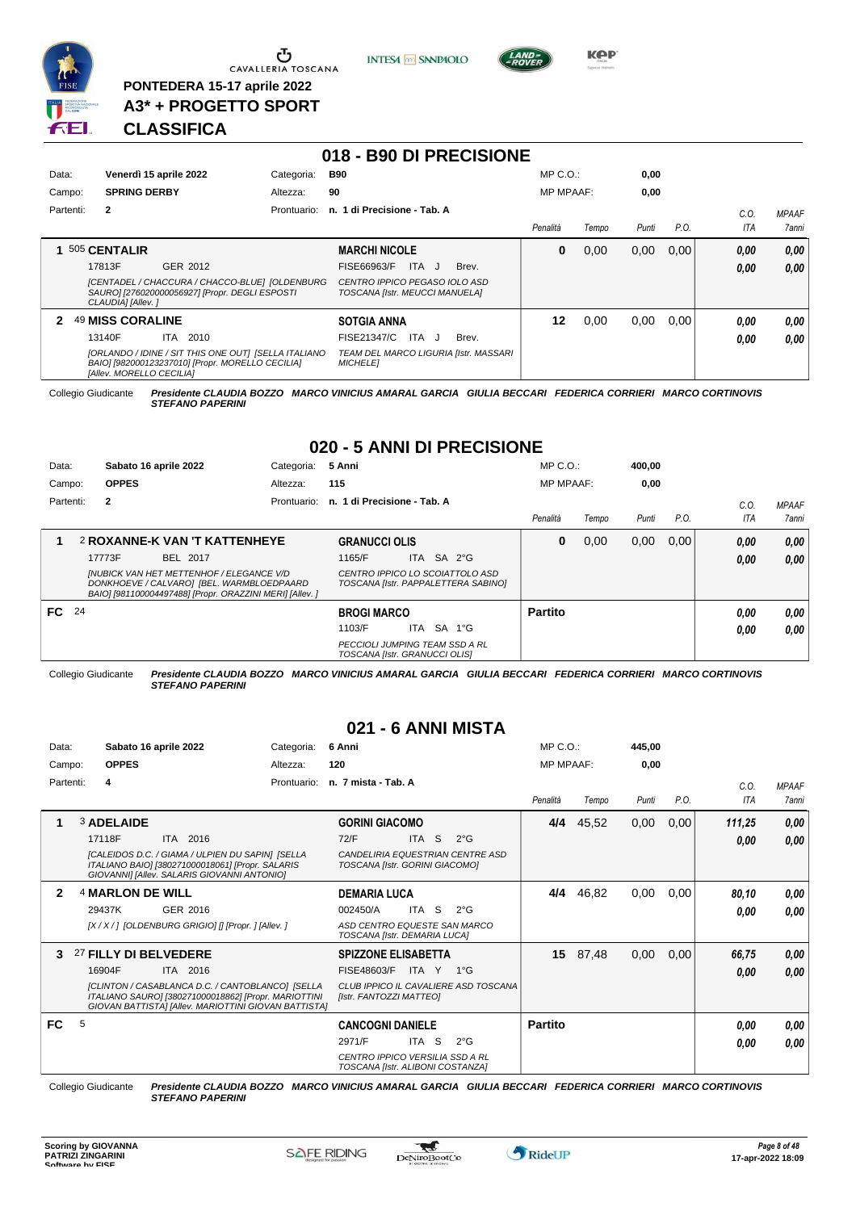

Campo: Partenti: **2**

<u>ა</u> CAVALLERIA TOSCANA

**PONTEDERA 15-17 aprile 2022 A3\* + PROGETTO SPORT** **INTESA M** SANPAOLO

**018 - B90 DI PRECISIONE**



**KPP** 

*C.O. ITA* *MPAAF 7anni*

*0,00*

# **CLASSIFICA**

|           |                         |            | UIO - DJU LI FREUIJIUNE                 |                  |       |       |      |            |
|-----------|-------------------------|------------|-----------------------------------------|------------------|-------|-------|------|------------|
| Data:     | Venerdì 15 aprile 2022  | Categoria: | <b>B90</b>                              | MP C. O.         |       | 0,00  |      |            |
| Campo:    | <b>SPRING DERBY</b>     | Altezza:   | 90                                      | <b>MP MPAAF:</b> |       | 0.00  |      |            |
| Partenti: | $\overline{\mathbf{2}}$ |            | Prontuario: n. 1 di Precisione - Tab. A |                  |       |       |      | C.0        |
|           |                         |            |                                         | Penalità         | Tempo | Punti | P.O. | <b>ITA</b> |
|           | 1 505 CENTALIR          |            | <b>MARCHI NICOLE</b>                    | 0                | 0.00  | 0.00  | 0.00 | 0.00       |
|           | 17813F<br>GER 2012      |            | FISE66963/F<br>Brev.<br>ITA J           |                  |       |       |      | n nn       |

| 17813F                          | GER 2012                                                                                                 | ITA J<br>FISE66963/F<br>Brev.                                   |    |      |      |      | 0.00 | 0,00 |
|---------------------------------|----------------------------------------------------------------------------------------------------------|-----------------------------------------------------------------|----|------|------|------|------|------|
| CLAUDIA] [Allev. ]              | [CENTADEL / CHACCURA / CHACCO-BLUE] [OLDENBURG<br>SAURO] [276020000056927] [Propr. DEGLI ESPOSTI         | CENTRO IPPICO PEGASO IOLO ASD<br>TOSCANA [Istr. MEUCCI MANUELA] |    |      |      |      |      |      |
| 2 49 MISS CORALINE              |                                                                                                          | <b>SOTGIA ANNA</b>                                              | 12 | 0.00 | 0.00 | 0.00 | 0.00 | 0.00 |
| 13140F                          | ITA 2010                                                                                                 | ITA J<br>FISE21347/C<br>Brev.                                   |    |      |      |      | 0.00 | 0,00 |
| <b>[Allev. MORELLO CECILIA]</b> | [ORLANDO / IDINE / SIT THIS ONE OUT] [SELLA ITALIANO<br>BAIO] [982000123237010] [Propr. MORELLO CECILIA] | TEAM DEL MARCO LIGURIA [Istr. MASSARI<br><b>MICHELE1</b>        |    |      |      |      |      |      |

Collegio Giudicante *Presidente CLAUDIA BOZZO MARCO VINICIUS AMARAL GARCIA GIULIA BECCARI FEDERICA CORRIERI MARCO CORTINOVIS STEFANO PAPERINI*

# **020 - 5 ANNI DI PRECISIONE**

| Data:  |           |              | Sabato 16 aprile 2022                                                                                                                                    | Categoria:  | 5 Anni                                                                 |  |                                                                        | $MP C. O.$ :     |       | 400,00 |      |      |              |
|--------|-----------|--------------|----------------------------------------------------------------------------------------------------------------------------------------------------------|-------------|------------------------------------------------------------------------|--|------------------------------------------------------------------------|------------------|-------|--------|------|------|--------------|
| Campo: |           | <b>OPPES</b> |                                                                                                                                                          | Altezza:    | 115                                                                    |  |                                                                        | <b>MP MPAAF:</b> |       | 0,00   |      |      |              |
|        | Partenti: | $\mathbf{2}$ |                                                                                                                                                          | Prontuario: | n. 1 di Precisione - Tab. A                                            |  |                                                                        |                  |       |        |      | C.O. | <b>MPAAF</b> |
|        |           |              |                                                                                                                                                          |             |                                                                        |  |                                                                        | Penalità         | Tempo | Punti  | P.O. | ITA  | 7anni        |
|        |           |              | <b>2 ROXANNE-K VAN 'T KATTENHEYE</b>                                                                                                                     |             | <b>GRANUCCI OLIS</b>                                                   |  |                                                                        | 0                | 0,00  | 0,00   | 0.00 | 0,00 | 0,00         |
|        |           | 17773F       | BEL 2017                                                                                                                                                 |             | 1165/F                                                                 |  | ITA SA 2°G                                                             |                  |       |        |      | 0,00 | 0,00         |
|        |           |              | <b>INUBICK VAN HET METTENHOF / ELEGANCE V/D</b><br>DONKHOEVE / CALVARO] [BEL. WARMBLOEDPAARD<br>BAIO] [981100004497488] [Propr. ORAZZINI MERI] [Allev. ] |             |                                                                        |  | CENTRO IPPICO LO SCOIATTOLO ASD<br>TOSCANA [Istr. PAPPALETTERA SABINO] |                  |       |        |      |      |              |
| FC 24  |           |              |                                                                                                                                                          |             | <b>BROGI MARCO</b>                                                     |  |                                                                        | <b>Partito</b>   |       |        |      | 0.00 | 0,00         |
|        |           |              |                                                                                                                                                          |             | 1103/F                                                                 |  | ITA SA 1°G                                                             |                  |       |        |      | 0,00 | 0,00         |
|        |           |              |                                                                                                                                                          |             | <b>PECCIOLI JUMPING TEAM SSD A RL</b><br>TOSCANA [Istr. GRANUCCI OLIS] |  |                                                                        |                  |       |        |      |      |              |

Collegio Giudicante *Presidente CLAUDIA BOZZO MARCO VINICIUS AMARAL GARCIA GIULIA BECCARI FEDERICA CORRIERI MARCO CORTINOVIS STEFANO PAPERINI*

## **021 - 6 ANNI MISTA**

| Data:     |                       | Sabato 16 aprile 2022                                                                                                                                            | Categoria:  | 6 Anni                                                              |       |                                      | MP C. O.         |       | 445,00 |      |             |                              |
|-----------|-----------------------|------------------------------------------------------------------------------------------------------------------------------------------------------------------|-------------|---------------------------------------------------------------------|-------|--------------------------------------|------------------|-------|--------|------|-------------|------------------------------|
| Campo:    | <b>OPPES</b>          |                                                                                                                                                                  | Altezza:    | 120                                                                 |       |                                      | <b>MP MPAAF:</b> |       | 0.00   |      |             |                              |
| Partenti: | 4                     |                                                                                                                                                                  | Prontuario: | n. 7 mista - Tab. A                                                 |       |                                      | Penalità         | Tempo | Punti  | P.O. | C.0.<br>ITA | <b>MPAAF</b><br><b>7anni</b> |
|           | <b>3 ADELAIDE</b>     |                                                                                                                                                                  |             | <b>GORINI GIACOMO</b>                                               |       |                                      | 4/4              | 45,52 | 0,00   | 0,00 | 111,25      | 0,00                         |
|           | 17118F                | ITA 2016                                                                                                                                                         |             | 72/F                                                                | ITA S | $2^{\circ}$ G                        |                  |       |        |      | 0,00        | 0,00                         |
|           |                       | [CALEIDOS D.C. / GIAMA / ULPIEN DU SAPIN] [SELLA<br>ITALIANO BAIO] [380271000018061] [Propr. SALARIS<br>GIOVANNI] [Allev. SALARIS GIOVANNI ANTONIO]              |             | CANDELIRIA EQUESTRIAN CENTRE ASD<br>TOSCANA [Istr. GORINI GIACOMO]  |       |                                      |                  |       |        |      |             |                              |
| 2         | 4 MARLON DE WILL      |                                                                                                                                                                  |             | <b>DEMARIA LUCA</b>                                                 |       |                                      | 4/4              | 46,82 | 0.00   | 0,00 | 80,10       | 0,00                         |
|           | 29437K                | GER 2016                                                                                                                                                         |             | 002450/A                                                            | ITA S | $2^{\circ}$ G                        |                  |       |        |      | 0.00        | 0.00                         |
|           |                       | [X / X / ] [OLDENBURG GRIGIO] [] [Propr. ] [Allev. ]                                                                                                             |             | ASD CENTRO EQUESTE SAN MARCO<br>TOSCANA [Istr. DEMARIA LUCA]        |       |                                      |                  |       |        |      |             |                              |
| 3         | 27 FILLY DI BELVEDERE |                                                                                                                                                                  |             | <b>SPIZZONE ELISABETTA</b>                                          |       |                                      | 15               | 87,48 | 0,00   | 0,00 | 66,75       | 0,00                         |
|           | 16904F                | ITA 2016                                                                                                                                                         |             | FISE48603/F                                                         | ITA Y | $1^{\circ}G$                         |                  |       |        |      | 0.00        | 0.00                         |
|           |                       | [CLINTON / CASABLANCA D.C. / CANTOBLANCO] [SELLA<br>ITALIANO SAURO] [380271000018862] [Propr. MARIOTTINI<br>GIOVAN BATTISTA] [Allev. MARIOTTINI GIOVAN BATTISTA] |             | [Istr. FANTOZZI MATTEO]                                             |       | CLUB IPPICO IL CAVALIERE ASD TOSCANA |                  |       |        |      |             |                              |
| FC.       | 5                     |                                                                                                                                                                  |             | <b>CANCOGNI DANIELE</b>                                             |       |                                      | <b>Partito</b>   |       |        |      | 0.00        | 0,00                         |
|           |                       |                                                                                                                                                                  |             | 2971/F                                                              | ITA S | $2^{\circ}$ G                        |                  |       |        |      | 0,00        | 0,00                         |
|           |                       |                                                                                                                                                                  |             | CENTRO IPPICO VERSILIA SSD A RL<br>TOSCANA [Istr. ALIBONI COSTANZA] |       |                                      |                  |       |        |      |             |                              |

Collegio Giudicante *Presidente CLAUDIA BOZZO MARCO VINICIUS AMARAL GARCIA GIULIA BECCARI FEDERICA CORRIERI MARCO CORTINOVIS STEFANO PAPERINI*

 $\mathcal{L}$ 

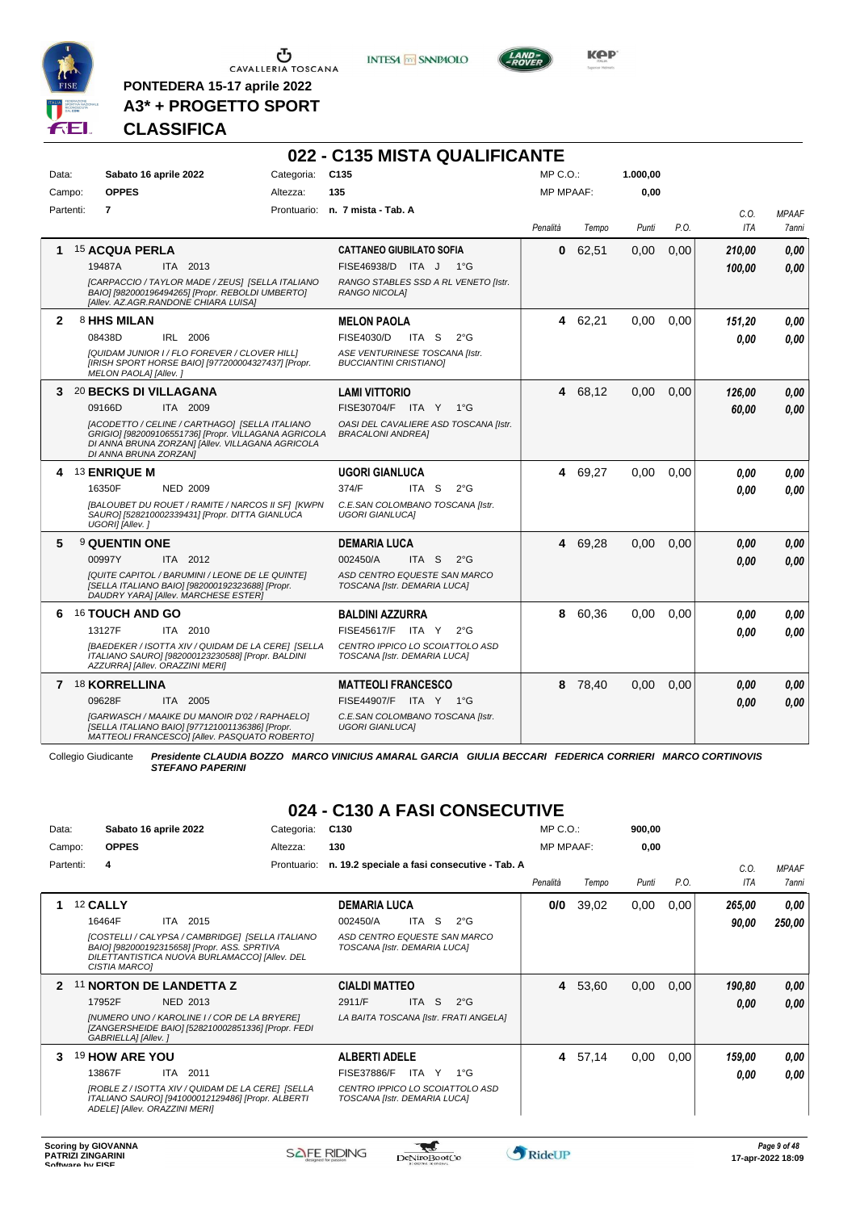

 $\begin{array}{c}\n\bullet \\
\bullet \\
\bullet \\
\bullet \\
\bullet\n\end{array}$  CAVALLERIA TOSCANA

**PONTEDERA 15-17 aprile 2022 A3\* + PROGETTO SPORT**



**022 - C135 MISTA QUALIFICANTE**



**Kep** 

# **CLASSIFICA**

| Data:        | Sabato 16 aprile 2022                                                                                                                                                               | Categoria: | C <sub>135</sub>                                                  | MP C.O.:         |         | 1.000,00 |      |            |              |
|--------------|-------------------------------------------------------------------------------------------------------------------------------------------------------------------------------------|------------|-------------------------------------------------------------------|------------------|---------|----------|------|------------|--------------|
| Campo:       | <b>OPPES</b>                                                                                                                                                                        | Altezza:   | 135                                                               | <b>MP MPAAF:</b> |         | 0,00     |      |            |              |
| Partenti:    | $\overline{7}$                                                                                                                                                                      |            | Prontuario: n. 7 mista - Tab. A                                   |                  |         |          |      | C.O.       | <b>MPAAF</b> |
|              |                                                                                                                                                                                     |            |                                                                   | Penalità         | Tempo   | Punti    | P.O. | <b>ITA</b> | 7anni        |
| 1            | <b>15 ACQUA PERLA</b>                                                                                                                                                               |            | <b>CATTANEO GIUBILATO SOFIA</b>                                   | 0                | 62,51   | 0,00     | 0,00 | 210,00     | 0.00         |
|              | 19487A<br>ITA 2013                                                                                                                                                                  |            | FISE46938/D ITA J 1°G                                             |                  |         |          |      | 100.00     | 0.00         |
|              | [CARPACCIO / TAYLOR MADE / ZEUS] [SELLA ITALIANO<br>BAIO] [982000196494265] [Propr. REBOLDI UMBERTO]<br>[Allev. AZ.AGR.RANDONE CHIARA LUISA]                                        |            | RANGO STABLES SSD A RL VENETO [Istr.<br>RANGO NICOLA]             |                  |         |          |      |            |              |
| $\mathbf{2}$ | 8 HHS MILAN                                                                                                                                                                         |            | <b>MELON PAOLA</b>                                                |                  | 4 62,21 | 0,00     | 0,00 | 151,20     | 0,00         |
|              | IRL 2006<br>08438D                                                                                                                                                                  |            | FISE4030/D<br>ITA S<br>$2^{\circ}$ G                              |                  |         |          |      | 0.00       | 0.00         |
|              | [QUIDAM JUNIOR I / FLO FOREVER / CLOVER HILL]<br>[IRISH SPORT HORSE BAIO] [977200004327437] [Propr.<br>MELON PAOLA] [Allev.]                                                        |            | ASE VENTURINESE TOSCANA [Istr.<br><b>BUCCIANTINI CRISTIANOI</b>   |                  |         |          |      |            |              |
|              | 3 20 BECKS DI VILLAGANA                                                                                                                                                             |            | <b>LAMI VITTORIO</b>                                              |                  | 4 68,12 | 0,00     | 0.00 | 126,00     | 0,00         |
|              | 09166D<br>ITA 2009                                                                                                                                                                  |            | FISE30704/F ITA Y 1°G                                             |                  |         |          |      | 60.00      | 0.00         |
|              | [ACODETTO / CELINE / CARTHAGO] [SELLA ITALIANO<br>GRIGIO] [982009106551736] [Propr. VILLAGANA AGRICOLA<br>DI ANNA BRUNA ZORZAN] [Allev. VILLAGANA AGRICOLA<br>DI ANNA BRUNA ZORZANI |            | OASI DEL CAVALIERE ASD TOSCANA [Istr.<br><b>BRACALONI ANDREA]</b> |                  |         |          |      |            |              |
|              | 4 13 ENRIQUE M                                                                                                                                                                      |            | <b>UGORI GIANLUCA</b>                                             |                  | 4 69,27 | 0.00     | 0.00 | 0,00       | 0,00         |
|              | 16350F<br><b>NED 2009</b>                                                                                                                                                           |            | 374/F<br>ITA S<br>$2^{\circ}G$                                    |                  |         |          |      | 0.00       | 0.00         |
|              | [BALOUBET DU ROUET / RAMITE / NARCOS II SF] [KWPN<br>SAURO] [528210002339431] [Propr. DITTA GIANLUCA<br>UGORI] [Allev.]                                                             |            | C.E.SAN COLOMBANO TOSCANA [Istr.<br><b>UGORI GIANLUCAI</b>        |                  |         |          |      |            |              |
| 5            | 9 QUENTIN ONE                                                                                                                                                                       |            | <b>DEMARIA LUCA</b>                                               |                  | 4 69,28 | 0,00     | 0.00 | 0.00       | 0,00         |
|              | ITA 2012<br>00997Y                                                                                                                                                                  |            | 002450/A<br>ITA S<br>$2^{\circ}$ G                                |                  |         |          |      | 0.00       | 0.00         |
|              | [QUITE CAPITOL / BARUMINI / LEONE DE LE QUINTE]<br>[SELLA ITALIANO BAIO] [982000192323688] [Propr.<br>DAUDRY YARA] [Allev. MARCHESE ESTER]                                          |            | ASD CENTRO EQUESTE SAN MARCO<br>TOSCANA [Istr. DEMARIA LUCA]      |                  |         |          |      |            |              |
| 6            | <b>16 TOUCH AND GO</b>                                                                                                                                                              |            | <b>BALDINI AZZURRA</b>                                            | 8                | 60,36   | 0.00     | 0.00 | 0.00       | 0.00         |
|              | 13127F<br>ITA 2010                                                                                                                                                                  |            | FISE45617/F ITA Y<br>$2^{\circ}G$                                 |                  |         |          |      | 0,00       | 0.00         |
|              | [BAEDEKER / ISOTTA XIV / QUIDAM DE LA CERE] [SELLA<br>ITALIANO SAURO] [982000123230588] [Propr. BALDINI<br>AZZURRA] [Allev. ORAZZINI MERI]                                          |            | CENTRO IPPICO LO SCOIATTOLO ASD<br>TOSCANA [Istr. DEMARIA LUCA]   |                  |         |          |      |            |              |
|              | 7 18 KORRELLINA                                                                                                                                                                     |            | <b>MATTEOLI FRANCESCO</b>                                         |                  | 8 78,40 | 0.00     | 0,00 | 0.00       | 0,00         |
|              | 09628F<br>ITA 2005                                                                                                                                                                  |            | FISE44907/F ITA Y 1°G                                             |                  |         |          |      | 0.00       | 0.00         |
|              | [GARWASCH / MAAIKE DU MANOIR D'02 / RAPHAELO]<br>[SELLA ITALIANO BAIO] [977121001136386] [Propr.<br>MATTEOLI FRANCESCO] [Allev. PASQUATO ROBERTO]                                   |            | C.E.SAN COLOMBANO TOSCANA [Istr.<br><b>UGORI GIANLUCAI</b>        |                  |         |          |      |            |              |

Collegio Giudicante *Presidente CLAUDIA BOZZO MARCO VINICIUS AMARAL GARCIA GIULIA BECCARI FEDERICA CORRIERI MARCO CORTINOVIS STEFANO PAPERINI*

# **024 - C130 A FASI CONSECUTIVE**

| Data:        |           | Sabato 16 aprile 2022                                                                                                                                                                                       | Categoria:  | C <sub>130</sub>                                                                                                              | MP C. O.         |       | 900,00 |      |                 |                       |
|--------------|-----------|-------------------------------------------------------------------------------------------------------------------------------------------------------------------------------------------------------------|-------------|-------------------------------------------------------------------------------------------------------------------------------|------------------|-------|--------|------|-----------------|-----------------------|
| Campo:       |           | <b>OPPES</b>                                                                                                                                                                                                | Altezza:    | 130                                                                                                                           | <b>MP MPAAF:</b> |       | 0,00   |      |                 |                       |
|              | Partenti: | 4                                                                                                                                                                                                           | Prontuario: | n. 19.2 speciale a fasi consecutive - Tab. A                                                                                  | Penalità         | Tempo | Punti  | P.O. | C.O.<br>ITA     | <b>MPAAF</b><br>7anni |
|              |           | 12 CALLY<br>16464F<br>ITA 2015<br>[COSTELLI / CALYPSA / CAMBRIDGE] [SELLA ITALIANO<br>BAIO] [982000192315658] [Propr. ASS. SPRTIVA<br>DILETTANTISTICA NUOVA BURLAMACCOI [Allev. DEL<br><b>CISTIA MARCOI</b> |             | <b>DEMARIA LUCA</b><br>ITA S<br>002450/A<br>$2^{\circ}G$<br>ASD CENTRO EQUESTE SAN MARCO<br>TOSCANA [Istr. DEMARIA LUCA]      | 0/0              | 39,02 | 0,00   | 0,00 | 265,00<br>90,00 | 0,00<br>250,00        |
| $\mathbf{2}$ |           | 11 NORTON DE LANDETTA Z<br><b>NED 2013</b><br>17952F<br>[NUMERO UNO / KAROLINE I / COR DE LA BRYERE]<br>[ZANGERSHEIDE BAIO] [528210002851336] [Propr. FEDI<br>GABRIELLA] [Allev. ]                          |             | <b>CIALDI MATTEO</b><br>2911/F<br>S<br>$2^{\circ}$ G<br>ITA I<br>LA BAITA TOSCANA [Istr. FRATI ANGELA]                        | $\overline{4}$   | 53,60 | 0,00   | 0,00 | 190.80<br>0.00  | 0,00<br>0.00          |
| 3            |           | 19 HOW ARE YOU<br>13867F<br>ITA 2011<br>[ROBLE Z / ISOTTA XIV / QUIDAM DE LA CERE] [SELLA<br>ITALIANO SAURO] [941000012129486] [Propr. ALBERTI<br>ADELEI [Allev. ORAZZINI MERI]                             |             | <b>ALBERTI ADELE</b><br><b>FISE37886/F</b><br>ITA Y<br>1°G<br>CENTRO IPPICO LO SCOIATTOLO ASD<br>TOSCANA [Istr. DEMARIA LUCA] | $\overline{4}$   | 57,14 | 0,00   | 0,00 | 159,00<br>0.00  | 0,00<br>0.00          |

 $\mathbf{r}$ 

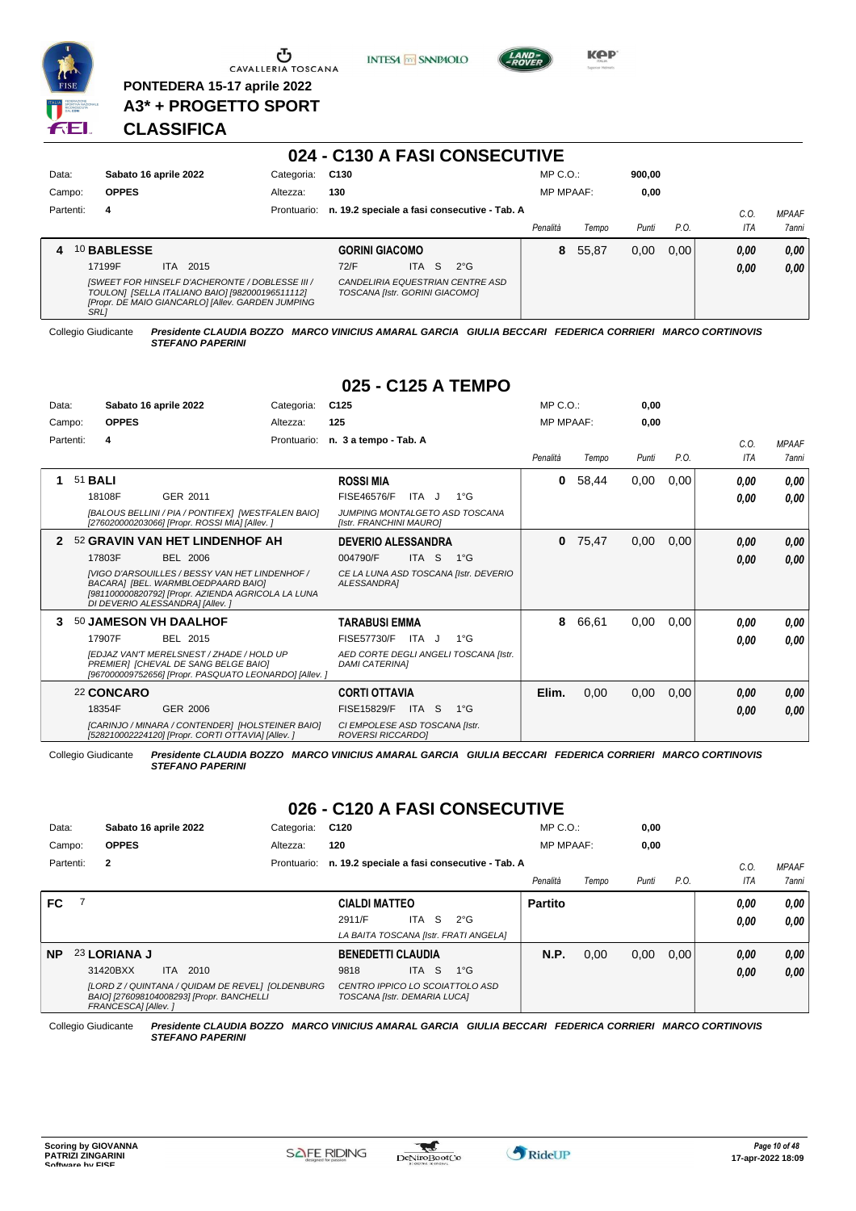

**PONTEDERA 15-17 aprile 2022 A3\* + PROGETTO SPORT** **INTESA M** SANPAOLO



**KPP** 

## **CLASSIFICA**

|           |                       |                                                                                                                                                         |             |                                |                  | 024 - C130 A FASI CONSECUTIVE                |                  |       |        |      |            |              |
|-----------|-----------------------|---------------------------------------------------------------------------------------------------------------------------------------------------------|-------------|--------------------------------|------------------|----------------------------------------------|------------------|-------|--------|------|------------|--------------|
| Data:     | Sabato 16 aprile 2022 |                                                                                                                                                         | Categoria:  | C130                           |                  |                                              | $MP C. O.$ :     |       | 900,00 |      |            |              |
| Campo:    | <b>OPPES</b>          |                                                                                                                                                         | Altezza:    | 130                            |                  |                                              | <b>MP MPAAF:</b> |       | 0,00   |      |            |              |
| Partenti: | 4                     |                                                                                                                                                         | Prontuario: |                                |                  | n. 19.2 speciale a fasi consecutive - Tab. A |                  |       |        |      | C.O.       | <b>MPAAF</b> |
|           |                       |                                                                                                                                                         |             |                                |                  |                                              | Penalità         | Tempo | Punti  | P.O. | <b>ITA</b> | <b>7anni</b> |
| 4         | 10 BABLESSE           |                                                                                                                                                         |             | <b>GORINI GIACOMO</b>          |                  |                                              | 8                | 55,87 | 0.00   | 0.00 | 0.00       | 0,00         |
|           | 17199F                | <b>ITA</b><br>2015                                                                                                                                      |             | 72/F                           | S.<br><b>ITA</b> | $2^{\circ}G$                                 |                  |       |        |      | 0,00       | 0,00         |
|           | <b>SRL</b>            | [SWEET FOR HINSELF D'ACHERONTE / DOBLESSE III /<br>TOULON] [SELLA ITALIANO BAIO] [982000196511112]<br>[Propr. DE MAIO GIANCARLO] [Allev. GARDEN JUMPING |             | TOSCANA [Istr. GORINI GIACOMO] |                  | CANDELIRIA EQUESTRIAN CENTRE ASD             |                  |       |        |      |            |              |

Collegio Giudicante *Presidente CLAUDIA BOZZO MARCO VINICIUS AMARAL GARCIA GIULIA BECCARI FEDERICA CORRIERI MARCO CORTINOVIS*

*STEFANO PAPERINI*

# **025 - C125 A TEMPO**

| Data:     |                |              | Sabato 16 aprile 2022                                                                                                                                                         | Categoria:  | C <sub>125</sub>                                           |                  |                                       | MP C. O.         |       | 0,00  |      |             |                        |
|-----------|----------------|--------------|-------------------------------------------------------------------------------------------------------------------------------------------------------------------------------|-------------|------------------------------------------------------------|------------------|---------------------------------------|------------------|-------|-------|------|-------------|------------------------|
| Campo:    |                | <b>OPPES</b> |                                                                                                                                                                               | Altezza:    | 125                                                        |                  |                                       | <b>MP MPAAF:</b> |       | 0,00  |      |             |                        |
| Partenti: |                | 4            |                                                                                                                                                                               | Prontuario: | n. 3 a tempo - Tab. A                                      |                  |                                       | Penalità         | Tempo | Punti | P.O. | C.O.<br>ITA | <b>MPAAF</b><br>7 anni |
|           | 51 <b>BALI</b> |              |                                                                                                                                                                               |             | <b>ROSSI MIA</b>                                           |                  |                                       | 0                | 58,44 | 0,00  | 0,00 | 0.00        | 0,00                   |
|           |                | 18108F       | GER 2011                                                                                                                                                                      |             | <b>FISE46576/F</b>                                         | ITA J            | $1^{\circ}$ G                         |                  |       |       |      | 0.00        | 0,00                   |
|           |                |              | [BALOUS BELLINI / PIA / PONTIFEX] [WESTFALEN BAIO]<br>[276020000203066] [Propr. ROSSI MIA] [Allev. ]                                                                          |             | JUMPING MONTALGETO ASD TOSCANA<br>[Istr. FRANCHINI MAURO]  |                  |                                       |                  |       |       |      |             |                        |
|           |                |              | 52 GRAVIN VAN HET LINDENHOF AH                                                                                                                                                |             | <b>DEVERIO ALESSANDRA</b>                                  |                  |                                       | 0                | 75,47 | 0,00  | 0,00 | 0,00        | 0,00                   |
|           |                | 17803F       | <b>BEL 2006</b>                                                                                                                                                               |             | 004790/F                                                   | ITA <sub>S</sub> | $1^{\circ}$ G                         |                  |       |       |      | 0.00        | 0,00                   |
|           |                |              | IVIGO D'ARSOUILLES / BESSY VAN HET LINDENHOF /<br>BACARA] [BEL. WARMBLOEDPAARD BAIO]<br>[981100000820792] [Propr. AZIENDA AGRICOLA LA LUNA<br>DI DEVERIO ALESSANDRA] [Allev.] |             | ALESSANDRA]                                                |                  | CE LA LUNA ASD TOSCANA [Istr. DEVERIO |                  |       |       |      |             |                        |
|           |                |              | 50 JAMESON VH DAALHOF                                                                                                                                                         |             | <b>TARABUSI EMMA</b>                                       |                  |                                       | 8                | 66,61 | 0.00  | 0,00 | 0.00        | 0,00                   |
|           |                | 17907F       | <b>BEL 2015</b>                                                                                                                                                               |             | FISE57730/F                                                | ITA J            | $1^{\circ}$ G                         |                  |       |       |      | 0.00        | 0.00                   |
|           |                |              | IEDJAZ VAN'T MERELSNEST / ZHADE / HOLD UP<br>PREMIER1 [CHEVAL DE SANG BELGE BAIO]<br>[967000009752656] [Propr. PASQUATO LEONARDO] [Allev. ]                                   |             | <b>DAMI CATERINAI</b>                                      |                  | AED CORTE DEGLI ANGELI TOSCANA [Istr. |                  |       |       |      |             |                        |
|           |                | 22 CONCARO   |                                                                                                                                                                               |             | <b>CORTI OTTAVIA</b>                                       |                  |                                       | Elim.            | 0,00  | 0,00  | 0,00 | 0,00        | 0,00                   |
|           |                | 18354F       | <b>GER 2006</b>                                                                                                                                                               |             | FISE15829/F                                                | ITA S            | $1^{\circ}$ G                         |                  |       |       |      | 0.00        | 0.00                   |
|           |                |              | [CARINJO / MINARA / CONTENDER] [HOLSTEINER BAIO]<br>[528210002224120] [Propr. CORTI OTTAVIA] [Allev.]                                                                         |             | CI EMPOLESE ASD TOSCANA [Istr.<br><b>ROVERSI RICCARDOI</b> |                  |                                       |                  |       |       |      |             |                        |

Collegio Giudicante *Presidente CLAUDIA BOZZO MARCO VINICIUS AMARAL GARCIA GIULIA BECCARI FEDERICA CORRIERI MARCO CORTINOVIS STEFANO PAPERINI*

# **026 - C120 A FASI CONSECUTIVE**

| Data:     |                     | Sabato 16 aprile 2022                                                                         | Categoria:  | C <sub>120</sub>                                                |                      |       | $MP C. O.$ : |                  | 0,00  |       |      |            |                     |
|-----------|---------------------|-----------------------------------------------------------------------------------------------|-------------|-----------------------------------------------------------------|----------------------|-------|--------------|------------------|-------|-------|------|------------|---------------------|
| Campo:    | <b>OPPES</b>        |                                                                                               | Altezza:    | 120                                                             |                      |       |              | <b>MP MPAAF:</b> |       | 0,00  |      |            |                     |
| Partenti: | $\mathbf{2}$        |                                                                                               | Prontuario: | n. 19.2 speciale a fasi consecutive - Tab. A                    |                      |       |              |                  |       |       |      | C.O.       | <b>MPAAF</b>        |
|           |                     |                                                                                               |             |                                                                 | <b>CIALDI MATTEO</b> |       |              | Penalità         | Tempo | Punti | P.O. | <b>ITA</b> | <i><b>7anni</b></i> |
| FC        |                     |                                                                                               |             |                                                                 |                      |       |              | <b>Partito</b>   |       |       |      | 0.00       | 0,00                |
|           |                     |                                                                                               |             | 2911/F                                                          | ITA.                 | S.    | $2^{\circ}G$ |                  |       |       |      | 0.00       | 0,00                |
|           |                     |                                                                                               |             | LA BAITA TOSCANA [Istr. FRATI ANGELA]                           |                      |       |              |                  |       |       |      |            |                     |
| <b>NP</b> | 23 LORIANA J        |                                                                                               |             | <b>BENEDETTI CLAUDIA</b>                                        |                      |       |              | N.P.             | 0,00  | 0,00  | 0.00 | 0,00       | 0,00                |
|           | 31420BXX            | ITA 2010                                                                                      |             | 9818                                                            |                      | ITA S | $1^{\circ}G$ |                  |       |       |      | 0.00       | 0,00                |
|           | FRANCESCAI [Allev.] | [LORD Z / QUINTANA / QUIDAM DE REVEL] [OLDENBURG<br>BAIO] [276098104008293] [Propr. BANCHELLI |             | CENTRO IPPICO LO SCOIATTOLO ASD<br>TOSCANA [Istr. DEMARIA LUCA] |                      |       |              |                  |       |       |      |            |                     |

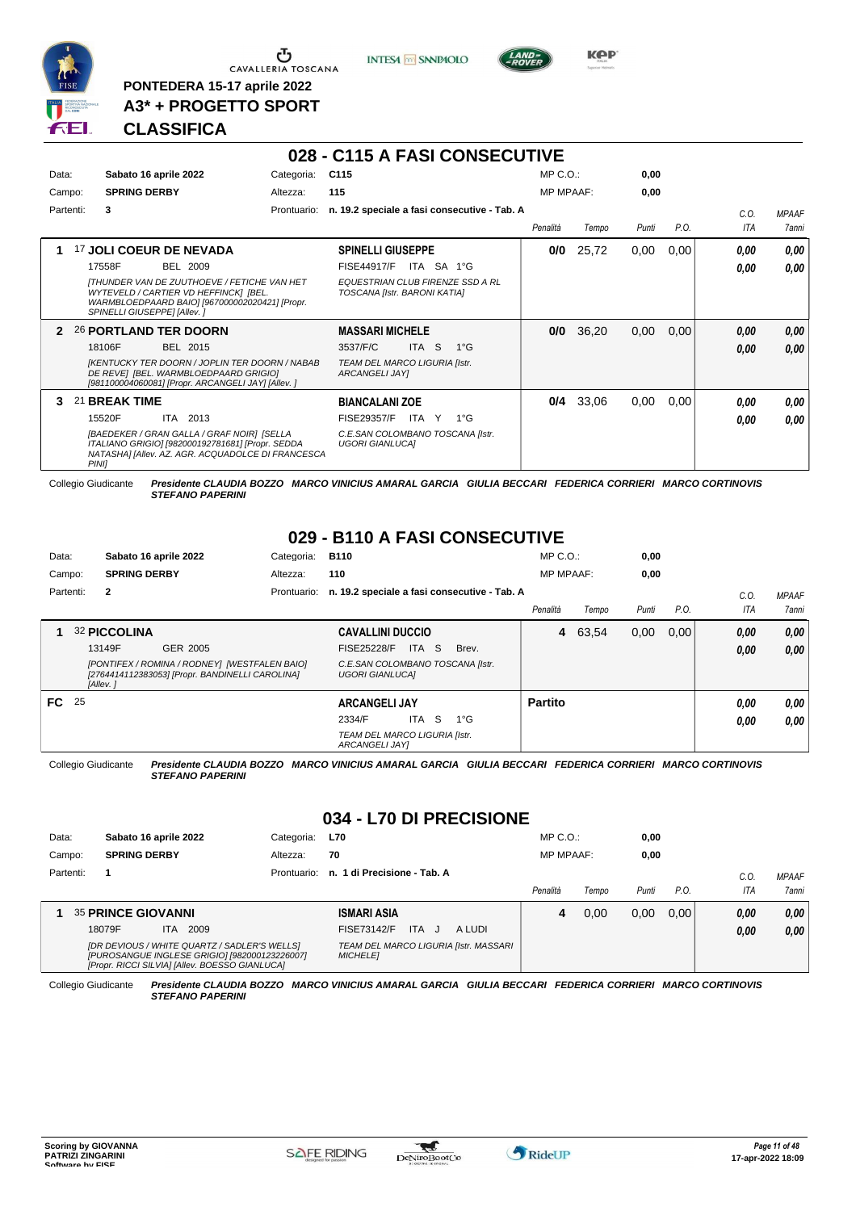

**PONTEDERA 15-17 aprile 2022 A3\* + PROGETTO SPORT** **INTESA M** SANPAOLO



**KOP** 

# **CLASSIFICA**

|              |       |                                                                                                                                                                                                           |             | 028 - C115 A FASI CONSECUTIVE                                                                               |                  |       |       |      |             |                       |
|--------------|-------|-----------------------------------------------------------------------------------------------------------------------------------------------------------------------------------------------------------|-------------|-------------------------------------------------------------------------------------------------------------|------------------|-------|-------|------|-------------|-----------------------|
| Data:        |       | Sabato 16 aprile 2022                                                                                                                                                                                     | Categoria:  | C <sub>115</sub>                                                                                            | MP C. O.         |       | 0.00  |      |             |                       |
| Campo:       |       | <b>SPRING DERBY</b>                                                                                                                                                                                       | Altezza:    | 115                                                                                                         | <b>MP MPAAF:</b> |       | 0.00  |      |             |                       |
| Partenti:    |       | 3                                                                                                                                                                                                         | Prontuario: | n. 19.2 speciale a fasi consecutive - Tab. A                                                                | Penalità         | Tempo | Punti | P.O. | C.0.<br>ITA | <b>MPAAF</b><br>7anni |
|              |       | 17 JOLI COEUR DE NEVADA                                                                                                                                                                                   |             | <b>SPINELLI GIUSEPPE</b>                                                                                    | 0/0              | 25,72 | 0,00  | 0,00 | 0.00        | 0.00                  |
|              |       | <b>BEL 2009</b><br>17558F<br><b>ITHUNDER VAN DE ZUUTHOEVE / FETICHE VAN HET</b><br>WYTEVELD / CARTIER VD HEFFINCK] [BEL.<br>WARMBLOEDPAARD BAIO] [967000002020421] [Propr.<br>SPINELLI GIUSEPPE] [Allev.] |             | <b>FISE44917/F</b><br>ITA SA 1°G<br><b>EQUESTRIAN CLUB FIRENZE SSD A RL</b><br>TOSCANA [Istr. BARONI KATIA] |                  |       |       |      | 0.00        | 0.00                  |
| $\mathbf{2}$ |       | 26 PORTLAND TER DOORN                                                                                                                                                                                     |             | <b>MASSARI MICHELE</b>                                                                                      | 0/0              | 36,20 | 0,00  | 0,00 | 0.00        | 0,00                  |
|              |       | 18106F<br>BEL 2015<br><b>[KENTUCKY TER DOORN / JOPLIN TER DOORN / NABAB</b><br>DE REVEI [BEL. WARMBLOEDPAARD GRIGIO]<br>[981100004060081] [Propr. ARCANGELI JAY] [Allev. ]                                |             | <b>ITA</b><br>3537/F/C<br>-S<br>$1^{\circ}G$<br>TEAM DEL MARCO LIGURIA [Istr.<br>ARCANGELI JAY]             |                  |       |       |      | 0.00        | 0.00                  |
| 3.           |       | 21 BREAK TIME                                                                                                                                                                                             |             | <b>BIANCALANI ZOE</b>                                                                                       | 0/4              | 33,06 | 0,00  | 0.00 | 0.00        | 0,00                  |
|              |       | 15520F<br>ITA<br>2013                                                                                                                                                                                     |             | FISE29357/F<br>ITA Y<br>$1^{\circ}G$                                                                        |                  |       |       |      | 0.00        | 0.00                  |
|              | PINII | <b>IBAEDEKER / GRAN GALLA / GRAF NOIR1 ISELLA</b><br>ITALIANO GRIGIO] [982000192781681] [Propr. SEDDA<br>NATASHAI [Allev. AZ. AGR. ACQUADOLCE DI FRANCESCA                                                |             | C.E.SAN COLOMBANO TOSCANA [Istr.<br><b>UGORI GIANLUCAI</b>                                                  |                  |       |       |      |             |                       |

Collegio Giudicante *Presidente CLAUDIA BOZZO MARCO VINICIUS AMARAL GARCIA GIULIA BECCARI FEDERICA CORRIERI MARCO CORTINOVIS STEFANO PAPERINI*

# **029 - B110 A FASI CONSECUTIVE**

| Data:  | Sabato 16 aprile 2022 |                     | Categoria:                                                                                       | <b>B110</b> |                         |                                  | $MP C. O.$ :                                 |                  | 0,00    |       |      |      |              |
|--------|-----------------------|---------------------|--------------------------------------------------------------------------------------------------|-------------|-------------------------|----------------------------------|----------------------------------------------|------------------|---------|-------|------|------|--------------|
| Campo: |                       | <b>SPRING DERBY</b> |                                                                                                  | Altezza:    | 110                     |                                  |                                              | <b>MP MPAAF:</b> |         | 0,00  |      |      |              |
|        | Partenti:             | $\mathbf{2}$        |                                                                                                  | Prontuario: |                         |                                  | n. 19.2 speciale a fasi consecutive - Tab. A |                  |         |       |      | C.0  | <b>MPAAF</b> |
|        |                       |                     |                                                                                                  |             |                         |                                  |                                              | Penalità         | Tempo   | Punti | P.O. | ITA  | 7anni        |
|        |                       | 32 PICCOLINA        |                                                                                                  |             | <b>CAVALLINI DUCCIO</b> |                                  |                                              |                  | 4 63,54 | 0,00  | 0.00 | 0.00 | 0,00         |
|        |                       | 13149F              | GER 2005                                                                                         |             | <b>FISE25228/F</b>      | ITA S                            | Brev.                                        |                  |         |       |      | 0.00 | 0,00         |
|        |                       | [Allev.]            | [PONTIFEX / ROMINA / RODNEY] [WESTFALEN BAIO]<br>[2764414112383053] [Propr. BANDINELLI CAROLINA] |             | <b>UGORI GIANLUCAI</b>  | C.E.SAN COLOMBANO TOSCANA [Istr. |                                              |                  |         |       |      |      |              |
| FC 25  |                       |                     |                                                                                                  |             | <b>ARCANGELI JAY</b>    |                                  |                                              | <b>Partito</b>   |         |       |      | 0.00 | 0.00         |
|        |                       |                     |                                                                                                  |             | 2334/F                  | S<br>ITA.                        | $1^{\circ}$ G                                |                  |         |       |      | 0,00 | 0.00         |
|        |                       |                     |                                                                                                  |             | ARCANGELI JAYI          | TEAM DEL MARCO LIGURIA [Istr.    |                                              |                  |         |       |      |      |              |

Collegio Giudicante *Presidente CLAUDIA BOZZO MARCO VINICIUS AMARAL GARCIA GIULIA BECCARI FEDERICA CORRIERI MARCO CORTINOVIS STEFANO PAPERINI*

# **034 - L70 DI PRECISIONE**

| Data:     | Sabato 16 aprile 2022                                                                                                                           | Categoria:  | <b>L70</b>                                               | $MP C. O.$ :     |       | 0,00  |       |      |              |
|-----------|-------------------------------------------------------------------------------------------------------------------------------------------------|-------------|----------------------------------------------------------|------------------|-------|-------|-------|------|--------------|
| Campo:    | <b>SPRING DERBY</b><br>Altezza:                                                                                                                 |             | 70                                                       | <b>MP MPAAF:</b> |       | 0.00  |       |      |              |
| Partenti: |                                                                                                                                                 | Prontuario: | n. 1 di Precisione - Tab. A                              |                  |       |       |       | C.O  | <b>MPAAF</b> |
|           |                                                                                                                                                 |             |                                                          | Penalità         | Tempo | Punti | P.O.  | ITA  | 7anni        |
|           | <b>35 PRINCE GIOVANNI</b>                                                                                                                       |             | <b>ISMARI ASIA</b>                                       | 4                | 0.00  | 0,00  | 0.001 | 0.00 | 0.00         |
|           | 2009<br>18079F<br>ITA.                                                                                                                          |             | <b>ITA</b><br><b>FISE73142/F</b><br>A LUDI<br>$\cdot$    |                  |       |       |       | 0.00 | 0.00         |
|           | [DR DEVIOUS / WHITE QUARTZ / SADLER'S WELLS]<br>[PUROSANGUE INGLESE GRIGIO] [982000123226007]<br>[Propr. RICCI SILVIA] [Allev. BOESSO GIANLUCA] |             | TEAM DEL MARCO LIGURIA [Istr. MASSARI<br><b>MICHELET</b> |                  |       |       |       |      |              |

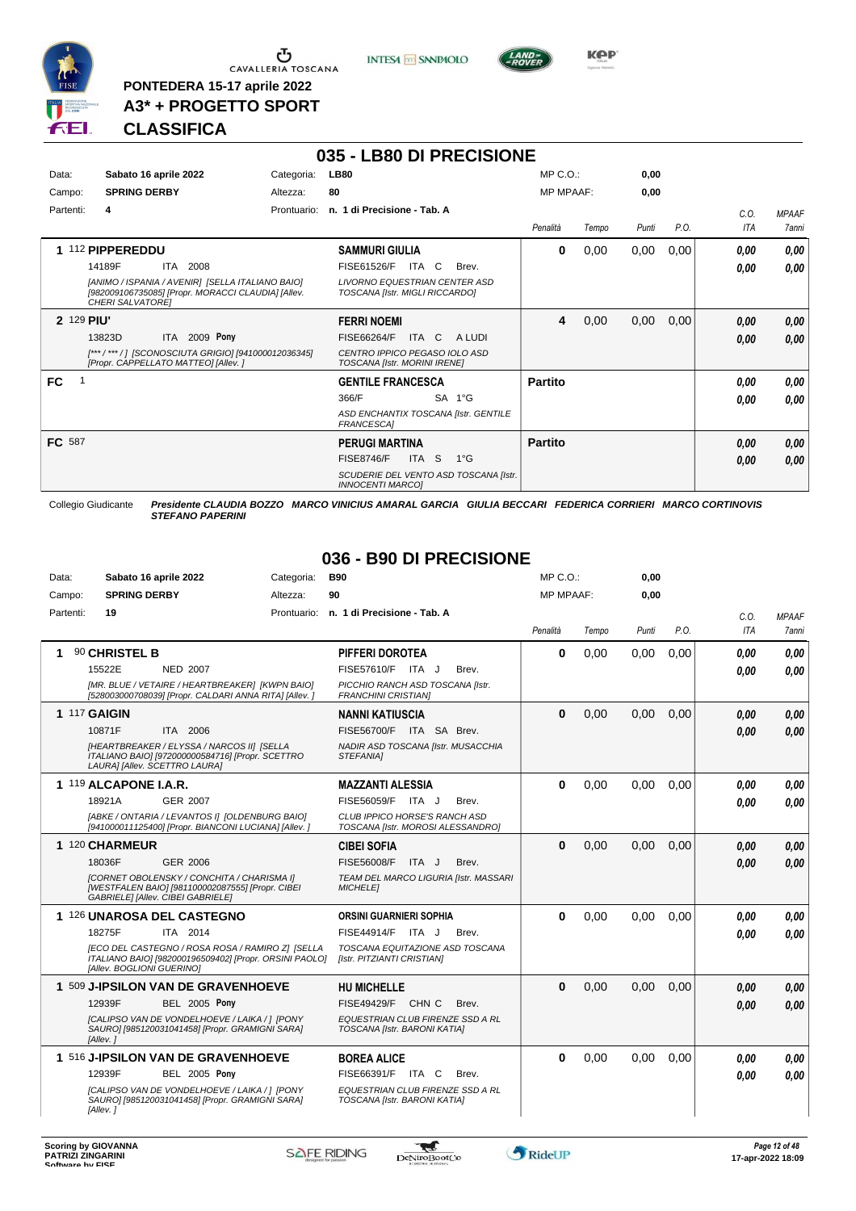

 $\begin{array}{c}\n\bullet \\
\bullet \\
\bullet \\
\bullet \\
\bullet\n\end{array}$  CAVALLERIA TOSCANA

**PONTEDERA 15-17 aprile 2022 A3\* + PROGETTO SPORT** **INTESA** M SANPAOLO

**035 - LB80 DI PRECISIONE**



**Kep** 

# **CLASSIFICA**

| Data:      | Sabato 16 aprile 2022                                                                                                      | Categoria:  | <b>LB80</b>                                                            | $MP C. O.$ :     |       | 0,00  |      |            |              |
|------------|----------------------------------------------------------------------------------------------------------------------------|-------------|------------------------------------------------------------------------|------------------|-------|-------|------|------------|--------------|
| Campo:     | <b>SPRING DERBY</b>                                                                                                        | Altezza:    | 80                                                                     | <b>MP MPAAF:</b> |       | 0,00  |      |            |              |
| Partenti:  | 4                                                                                                                          | Prontuario: | n. 1 di Precisione - Tab. A                                            |                  |       |       |      | C.O.       | <b>MPAAF</b> |
|            |                                                                                                                            |             |                                                                        | Penalità         | Tempo | Punti | P.O. | <b>ITA</b> | 7anni        |
|            | 1 112 PIPPEREDDU                                                                                                           |             | <b>SAMMURI GIULIA</b>                                                  | 0                | 0,00  | 0,00  | 0,00 | 0,00       | 0,00         |
|            | 14189F<br>ITA<br>2008                                                                                                      |             | <b>FISE61526/F</b><br>ITA C<br>Brev.                                   |                  |       |       |      | 0.00       | 0,00         |
|            | [ANIMO / ISPANIA / AVENIR] [SELLA ITALIANO BAIO]<br>[982009106735085] [Propr. MORACCI CLAUDIA] [Allev.<br>CHERI SALVATORE] |             | <b>LIVORNO EQUESTRIAN CENTER ASD</b><br>TOSCANA [Istr. MIGLI RICCARDO] |                  |       |       |      |            |              |
| 2 129 PIU' |                                                                                                                            |             | <b>FERRI NOEMI</b>                                                     | 4                | 0,00  | 0,00  | 0,00 | 0.00       | 0,00         |
|            | ITA 2009 Pony<br>13823D                                                                                                    |             | FISE66264/F<br>ITA C<br>A LUDI                                         |                  |       |       |      | 0.00       | 0,00         |
|            | [***/***/] [SCONOSCIUTA GRIGIO] [941000012036345]<br>[Propr. CAPPELLATO MATTEO] [Allev. ]                                  |             | CENTRO IPPICO PEGASO IOLO ASD<br><b>TOSCANA [Istr. MORINI IRENE]</b>   |                  |       |       |      |            |              |
| <b>FC</b>  |                                                                                                                            |             | <b>GENTILE FRANCESCA</b>                                               | <b>Partito</b>   |       |       |      | 0.00       | 0,00         |
|            |                                                                                                                            |             | 366/F<br>SA 1°G                                                        |                  |       |       |      | 0.00       | 0.00         |
|            |                                                                                                                            |             | ASD ENCHANTIX TOSCANA [Istr. GENTILE<br><b>FRANCESCA1</b>              |                  |       |       |      |            |              |
| FC 587     |                                                                                                                            |             | <b>PERUGI MARTINA</b>                                                  | <b>Partito</b>   |       |       |      | 0.00       | 0,00         |
|            |                                                                                                                            |             | ITA S<br>$1^{\circ}G$<br><b>FISE8746/F</b>                             |                  |       |       |      | 0,00       | 0.00         |
|            |                                                                                                                            |             | SCUDERIE DEL VENTO ASD TOSCANA [Istr.<br><b>INNOCENTI MARCOI</b>       |                  |       |       |      |            |              |

Collegio Giudicante *Presidente CLAUDIA BOZZO MARCO VINICIUS AMARAL GARCIA GIULIA BECCARI FEDERICA CORRIERI MARCO CORTINOVIS STEFANO PAPERINI*

## **036 - B90 DI PRECISIONE**

| Data:     | Sabato 16 aprile 2022                                                                                                                   | Categoria: | <b>B90</b>                                                         | $MP C. O.$ :     |       | 0.00  |      |      |              |
|-----------|-----------------------------------------------------------------------------------------------------------------------------------------|------------|--------------------------------------------------------------------|------------------|-------|-------|------|------|--------------|
| Campo:    | <b>SPRING DERBY</b>                                                                                                                     | Altezza:   | 90                                                                 | <b>MP MPAAF:</b> |       | 0.00  |      |      |              |
| Partenti: | 19                                                                                                                                      |            | Prontuario: n. 1 di Precisione - Tab. A                            |                  |       |       |      | C.O. | <b>MPAAF</b> |
|           |                                                                                                                                         |            |                                                                    | Penalità         | Tempo | Punti | P.O. | ITA  | 7anni        |
|           | 90 CHRISTEL B                                                                                                                           |            | PIFFERI DOROTEA                                                    | $\bf{0}$         | 0.00  | 0,00  | 0.00 | 0.00 | 0.00         |
|           | 15522E<br><b>NED 2007</b>                                                                                                               |            | FISE57610/F ITA J<br>Brev.                                         |                  |       |       |      | 0.00 | 0.00         |
|           | [MR. BLUE / VETAIRE / HEARTBREAKER] [KWPN BAIO]<br>[528003000708039] [Propr. CALDARI ANNA RITA] [Allev. ]                               |            | PICCHIO RANCH ASD TOSCANA [Istr.<br><b>FRANCHINI CRISTIAN]</b>     |                  |       |       |      |      |              |
|           | <b>1 117 GAIGIN</b>                                                                                                                     |            | <b>NANNI KATIUSCIA</b>                                             | $\mathbf{0}$     | 0,00  | 0,00  | 0.00 | 0,00 | 0,00         |
|           | 10871F<br>ITA 2006                                                                                                                      |            | FISE56700/F ITA SA Brev.                                           |                  |       |       |      | 0.00 | 0.00         |
|           | [HEARTBREAKER / ELYSSA / NARCOS II] [SELLA<br>ITALIANO BAIO] [972000000584716] [Propr. SCETTRO<br>LAURA] [Allev. SCETTRO LAURA]         |            | NADIR ASD TOSCANA [Istr. MUSACCHIA<br>STEFANIA]                    |                  |       |       |      |      |              |
|           | 1 119 ALCAPONE I.A.R.                                                                                                                   |            | <b>MAZZANTI ALESSIA</b>                                            | $\bf{0}$         | 0,00  | 0,00  | 0.00 | 0.00 | 0.00         |
|           | <b>GER 2007</b><br>18921A                                                                                                               |            | FISE56059/F ITA J<br>Brev.                                         |                  |       |       |      | 0.00 | 0.00         |
|           | [ABKE / ONTARIA / LEVANTOS I] [OLDENBURG BAIO]<br>[941000011125400] [Propr. BIANCONI LUCIANA] [Allev. ]                                 |            | CLUB IPPICO HORSE'S RANCH ASD<br>TOSCANA [Istr. MOROSI ALESSANDRO] |                  |       |       |      |      |              |
|           | 1 120 CHARMEUR                                                                                                                          |            | <b>CIBEI SOFIA</b>                                                 | $\bf{0}$         | 0,00  | 0.00  | 0.00 | 0.00 | 0.00         |
|           | 18036F<br><b>GER 2006</b>                                                                                                               |            | <b>FISE56008/F</b><br>ITA J<br>Brev.                               |                  |       |       |      | 0.00 | 0.00         |
|           | [CORNET OBOLENSKY / CONCHITA / CHARISMA I]<br>[WESTFALEN BAIO] [981100002087555] [Propr. CIBEI<br>GABRIELE] [Allev. CIBEI GABRIELE]     |            | TEAM DEL MARCO LIGURIA [Istr. MASSARI<br><b>MICHELE1</b>           |                  |       |       |      |      |              |
|           | 1 126 UNAROSA DEL CASTEGNO                                                                                                              |            | ORSINI GUARNIERI SOPHIA                                            | $\Omega$         | 0,00  | 0.00  | 0.00 | 0.00 | 0.00         |
|           | 18275F<br>ITA 2014                                                                                                                      |            | $FISE44914/F$ ITA J<br>Brev.                                       |                  |       |       |      | 0.00 | 0.00         |
|           | [ECO DEL CASTEGNO / ROSA ROSA / RAMIRO Z] [SELLA<br>ITALIANO BAIO] [982000196509402] [Propr. ORSINI PAOLO]<br>[Allev. BOGLIONI GUERINO] |            | TOSCANA EQUITAZIONE ASD TOSCANA<br>[Istr. PITZIANTI CRISTIAN]      |                  |       |       |      |      |              |
|           | 1 509 J-IPSILON VAN DE GRAVENHOEVE                                                                                                      |            | <b>HU MICHELLE</b>                                                 | $\mathbf{0}$     | 0,00  | 0,00  | 0,00 | 0.00 | 0.00         |
|           | 12939F<br><b>BEL 2005 Pony</b>                                                                                                          |            | FISE49429/F<br>CHN C<br>Brev.                                      |                  |       |       |      | 0.00 | 0.00         |
|           | [CALIPSO VAN DE VONDELHOEVE / LAIKA / ] [PONY<br>SAURO] [985120031041458] [Propr. GRAMIGNI SARA]<br>[Allev.]                            |            | EQUESTRIAN CLUB FIRENZE SSD A RL<br>TOSCANA [Istr. BARONI KATIA]   |                  |       |       |      |      |              |
|           | 1 516 J-IPSILON VAN DE GRAVENHOEVE                                                                                                      |            | <b>BOREA ALICE</b>                                                 | $\bf{0}$         | 0,00  | 0.00  | 0.00 | 0.00 | 0.00         |
|           | 12939F<br><b>BEL 2005 Pony</b>                                                                                                          |            | FISE66391/F<br>ITA C<br>Brev.                                      |                  |       |       |      | 0.00 | 0,00         |
|           | [CALIPSO VAN DE VONDELHOEVE / LAIKA / 1 [PONY<br>SAURO] [985120031041458] [Propr. GRAMIGNI SARA]<br>[Allev.]                            |            | EQUESTRIAN CLUB FIRENZE SSD A RL<br>TOSCANA [Istr. BARONI KATIA]   |                  |       |       |      |      |              |

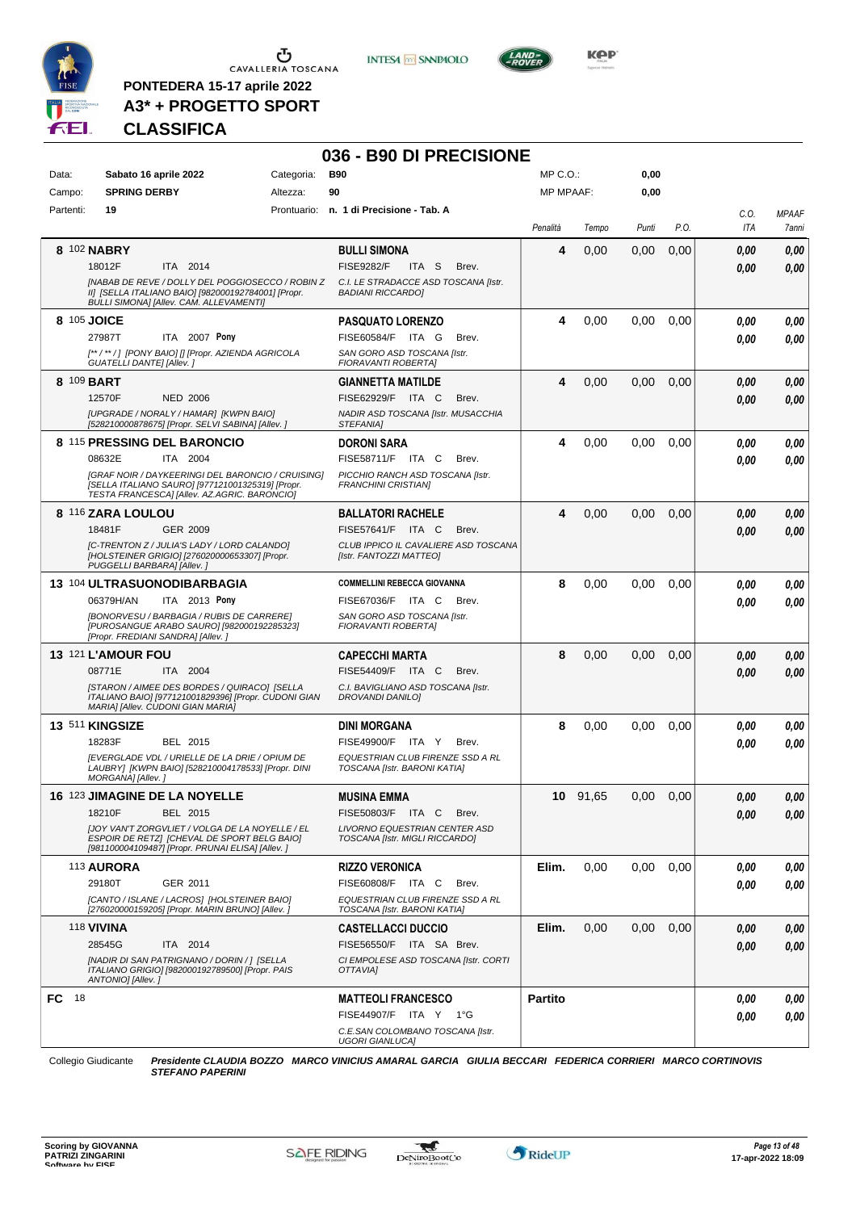

 $\begin{array}{c}\n\bullet \\
\bullet \\
\bullet \\
\bullet\n\end{array}$  CAVALLERIA TOSCANA

**PONTEDERA 15-17 aprile 2022 A3\* + PROGETTO SPORT** **INTESA** M SANPAOLO



# **CLASSIFICA**

|            |                                                                                                                                                            |            | 036 - B90 DI PRECISIONE                                          |                  |          |       |      |            |              |
|------------|------------------------------------------------------------------------------------------------------------------------------------------------------------|------------|------------------------------------------------------------------|------------------|----------|-------|------|------------|--------------|
| Data:      | Sabato 16 aprile 2022                                                                                                                                      | Categoria: | <b>B90</b>                                                       | MP C.O.:         |          | 0,00  |      |            |              |
| Campo:     | <b>SPRING DERBY</b>                                                                                                                                        | Altezza:   | 90                                                               | <b>MP MPAAF:</b> |          | 0,00  |      |            |              |
| Partenti:  | 19                                                                                                                                                         |            | Prontuario: n. 1 di Precisione - Tab. A                          |                  |          |       |      | C.O.       | <b>MPAAF</b> |
|            |                                                                                                                                                            |            |                                                                  | Penalità         | Tempo    | Punti | P.O. | <b>ITA</b> | 7anni        |
|            | 8 102 NABRY                                                                                                                                                |            | <b>BULLI SIMONA</b>                                              | 4                | 0,00     | 0,00  | 0,00 | 0.00       | 0,00         |
|            | 18012F<br>ITA 2014                                                                                                                                         |            | <b>FISE9282/F</b><br>ITA <sub>S</sub><br>Brev.                   |                  |          |       |      | 0.00       | 0.00         |
|            | INABAB DE REVE / DOLLY DEL POGGIOSECCO / ROBIN Z<br>II] [SELLA ITALIANO BAIO] [982000192784001] [Propr.<br><b>BULLI SIMONAI [Allev. CAM. ALLEVAMENTI]</b>  |            | C.I. LE STRADACCE ASD TOSCANA [Istr.<br><b>BADIANI RICCARDO]</b> |                  |          |       |      |            |              |
|            | 8 105 JOICE                                                                                                                                                |            | <b>PASQUATO LORENZO</b>                                          | 4                | 0,00     | 0.00  | 0,00 | 0.00       | 0,00         |
|            | 27987T<br>ITA 2007 Pony                                                                                                                                    |            | FISE60584/F ITA G<br>Brev.                                       |                  |          |       |      | 0.00       | 0,00         |
|            | [**/**/] [PONY BAIO] [] [Propr. AZIENDA AGRICOLA<br>GUATELLI DANTE] [Allev.]                                                                               |            | SAN GORO ASD TOSCANA [Istr.<br>FIORAVANTI ROBERTA]               |                  |          |       |      |            |              |
| 8 109 BART |                                                                                                                                                            |            | <b>GIANNETTA MATILDE</b>                                         | 4                | 0,00     | 0,00  | 0,00 | 0.00       | 0,00         |
|            | <b>NED 2006</b><br>12570F                                                                                                                                  |            | FISE62929/F ITA C<br>Brev.                                       |                  |          |       |      | 0.00       | 0,00         |
|            | [UPGRADE / NORALY / HAMAR] [KWPN BAIO]<br>[528210000878675] [Propr. SELVI SABINA] [Allev. ]                                                                |            | NADIR ASD TOSCANA [Istr. MUSACCHIA<br>STEFANIA]                  |                  |          |       |      |            |              |
|            | 8 115 PRESSING DEL BARONCIO                                                                                                                                |            | <b>DORONI SARA</b>                                               | 4                | 0,00     | 0,00  | 0,00 | 0.00       | 0,00         |
|            | 08632E<br>ITA 2004                                                                                                                                         |            | FISE58711/F ITA C<br>Brev.                                       |                  |          |       |      | 0.00       | 0.00         |
|            | [GRAF NOIR / DAYKEERINGI DEL BARONCIO / CRUISING]<br>[SELLA ITALIANO SAURO] [977121001325319] [Propr.<br>TESTA FRANCESCA] [Allev. AZ.AGRIC. BARONCIO]      |            | PICCHIO RANCH ASD TOSCANA [Istr.<br><b>FRANCHINI CRISTIAN]</b>   |                  |          |       |      |            |              |
|            | 8 116 ZARA LOULOU                                                                                                                                          |            | <b>BALLATORI RACHELE</b>                                         | 4                | 0,00     | 0.00  | 0,00 | 0.00       | 0,00         |
|            | <b>GER 2009</b><br>18481F                                                                                                                                  |            | FISE57641/F ITA C<br>Brev.                                       |                  |          |       |      | 0.00       | 0,00         |
|            | [C-TRENTON Z / JULIA'S LADY / LORD CALANDO]<br>[HOLSTEINER GRIGIO] [276020000653307] [Propr.<br>PUGGELLI BARBARA] [Allev.]                                 |            | CLUB IPPICO IL CAVALIERE ASD TOSCANA<br>[Istr. FANTOZZI MATTEO]  |                  |          |       |      |            |              |
|            | 13 104 ULTRASUONODIBARBAGIA                                                                                                                                |            | <b>COMMELLINI REBECCA GIOVANNA</b>                               | 8                | 0,00     | 0,00  | 0,00 | 0.00       | 0,00         |
|            | 06379H/AN<br>ITA 2013 Pony                                                                                                                                 |            | FISE67036/F ITA C<br>Brev.                                       |                  |          |       |      | 0.00       | 0,00         |
|            | [BONORVESU / BARBAGIA / RUBIS DE CARRERE]<br>[PUROSANGUE ARABO SAURO] [982000192285323]<br>[Propr. FREDIANI SANDRA] [Allev.]                               |            | SAN GORO ASD TOSCANA [Istr.<br><b>FIORAVANTI ROBERTAI</b>        |                  |          |       |      |            |              |
|            | 13 121 L'AMOUR FOU                                                                                                                                         |            | <b>CAPECCHI MARTA</b>                                            | 8                | 0,00     | 0.00  | 0,00 | 0,00       | 0,00         |
|            | 08771E<br>ITA 2004                                                                                                                                         |            | FISE54409/F ITA C<br>Brev.                                       |                  |          |       |      | 0.00       | 0.00         |
|            | [STARON / AIMEE DES BORDES / QUIRACO] [SELLA<br>ITALIANO BAIO] [977121001829396] [Propr. CUDONI GIAN<br>MARIA] [Allev. CUDONI GIAN MARIA]                  |            | C.I. BAVIGLIANO ASD TOSCANA [Istr.<br><b>DROVANDI DANILO]</b>    |                  |          |       |      |            |              |
|            | 13 511 KINGSIZE                                                                                                                                            |            | <b>DINI MORGANA</b>                                              | 8                | 0,00     | 0,00  | 0,00 | 0.00       | 0,00         |
|            | 18283F<br>BEL 2015                                                                                                                                         |            | FISE49900/F ITA Y<br>Brev.                                       |                  |          |       |      | 0.00       | 0.00         |
|            | [EVERGLADE VDL / URIELLE DE LA DRIE / OPIUM DE<br>LAUBRY] [KWPN BAIO] [528210004178533] [Propr. DINI<br>MORGANA] [Allev.]                                  |            | EQUESTRIAN CLUB FIRENZE SSD A RL<br>TOSCANA [Istr. BARONI KATIA] |                  |          |       |      |            |              |
|            | <b>16 123 JIMAGINE DE LA NOYELLE</b>                                                                                                                       |            | <b>MUSINA EMMA</b>                                               |                  | 10 91,65 | 0,00  | 0,00 | 0,00       | 0,00         |
|            | 18210F<br>BEL 2015                                                                                                                                         |            | FISE50803/F ITA C<br>Brev.                                       |                  |          |       |      | 0.00       | 0,00         |
|            | <b>IJOY VAN'T ZORGVLIET / VOLGA DE LA NOYELLE / EL</b><br>ESPOIR DE RETZI (CHEVAL DE SPORT BELG BAIO)<br>[981100004109487] [Propr. PRUNAI ELISA] [Allev. ] |            | LIVORNO EQUESTRIAN CENTER ASD<br>TOSCANA [Istr. MIGLI RICCARDO]  |                  |          |       |      |            |              |
|            | 113 AURORA                                                                                                                                                 |            | <b>RIZZO VERONICA</b>                                            | Elim.            | 0,00     | 0,00  | 0,00 | 0.00       | 0,00         |
|            | 29180T<br>GER 2011                                                                                                                                         |            | FISE60808/F ITA C<br>Brev.                                       |                  |          |       |      | 0.00       | 0,00         |
|            | [CANTO / ISLANE / LACROS] [HOLSTEINER BAIO]<br>[276020000159205] [Propr. MARIN BRUNO] [Allev.]                                                             |            | EQUESTRIAN CLUB FIRENZE SSD A RL<br>TOSCANA [Istr. BARONI KATIA] |                  |          |       |      |            |              |
|            | <b>118 VIVINA</b>                                                                                                                                          |            | <b>CASTELLACCI DUCCIO</b>                                        | Elim.            | 0,00     | 0,00  | 0,00 | 0,00       | 0,00         |
|            | 28545G<br>ITA 2014                                                                                                                                         |            | FISE56550/F ITA SA Brev.                                         |                  |          |       |      | 0,00       | 0,00         |
|            | <b>INADIR DI SAN PATRIGNANO / DORIN / 1 ISELLA</b><br>ITALIANO GRIGIO] [982000192789500] [Propr. PAIS<br>ANTONIO] [Allev.]                                 |            | CI EMPOLESE ASD TOSCANA [Istr. CORTI<br>OTTAVIA]                 |                  |          |       |      |            |              |
| FC 18      |                                                                                                                                                            |            | <b>MATTEOLI FRANCESCO</b>                                        | <b>Partito</b>   |          |       |      | 0,00       | 0,00         |
|            |                                                                                                                                                            |            | FISE44907/F ITA Y 1°G                                            |                  |          |       |      | 0,00       | 0,00         |
|            |                                                                                                                                                            |            | C.E.SAN COLOMBANO TOSCANA [Istr.<br><b>UGORI GIANLUCAI</b>       |                  |          |       |      |            |              |

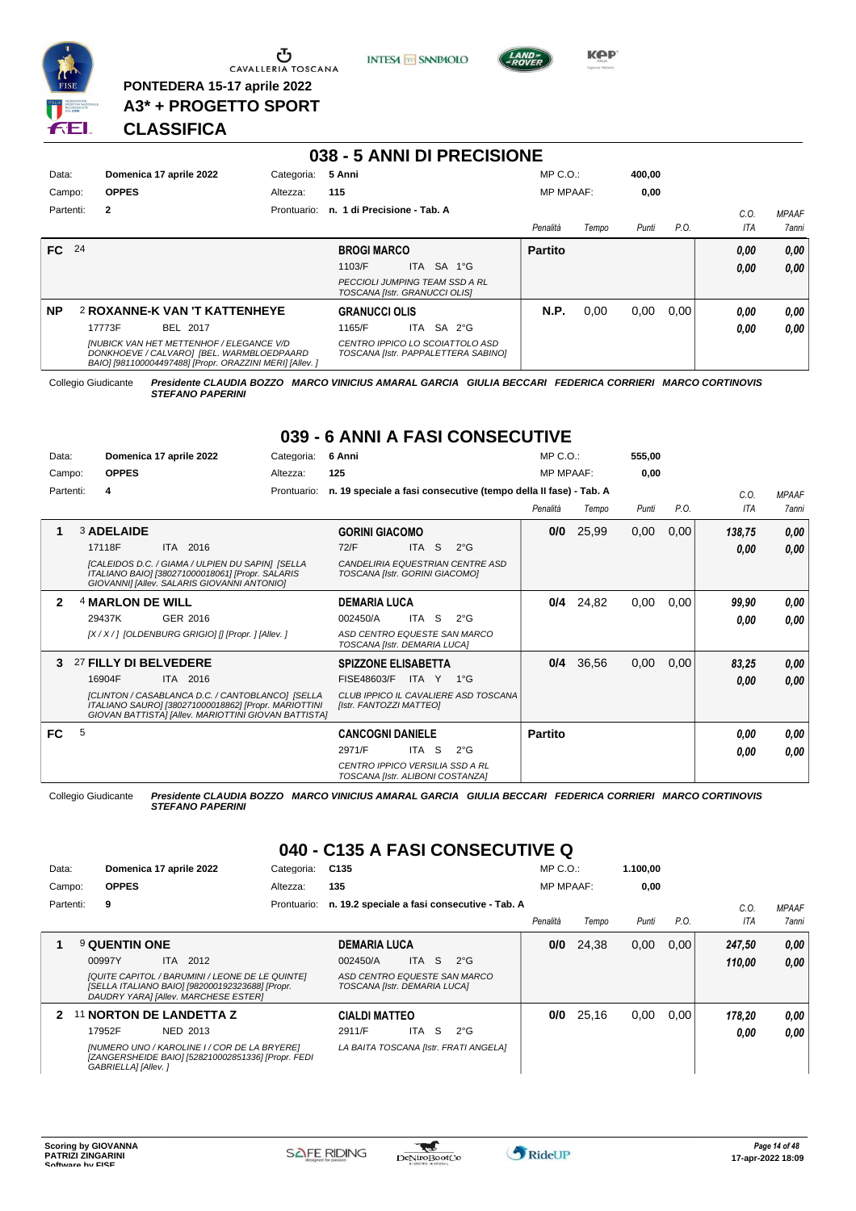

**PONTEDERA 15-17 aprile 2022 A3\* + PROGETTO SPORT** **INTESA M** SANPAOLO



**KOP** 

# **CLASSIFICA**

| 038 - 5 ANNI DI PRECISIONE |                                                                                                                                                          |            |                                                                        |     |            |  |                  |       |        |      |      |              |
|----------------------------|----------------------------------------------------------------------------------------------------------------------------------------------------------|------------|------------------------------------------------------------------------|-----|------------|--|------------------|-------|--------|------|------|--------------|
| Data:                      | Domenica 17 aprile 2022                                                                                                                                  | Categoria: | 5 Anni                                                                 |     |            |  | $MP C. O.$ :     |       | 400.00 |      |      |              |
| Campo:                     | <b>OPPES</b>                                                                                                                                             | Altezza:   | 115                                                                    |     |            |  | <b>MP MPAAF:</b> |       | 0,00   |      |      |              |
| Partenti:                  | $\overline{2}$<br>Prontuario:                                                                                                                            |            | n. 1 di Precisione - Tab. A                                            |     |            |  |                  |       |        |      | C.0  | <b>MPAAF</b> |
|                            |                                                                                                                                                          |            |                                                                        |     |            |  | Penalità         | Tempo | Punti  | P.O. | ITA  | 7anni        |
| FC 24                      |                                                                                                                                                          |            | <b>BROGI MARCO</b>                                                     |     |            |  | <b>Partito</b>   |       |        |      | 0.00 | 0,00         |
|                            |                                                                                                                                                          |            | 1103/F                                                                 |     | ITA SA 1°G |  |                  |       |        |      | 0.00 | 0.00         |
|                            |                                                                                                                                                          |            | PECCIOLI JUMPING TEAM SSD A RL<br>TOSCANA [Istr. GRANUCCI OLIS]        |     |            |  |                  |       |        |      |      |              |
| <b>NP</b>                  | <b>2 ROXANNE-K VAN 'T KATTENHEYE</b>                                                                                                                     |            | <b>GRANUCCI OLIS</b>                                                   |     |            |  | <b>N.P.</b>      | 0,00  | 0.00   | 0.00 | 0.00 | 0.00         |
|                            | BEL 2017<br>17773F                                                                                                                                       |            | 1165/F                                                                 | ITA | SA 2°G     |  |                  |       |        |      | 0.00 | 0.00         |
|                            | <b>INUBICK VAN HET METTENHOF / ELEGANCE V/D</b><br>DONKHOEVE / CALVARO] [BEL. WARMBLOEDPAARD<br>BAIO] [981100004497488] [Propr. ORAZZINI MERI] [Allev. ] |            | CENTRO IPPICO LO SCOIATTOLO ASD<br>TOSCANA [Istr. PAPPALETTERA SABINO] |     |            |  |                  |       |        |      |      |              |

Collegio Giudicante *Presidente CLAUDIA BOZZO MARCO VINICIUS AMARAL GARCIA GIULIA BECCARI FEDERICA CORRIERI MARCO CORTINOVIS STEFANO PAPERINI*

# **039 - 6 ANNI A FASI CONSECUTIVE**

| Data:  |           |                             | Domenica 17 aprile 2022                                                                                                                                          | Categoria:  | 6 Anni                                                                     |       |    |                                                                  | $MP C. O.$ :     |       | 555,00 |      |        |              |
|--------|-----------|-----------------------------|------------------------------------------------------------------------------------------------------------------------------------------------------------------|-------------|----------------------------------------------------------------------------|-------|----|------------------------------------------------------------------|------------------|-------|--------|------|--------|--------------|
| Campo: |           | <b>OPPES</b>                |                                                                                                                                                                  | Altezza:    | 125                                                                        |       |    |                                                                  | <b>MP MPAAF:</b> |       | 0.00   |      |        |              |
|        | Partenti: | 4                           |                                                                                                                                                                  | Prontuario: |                                                                            |       |    | n. 19 speciale a fasi consecutive (tempo della II fase) - Tab. A |                  |       |        |      | C.0.   | <b>MPAAF</b> |
|        |           |                             |                                                                                                                                                                  |             |                                                                            |       |    |                                                                  | Penalità         | Tempo | Punti  | P.O. | ITA    | 7 anni       |
|        |           | <b>3 ADELAIDE</b>           |                                                                                                                                                                  |             | <b>GORINI GIACOMO</b>                                                      |       |    |                                                                  | 0/0              | 25,99 | 0,00   | 0,00 | 138,75 | 0,00         |
|        |           | 17118F                      | ITA 2016                                                                                                                                                         |             | 72/F                                                                       | ITA S |    | $2^{\circ}$ G                                                    |                  |       |        |      | 0.00   | 0.00         |
|        |           |                             | <b>ICALEIDOS D.C. / GIAMA / ULPIEN DU SAPINI ISELLA</b><br>ITALIANO BAIO] [380271000018061] [Propr. SALARIS<br>GIOVANNI] [Allev. SALARIS GIOVANNI ANTONIO]       |             | TOSCANA [Istr. GORINI GIACOMO]                                             |       |    | CANDELIRIA EQUESTRIAN CENTRE ASD                                 |                  |       |        |      |        |              |
| 2      |           | <sup>4</sup> MARLON DE WILL |                                                                                                                                                                  |             | <b>DEMARIA LUCA</b>                                                        |       |    |                                                                  | 0/4              | 24,82 | 0,00   | 0,00 | 99,90  | 0,00         |
|        |           | 29437K                      | GER 2016                                                                                                                                                         |             | 002450/A                                                                   | ITA   | S. | $2^{\circ}$ G                                                    |                  |       |        |      | 0.00   | 0.00         |
|        |           |                             | [X / X / ] [OLDENBURG GRIGIO] [] [Propr. ] [Allev. ]                                                                                                             |             | ASD CENTRO EQUESTE SAN MARCO<br>TOSCANA [Istr. DEMARIA LUCA]               |       |    |                                                                  |                  |       |        |      |        |              |
| 3      |           | 27 FILLY DI BELVEDERE       |                                                                                                                                                                  |             | <b>SPIZZONE ELISABETTA</b>                                                 |       |    |                                                                  | 0/4              | 36,56 | 0,00   | 0,00 | 83,25  | 0,00         |
|        |           | 16904F                      | ITA 2016                                                                                                                                                         |             | FISE48603/F                                                                | ITA Y |    | $1^{\circ}G$                                                     |                  |       |        |      | 0,00   | 0.00         |
|        |           |                             | [CLINTON / CASABLANCA D.C. / CANTOBLANCO] [SELLA<br>ITALIANO SAURO] [380271000018862] [Propr. MARIOTTINI<br>GIOVAN BATTISTA] [Allev. MARIOTTINI GIOVAN BATTISTA] |             | [Istr. FANTOZZI MATTEO]                                                    |       |    | CLUB IPPICO IL CAVALIERE ASD TOSCANA                             |                  |       |        |      |        |              |
| FC.    | 5         |                             |                                                                                                                                                                  |             | <b>CANCOGNI DANIELE</b>                                                    |       |    |                                                                  | <b>Partito</b>   |       |        |      | 0.00   | 0,00         |
|        |           |                             |                                                                                                                                                                  |             | 2971/F                                                                     | ITA I | `S | $2^{\circ}$ G                                                    |                  |       |        |      | 0.00   | 0.00         |
|        |           |                             |                                                                                                                                                                  |             | <b>CENTRO IPPICO VERSILIA SSD A RL</b><br>TOSCANA [Istr. ALIBONI COSTANZA] |       |    |                                                                  |                  |       |        |      |        |              |

Collegio Giudicante *Presidente CLAUDIA BOZZO MARCO VINICIUS AMARAL GARCIA GIULIA BECCARI FEDERICA CORRIERI MARCO CORTINOVIS STEFANO PAPERINI*

# **040 - C135 A FASI CONSECUTIVE Q**

| Data:     |                     | Domenica 17 aprile 2022                                                                                                                    | Categoria:  | C <sub>135</sub>                                             |      |    |                                              | $MP C. O.$ :     |       | 1.100.00 |      |        |              |
|-----------|---------------------|--------------------------------------------------------------------------------------------------------------------------------------------|-------------|--------------------------------------------------------------|------|----|----------------------------------------------|------------------|-------|----------|------|--------|--------------|
| Campo:    | <b>OPPES</b>        |                                                                                                                                            | Altezza:    | 135                                                          |      |    |                                              | <b>MP MPAAF:</b> |       | 0,00     |      |        |              |
| Partenti: | 9                   |                                                                                                                                            | Prontuario: |                                                              |      |    | n. 19.2 speciale a fasi consecutive - Tab. A |                  |       |          |      | C.0    | <b>MPAAF</b> |
|           |                     |                                                                                                                                            |             |                                                              |      |    |                                              | Penalità         | Tempo | Punti    | P.O. | ITA    | 7anni        |
|           | 9 QUENTIN ONE       |                                                                                                                                            |             | <b>DEMARIA LUCA</b>                                          |      |    |                                              | 0/0              | 24.38 | 0,00     | 0.00 | 247.50 | 0,00         |
|           | 00997Y              | ITA 2012                                                                                                                                   |             | 002450/A                                                     | ITA. | S. | $2^{\circ}G$                                 |                  |       |          |      | 110.00 | 0.00         |
|           |                     | [QUITE CAPITOL / BARUMINI / LEONE DE LE QUINTE]<br>[SELLA ITALIANO BAIO] [982000192323688] [Propr.<br>DAUDRY YARA] [Allev. MARCHESE ESTER] |             | ASD CENTRO EQUESTE SAN MARCO<br>TOSCANA [Istr. DEMARIA LUCA] |      |    |                                              |                  |       |          |      |        |              |
| 2         |                     | 11 NORTON DE LANDETTA Z                                                                                                                    |             | <b>CIALDI MATTEO</b>                                         |      |    |                                              | 0/0              | 25,16 | 0,00     | 0,00 | 178,20 | 0,00         |
|           | 17952F              | NED 2013                                                                                                                                   |             | 2911/F                                                       | ITA. | S. | $2^{\circ}$ G                                |                  |       |          |      | 0,00   | 0.00         |
|           | GABRIELLA] [Allev.] | [NUMERO UNO / KAROLINE I / COR DE LA BRYERE]<br>[ZANGERSHEIDE BAIO] [528210002851336] [Propr. FEDI                                         |             |                                                              |      |    | LA BAITA TOSCANA [Istr. FRATI ANGELA]        |                  |       |          |      |        |              |

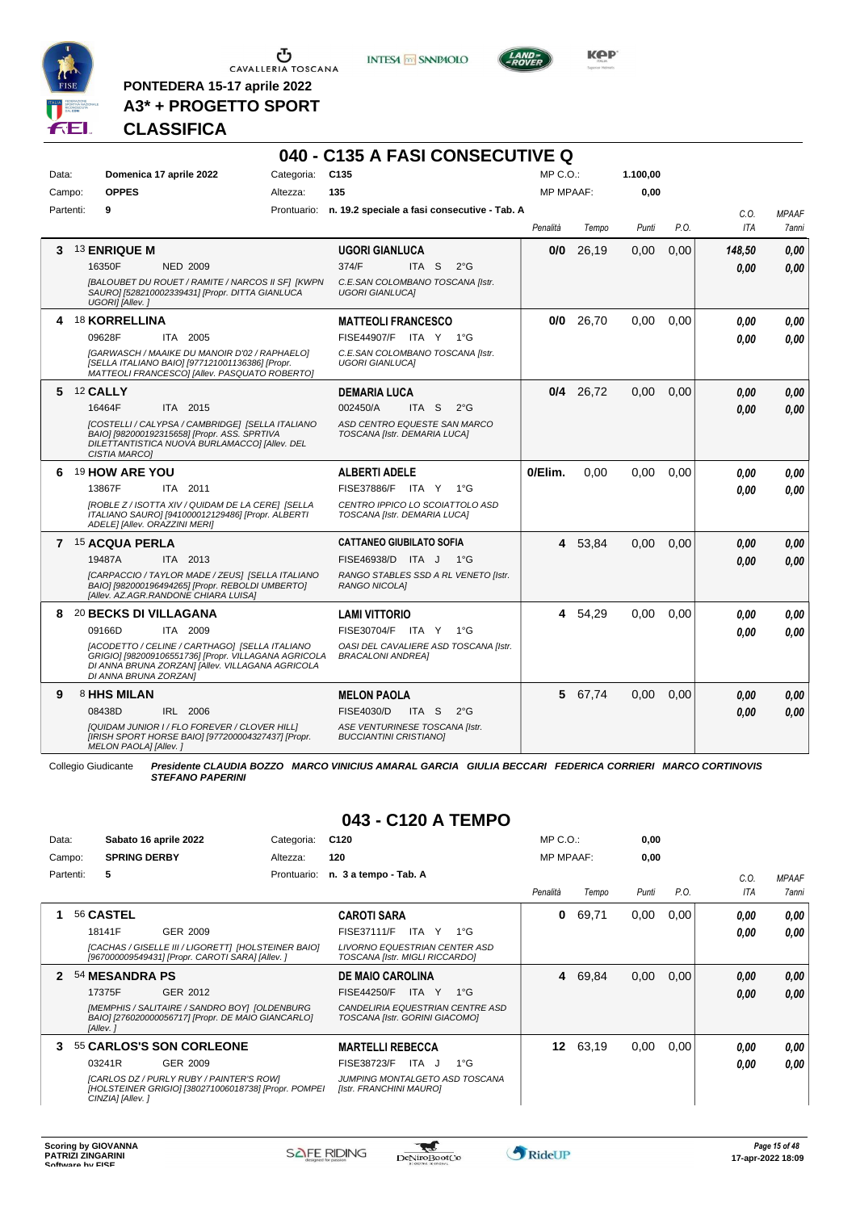

**PONTEDERA 15-17 aprile 2022 A3\* + PROGETTO SPORT** **INTESA** M SANPAOLO

**040 - C135 A FASI CONSECUTIVE Q**



**KOP** 

# **CLASSIFICA**

| Data:<br>Campo: | Domenica 17 aprile 2022<br><b>OPPES</b>                                                                                                                                                                                            | Categoria:<br>Altezza: | C <sub>135</sub><br>135                                                                                                              | MP C.O.:<br><b>MP MPAAF:</b> |         | 1.100,00<br>0,00 |      |                    |                       |
|-----------------|------------------------------------------------------------------------------------------------------------------------------------------------------------------------------------------------------------------------------------|------------------------|--------------------------------------------------------------------------------------------------------------------------------------|------------------------------|---------|------------------|------|--------------------|-----------------------|
| Partenti:       | 9                                                                                                                                                                                                                                  |                        | Prontuario: n. 19.2 speciale a fasi consecutive - Tab. A                                                                             | Penalità                     | Tempo   | Punti            | P.O. | C.O.<br><b>ITA</b> | <b>MPAAF</b><br>7anni |
| 3.              | <b>13 ENRIQUE M</b><br>16350F<br><b>NED 2009</b><br>[BALOUBET DU ROUET / RAMITE / NARCOS II SF] [KWPN<br>SAURO] [528210002339431] [Propr. DITTA GIANLUCA<br>UGORI] [Allev.]                                                        |                        | UGORI GIANLUCA<br>374/F<br>ITA S<br>$2^{\circ}$ G<br>C.E.SAN COLOMBANO TOSCANA [Istr.<br><b>UGORI GIANLUCAI</b>                      | 0/0                          | 26,19   | 0,00             | 0,00 | 148,50<br>0.00     | 0,00<br>0.00          |
|                 | 4 18 KORRELLINA<br>ITA 2005<br>09628F<br>[GARWASCH / MAAIKE DU MANOIR D'02 / RAPHAELO]<br>[SELLA ITALIANO BAIO] [977121001136386] [Propr.<br>MATTEOLI FRANCESCOI [Allev. PASQUATO ROBERTO]                                         |                        | <b>MATTEOLI FRANCESCO</b><br>FISE44907/F ITA Y 1°G<br>C.E.SAN COLOMBANO TOSCANA [Istr.<br><b>UGORI GIANLUCAI</b>                     | 0/0                          | 26,70   | 0,00             | 0,00 | 0.00<br>0.00       | 0.00<br>0.00          |
|                 | 5 12 CALLY<br>16464F<br>ITA 2015<br>[COSTELLI / CALYPSA / CAMBRIDGE] [SELLA ITALIANO<br>BAIOI [982000192315658] [Propr. ASS. SPRTIVA<br>DILETTANTISTICA NUOVA BURLAMACCOI [Allev. DEL<br><b>CISTIA MARCOI</b>                      |                        | <b>DEMARIA LUCA</b><br>002450/A<br>$2^{\circ}$ G<br>ITA S<br>ASD CENTRO EQUESTE SAN MARCO<br>TOSCANA [Istr. DEMARIA LUCA]            | 0/4                          | 26,72   | 0,00             | 0,00 | 0,00<br>0.00       | 0,00<br>0.00          |
| 6.              | 19 HOW ARE YOU<br>ITA 2011<br>13867F<br>[ROBLE Z / ISOTTA XIV / QUIDAM DE LA CERE] [SELLA<br>ITALIANO SAURO] [941000012129486] [Propr. ALBERTI<br>ADELE] [Allev. ORAZZINI MERI]                                                    |                        | <b>ALBERTI ADELE</b><br>FISE37886/F ITA Y<br>1°G<br>CENTRO IPPICO LO SCOIATTOLO ASD<br>TOSCANA [Istr. DEMARIA LUCA]                  | 0/Elim.                      | 0.00    | 0.00             | 0.00 | 0.00<br>0.00       | 0.00<br>0.00          |
|                 | 7 15 ACQUA PERLA<br>19487A<br>ITA 2013<br>[CARPACCIO / TAYLOR MADE / ZEUS] [SELLA ITALIANO<br>BAIO] [982000196494265] [Propr. REBOLDI UMBERTO]<br>[Allev. AZ.AGR.RANDONE CHIARA LUISA]                                             |                        | CATTANEO GIUBILATO SOFIA<br>FISE46938/D ITA J<br>− 1°G<br>RANGO STABLES SSD A RL VENETO [Istr.<br><b>RANGO NICOLAI</b>               |                              | 4 53,84 | 0,00             | 0,00 | 0.00<br>0.00       | 0,00<br>0.00          |
| 8               | 20 BECKS DI VILLAGANA<br>ITA 2009<br>09166D<br>[ACODETTO / CELINE / CARTHAGO] [SELLA ITALIANO<br>GRIGIO] [982009106551736] [Propr. VILLAGANA AGRICOLA<br>DI ANNA BRUNA ZORZAN] [Allev. VILLAGANA AGRICOLA<br>DI ANNA BRUNA ZORZANI |                        | <b>LAMI VITTORIO</b><br>FISE30704/F ITA Y<br>$1^{\circ}G$<br>OASI DEL CAVALIERE ASD TOSCANA [Istr.<br><b>BRACALONI ANDREA]</b>       | 4                            | 54,29   | 0.00             | 0.00 | 0.00<br>0.00       | 0.00<br>0.00          |
| 9               | 8 HHS MILAN<br>08438D<br>IRL 2006<br>[QUIDAM JUNIOR I / FLO FOREVER / CLOVER HILL]<br>[IRISH SPORT HORSE BAIO] [977200004327437] [Propr.<br>MELON PAOLA] [Allev. ]                                                                 |                        | <b>MELON PAOLA</b><br><b>FISE4030/D</b><br>ITA S<br>$2^{\circ}$ G<br>ASE VENTURINESE TOSCANA [Istr.<br><b>BUCCIANTINI CRISTIANOI</b> |                              | 5 67,74 | 0,00             | 0,00 | 0.00<br>0.00       | 0,00<br>0,00          |

Collegio Giudicante *Presidente CLAUDIA BOZZO MARCO VINICIUS AMARAL GARCIA GIULIA BECCARI FEDERICA CORRIERI MARCO CORTINOVIS STEFANO PAPERINI*

## **043 - C120 A TEMPO**

| Data: |           |                     | Sabato 16 aprile 2022                                                                                   | Categoria:  | C <sub>120</sub>                                                       |              | $MP C. O.$ :     |       | 0,00  |      |      |              |
|-------|-----------|---------------------|---------------------------------------------------------------------------------------------------------|-------------|------------------------------------------------------------------------|--------------|------------------|-------|-------|------|------|--------------|
|       | Campo:    | <b>SPRING DERBY</b> |                                                                                                         | Altezza:    | 120                                                                    |              | <b>MP MPAAF:</b> |       | 0,00  |      |      |              |
|       | Partenti: | 5                   |                                                                                                         | Prontuario: | n. 3 a tempo - Tab. A                                                  |              |                  |       |       |      | C.0  | <b>MPAAF</b> |
|       |           |                     |                                                                                                         |             |                                                                        |              | Penalità         | Tempo | Punti | P.O. | ITA  | <b>7anni</b> |
|       |           | 56 CASTEL           |                                                                                                         |             | <b>CAROTI SARA</b>                                                     |              | 0                | 69.71 | 0.00  | 0.00 | 0.00 | 0.00         |
|       |           | 18141F              | GER 2009                                                                                                |             | FISE37111/F<br>ITA Y                                                   | $1^{\circ}G$ |                  |       |       |      | 0.00 | 0.00         |
|       |           |                     | [CACHAS / GISELLE III / LIGORETT] [HOLSTEINER BAIO]<br>[967000009549431] [Propr. CAROTI SARA] [Allev. ] |             | <b>LIVORNO EQUESTRIAN CENTER ASD</b><br>TOSCANA [Istr. MIGLI RICCARDO] |              |                  |       |       |      |      |              |
| 2     |           | 54 MESANDRA PS      |                                                                                                         |             | <b>DE MAIO CAROLINA</b>                                                |              | 4                | 69,84 | 0,00  | 0.00 | 0,00 | 0.00         |
|       |           | 17375F              | GER 2012                                                                                                |             | <b>FISE44250/F</b><br>ITA Y                                            | $1^{\circ}G$ |                  |       |       |      | 0.00 | 0.00         |
|       |           | [Allev.]            | [MEMPHIS / SALITAIRE / SANDRO BOY] [OLDENBURG<br>BAIO] [276020000056717] [Propr. DE MAIO GIANCARLO]     |             | CANDELIRIA EQUESTRIAN CENTRE ASD<br>TOSCANA [Istr. GORINI GIACOMO]     |              |                  |       |       |      |      |              |
| з.    |           |                     | 55 CARLOS'S SON CORLEONE                                                                                |             | <b>MARTELLI REBECCA</b>                                                |              | 12 <sup>1</sup>  | 63,19 | 0,00  | 0.00 | 0.00 | 0.00         |
|       |           | 03241R              | GER 2009                                                                                                |             | FISE38723/F<br>ITA J                                                   | $1^{\circ}G$ |                  |       |       |      | 0.00 | 0.00         |
|       |           | CINZIA] [Allev.]    | [CARLOS DZ / PURLY RUBY / PAINTER'S ROW]<br>[HOLSTEINER GRIGIO] [380271006018738] [Propr. POMPEI        |             | JUMPING MONTALGETO ASD TOSCANA<br>[Istr. FRANCHINI MAURO]              |              |                  |       |       |      |      |              |

 $\mathcal{L}$ 

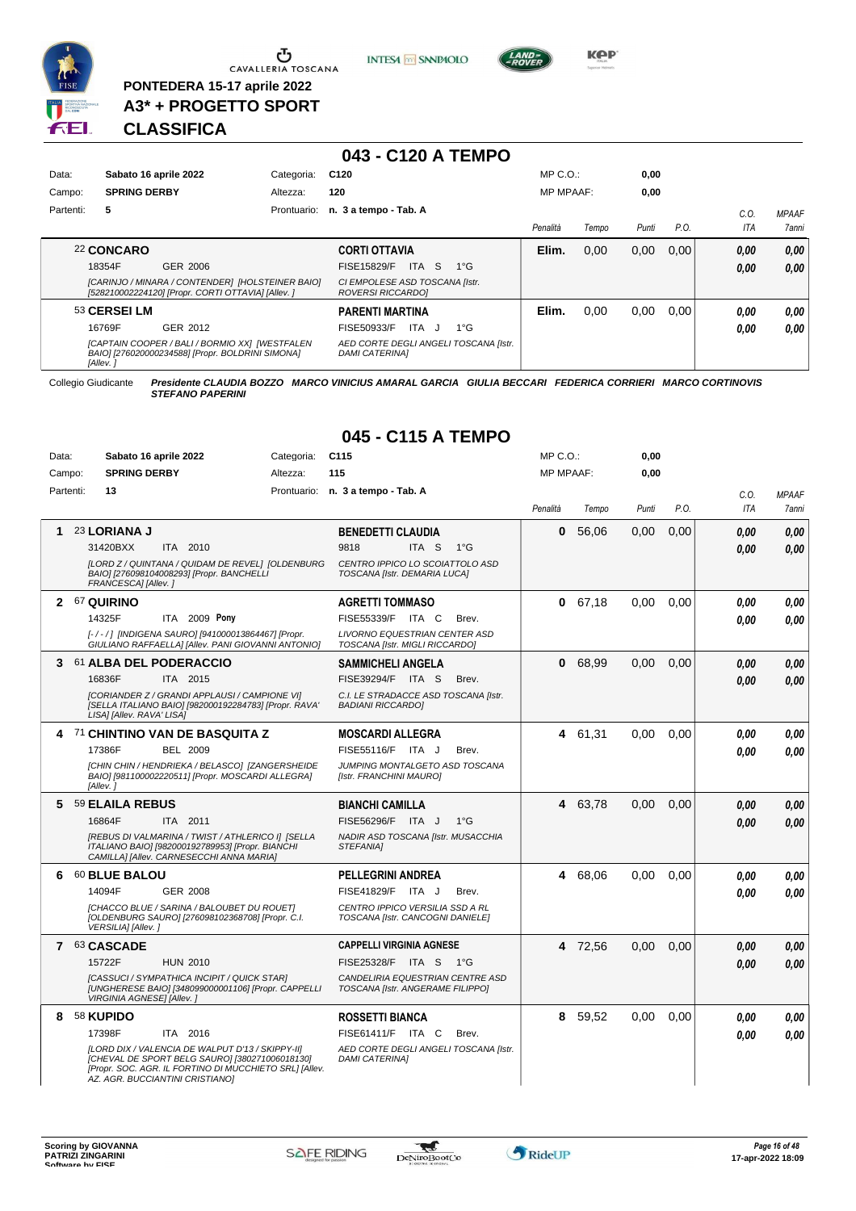

**PONTEDERA 15-17 aprile 2022 A3\* + PROGETTO SPORT**

# **CLASSIFICA**

|           |                       |                 | 043 - C120 A TEMPO                |                  |       |       |      |     |              |
|-----------|-----------------------|-----------------|-----------------------------------|------------------|-------|-------|------|-----|--------------|
| Data:     | Sabato 16 aprile 2022 | Categoria: C120 |                                   | $MP C. O.$ :     |       | 0.00  |      |     |              |
| Campo:    | <b>SPRING DERBY</b>   | Altezza:        | 120                               | <b>MP MPAAF:</b> |       | 0.00  |      |     |              |
| Partenti: |                       |                 | Prontuario: n. 3 a tempo - Tab. A |                  |       |       |      | C.O | <b>MPAAF</b> |
|           |                       |                 |                                   | Penalità         | Tempo | Punti | P.O. | ITA | 7ann         |

# **043 - C120 A TEMPO**

**INTESA** M SANPAOLO

|              |                                                                                                        |                                                                | Penalità | Tempo | Punti | P.O.  | v.v.<br>ITA | <b>IVIFAAI</b><br><b>7anni</b> |
|--------------|--------------------------------------------------------------------------------------------------------|----------------------------------------------------------------|----------|-------|-------|-------|-------------|--------------------------------|
| 22 CONCARO   |                                                                                                        | <b>CORTI OTTAVIA</b>                                           | Elim.    | 0.00  | 0,00  | 0,00  | 0,00        | 0.00                           |
| 18354F       | GER 2006                                                                                               | ITA.<br>FISE15829/F<br>-S<br>$1^{\circ}G$                      |          |       |       |       | 0,00        | 0.00                           |
|              | [CARINJO / MINARA / CONTENDER] [HOLSTEINER BAIO]<br>[528210002224120] [Propr. CORTI OTTAVIA] [Allev. ] | CI EMPOLESE ASD TOSCANA [Istr.<br>ROVERSI RICCARDOI            |          |       |       |       |             |                                |
| 53 CERSEI LM |                                                                                                        | <b>PARENTI MARTINA</b>                                         | Elim.    | 0.00  | 0.00  | 0.001 | 0,00        | 0.00                           |
| 16769F       | GER 2012                                                                                               | ITA<br>FISE50933/F<br>$1^{\circ}G$<br>. J                      |          |       |       |       | 0,00        | 0.00                           |
| [Allev.]     | [CAPTAIN COOPER / BALI / BORMIO XX] [WESTFALEN<br>BAIO] [276020000234588] [Propr. BOLDRINI SIMONA]     | AED CORTE DEGLI ANGELI TOSCANA [Istr.<br><b>DAMI CATERINAI</b> |          |       |       |       |             |                                |

Collegio Giudicante *Presidente CLAUDIA BOZZO MARCO VINICIUS AMARAL GARCIA GIULIA BECCARI FEDERICA CORRIERI MARCO CORTINOVIS STEFANO PAPERINI*

| Data:        | Sabato 16 aprile 2022                                                                                                                                                                           | Categoria: | C <sub>115</sub>                                                     | MP C. O.         |         | 0,00  |      |            |              |
|--------------|-------------------------------------------------------------------------------------------------------------------------------------------------------------------------------------------------|------------|----------------------------------------------------------------------|------------------|---------|-------|------|------------|--------------|
| Campo:       | <b>SPRING DERBY</b>                                                                                                                                                                             | Altezza:   | 115                                                                  | <b>MP MPAAF:</b> |         | 0.00  |      |            |              |
| Partenti:    | 13                                                                                                                                                                                              |            | Prontuario: n. 3 a tempo - Tab. A                                    |                  |         |       |      | C.O.       | <b>MPAAF</b> |
|              |                                                                                                                                                                                                 |            |                                                                      | Penalità         | Tempo   | Punti | P.O. | <b>ITA</b> | <b>7anni</b> |
| 1            | 23 LORIANA J                                                                                                                                                                                    |            | <b>BENEDETTI CLAUDIA</b>                                             | 0                | 56,06   | 0.00  | 0,00 | 0.00       | 0,00         |
|              | 31420BXX<br>ITA 2010                                                                                                                                                                            |            | 9818<br>ITA S<br>$1^{\circ}G$                                        |                  |         |       |      | 0.00       | 0.00         |
|              | [LORD Z / QUINTANA / QUIDAM DE REVEL] [OLDENBURG<br>BAIO] [276098104008293] [Propr. BANCHELLI<br>FRANCESCA] [Allev.]                                                                            |            | CENTRO IPPICO LO SCOIATTOLO ASD<br>TOSCANA [Istr. DEMARIA LUCA]      |                  |         |       |      |            |              |
| $\mathbf{2}$ | 67 QUIRINO                                                                                                                                                                                      |            | <b>AGRETTI TOMMASO</b>                                               | $\mathbf 0$      | 67,18   | 0.00  | 0.00 | 0.00       | 0,00         |
|              | 14325F<br>ITA 2009 Pony                                                                                                                                                                         |            | FISE55339/F ITA C<br>Brev.                                           |                  |         |       |      | 0.00       | 0.00         |
|              | [-/-/] [INDIGENA SAURO] [941000013864467] [Propr.<br>GIULIANO RAFFAELLA] [Allev. PANI GIOVANNI ANTONIO]                                                                                         |            | LIVORNO EQUESTRIAN CENTER ASD<br>TOSCANA [Istr. MIGLI RICCARDO]      |                  |         |       |      |            |              |
| 3            | 61 ALBA DEL PODERACCIO                                                                                                                                                                          |            | <b>SAMMICHELI ANGELA</b>                                             | 0                | 68,99   | 0.00  | 0.00 | 0.00       | 0,00         |
|              | 16836F<br>ITA 2015                                                                                                                                                                              |            | FISE39294/F ITA S<br>Brev.                                           |                  |         |       |      | 0.00       | 0.00         |
|              | [CORIANDER Z / GRANDI APPLAUSI / CAMPIONE VI]<br>[SELLA ITALIANO BAIO] [982000192284783] [Propr. RAVA'<br>LISA] [Allev. RAVA' LISA]                                                             |            | C.I. LE STRADACCE ASD TOSCANA [Istr.<br><b>BADIANI RICCARDO]</b>     |                  |         |       |      |            |              |
| 4            | 71 CHINTINO VAN DE BASQUITA Z                                                                                                                                                                   |            | <b>MOSCARDI ALLEGRA</b>                                              |                  | 4 61,31 | 0,00  | 0,00 | 0,00       | 0,00         |
|              | 17386F<br><b>BEL 2009</b>                                                                                                                                                                       |            | FISE55116/F<br>ITA J<br>Brev.                                        |                  |         |       |      | 0.00       | 0,00         |
|              | [CHIN CHIN / HENDRIEKA / BELASCO] [ZANGERSHEIDE<br>BAIO] [981100002220511] [Propr. MOSCARDI ALLEGRA]<br>[Allev. 1                                                                               |            | JUMPING MONTALGETO ASD TOSCANA<br>[Istr. FRANCHINI MAURO]            |                  |         |       |      |            |              |
| 5            | 59 ELAILA REBUS                                                                                                                                                                                 |            | <b>BIANCHI CAMILLA</b>                                               |                  | 4 63.78 | 0.00  | 0.00 | 0.00       | 0,00         |
|              | 16864F<br>ITA 2011                                                                                                                                                                              |            | FISE56296/F ITA J<br>$1^{\circ}$ G                                   |                  |         |       |      | 0.00       | 0.00         |
|              | [REBUS DI VALMARINA / TWIST / ATHLERICO I] [SELLA<br>ITALIANO BAIO] [982000192789953] [Propr. BIANCHI<br>CAMILLA] [Allev. CARNESECCHI ANNA MARIA]                                               |            | NADIR ASD TOSCANA [Istr. MUSACCHIA<br><b>STEFANIA1</b>               |                  |         |       |      |            |              |
| 6            | 60 BLUE BALOU                                                                                                                                                                                   |            | <b>PELLEGRINI ANDREA</b>                                             | 4                | 68,06   | 0.00  | 0.00 | 0.00       | 0.00         |
|              | 14094F<br><b>GER 2008</b>                                                                                                                                                                       |            | FISE41829/F<br>ITA J<br>Brev.                                        |                  |         |       |      | 0.00       | 0.00         |
|              | ICHACCO BLUE / SARINA / BALOUBET DU ROUET]<br>[OLDENBURG SAURO] [276098102368708] [Propr. C.I.<br>VERSILIA] [Allev.]                                                                            |            | CENTRO IPPICO VERSILIA SSD A RL<br>TOSCANA [Istr. CANCOGNI DANIELE]  |                  |         |       |      |            |              |
| 7            | 63 CASCADE                                                                                                                                                                                      |            | <b>CAPPELLI VIRGINIA AGNESE</b>                                      |                  | 4 72,56 | 0,00  | 0,00 | 0.00       | 0,00         |
|              | 15722F<br><b>HUN 2010</b>                                                                                                                                                                       |            | <b>FISE25328/F</b><br>ITA S<br>$1^{\circ}G$                          |                  |         |       |      | 0.00       | 0.00         |
|              | [CASSUCI / SYMPATHICA INCIPIT / QUICK STAR]<br>[UNGHERESE BAIO] [348099000001106] [Propr. CAPPELLI<br>VIRGINIA AGNESE] [Allev.]                                                                 |            | CANDELIRIA EQUESTRIAN CENTRE ASD<br>TOSCANA [Istr. ANGERAME FILIPPO] |                  |         |       |      |            |              |
| 8            | 58 KUPIDO                                                                                                                                                                                       |            | <b>ROSSETTI BIANCA</b>                                               |                  | 8 59,52 | 0,00  | 0,00 | 0.00       | 0,00         |
|              | 17398F<br>ITA 2016                                                                                                                                                                              |            | FISE61411/F ITA C<br>Brev.                                           |                  |         |       |      | 0.00       | 0,00         |
|              | [LORD DIX / VALENCIA DE WALPUT D'13 / SKIPPY-II]<br>[CHEVAL DE SPORT BELG SAURO] [380271006018130]<br>[Propr. SOC. AGR. IL FORTINO DI MUCCHIETO SRL] [Allev.<br>AZ. AGR. BUCCIANTINI CRISTIANO] |            | AED CORTE DEGLI ANGELI TOSCANA [Istr.<br><b>DAMI CATERINA]</b>       |                  |         |       |      |            |              |

# **045 - C115 A TEMPO**



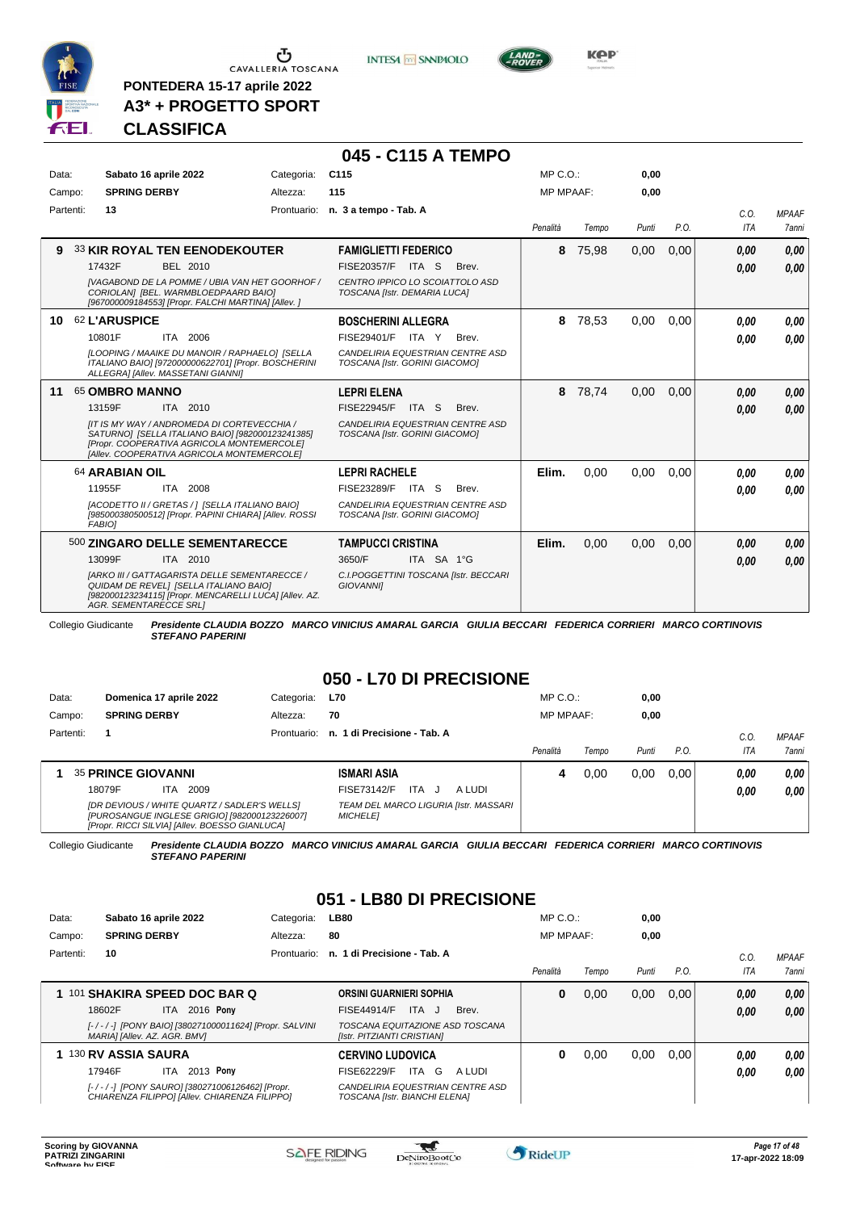

**PONTEDERA 15-17 aprile 2022 A3\* + PROGETTO SPORT** **INTESA** M SANPAOLO



**Kep** 

# **CLASSIFICA**

### **045 - C115 A TEMPO**

| Data:     | Sabato 16 aprile 2022<br>Categoria:                                                                                                                                                                                                               | C <sub>115</sub>                                                                                                                 | $MP C. O.$ :     |       | 0,00  |      |              |                       |
|-----------|---------------------------------------------------------------------------------------------------------------------------------------------------------------------------------------------------------------------------------------------------|----------------------------------------------------------------------------------------------------------------------------------|------------------|-------|-------|------|--------------|-----------------------|
| Campo:    | <b>SPRING DERBY</b><br>Altezza:                                                                                                                                                                                                                   | 115                                                                                                                              | <b>MP MPAAF:</b> |       | 0.00  |      |              |                       |
| Partenti: | 13                                                                                                                                                                                                                                                | Prontuario: n. 3 a tempo - Tab. A                                                                                                | Penalità         | Tempo | Punti | P.O. | C.O.<br>ITA  | <b>MPAAF</b><br>7anni |
| 9         | <b>33 KIR ROYAL TEN EENODEKOUTER</b><br>17432F<br><b>BEL 2010</b><br>IVAGABOND DE LA POMME / UBIA VAN HET GOORHOF /<br>CORIOLANI [BEL. WARMBLOEDPAARD BAIO]<br>[967000009184553] [Propr. FALCHI MARTINA] [Allev. ]                                | <b>FAMIGLIETTI FEDERICO</b><br>FISE20357/F ITA S<br>Brev.<br>CENTRO IPPICO LO SCOIATTOLO ASD<br>TOSCANA [Istr. DEMARIA LUCA]     | 8                | 75,98 | 0,00  | 0,00 | 0,00<br>0.00 | 0,00<br>0.00          |
| 10        | <b>62 L'ARUSPICE</b><br>10801F<br>ITA 2006<br>[LOOPING / MAAIKE DU MANOIR / RAPHAELO] [SELLA<br>ITALIANO BAIO] [972000000622701] [Propr. BOSCHERINI<br>ALLEGRAI [Allev. MASSETANI GIANNI]                                                         | <b>BOSCHERINI ALLEGRA</b><br>FISE29401/F ITA Y<br>Brev.<br>CANDELIRIA EQUESTRIAN CENTRE ASD<br>TOSCANA [Istr. GORINI GIACOMO]    | 8                | 78,53 | 0,00  | 0,00 | 0.00<br>0.00 | 0.00<br>0.00          |
| 11        | 65 OMBRO MANNO<br>13159F<br>ITA 2010<br>IIT IS MY WAY / ANDROMEDA DI CORTEVECCHIA /<br>SATURNO] [SELLA ITALIANO BAIO] [982000123241385]<br>[Propr. COOPERATIVA AGRICOLA MONTEMERCOLE]<br>[Allev. COOPERATIVA AGRICOLA MONTEMERCOLE]               | <b>LEPRI ELENA</b><br><b>FISE22945/F</b><br>ITA S<br>Brev.<br>CANDELIRIA EQUESTRIAN CENTRE ASD<br>TOSCANA [Istr. GORINI GIACOMO] | 8                | 78,74 | 0.00  | 0,00 | 0,00<br>0.00 | 0,00<br>0.00          |
|           | 64 ARABIAN OIL<br>11955F<br>ITA 2008<br>[ACODETTO II / GRETAS / ] [SELLA ITALIANO BAIO]<br>[985000380500512] [Propr. PAPINI CHIARA] [Allev. ROSSI<br><b>FABIOI</b>                                                                                | <b>LEPRI RACHELE</b><br>FISE23289/F ITA S<br>Brev.<br>CANDELIRIA EQUESTRIAN CENTRE ASD<br>TOSCANA [Istr. GORINI GIACOMO]         | Elim.            | 0.00  | 0.00  | 0.00 | 0.00<br>0.00 | 0.00<br>0.00          |
|           | 500 ZINGARO DELLE SEMENTARECCE<br>13099F<br>ITA 2010<br><b>IARKO III / GATTAGARISTA DELLE SEMENTARECCE /</b><br>QUIDAM DE REVELI [SELLA ITALIANO BAIO]<br>[982000123234115] [Propr. MENCARELLI LUCA] [Allev. AZ.<br><b>AGR. SEMENTARECCE SRLI</b> | <b>TAMPUCCI CRISTINA</b><br>3650/F<br>ITA SA 1°G<br>C.I.POGGETTINI TOSCANA [Istr. BECCARI<br><b>GIOVANNII</b>                    | Elim.            | 0,00  | 0,00  | 0,00 | 0.00<br>0.00 | 0.00<br>0,00          |

Collegio Giudicante *Presidente CLAUDIA BOZZO MARCO VINICIUS AMARAL GARCIA GIULIA BECCARI FEDERICA CORRIERI MARCO CORTINOVIS STEFANO PAPERINI*

# **050 - L70 DI PRECISIONE**

| Data:     | Domenica 17 aprile 2022   |     |                                                                                                                                                 | Categoria:  | <b>L70</b>                  |            |                                       | $MP C. O.$ :     |       | 0,00  |      |            |              |
|-----------|---------------------------|-----|-------------------------------------------------------------------------------------------------------------------------------------------------|-------------|-----------------------------|------------|---------------------------------------|------------------|-------|-------|------|------------|--------------|
| Campo:    | <b>SPRING DERBY</b>       |     |                                                                                                                                                 | Altezza:    | 70                          |            |                                       | <b>MP MPAAF:</b> |       | 0.00  |      |            |              |
| Partenti: |                           |     |                                                                                                                                                 | Prontuario: | n. 1 di Precisione - Tab. A |            |                                       |                  |       |       |      | C.O.       | <b>MPAAF</b> |
|           |                           |     |                                                                                                                                                 |             |                             |            |                                       | Penalità         | Tempo | Punti | P.O. | <b>ITA</b> | <b>7anni</b> |
|           | <b>35 PRINCE GIOVANNI</b> |     |                                                                                                                                                 |             | <b>ISMARI ASIA</b>          |            |                                       | 4                | 0.00  | 0,00  | 0.00 | 0.00       | 0.00         |
|           | 18079F                    | ITA | 2009                                                                                                                                            |             | FISE73142/F                 | <b>ITA</b> | A LUDI                                |                  |       |       |      | 0.00       | 0,00         |
|           |                           |     | [DR DEVIOUS / WHITE QUARTZ / SADLER'S WELLS]<br>[PUROSANGUE INGLESE GRIGIO] [982000123226007]<br>[Propr. RICCI SILVIA] [Allev. BOESSO GIANLUCA] |             | <b>MICHELE1</b>             |            | TEAM DEL MARCO LIGURIA [Istr. MASSARI |                  |       |       |      |            |              |

Collegio Giudicante *Presidente CLAUDIA BOZZO MARCO VINICIUS AMARAL GARCIA GIULIA BECCARI FEDERICA CORRIERI MARCO CORTINOVIS STEFANO PAPERINI*

# **051 - LB80 DI PRECISIONE**

| Data:     | Sabato 16 aprile 2022                                                                           | Categoria:  | <b>LB80</b>                                                       | $MP C. O.$ :     |       | 0,00  |      |            |                     |
|-----------|-------------------------------------------------------------------------------------------------|-------------|-------------------------------------------------------------------|------------------|-------|-------|------|------------|---------------------|
| Campo:    | <b>SPRING DERBY</b>                                                                             | Altezza:    | 80                                                                | <b>MP MPAAF:</b> |       | 0,00  |      |            |                     |
| Partenti: | 10                                                                                              | Prontuario: | n. 1 di Precisione - Tab. A                                       |                  |       |       |      | C.O.       | <b>MPAAF</b>        |
|           |                                                                                                 |             |                                                                   | Penalità         | Tempo | Punti | P.O. | <b>ITA</b> | <i><b>7anni</b></i> |
|           | 1 101 SHAKIRA SPEED DOC BAR Q                                                                   |             | ORSINI GUARNIERI SOPHIA                                           | 0                | 0.00  | 0,00  | 0.00 | 0,00       | 0,00                |
|           | ITA 2016 Pony<br>18602F                                                                         |             | <b>FISE44914/F</b><br>ITA J<br>Brev.                              |                  |       |       |      | 0.00       | 0.00                |
|           | [-/-/-] [PONY BAIO] [380271000011624] [Propr. SALVINI<br>MARIA] [Allev. AZ. AGR. BMV]           |             | TOSCANA EQUITAZIONE ASD TOSCANA<br>[Istr. PITZIANTI CRISTIAN]     |                  |       |       |      |            |                     |
|           | 1 130 RV ASSIA SAURA                                                                            |             | <b>CERVINO LUDOVICA</b>                                           | 0                | 0.00  | 0,00  | 0.00 | 0.00       | 0,00                |
|           | 2013 Pony<br>17946F<br>ITA.                                                                     |             | ITA G<br>FISE62229/F<br>A LUDI                                    |                  |       |       |      | 0.00       | 0.00                |
|           | [-/-/-] [PONY SAURO] [380271006126462] [Propr.<br>CHIARENZA FILIPPO] [Allev. CHIARENZA FILIPPO] |             | CANDELIRIA EQUESTRIAN CENTRE ASD<br>TOSCANA [Istr. BIANCHI ELENA] |                  |       |       |      |            |                     |

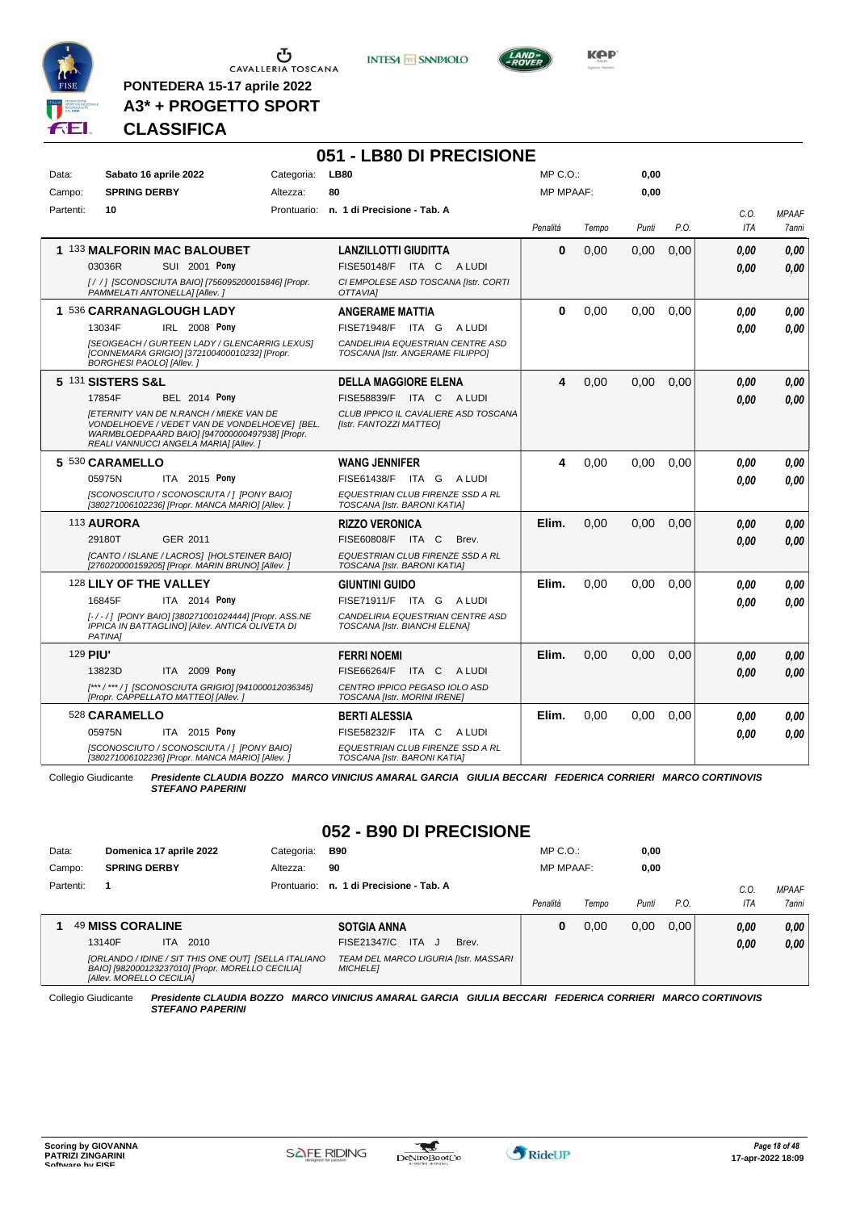

 $\sigma$  cavalleria toscana

**PONTEDERA 15-17 aprile 2022 A3\* + PROGETTO SPORT** **INTESA** M SANPAOLO



**Kep** 

**CLASSIFICA**

|           |                                                                                                                                                                                            |            | 051 - LB80 DI PRECISIONE                                             |                  |       |       |      |      |              |
|-----------|--------------------------------------------------------------------------------------------------------------------------------------------------------------------------------------------|------------|----------------------------------------------------------------------|------------------|-------|-------|------|------|--------------|
| Data:     | Sabato 16 aprile 2022                                                                                                                                                                      | Categoria: | <b>LB80</b>                                                          | $MP C. O.$ :     |       | 0,00  |      |      |              |
| Campo:    | <b>SPRING DERBY</b>                                                                                                                                                                        | Altezza:   | 80                                                                   | <b>MP MPAAF:</b> |       | 0,00  |      |      |              |
| Partenti: | 10                                                                                                                                                                                         |            | Prontuario: n. 1 di Precisione - Tab. A                              |                  |       |       |      | C.O. | <b>MPAAF</b> |
|           |                                                                                                                                                                                            |            |                                                                      | Penalità         | Tempo | Punti | P.O. | ITA  | 7anni        |
|           | 1 133 MALFORIN MAC BALOUBET                                                                                                                                                                |            | <b>LANZILLOTTI GIUDITTA</b>                                          | $\mathbf{0}$     | 0.00  | 0,00  | 0,00 | 0.00 | 0,00         |
|           | 03036R<br><b>SUI 2001 Pony</b>                                                                                                                                                             |            | FISE50148/F ITA C ALUDI                                              |                  |       |       |      | 0.00 | 0.00         |
|           | [/ / ] [SCONOSCIUTA BAIO] [756095200015846] [Propr.<br>PAMMELATI ANTONELLAI [Allev. ]                                                                                                      |            | CI EMPOLESE ASD TOSCANA [Istr. CORTI<br>OTTAVIAI                     |                  |       |       |      |      |              |
|           | 1 536 CARRANAGLOUGH LADY                                                                                                                                                                   |            | <b>ANGERAME MATTIA</b>                                               | 0                | 0.00  | 0.00  | 0.00 | 0.00 | 0.00         |
|           | 13034F<br>IRL 2008 Pony                                                                                                                                                                    |            | FISE71948/F ITA G<br>A LUDI                                          |                  |       |       |      | 0.00 | 0.00         |
|           | <b>ISEOIGEACH / GURTEEN LADY / GLENCARRIG LEXUSI</b><br>[CONNEMARA GRIGIO] [372100400010232] [Propr.<br>BORGHESI PAOLO] [Allev.]                                                           |            | CANDELIRIA EQUESTRIAN CENTRE ASD<br>TOSCANA [Istr. ANGERAME FILIPPO] |                  |       |       |      |      |              |
|           | 5 131 SISTERS S&L                                                                                                                                                                          |            | <b>DELLA MAGGIORE ELENA</b>                                          | 4                | 0,00  | 0.00  | 0,00 | 0.00 | 0,00         |
|           | 17854F<br><b>BEL 2014 Pony</b>                                                                                                                                                             |            | FISE58839/F<br>ITA C ALUDI                                           |                  |       |       |      | 0.00 | 0.00         |
|           | <b>IETERNITY VAN DE N.RANCH / MIEKE VAN DE</b><br>VONDELHOEVE / VEDET VAN DE VONDELHOEVEJ [BEL.<br>WARMBLOEDPAARD BAIO] [947000000497938] [Propr.<br>REALI VANNUCCI ANGELA MARIA] [Allev.] |            | CLUB IPPICO IL CAVALIERE ASD TOSCANA<br>[Istr. FANTOZZI MATTEO]      |                  |       |       |      |      |              |
|           | 5 530 CARAMELLO                                                                                                                                                                            |            | <b>WANG JENNIFER</b>                                                 | 4                | 0.00  | 0.00  | 0.00 | 0.00 | 0.00         |
|           | ITA 2015 Pony<br>05975N                                                                                                                                                                    |            | FISE61438/F ITA G ALUDI                                              |                  |       |       |      | 0.00 | 0.00         |
|           | [SCONOSCIUTO / SCONOSCIUTA / ] [PONY BAIO]<br>[380271006102236] [Propr. MANCA MARIO] [Allev.]                                                                                              |            | EQUESTRIAN CLUB FIRENZE SSD A RL<br>TOSCANA [Istr. BARONI KATIA]     |                  |       |       |      |      |              |
|           | 113 AURORA                                                                                                                                                                                 |            | <b>RIZZO VERONICA</b>                                                | Elim.            | 0,00  | 0,00  | 0,00 | 0.00 | 0,00         |
|           | 29180T<br>GER 2011                                                                                                                                                                         |            | FISE60808/F ITA C<br>Brev.                                           |                  |       |       |      | 0.00 | 0.00         |
|           | [CANTO / ISLANE / LACROS] [HOLSTEINER BAIO]<br>[276020000159205] [Propr. MARIN BRUNO] [Allev.]                                                                                             |            | EQUESTRIAN CLUB FIRENZE SSD A RL<br>TOSCANA [Istr. BARONI KATIA]     |                  |       |       |      |      |              |
|           | 128 LILY OF THE VALLEY                                                                                                                                                                     |            | <b>GIUNTINI GUIDO</b>                                                | Elim.            | 0.00  | 0.00  | 0.00 | 0.00 | 0.00         |
|           | ITA 2014 Pony<br>16845F                                                                                                                                                                    |            | FISE71911/F ITA G ALUDI                                              |                  |       |       |      | 0.00 | 0.00         |
|           | [-/-/] [PONY BAIO] [380271001024444] [Propr. ASS.NE<br>IPPICA IN BATTAGLINO] [Allev. ANTICA OLIVETA DI<br>PATINA1                                                                          |            | CANDELIRIA EQUESTRIAN CENTRE ASD<br>TOSCANA [Istr. BIANCHI ELENA]    |                  |       |       |      |      |              |
| 129 PIU'  |                                                                                                                                                                                            |            | <b>FERRI NOEMI</b>                                                   | Elim.            | 0.00  | 0,00  | 0.00 | 0.00 | 0.00         |
|           | ITA 2009 Pony<br>13823D                                                                                                                                                                    |            | FISE66264/F ITA C ALUDI                                              |                  |       |       |      | 0.00 | 0.00         |
|           | [***/***/] [SCONOSCIUTA GRIGIO] [941000012036345]<br>[Propr. CAPPELLATO MATTEO] [Allev.]                                                                                                   |            | CENTRO IPPICO PEGASO IOLO ASD<br>TOSCANA [Istr. MORINI IRENE]        |                  |       |       |      |      |              |
|           | 528 CARAMELLO                                                                                                                                                                              |            | <b>BERTI ALESSIA</b>                                                 | Elim.            | 0.00  | 0.00  | 0.00 | 0.00 | 0.00         |
|           | 05975N<br>ITA 2015 Pony                                                                                                                                                                    |            | FISE58232/F ITA C ALUDI                                              |                  |       |       |      | 0.00 | 0.00         |
|           | [SCONOSCIUTO / SCONOSCIUTA / ] [PONY BAIO]<br>[380271006102236] [Propr. MANCA MARIO] [Allev.]                                                                                              |            | EQUESTRIAN CLUB FIRENZE SSD A RL<br>TOSCANA [Istr. BARONI KATIA]     |                  |       |       |      |      |              |

Collegio Giudicante *Presidente CLAUDIA BOZZO MARCO VINICIUS AMARAL GARCIA GIULIA BECCARI FEDERICA CORRIERI MARCO CORTINOVIS STEFANO PAPERINI*

# **052 - B90 DI PRECISIONE**

| Data:     | Domenica 17 aprile 2022                                                                                                              | Categoria:  | B90                                                      | $MP C. O.$ :     |       | 0,00  |      |      |              |
|-----------|--------------------------------------------------------------------------------------------------------------------------------------|-------------|----------------------------------------------------------|------------------|-------|-------|------|------|--------------|
| Campo:    | <b>SPRING DERBY</b>                                                                                                                  | Altezza:    | 90                                                       | <b>MP MPAAF:</b> |       | 0,00  |      |      |              |
| Partenti: |                                                                                                                                      | Prontuario: | n. 1 di Precisione - Tab. A                              |                  |       |       |      | C.O. | <b>MPAAF</b> |
|           |                                                                                                                                      |             |                                                          | Penalità         | Tempo | Punti | P.O. | ITA  | 7anni        |
|           | 49 MISS CORALINE                                                                                                                     |             | <b>SOTGIA ANNA</b>                                       | 0                | 0.00  | 0,00  | 0.00 | 0,00 | 0,00         |
|           | 2010<br>13140F<br>ITA.                                                                                                               |             | FISE21347/C<br>ITA.<br>Brev.<br>- . I                    |                  |       |       |      | 0,00 | 0,00         |
|           | [ORLANDO / IDINE / SIT THIS ONE OUT] [SELLA ITALIANO<br>BAIO] [982000123237010] [Propr. MORELLO CECILIA]<br>[Allev. MORELLO CECILIA] |             | TEAM DEL MARCO LIGURIA [Istr. MASSARI<br><b>MICHELE1</b> |                  |       |       |      |      |              |

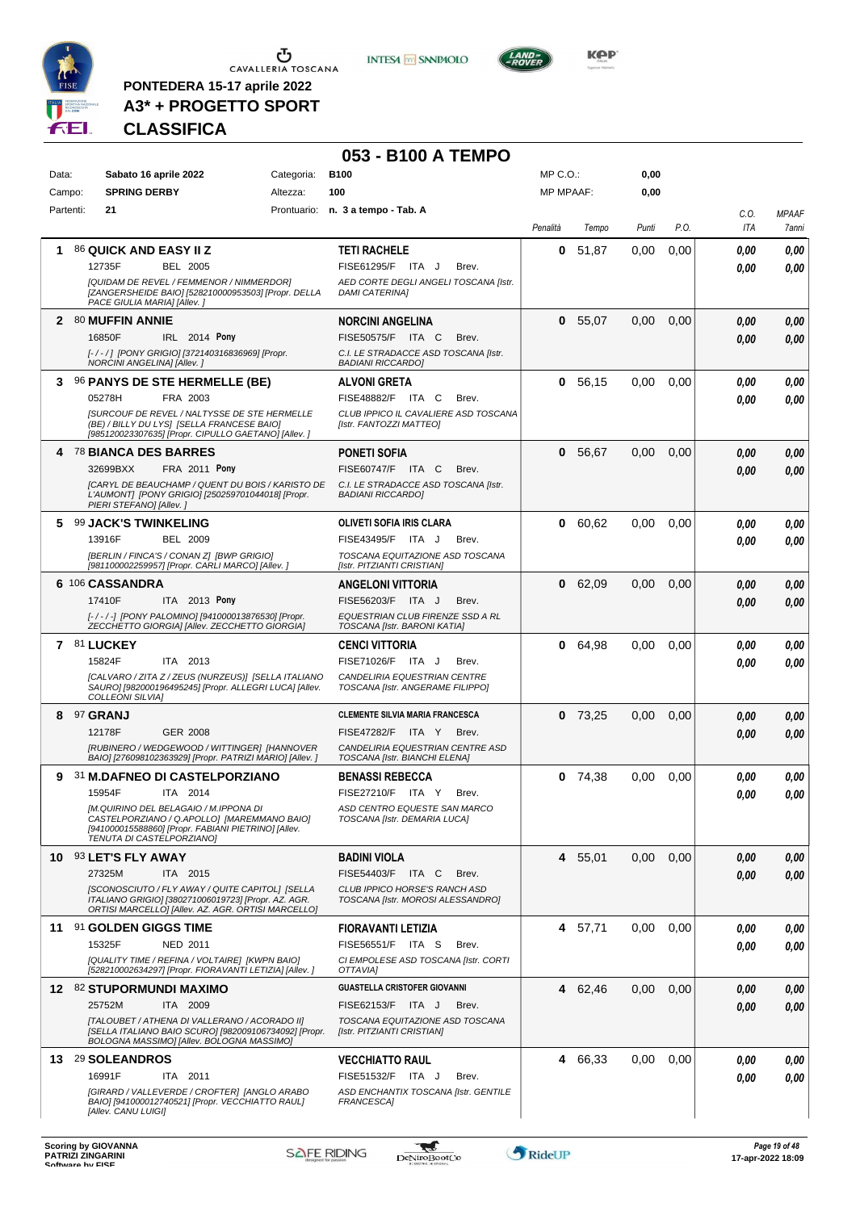

 $\begin{array}{c}\n\bullet \\
\bullet \\
\bullet \\
\bullet\n\end{array}$  CAVALLERIA TOSCANA

**PONTEDERA 15-17 aprile 2022 A3\* + PROGETTO SPORT** **INTESA** M SANPAOLO

**053 - B100 A TEMPO**



**KOP** 

# **CLASSIFICA**

| Data:     | Sabato 16 aprile 2022                                                                                                                                        | Categoria: | <b>B100</b>                                                        | $MP C. O.$ :     |           | 0,00     |      |             |                       |
|-----------|--------------------------------------------------------------------------------------------------------------------------------------------------------------|------------|--------------------------------------------------------------------|------------------|-----------|----------|------|-------------|-----------------------|
| Campo:    | <b>SPRING DERBY</b>                                                                                                                                          | Altezza:   | 100                                                                | <b>MP MPAAF:</b> |           | 0,00     |      |             |                       |
| Partenti: | 21                                                                                                                                                           |            | Prontuario: n. 3 a tempo - Tab. A                                  | Penalità         | Tempo     | Punti    | P.O. | C.O.<br>ITA | <b>MPAAF</b><br>7anni |
| 1         | 86 QUICK AND EASY II Z                                                                                                                                       |            | <b>TETI RACHELE</b>                                                |                  | 0, 51, 87 | 0,00     | 0,00 | 0.00        | 0,00                  |
|           | 12735F<br><b>BEL 2005</b>                                                                                                                                    |            | FISE61295/F ITA J<br>Brev.                                         |                  |           |          |      | 0.00        | 0,00                  |
|           | [QUIDAM DE REVEL / FEMMENOR / NIMMERDOR]<br>[ZANGERSHEIDE BAIO] [528210000953503] [Propr. DELLA<br>PACE GIULIA MARIA] [Allev.]                               |            | AED CORTE DEGLI ANGELI TOSCANA [Istr.<br><b>DAMI CATERINA]</b>     |                  |           |          |      |             |                       |
|           | 2 80 MUFFIN ANNIE                                                                                                                                            |            | <b>NORCINI ANGELINA</b>                                            |                  | 0 55,07   | 0.00     | 0,00 | 0.00        | 0,00                  |
|           | 16850F<br>IRL 2014 Pony                                                                                                                                      |            | FISE50575/F ITA C<br>Brev.                                         |                  |           |          |      | 0.00        | 0,00                  |
|           | [-/-/] [PONY GRIGIO] [372140316836969] [Propr.<br>NORCINI ANGELINA] [Allev.]                                                                                 |            | C.I. LE STRADACCE ASD TOSCANA [Istr.<br><b>BADIANI RICCARDO]</b>   |                  |           |          |      |             |                       |
| 3         | 96 PANYS DE STE HERMELLE (BE)                                                                                                                                |            | <b>ALVONI GRETA</b>                                                | 0                | 56,15     | 0.00     | 0,00 | 0.00        | 0,00                  |
|           | 05278H<br>FRA 2003                                                                                                                                           |            | FISE48882/F ITA C<br>Brev.                                         |                  |           |          |      | 0.00        | 0.00                  |
|           | <b>ISURCOUF DE REVEL / NALTYSSE DE STE HERMELLE</b><br>(BE) / BILLY DU LYS] [SELLA FRANCESE BAIO]<br>[985120023307635] [Propr. CIPULLO GAETANO] [Allev. ]    |            | CLUB IPPICO IL CAVALIERE ASD TOSCANA<br>[Istr. FANTOZZI MATTEO]    |                  |           |          |      |             |                       |
|           | 4 78 BIANCA DES BARRES                                                                                                                                       |            | <b>PONETI SOFIA</b>                                                |                  | 0, 56.67  | 0.00     | 0,00 | 0.00        | 0,00                  |
|           | 32699BXX<br><b>FRA 2011 Pony</b>                                                                                                                             |            | FISE60747/F ITA C<br>Brev.                                         |                  |           |          |      | 0.00        | 0,00                  |
|           | [CARYL DE BEAUCHAMP / QUENT DU BOIS / KARISTO DE<br>L'AUMONT] [PONY GRIGIO] [250259701044018] [Propr.<br>PIERI STEFANO] [Allev.]                             |            | C.I. LE STRADACCE ASD TOSCANA [Istr.<br><b>BADIANI RICCARDOI</b>   |                  |           |          |      |             |                       |
| 5         | <b>99 JACK'S TWINKELING</b>                                                                                                                                  |            | OLIVETI SOFIA IRIS CLARA                                           | 0                | 60,62     | 0.00     | 0,00 | 0.00        | 0,00                  |
|           | 13916F<br><b>BEL 2009</b>                                                                                                                                    |            | FISE43495/F ITA J<br>Brev.                                         |                  |           |          |      | 0.00        | 0,00                  |
|           | [BERLIN / FINCA'S / CONAN Z] [BWP GRIGIO]<br>[981100002259957] [Propr. CARLI MARCO] [Allev. ]                                                                |            | TOSCANA EQUITAZIONE ASD TOSCANA<br>[Istr. PITZIANTI CRISTIAN]      |                  |           |          |      |             |                       |
|           | 6 106 CASSANDRA                                                                                                                                              |            | <b>ANGELONI VITTORIA</b>                                           |                  | 0 62,09   | 0.00     | 0,00 | 0.00        | 0,00                  |
|           | 17410F<br>ITA 2013 Pony                                                                                                                                      |            | FISE56203/F ITA J<br>Brev.                                         |                  |           |          |      | 0.00        | 0.00                  |
|           | [-/-/-] [PONY PALOMINO] [941000013876530] [Propr.<br>ZECCHETTO GIORGIA] [Allev. ZECCHETTO GIORGIA]                                                           |            | EQUESTRIAN CLUB FIRENZE SSD A RL<br>TOSCANA [Istr. BARONI KATIA]   |                  |           |          |      |             |                       |
|           | 7 81 LUCKEY                                                                                                                                                  |            | <b>CENCI VITTORIA</b>                                              | 0                | 64,98     | 0.00     | 0,00 | 0.00        | 0,00                  |
|           | 15824F<br>ITA 2013                                                                                                                                           |            | FISE71026/F ITA J<br>Brev.                                         |                  |           |          |      | 0.00        | 0,00                  |
|           | [CALVARO / ZITA Z / ZEUS (NURZEUS)] [SELLA ITALIANO<br>SAURO] [982000196495245] [Propr. ALLEGRI LUCA] [Allev.<br><b>COLLEONI SILVIA]</b>                     |            | CANDELIRIA EQUESTRIAN CENTRE<br>TOSCANA [Istr. ANGERAME FILIPPO]   |                  |           |          |      |             |                       |
| 8         | <sup>97</sup> GRANJ                                                                                                                                          |            | <b>CLEMENTE SILVIA MARIA FRANCESCA</b>                             |                  | $0$ 73,25 | 0.00     | 0,00 | 0.00        | 0,00                  |
|           | 12178F<br><b>GER 2008</b>                                                                                                                                    |            | <b>FISE47282/F</b><br>ITA Y<br>Brev.                               |                  |           |          |      | 0.00        | 0,00                  |
|           | [RUBINERO / WEDGEWOOD / WITTINGER] [HANNOVER<br>BAIO] [276098102363929] [Propr. PATRIZI MARIO] [Allev. ]                                                     |            | CANDELIRIA EQUESTRIAN CENTRE ASD<br>TOSCANA [Istr. BIANCHI ELENA]  |                  |           |          |      |             |                       |
|           | 9 31 M.DAFNEO DI CASTELPORZIANO                                                                                                                              |            | <b>BENASSI REBECCA</b>                                             |                  | $0$ 74,38 | 0.00     | 0,00 | 0,00        | 0,00                  |
|           | 15954F<br>ITA 2014                                                                                                                                           |            | FISE27210/F ITA Y<br>Brev.                                         |                  |           |          |      | 0.00        | 0,00                  |
|           | IM.QUIRINO DEL BELAGAIO / M.IPPONA DI<br>CASTELPORZIANO / Q.APOLLO] [MAREMMANO BAIO]                                                                         |            | ASD CENTRO EQUESTE SAN MARCO<br>TOSCANA [Istr. DEMARIA LUCA]       |                  |           |          |      |             |                       |
|           | [941000015588860] [Propr. FABIANI PIETRINO] [Allev.<br>TENUTA DI CASTELPORZIANO]                                                                             |            |                                                                    |                  |           |          |      |             |                       |
|           | 10 93 LET'S FLY AWAY                                                                                                                                         |            | <b>BADINI VIOLA</b>                                                |                  | 4 55,01   | 0.00     | 0,00 | 0.00        | 0,00                  |
|           | 27325M<br>ITA 2015                                                                                                                                           |            | FISE54403/F ITA C<br>Brev.                                         |                  |           |          |      | 0.00        | 0,00                  |
|           | [SCONOSCIUTO / FLY AWAY / QUITE CAPITOL] [SELLA<br>ITALIANO GRIGIO] [380271006019723] [Propr. AZ. AGR.<br>ORTISI MARCELLO] [Allev. AZ. AGR. ORTISI MARCELLO] |            | CLUB IPPICO HORSE'S RANCH ASD<br>TOSCANA [Istr. MOROSI ALESSANDRO] |                  |           |          |      |             |                       |
|           | 11 91 GOLDEN GIGGS TIME                                                                                                                                      |            | FIORAVANTI LETIZIA                                                 |                  | 4 57,71   | $0.00\,$ | 0,00 | 0.00        | 0,00                  |
|           | 15325F<br>NED 2011                                                                                                                                           |            | FISE56551/F ITA S<br>Brev.                                         |                  |           |          |      | 0.00        | 0,00                  |
|           | [QUALITY TIME / REFINA / VOLTAIRE] [KWPN BAIO]<br>[528210002634297] [Propr. FIORAVANTI LETIZIA] [Allev.]                                                     |            | CI EMPOLESE ASD TOSCANA [Istr. CORTI<br>OTTAVIA]                   |                  |           |          |      |             |                       |
|           | 12 82 STUPORMUNDI MAXIMO                                                                                                                                     |            | <b>GUASTELLA CRISTOFER GIOVANNI</b>                                |                  | 4 62,46   | 0.00     | 0,00 | 0,00        | 0,00                  |
|           | 25752M<br>ITA 2009                                                                                                                                           |            | FISE62153/F ITA J<br>Brev.                                         |                  |           |          |      | 0.00        | 0,00                  |
|           | [TALOUBET / ATHENA DI VALLERANO / ACORADO II]<br>[SELLA ITALIANO BAIO SCURO] [982009106734092] [Propr.<br>BOLOGNA MASSIMO] [Allev. BOLOGNA MASSIMO]          |            | TOSCANA EQUITAZIONE ASD TOSCANA<br>[Istr. PITZIANTI CRISTIAN]      |                  |           |          |      |             |                       |
|           | 13 29 SOLEANDROS                                                                                                                                             |            | <b>VECCHIATTO RAUL</b>                                             |                  | 4 66,33   | 0,00     | 0,00 | 0.00        | 0,00                  |
|           | 16991F<br>ITA 2011                                                                                                                                           |            | FISE51532/F ITA J<br>Brev.                                         |                  |           |          |      | 0.00        | 0,00                  |
|           | [GIRARD / VALLEVERDE / CROFTER] [ANGLO ARABO<br>BAIO] [941000012740521] [Propr. VECCHIATTO RAUL]<br>[Allev. CANU LUIGI]                                      |            | ASD ENCHANTIX TOSCANA [Istr. GENTILE<br>FRANCESCA]                 |                  |           |          |      |             |                       |

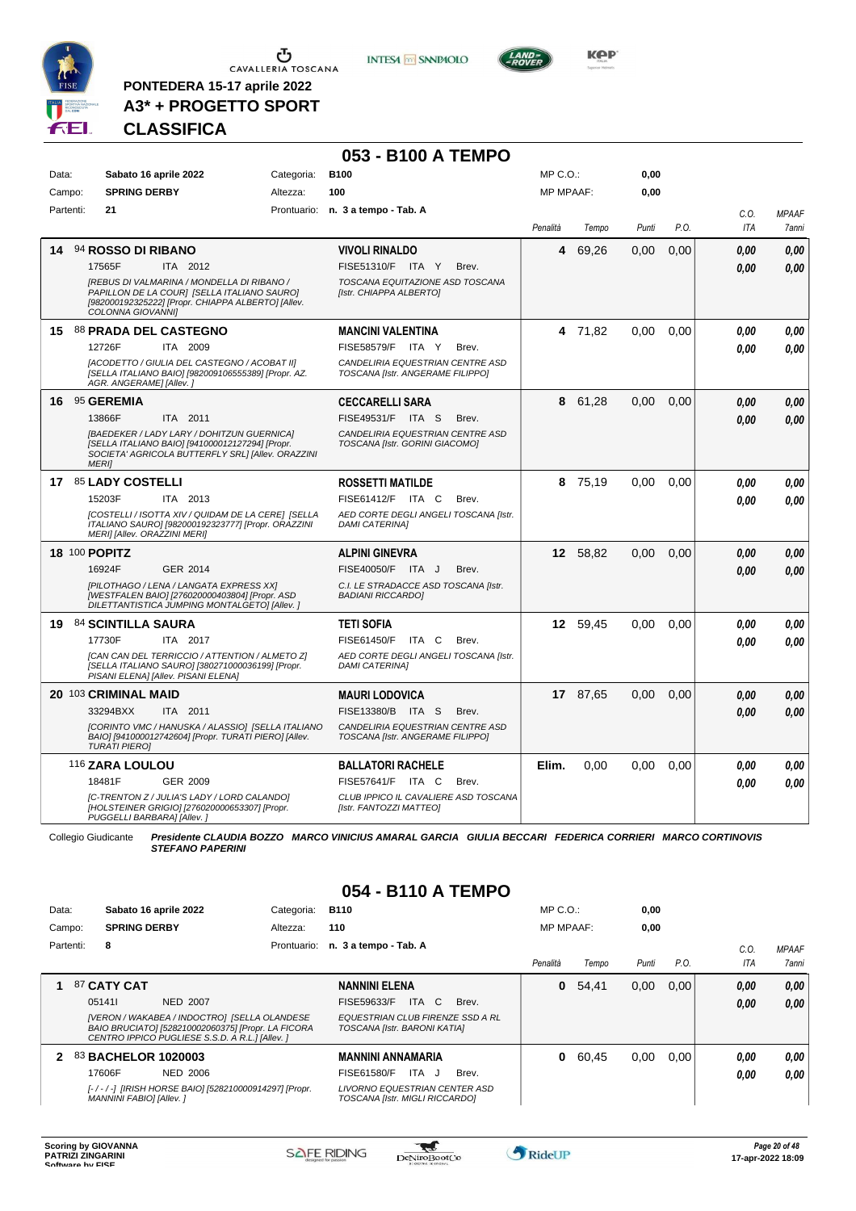

 $\begin{array}{c}\n\bullet \\
\bullet \\
\bullet \\
\bullet\n\end{array}$  CAVALLERIA TOSCANA

**PONTEDERA 15-17 aprile 2022 A3\* + PROGETTO SPORT** **INTESA** M SANPAOLO



# **CLASSIFICA**

|       |           |                                                                                                                                                                      |            | 053 - B100 A TEMPO                                                   |                  |          |       |      |                    |                              |
|-------|-----------|----------------------------------------------------------------------------------------------------------------------------------------------------------------------|------------|----------------------------------------------------------------------|------------------|----------|-------|------|--------------------|------------------------------|
| Data: |           | Sabato 16 aprile 2022                                                                                                                                                | Categoria: | <b>B100</b>                                                          | $MP C. O.$ :     |          | 0,00  |      |                    |                              |
|       | Campo:    | <b>SPRING DERBY</b>                                                                                                                                                  | Altezza:   | 100                                                                  | <b>MP MPAAF:</b> |          | 0,00  |      |                    |                              |
|       | Partenti: | 21                                                                                                                                                                   |            | Prontuario: n. 3 a tempo - Tab. A                                    | Penalità         | Tempo    | Punti | P.O. | C.O.<br><b>ITA</b> | <b>MPAAF</b><br><b>7anni</b> |
| 14    |           | 94 ROSSO DI RIBANO                                                                                                                                                   |            | <b>VIVOLI RINALDO</b>                                                | 4                | 69,26    | 0,00  | 0,00 | 0.00               | 0.00                         |
|       |           | 17565F<br>ITA 2012                                                                                                                                                   |            | FISE51310/F ITA Y<br>Brev.                                           |                  |          |       |      | 0.00               | 0.00                         |
|       |           | [REBUS DI VALMARINA / MONDELLA DI RIBANO /<br>PAPILLON DE LA COURJ [SELLA ITALIANO SAURO]<br>[982000192325222] [Propr. CHIAPPA ALBERTO] [Allev.<br>COLONNA GIOVANNI] |            | TOSCANA EQUITAZIONE ASD TOSCANA<br>[Istr. CHIAPPA ALBERTO]           |                  |          |       |      |                    |                              |
|       |           | 15 88 PRADA DEL CASTEGNO                                                                                                                                             |            | <b>MANCINI VALENTINA</b>                                             |                  | 4 71,82  | 0.00  | 0.00 | 0.00               | 0.00                         |
|       |           | 12726F<br>ITA 2009                                                                                                                                                   |            | FISE58579/F ITA Y<br>Brev.                                           |                  |          |       |      | 0.00               | 0.00                         |
|       |           | [ACODETTO / GIULIA DEL CASTEGNO / ACOBAT II]<br>[SELLA ITALIANO BAIO] [982009106555389] [Propr. AZ.<br>AGR. ANGERAME] [Allev.]                                       |            | CANDELIRIA EQUESTRIAN CENTRE ASD<br>TOSCANA [Istr. ANGERAME FILIPPO] |                  |          |       |      |                    |                              |
|       |           | 16 95 GEREMIA                                                                                                                                                        |            | <b>CECCARELLI SARA</b>                                               | 8                | 61,28    | 0,00  | 0,00 | 0.00               | 0,00                         |
|       |           | 13866F<br>ITA 2011                                                                                                                                                   |            | FISE49531/F ITA S<br>Brev.                                           |                  |          |       |      | 0.00               | 0,00                         |
|       |           | [BAEDEKER / LADY LARY / DOHITZUN GUERNICA]<br>[SELLA ITALIANO BAIO] [941000012127294] [Propr.<br>SOCIETA' AGRICOLA BUTTERFLY SRL] [Allev. ORAZZINI<br><b>MERII</b>   |            | CANDELIRIA EQUESTRIAN CENTRE ASD<br>TOSCANA [Istr. GORINI GIACOMO]   |                  |          |       |      |                    |                              |
|       |           | 17 85 LADY COSTELLI                                                                                                                                                  |            | <b>ROSSETTI MATILDE</b>                                              |                  | 8 75,19  | 0.00  | 0.00 | 0.00               | 0.00                         |
|       |           | ITA 2013<br>15203F                                                                                                                                                   |            | FISE61412/F ITA C<br>Brev.                                           |                  |          |       |      | 0.00               | 0.00                         |
|       |           | [COSTELLI / ISOTTA XIV / QUIDAM DE LA CERE] [SELLA<br>ITALIANO SAURO] [982000192323777] [Propr. ORAZZINI<br>MERI] [Allev. ORAZZINI MERI]                             |            | AED CORTE DEGLI ANGELI TOSCANA [Istr.<br><b>DAMI CATERINAI</b>       |                  |          |       |      |                    |                              |
|       |           | 18 100 POPITZ                                                                                                                                                        |            | <b>ALPINI GINEVRA</b>                                                |                  | 12 58,82 | 0,00  | 0.00 | 0.00               | 0,00                         |
|       |           | 16924F<br>GER 2014                                                                                                                                                   |            | FISE40050/F ITA J<br>Brev.                                           |                  |          |       |      | 0.00               | 0.00                         |
|       |           | [PILOTHAGO / LENA / LANGATA EXPRESS XX]<br>[WESTFALEN BAIO] [276020000403804] [Propr. ASD<br>DILETTANTISTICA JUMPING MONTALGETO] [Allev.]                            |            | C.I. LE STRADACCE ASD TOSCANA [Istr.<br><b>BADIANI RICCARDO]</b>     |                  |          |       |      |                    |                              |
|       |           | 19 84 SCINTILLA SAURA                                                                                                                                                |            | <b>TETI SOFIA</b>                                                    |                  | 12 59,45 | 0.00  | 0.00 | 0.00               | 0.00                         |
|       |           | ITA 2017<br>17730F                                                                                                                                                   |            | FISE61450/F ITA C<br>Brev.                                           |                  |          |       |      | 0.00               | 0.00                         |
|       |           | [CAN CAN DEL TERRICCIO / ATTENTION / ALMETO Z]<br>[SELLA ITALIANO SAURO] [380271000036199] [Propr.<br>PISANI ELENA] [Allev. PISANI ELENA]                            |            | AED CORTE DEGLI ANGELI TOSCANA [Istr.<br><b>DAMI CATERINA1</b>       |                  |          |       |      |                    |                              |
|       |           | 20 103 CRIMINAL MAID                                                                                                                                                 |            | <b>MAURI LODOVICA</b>                                                |                  | 17 87.65 | 0.00  | 0.00 | 0.00               | 0,00                         |
|       |           | ITA 2011<br>33294BXX                                                                                                                                                 |            | FISE13380/B ITA S<br>Brev.                                           |                  |          |       |      | 0.00               | 0.00                         |
|       |           | [CORINTO VMC / HANUSKA / ALASSIO] [SELLA ITALIANO<br>BAIO] [941000012742604] [Propr. TURATI PIERO] [Allev.<br><b>TURATI PIEROI</b>                                   |            | CANDELIRIA EQUESTRIAN CENTRE ASD<br>TOSCANA [Istr. ANGERAME FILIPPO] |                  |          |       |      |                    |                              |
|       |           | 116 ZARA LOULOU                                                                                                                                                      |            | <b>BALLATORI RACHELE</b>                                             | Elim.            | 0,00     | 0,00  | 0,00 | 0.00               | 0,00                         |
|       |           | GER 2009<br>18481F                                                                                                                                                   |            | FISE57641/F ITA C<br>Brev.                                           |                  |          |       |      | 0.00               | 0.00                         |
|       |           | [C-TRENTON Z / JULIA'S LADY / LORD CALANDO]<br>[HOLSTEINER GRIGIO] [276020000653307] [Propr.<br>PUGGELLI BARBARA] [Allev.]                                           |            | CLUB IPPICO IL CAVALIERE ASD TOSCANA<br>[Istr. FANTOZZI MATTEO]      |                  |          |       |      |                    |                              |

Collegio Giudicante *Presidente CLAUDIA BOZZO MARCO VINICIUS AMARAL GARCIA GIULIA BECCARI FEDERICA CORRIERI MARCO CORTINOVIS STEFANO PAPERINI*

# **054 - B110 A TEMPO**

| Data:<br>Campo: |           | <b>SPRING DERBY</b>                                      | Sabato 16 aprile 2022                                                                                                                                            | Categoria:<br>Altezza: | <b>B110</b><br>110                                                                                                                         | $MP C. O.$ : | <b>MP MPAAF:</b> | 0.00<br>0,00 |      |                |                       |
|-----------------|-----------|----------------------------------------------------------|------------------------------------------------------------------------------------------------------------------------------------------------------------------|------------------------|--------------------------------------------------------------------------------------------------------------------------------------------|--------------|------------------|--------------|------|----------------|-----------------------|
|                 | Partenti: | 8                                                        |                                                                                                                                                                  | Prontuario:            | n. 3 a tempo - Tab. A                                                                                                                      | Penalità     | Tempo            | Punti        | P.O. | $C_{0}$<br>ITA | <b>MPAAF</b><br>7anni |
|                 |           | 87 CATY CAT<br>051411                                    | NED 2007<br>[VERON / WAKABEA / INDOCTRO] [SELLA OLANDESE<br>BAIO BRUCIATO] [528210002060375] [Propr. LA FICORA<br>CENTRO IPPICO PUGLIESE S.S.D. A R.L.] [Allev.] |                        | <b>NANNINI ELENA</b><br>ITA C<br>FISE59633/F<br>Brev.<br>EQUESTRIAN CLUB FIRENZE SSD A RL<br>TOSCANA [Istr. BARONI KATIA]                  | 0            | 54.41            | 0,00         | 0.00 | 0,00<br>0.00   | 0.00<br>0.00          |
|                 |           | 83 BACHELOR 1020003<br>17606F<br>MANNINI FABIO] [Allev.] | NED 2006<br>[-/-/-] [IRISH HORSE BAIO] [528210000914297] [Propr.                                                                                                 |                        | <b>MANNINI ANNAMARIA</b><br><b>FISE61580/F</b><br>Brev.<br>ITA J<br><b>LIVORNO EQUESTRIAN CENTER ASD</b><br>TOSCANA [Istr. MIGLI RICCARDO] | 0            | 60.45            | 0.00         | 0.00 | 0.00<br>0.00   | 0.00<br>0.00          |

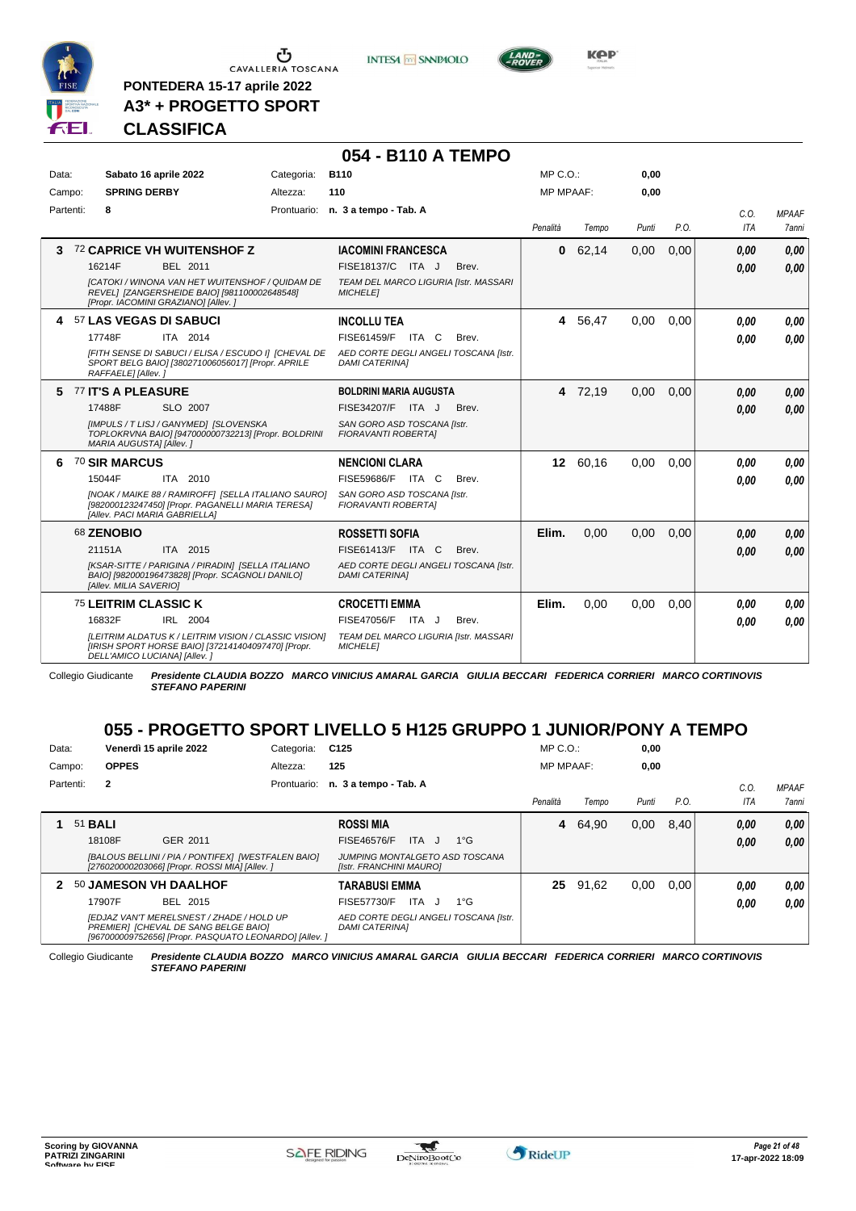

**PONTEDERA 15-17 aprile 2022 A3\* + PROGETTO SPORT** **INTESA** M SANPAOLO



# **CLASSIFICA**

|           |                                     |                                                                                                             |            | 054 - B110 A TEMPO                                             |           |          |       |      |             |                       |
|-----------|-------------------------------------|-------------------------------------------------------------------------------------------------------------|------------|----------------------------------------------------------------|-----------|----------|-------|------|-------------|-----------------------|
| Data:     | Sabato 16 aprile 2022               |                                                                                                             | Categoria: | <b>B110</b>                                                    | MP C.O.:  |          | 0,00  |      |             |                       |
| Campo:    | <b>SPRING DERBY</b>                 |                                                                                                             | Altezza:   | 110                                                            | MP MPAAF: |          | 0,00  |      |             |                       |
| Partenti: | 8                                   |                                                                                                             |            | Prontuario: n. 3 a tempo - Tab. A                              | Penalità  | Tempo    | Punti | P.O. | C.O.<br>ITA | <b>MPAAF</b><br>7anni |
| 3         |                                     | 72 CAPRICE VH WUITENSHOF Z                                                                                  |            | <b>IACOMINI FRANCESCA</b>                                      | 0         | 62,14    | 0,00  | 0,00 | 0,00        | 0.00                  |
|           | 16214F                              | <b>BEL 2011</b>                                                                                             |            | FISE18137/C ITA J<br>Brev.                                     |           |          |       |      | 0.00        | 0.00                  |
|           | [Propr. IACOMINI GRAZIANO] [Allev.] | [CATOKI / WINONA VAN HET WUITENSHOF / QUIDAM DE<br>REVEL] [ZANGERSHEIDE BAIO] [981100002648548]             |            | TEAM DEL MARCO LIGURIA [Istr. MASSARI<br><b>MICHELET</b>       |           |          |       |      |             |                       |
|           | 4 57 LAS VEGAS DI SABUCI            |                                                                                                             |            | <b>INCOLLU TEA</b>                                             |           | 4 56,47  | 0,00  | 0,00 | 0.00        | 0.00                  |
|           | 17748F                              | ITA 2014                                                                                                    |            | FISE61459/F ITA C<br>Brev.                                     |           |          |       |      | 0.00        | 0.00                  |
|           | RAFFAELE] [Allev.]                  | [FITH SENSE DI SABUCI / ELISA / ESCUDO I] [CHEVAL DE<br>SPORT BELG BAIO] [380271006056017] [Propr. APRILE   |            | AED CORTE DEGLI ANGELI TOSCANA [Istr.<br><b>DAMI CATERINAI</b> |           |          |       |      |             |                       |
|           | 5 77 IT'S A PLEASURE                |                                                                                                             |            | <b>BOLDRINI MARIA AUGUSTA</b>                                  |           | 4 72,19  | 0,00  | 0.00 | 0.00        | 0,00                  |
|           | 17488F                              | SLO 2007                                                                                                    |            | FISE34207/F ITA J<br>Brev.                                     |           |          |       |      | 0.00        | 0.00                  |
|           | MARIA AUGUSTA] [Allev.]             | [IMPULS / T LISJ / GANYMED] [SLOVENSKA<br>TOPLOKRVNA BAIO] [947000000732213] [Propr. BOLDRINI               |            | SAN GORO ASD TOSCANA [Istr.<br><b>FIORAVANTI ROBERTAI</b>      |           |          |       |      |             |                       |
| 6         | <b>70 SIR MARCUS</b>                |                                                                                                             |            | <b>NENCIONI CLARA</b>                                          |           | 12 60.16 | 0.00  | 0.00 | 0.00        | 0,00                  |
|           | 15044F                              | ITA 2010                                                                                                    |            | FISE59686/F ITA C<br>Brev.                                     |           |          |       |      | 0.00        | 0.00                  |
|           | [Allev. PACI MARIA GABRIELLA]       | [NOAK / MAIKE 88 / RAMIROFF] [SELLA ITALIANO SAURO]<br>[982000123247450] [Propr. PAGANELLI MARIA TERESA]    |            | SAN GORO ASD TOSCANA [Istr.<br><b>FIORAVANTI ROBERTAI</b>      |           |          |       |      |             |                       |
|           | 68 ZENOBIO                          |                                                                                                             |            | <b>ROSSETTI SOFIA</b>                                          | Elim.     | 0.00     | 0.00  | 0.00 | 0.00        | 0,00                  |
|           | 21151A                              | ITA 2015                                                                                                    |            | FISE61413/F ITA C<br>Brev.                                     |           |          |       |      | 0.00        | 0.00                  |
|           | [Allev. MILIA SAVERIO]              | [KSAR-SITTE / PARIGINA / PIRADIN] [SELLA ITALIANO<br>BAIO] [982000196473828] [Propr. SCAGNOLI DANILO]       |            | AED CORTE DEGLI ANGELI TOSCANA [Istr.<br><b>DAMI CATERINA1</b> |           |          |       |      |             |                       |
|           | 75 LEITRIM CLASSIC K                |                                                                                                             |            | <b>CROCETTI EMMA</b>                                           | Elim.     | 0.00     | 0,00  | 0.00 | 0,00        | 0.00                  |
|           | 16832F                              | IRL 2004                                                                                                    |            | FISE47056/F ITA J<br>Brev.                                     |           |          |       |      | 0.00        | 0.00                  |
|           | DELL'AMICO LUCIANA] [Allev.]        | [LEITRIM ALDATUS K / LEITRIM VISION / CLASSIC VISION]<br>[IRISH SPORT HORSE BAIO] [372141404097470] [Propr. |            | TEAM DEL MARCO LIGURIA [Istr. MASSARI<br><b>MICHELET</b>       |           |          |       |      |             |                       |

Collegio Giudicante *Presidente CLAUDIA BOZZO MARCO VINICIUS AMARAL GARCIA GIULIA BECCARI FEDERICA CORRIERI MARCO CORTINOVIS STEFANO PAPERINI*

# **055 - PROGETTO SPORT LIVELLO 5 H125 GRUPPO 1 JUNIOR/PONY A TEMPO**

| Data:  |                |              | Venerdì 15 aprile 2022                                                                                                                      | Categoria:  | C125                                                           | $MP C. O.$ :     |       | 0,00  |      |            |                     |
|--------|----------------|--------------|---------------------------------------------------------------------------------------------------------------------------------------------|-------------|----------------------------------------------------------------|------------------|-------|-------|------|------------|---------------------|
| Campo: |                | <b>OPPES</b> |                                                                                                                                             | Altezza:    | 125                                                            | <b>MP MPAAF:</b> |       | 0,00  |      |            |                     |
|        | Partenti:      | $\mathbf{2}$ |                                                                                                                                             | Prontuario: | n. 3 a tempo - Tab. A                                          |                  |       |       |      | C.O.       | <b>MPAAF</b>        |
|        |                |              |                                                                                                                                             |             |                                                                | Penalità         | Tempo | Punti | P.O. | <b>ITA</b> | <i><b>7anni</b></i> |
|        | 51 <b>BALI</b> |              |                                                                                                                                             |             | <b>ROSSI MIA</b>                                               | 4                | 64,90 | 0,00  | 8,40 | 0.00       | 0,00                |
|        |                | 18108F       | GER 2011                                                                                                                                    |             | FISE46576/F<br>ITA J<br>$1^{\circ}G$                           |                  |       |       |      | 0.00       | 0.00                |
|        |                |              | [BALOUS BELLINI / PIA / PONTIFEX] [WESTFALEN BAIO]<br>[276020000203066] [Propr. ROSSI MIA] [Allev.]                                         |             | JUMPING MONTALGETO ASD TOSCANA<br>[Istr. FRANCHINI MAURO]      |                  |       |       |      |            |                     |
| 2      |                |              | 50 JAMESON VH DAALHOF                                                                                                                       |             | TARABUSI EMMA                                                  | 25               | 91,62 | 0,00  | 0.00 | 0.00       | 0.00                |
|        |                | 17907F       | BEL 2015                                                                                                                                    |             | ITA<br>FISE57730/F<br>$1^{\circ}G$<br>$\mathbf{I}$             |                  |       |       |      | 0.00       | 0.00                |
|        |                |              | IEDJAZ VAN'T MERELSNEST / ZHADE / HOLD UP<br>PREMIER] [CHEVAL DE SANG BELGE BAIO]<br>[967000009752656] [Propr. PASQUATO LEONARDO] [Allev. ] |             | AED CORTE DEGLI ANGELI TOSCANA Ilstr.<br><b>DAMI CATERINAI</b> |                  |       |       |      |            |                     |

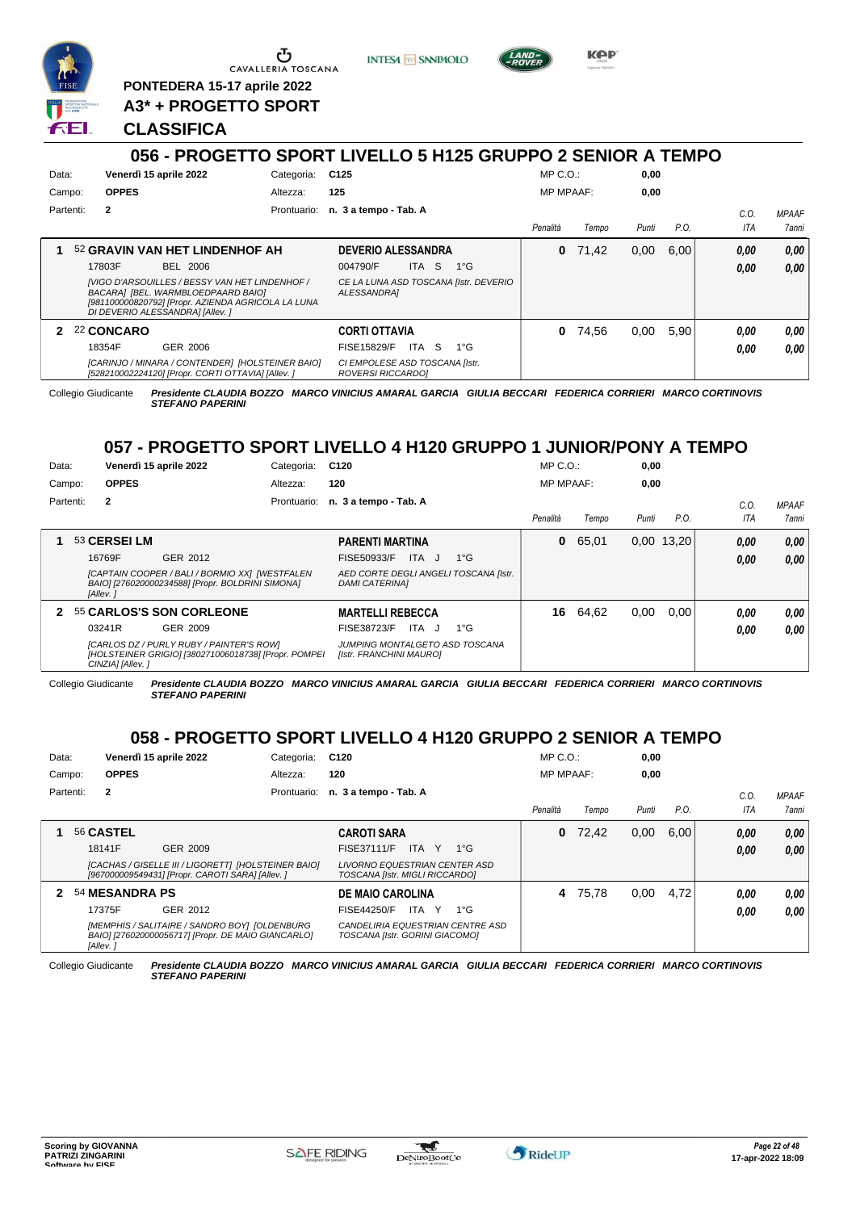

<u>ა</u> CAVALLERIA TOSCANA

**PONTEDERA 15-17 aprile 2022**

**A3\* + PROGETTO SPORT**

## **CLASSIFICA**

**INTESA** M SANPAOLO



**KPP** 

|        |                                                                                                                                                                                         | vvv          | .                              |                                                     |                           |             | ON EIVELLY UTHEY VINUET               |                  |       |       |      |      |     |              |
|--------|-----------------------------------------------------------------------------------------------------------------------------------------------------------------------------------------|--------------|--------------------------------|-----------------------------------------------------|---------------------------|-------------|---------------------------------------|------------------|-------|-------|------|------|-----|--------------|
| Data:  |                                                                                                                                                                                         |              | Venerdì 15 aprile 2022         | Categoria:                                          | C125                      |             |                                       | $MP C. O.$ :     |       | 0,00  |      |      |     |              |
| Campo: |                                                                                                                                                                                         | <b>OPPES</b> |                                | Altezza:                                            | 125                       |             |                                       | <b>MP MPAAF:</b> |       | 0,00  |      |      |     |              |
|        | Partenti:                                                                                                                                                                               | $\mathbf{2}$ |                                | Prontuario:                                         | n. 3 a tempo - Tab. A     |             |                                       |                  |       |       |      | C.0  |     | <b>MPAAF</b> |
|        |                                                                                                                                                                                         |              |                                |                                                     |                           |             |                                       | Penalità         | Tempo | Punti | P.O. |      | ITA | 7anni        |
|        |                                                                                                                                                                                         |              | 52 GRAVIN VAN HET LINDENHOF AH |                                                     | <b>DEVERIO ALESSANDRA</b> |             |                                       | 0                | 71.42 | 0,00  | 6.00 | 0,00 |     | 0,00         |
|        |                                                                                                                                                                                         |              | BEL 2006                       |                                                     | 004790/F                  | -S<br>ITA I | $1^{\circ}G$                          |                  |       |       |      | 0.00 |     | 0.00         |
|        | 17803F<br>[VIGO D'ARSOUILLES / BESSY VAN HET LINDENHOF /<br>BACARA] [BEL. WARMBLOEDPAARD BAIO]<br>[981100000820792] [Propr. AZIENDA AGRICOLA LA LUNA<br>DI DEVERIO ALESSANDRA] [Allev.] |              |                                |                                                     | ALESSANDRA]               |             | CE LA LUNA ASD TOSCANA [Istr. DEVERIO |                  |       |       |      |      |     |              |
|        |                                                                                                                                                                                         | 22 CONCARO   |                                |                                                     | <b>CORTI OTTAVIA</b>      |             |                                       | 0                | 74.56 | 0.00  | 5.90 | 0.00 |     | 0.00         |
|        |                                                                                                                                                                                         | 18354F       | GER 2006                       |                                                     | FISE15829/F               | ITA<br>-S   | $1^{\circ}G$                          |                  |       |       |      | 0.00 |     | 0.00         |
|        | [CARINJO / MINARA / CONTENDER]  [HOLSTEINER BAIO]<br>[528210002224120] [Propr. CORTI OTTAVIA] [Allev. ]                                                                                 |              |                                | CI EMPOLESE ASD TOSCANA [Istr.<br>ROVERSI RICCARDO] |                           |             |                                       |                  |       |       |      |      |     |              |

Collegio Giudicante *Presidente CLAUDIA BOZZO MARCO VINICIUS AMARAL GARCIA GIULIA BECCARI FEDERICA CORRIERI MARCO CORTINOVIS STEFANO PAPERINI*

# **057 - PROGETTO SPORT LIVELLO 4 H120 GRUPPO 1 JUNIOR/PONY A TEMPO**

| Data:  |           |                  | Venerdì 15 aprile 2022                                                                             | Categoria:  | C <sub>120</sub>                                               | $MP C. O.$ :     |       | 0,00  |            |      |              |
|--------|-----------|------------------|----------------------------------------------------------------------------------------------------|-------------|----------------------------------------------------------------|------------------|-------|-------|------------|------|--------------|
| Campo: |           | <b>OPPES</b>     |                                                                                                    | Altezza:    | 120                                                            | <b>MP MPAAF:</b> |       | 0,00  |            |      |              |
|        | Partenti: | $\mathbf{2}$     |                                                                                                    | Prontuario: | n. 3 a tempo - Tab. A                                          |                  |       |       |            | C.O. | <b>MPAAF</b> |
|        |           |                  |                                                                                                    |             |                                                                | Penalità         | Tempo | Punti | P.O.       | ITA  | 7anni        |
|        |           | 53 CERSEI LM     |                                                                                                    |             | <b>PARENTI MARTINA</b>                                         | 0                | 65,01 |       | 0,00 13,20 | 0,00 | 0,00         |
|        |           | 16769F           | GER 2012                                                                                           |             | ITA J<br>$1^{\circ}$ G<br>FISE50933/F                          |                  |       |       |            | 0,00 | 0,00         |
|        |           | [Allev.]         | [CAPTAIN COOPER / BALI / BORMIO XX] [WESTFALEN<br>BAIO] [276020000234588] [Propr. BOLDRINI SIMONA] |             | AED CORTE DEGLI ANGELI TOSCANA [Istr.<br><b>DAMI CATERINAI</b> |                  |       |       |            |      |              |
| 2      |           |                  | 55 CARLOS'S SON CORLEONE                                                                           |             | <b>MARTELLI REBECCA</b>                                        | 16               | 64,62 | 0,00  | 0.00       | 0.00 | 0.00         |
|        |           | 03241R           | GER 2009                                                                                           |             | FISE38723/F<br>ITA J<br>$1^{\circ}G$                           |                  |       |       |            | 0.00 | 0.00         |
|        |           | CINZIA] [Allev.] | [CARLOS DZ / PURLY RUBY / PAINTER'S ROW]<br>[HOLSTEINER GRIGIO] [380271006018738] [Propr. POMPEI   |             | JUMPING MONTALGETO ASD TOSCANA<br>[Istr. FRANCHINI MAURO]      |                  |       |       |            |      |              |

Collegio Giudicante *Presidente CLAUDIA BOZZO MARCO VINICIUS AMARAL GARCIA GIULIA BECCARI FEDERICA CORRIERI MARCO CORTINOVIS STEFANO PAPERINI*

# **058 - PROGETTO SPORT LIVELLO 4 H120 GRUPPO 2 SENIOR A TEMPO**

| Data:  |           |                | Venerdì 15 aprile 2022                                                                                  | Categoria: | C120                                                                   | $MP C. O.$ :     |       | 0,00  |      |      |              |
|--------|-----------|----------------|---------------------------------------------------------------------------------------------------------|------------|------------------------------------------------------------------------|------------------|-------|-------|------|------|--------------|
| Campo: |           | <b>OPPES</b>   |                                                                                                         | Altezza:   | 120                                                                    | <b>MP MPAAF:</b> |       | 0,00  |      |      |              |
|        | Partenti: | $\mathbf{2}$   |                                                                                                         |            | Prontuario: n. 3 a tempo - Tab. A                                      |                  |       |       |      | C.O  | <b>MPAAF</b> |
|        |           |                |                                                                                                         |            |                                                                        | Penalità         | Tempo | Punti | P.O. | ITA  | 7anni        |
|        |           | 56 CASTEL      |                                                                                                         |            | <b>CAROTI SARA</b>                                                     | 0                | 72,42 | 0,00  | 6.00 | 0,00 | 0.00         |
|        |           | 18141F         | GER 2009                                                                                                |            | FISE37111/F<br><b>ITA</b><br>Y 1°G                                     |                  |       |       |      | 0.00 | 0.00         |
|        |           |                | [CACHAS / GISELLE III / LIGORETT] [HOLSTEINER BAIO]<br>[967000009549431] [Propr. CAROTI SARA] [Allev. ] |            | LIVORNO EQUESTRIAN CENTER ASD<br><b>TOSCANA IIstr. MIGLI RICCARDOI</b> |                  |       |       |      |      |              |
|        |           | 54 MESANDRA PS |                                                                                                         |            | <b>DE MAIO CAROLINA</b>                                                | 4                | 75,78 | 0.00  | 4.72 | 0.00 | 0.00         |
|        |           | 17375F         | GER 2012                                                                                                |            | . Y<br>$1^{\circ}G$<br>FISE44250/F<br>ITA.                             |                  |       |       |      | 0.00 | 0.00         |
|        |           |                | [MEMPHIS / SALITAIRE / SANDRO BOY] [OLDENBURG<br>BAIO] [276020000056717] [Propr. DE MAIO GIANCARLO]     |            | CANDELIRIA EQUESTRIAN CENTRE ASD<br>TOSCANA [Istr. GORINI GIACOMO]     |                  |       |       |      |      |              |

Collegio Giudicante *Presidente CLAUDIA BOZZO MARCO VINICIUS AMARAL GARCIA GIULIA BECCARI FEDERICA CORRIERI MARCO CORTINOVIS STEFANO PAPERINI*

*[Allev. ]*

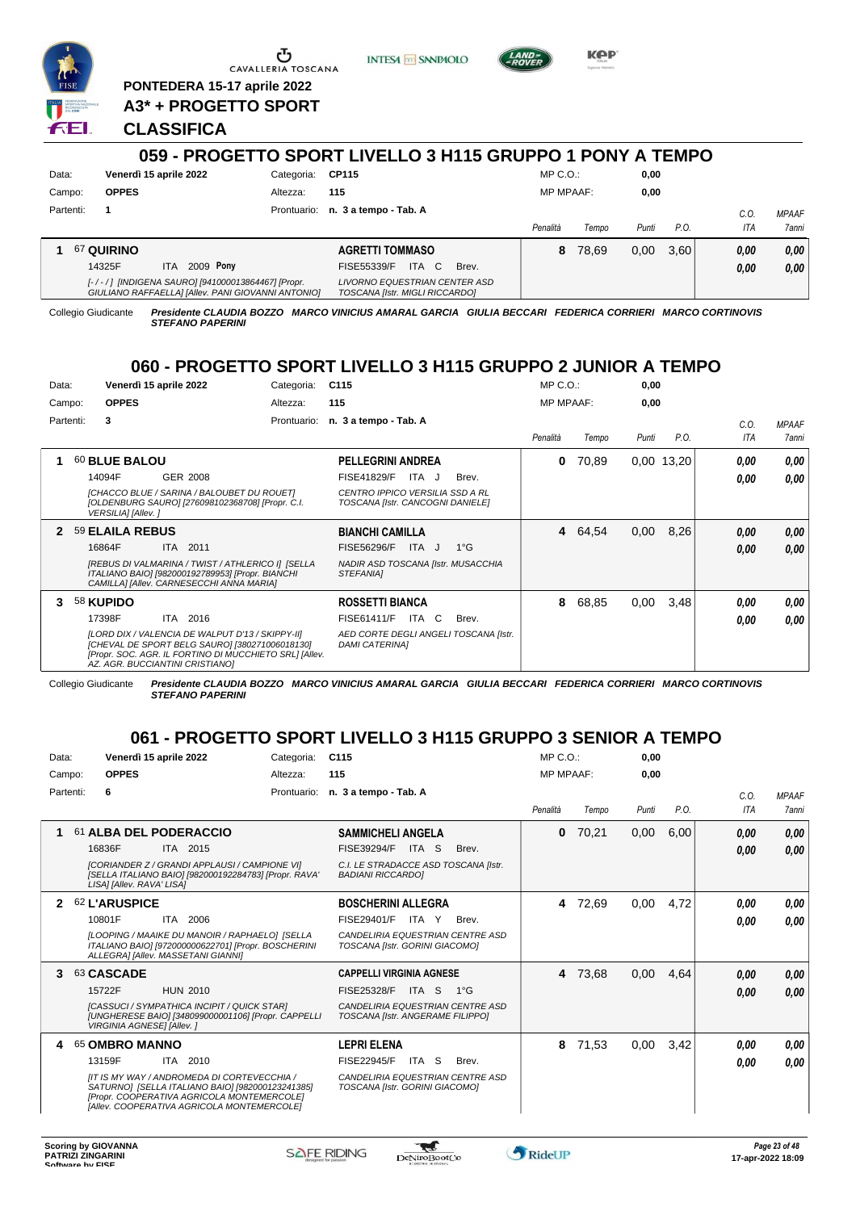

<u>ය</u> CAVALLERIA TOSCANA

**PONTEDERA 15-17 aprile 2022 A3\* + PROGETTO SPORT**

**CLASSIFICA**

|           |                                                                                                         | 059 - PROGETTO SPORT LIVELLO 3 H115 GRUPPO 1 PONY A TEMPO |             |                                                                 |       |       |                  |       |       |      |             |                       |
|-----------|---------------------------------------------------------------------------------------------------------|-----------------------------------------------------------|-------------|-----------------------------------------------------------------|-------|-------|------------------|-------|-------|------|-------------|-----------------------|
| Data:     | Venerdì 15 aprile 2022                                                                                  |                                                           | Categoria:  | CP115                                                           |       |       | $MP C. O.$ :     |       | 0.00  |      |             |                       |
| Campo:    | <b>OPPES</b>                                                                                            |                                                           | Altezza:    | 115                                                             |       |       | <b>MP MPAAF:</b> |       | 0,00  |      |             |                       |
| Partenti: |                                                                                                         |                                                           | Prontuario: | n. 3 a tempo - Tab. A                                           |       |       | Penalità         |       | Punti | P.O. | C.O.<br>ITA | <b>MPAAF</b><br>7anni |
|           |                                                                                                         |                                                           |             |                                                                 |       |       |                  | Tempo |       |      |             |                       |
|           | <b>67 QUIRINO</b>                                                                                       |                                                           |             | <b>AGRETTI TOMMASO</b>                                          |       |       | 8                | 78.69 | 0,00  | 3.60 | 0.00        | 0.00                  |
|           | 14325F<br>ITA.                                                                                          | 2009 Pony                                                 |             | <b>FISE55339/F</b>                                              | ITA C | Brev. |                  |       |       |      | 0,00        | 0.00                  |
|           | [-/-/] [INDIGENA SAURO] [941000013864467] [Propr.<br>GIULIANO RAFFAELLA] [Allev. PANI GIOVANNI ANTONIO] |                                                           |             | LIVORNO EQUESTRIAN CENTER ASD<br>TOSCANA [Istr. MIGLI RICCARDO] |       |       |                  |       |       |      |             |                       |

**INTESA** M SANPAOLO

Collegio Giudicante *Presidente CLAUDIA BOZZO MARCO VINICIUS AMARAL GARCIA GIULIA BECCARI FEDERICA CORRIERI MARCO CORTINOVIS STEFANO PAPERINI*

# **060 - PROGETTO SPORT LIVELLO 3 H115 GRUPPO 2 JUNIOR A TEMPO**

| Data:        |                    | Venerdì 15 aprile 2022                                                                                                                                                                          | Categoria:  | C <sub>115</sub>                                                    |              | $MP C. O.$ :     |       | 0,00  |            |            |              |
|--------------|--------------------|-------------------------------------------------------------------------------------------------------------------------------------------------------------------------------------------------|-------------|---------------------------------------------------------------------|--------------|------------------|-------|-------|------------|------------|--------------|
| Campo:       | <b>OPPES</b>       |                                                                                                                                                                                                 | Altezza:    | 115                                                                 |              | <b>MP MPAAF:</b> |       | 0,00  |            |            |              |
| Partenti:    | 3                  |                                                                                                                                                                                                 | Prontuario: | n. 3 a tempo - Tab. A                                               |              |                  |       |       |            | C.O.       | <b>MPAAF</b> |
|              |                    |                                                                                                                                                                                                 |             |                                                                     |              | Penalità         | Tempo | Punti | P.O.       | <b>ITA</b> | <b>7anni</b> |
|              | 60 BLUE BALOU      |                                                                                                                                                                                                 |             | <b>PELLEGRINI ANDREA</b>                                            |              | 0                | 70,89 |       | 0.00 13,20 | 0.00       | 0,00         |
|              | 14094F             | GER 2008                                                                                                                                                                                        |             | <b>FISE41829/F</b><br>ITA J                                         | Brev.        |                  |       |       |            | 0.00       | 0.00         |
|              | VERSILIA] [Allev.] | [CHACCO BLUE / SARINA / BALOUBET DU ROUET]<br>[OLDENBURG SAURO] [276098102368708] [Propr. C.I.                                                                                                  |             | CENTRO IPPICO VERSILIA SSD A RL<br>TOSCANA [Istr. CANCOGNI DANIELE] |              |                  |       |       |            |            |              |
| $\mathbf{2}$ | 59 ELAILA REBUS    |                                                                                                                                                                                                 |             | <b>BIANCHI CAMILLA</b>                                              |              | 4                | 64,54 | 0,00  | 8,26       | 0.00       | 0,00         |
|              | 16864F             | ITA 2011                                                                                                                                                                                        |             | FISE56296/F<br>ITA J                                                | $1^{\circ}G$ |                  |       |       |            | 0,00       | 0.00         |
|              |                    | [REBUS DI VALMARINA / TWIST / ATHLERICO I] [SELLA<br>ITALIANO BAIO] [982000192789953] [Propr. BIANCHI<br>CAMILLA] [Allev. CARNESECCHI ANNA MARIA]                                               |             | NADIR ASD TOSCANA [Istr. MUSACCHIA<br><b>STEFANIAI</b>              |              |                  |       |       |            |            |              |
|              | 58 KUPIDO          |                                                                                                                                                                                                 |             | <b>ROSSETTI BIANCA</b>                                              |              | 8                | 68,85 | 0.00  | 3,48       | 0.00       | 0,00         |
|              | 17398F             | ITA 2016                                                                                                                                                                                        |             | FISE61411/F<br>ITA C                                                | Brev.        |                  |       |       |            | 0.00       | 0.00         |
|              |                    | [LORD DIX / VALENCIA DE WALPUT D'13 / SKIPPY-II]<br>[CHEVAL DE SPORT BELG SAURO] [380271006018130]<br>[Propr. SOC. AGR. IL FORTINO DI MUCCHIETO SRL] [Allev.<br>AZ. AGR. BUCCIANTINI CRISTIANO] |             | AED CORTE DEGLI ANGELI TOSCANA [Istr.<br><b>DAMI CATERINAI</b>      |              |                  |       |       |            |            |              |

Collegio Giudicante *Presidente CLAUDIA BOZZO MARCO VINICIUS AMARAL GARCIA GIULIA BECCARI FEDERICA CORRIERI MARCO CORTINOVIS STEFANO PAPERINI*

# **061 - PROGETTO SPORT LIVELLO 3 H115 GRUPPO 3 SENIOR A TEMPO**

| Data:     |                                   | Venerdì 15 aprile 2022                                                                                                                                                                      | Categoria:  | C <sub>115</sub>                                                   |           |                                  | MP C. O.         |       | 0,00  |      |      |              |
|-----------|-----------------------------------|---------------------------------------------------------------------------------------------------------------------------------------------------------------------------------------------|-------------|--------------------------------------------------------------------|-----------|----------------------------------|------------------|-------|-------|------|------|--------------|
| Campo:    | <b>OPPES</b>                      |                                                                                                                                                                                             | Altezza:    | 115                                                                |           |                                  | <b>MP MPAAF:</b> |       | 0,00  |      |      |              |
| Partenti: | 6                                 |                                                                                                                                                                                             | Prontuario: | n. 3 a tempo - Tab. A                                              |           |                                  |                  |       |       |      | C.0. | <b>MPAAF</b> |
|           |                                   |                                                                                                                                                                                             |             |                                                                    |           |                                  | Penalità         | Tempo | Punti | P.O. | ITA  | 7anni        |
| 1         |                                   | 61 ALBA DEL PODERACCIO                                                                                                                                                                      |             | <b>SAMMICHELI ANGELA</b>                                           |           |                                  | 0                | 70,21 | 0,00  | 6,00 | 0,00 | 0,00         |
|           | 16836F                            | ITA 2015                                                                                                                                                                                    |             | FISE39294/F                                                        | ITA<br>-S | Brev.                            |                  |       |       |      | 0,00 | 0,00         |
|           | LISA] [Allev. RAVA' LISA]         | [CORIANDER Z / GRANDI APPLAUSI / CAMPIONE VI]<br>[SELLA ITALIANO BAIO] [982000192284783] [Propr. RAVA'                                                                                      |             | C.I. LE STRADACCE ASD TOSCANA [Istr.<br><b>BADIANI RICCARDOI</b>   |           |                                  |                  |       |       |      |      |              |
|           | <b>62 L'ARUSPICE</b>              |                                                                                                                                                                                             |             | <b>BOSCHERINI ALLEGRA</b>                                          |           |                                  | 4                | 72,69 | 0,00  | 4,72 | 0.00 | 0,00         |
|           | 10801F                            | ITA 2006                                                                                                                                                                                    |             | FISE29401/F                                                        | ITA Y     | Brev.                            |                  |       |       |      | 0.00 | 0.00         |
|           |                                   | <b>ILOOPING / MAAIKE DU MANOIR / RAPHAELOI ISELLA</b><br>ITALIANO BAIO] [972000000622701] [Propr. BOSCHERINI<br>ALLEGRAI [Allev. MASSETANI GIANNI]                                          |             | CANDELIRIA EQUESTRIAN CENTRE ASD<br>TOSCANA [Istr. GORINI GIACOMO] |           |                                  |                  |       |       |      |      |              |
| 3         | 63 CASCADE                        |                                                                                                                                                                                             |             | <b>CAPPELLI VIRGINIA AGNESE</b>                                    |           |                                  | 4                | 73,68 | 0,00  | 4,64 | 0,00 | 0,00         |
|           | 15722F                            | <b>HUN 2010</b>                                                                                                                                                                             |             | FISE25328/F                                                        | ITA S     | $1^{\circ}G$                     |                  |       |       |      | 0,00 | 0,00         |
|           | <b>VIRGINIA AGNESEI [Allev. ]</b> | [CASSUCI / SYMPATHICA INCIPIT / QUICK STAR]<br>[UNGHERESE BAIO] [348099000001106] [Propr. CAPPELLI                                                                                          |             | TOSCANA [Istr. ANGERAME FILIPPO]                                   |           | CANDELIRIA EQUESTRIAN CENTRE ASD |                  |       |       |      |      |              |
| 4         | 65 OMBRO MANNO                    |                                                                                                                                                                                             |             | <b>LEPRI ELENA</b>                                                 |           |                                  | 8                | 71,53 | 0,00  | 3,42 | 0,00 | 0,00         |
|           | 13159F                            | ITA 2010                                                                                                                                                                                    |             | <b>FISE22945/F</b>                                                 | ITA S     | Brev.                            |                  |       |       |      | 0,00 | 0.00         |
|           |                                   | IIT IS MY WAY / ANDROMEDA DI CORTEVECCHIA /<br>SATURNO] [SELLA ITALIANO BAIO] [982000123241385]<br>[Propr. COOPERATIVA AGRICOLA MONTEMERCOLE]<br>[Allev. COOPERATIVA AGRICOLA MONTEMERCOLE] |             | CANDELIRIA EQUESTRIAN CENTRE ASD<br>TOSCANA [Istr. GORINI GIACOMO] |           |                                  |                  |       |       |      |      |              |

 $\mathcal{L}$ 



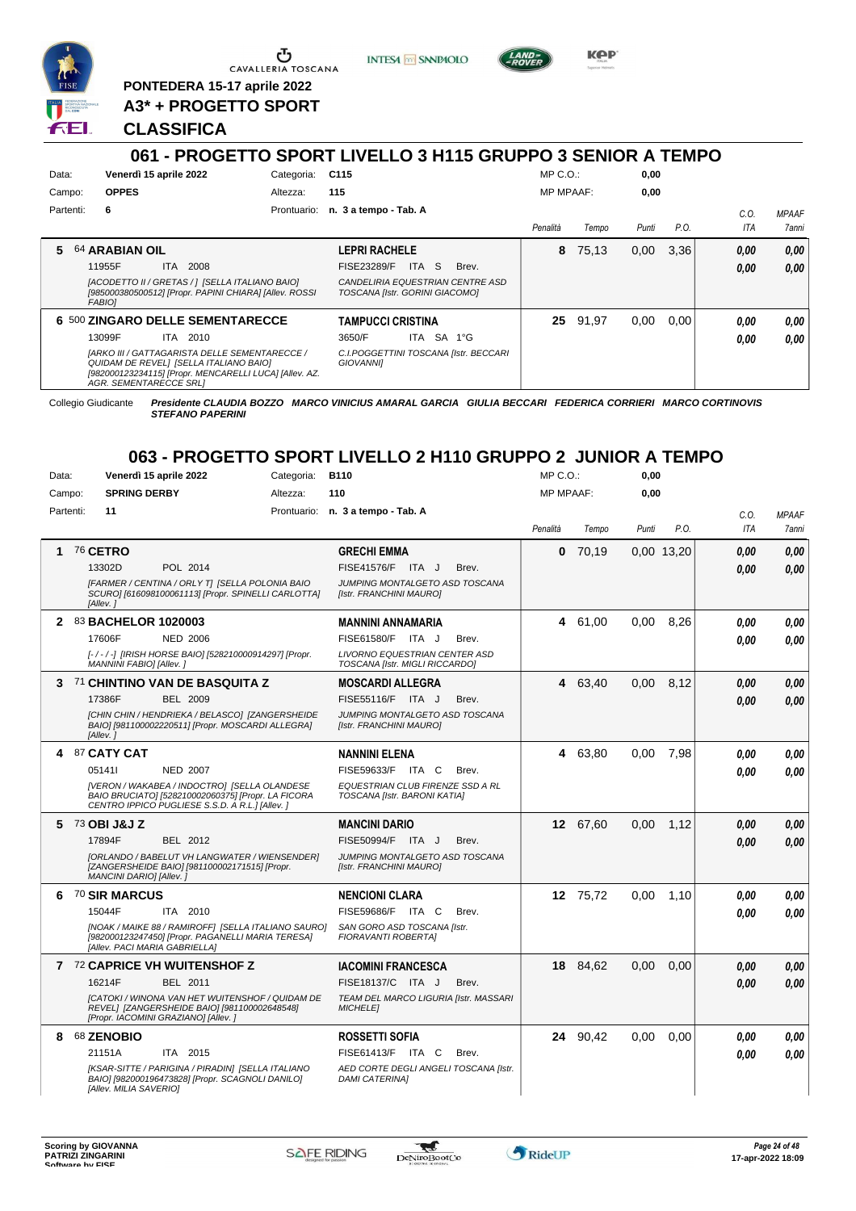

**PONTEDERA 15-17 aprile 2022**

**A3\* + PROGETTO SPORT**

# **CLASSIFICA**

# **061 - PROGETTO SPORT LIVELLO 3 H115 GRUPPO 3 SENIOR A TEMPO**

**INTESA** M SANPAOLO

|           | <u> 001 - FRUGETTU ƏFÜRT LIVELLU 3 NTTƏ GRUFFU 3 ƏLNIUR ATLAMEV</u>                                                                                                         |            |                                   |       |                                       |                  |          |       |      |      |              |
|-----------|-----------------------------------------------------------------------------------------------------------------------------------------------------------------------------|------------|-----------------------------------|-------|---------------------------------------|------------------|----------|-------|------|------|--------------|
| Data:     | Venerdì 15 aprile 2022                                                                                                                                                      | Categoria: | C115                              |       |                                       | $MP C. O.$ :     |          | 0,00  |      |      |              |
| Campo:    | <b>OPPES</b>                                                                                                                                                                | Altezza:   | 115                               |       |                                       | <b>MP MPAAF:</b> |          | 0,00  |      |      |              |
| Partenti: | 6                                                                                                                                                                           |            | Prontuario: n. 3 a tempo - Tab. A |       |                                       |                  |          |       |      | C.0  | <b>MPAAF</b> |
|           |                                                                                                                                                                             |            |                                   |       |                                       | Penalità         | Tempo    | Punti | P.O. | ITA  | 7anni        |
| 5.        | <b>64 ARABIAN OIL</b>                                                                                                                                                       |            | <b>LEPRI RACHELE</b>              |       |                                       | 8                | 75.13    | 0,00  | 3.36 | 0,00 | 0.00         |
|           | 2008<br>11955F<br>ITA.                                                                                                                                                      |            | <b>FISE23289/F</b>                | ITA S | Brev.                                 |                  |          |       |      | 0,00 | 0.00         |
|           | [ACODETTO II / GRETAS / 1 [SELLA ITALIANO BAIO]<br>[985000380500512] [Propr. PAPINI CHIARA] [Allev. ROSSI<br><b>FABIOI</b>                                                  |            | TOSCANA [Istr. GORINI GIACOMO]    |       | CANDELIRIA EQUESTRIAN CENTRE ASD      |                  |          |       |      |      |              |
|           | <b>6 500 ZINGARO DELLE SEMENTARECCE</b>                                                                                                                                     |            | <b>TAMPUCCI CRISTINA</b>          |       |                                       |                  | 25 91,97 | 0.00  | 0.00 | 0.00 | 0.00         |
|           | 13099F<br>ITA 2010                                                                                                                                                          |            | 3650/F                            | ITA   | SA 1°G                                |                  |          |       |      | 0.00 | 0.00         |
|           | [ARKO III / GATTAGARISTA DELLE SEMENTARECCE /<br>QUIDAM DE REVELI [SELLA ITALIANO BAIO]<br>[982000123234115] [Propr. MENCARELLI LUCA] [Allev. AZ.<br>AGR. SEMENTARECCE SRL1 |            | <b>GIOVANNII</b>                  |       | C.I.POGGETTINI TOSCANA [Istr. BECCARI |                  |          |       |      |      |              |

Collegio Giudicante *Presidente CLAUDIA BOZZO MARCO VINICIUS AMARAL GARCIA GIULIA BECCARI FEDERICA CORRIERI MARCO CORTINOVIS STEFANO PAPERINI*

## **063 - PROGETTO SPORT LIVELLO 2 H110 GRUPPO 2 JUNIOR A TEMPO**

| Data:     | Venerdì 15 aprile 2022              |                 | Categoria:                                                                                                                                             | <b>B110</b>                                                            |       | MP C.O.:         |          | 0,00  |            |      |              |
|-----------|-------------------------------------|-----------------|--------------------------------------------------------------------------------------------------------------------------------------------------------|------------------------------------------------------------------------|-------|------------------|----------|-------|------------|------|--------------|
| Campo:    | <b>SPRING DERBY</b>                 |                 | Altezza:                                                                                                                                               | 110                                                                    |       | <b>MP MPAAF:</b> |          | 0.00  |            |      |              |
| Partenti: | 11                                  |                 |                                                                                                                                                        | Prontuario: n. 3 a tempo - Tab. A                                      |       |                  |          |       |            | C.O. | <b>MPAAF</b> |
|           |                                     |                 |                                                                                                                                                        |                                                                        |       | Penalità         | Tempo    | Punti | P.O.       | ITA  | 7anni        |
| 1         | <b>76 CETRO</b>                     |                 |                                                                                                                                                        | <b>GRECHI EMMA</b>                                                     |       | 0                | 70,19    |       | 0,00 13,20 | 0.00 | 0,00         |
|           | 13302D                              | POL 2014        |                                                                                                                                                        | FISE41576/F ITA J                                                      | Brev. |                  |          |       |            | 0.00 | 0.00         |
|           | [Allev. 1                           |                 | [FARMER / CENTINA / ORLY T] [SELLA POLONIA BAIO<br>SCURO] [616098100061113] [Propr. SPINELLI CARLOTTA]                                                 | JUMPING MONTALGETO ASD TOSCANA<br>[Istr. FRANCHINI MAURO]              |       |                  |          |       |            |      |              |
|           | 83 BACHELOR 1020003                 |                 |                                                                                                                                                        | <b>MANNINI ANNAMARIA</b>                                               |       |                  | 4 61,00  | 0.00  | 8,26       | 0.00 | 0.00         |
|           | 17606F                              | <b>NED 2006</b> |                                                                                                                                                        | FISE61580/F ITA J                                                      | Brev. |                  |          |       |            | 0.00 | 0.00         |
|           | MANNINI FABIO] [Allev.]             |                 | [-/-/-] [IRISH HORSE BAIO] [528210000914297] [Propr.                                                                                                   | <b>LIVORNO EQUESTRIAN CENTER ASD</b><br>TOSCANA [Istr. MIGLI RICCARDO] |       |                  |          |       |            |      |              |
|           | 3 71 CHINTINO VAN DE BASQUITA Z     |                 |                                                                                                                                                        | <b>MOSCARDI ALLEGRA</b>                                                |       |                  | 4 63,40  | 0,00  | 8,12       | 0.00 | 0,00         |
|           | 17386F                              | <b>BEL 2009</b> |                                                                                                                                                        | FISE55116/F ITA J                                                      | Brev. |                  |          |       |            | 0,00 | 0.00         |
|           | [Allev.]                            |                 | [CHIN CHIN / HENDRIEKA / BELASCO] [ZANGERSHEIDE<br>BAIO] [981100002220511] [Propr. MOSCARDI ALLEGRA]                                                   | JUMPING MONTALGETO ASD TOSCANA<br>[Istr. FRANCHINI MAURO]              |       |                  |          |       |            |      |              |
| 4         | 87 CATY CAT                         |                 |                                                                                                                                                        | <b>NANNINI ELENA</b>                                                   |       |                  | 4 63,80  | 0.00  | 7,98       | 0.00 | 0,00         |
|           | 051411                              | <b>NED 2007</b> |                                                                                                                                                        | FISE59633/F ITA C                                                      | Brev. |                  |          |       |            | 0.00 | 0.00         |
|           |                                     |                 | [VERON / WAKABEA / INDOCTRO] [SELLA OLANDESE<br>BAIO BRUCIATO] [528210002060375] [Propr. LA FICORA<br>CENTRO IPPICO PUGLIESE S.S.D. A R.L. I [Allev. ] | EQUESTRIAN CLUB FIRENZE SSD A RL<br>TOSCANA [Istr. BARONI KATIA]       |       |                  |          |       |            |      |              |
| 5         | 73 OBI J&J Z                        |                 |                                                                                                                                                        | <b>MANCINI DARIO</b>                                                   |       |                  | 12 67,60 | 0.00  | 1.12       | 0.00 | 0.00         |
|           | 17894F                              | <b>BEL 2012</b> |                                                                                                                                                        | FISE50994/F ITA J                                                      | Brev. |                  |          |       |            | 0.00 | 0.00         |
|           | MANCINI DARIO] [Allev. ]            |                 | [ORLANDO / BABELUT VH LANGWATER / WIENSENDER]<br>[ZANGERSHEIDE BAIO] [981100002171515] [Propr.                                                         | JUMPING MONTALGETO ASD TOSCANA<br>[Istr. FRANCHINI MAURO]              |       |                  |          |       |            |      |              |
|           | 6 70 SIR MARCUS                     |                 |                                                                                                                                                        | <b>NENCIONI CLARA</b>                                                  |       |                  | 12 75.72 | 0.00  | 1.10       | 0.00 | 0.00         |
|           | 15044F                              | ITA 2010        |                                                                                                                                                        | FISE59686/F ITA C                                                      | Brev. |                  |          |       |            | 0.00 | 0.00         |
|           | [Allev. PACI MARIA GABRIELLA]       |                 | [NOAK / MAIKE 88 / RAMIROFF] [SELLA ITALIANO SAURO]<br>[982000123247450] [Propr. PAGANELLI MARIA TERESA]                                               | SAN GORO ASD TOSCANA [Istr.<br>FIORAVANTI ROBERTAI                     |       |                  |          |       |            |      |              |
|           | 7 72 CAPRICE VH WUITENSHOF Z        |                 |                                                                                                                                                        | <b>IACOMINI FRANCESCA</b>                                              |       |                  | 18 84,62 | 0,00  | 0.00       | 0.00 | 0,00         |
|           | 16214F                              | <b>BEL 2011</b> |                                                                                                                                                        | FISE18137/C ITA J                                                      | Brev. |                  |          |       |            | 0.00 | 0.00         |
|           | [Propr. IACOMINI GRAZIANO] [Allev.] |                 | [CATOKI / WINONA VAN HET WUITENSHOF / QUIDAM DE<br>REVEL] [ZANGERSHEIDE BAIO] [981100002648548]                                                        | TEAM DEL MARCO LIGURIA [Istr. MASSARI<br><b>MICHELEI</b>               |       |                  |          |       |            |      |              |
| 8         | 68 ZENOBIO                          |                 |                                                                                                                                                        | <b>ROSSETTI SOFIA</b>                                                  |       |                  | 24 90,42 | 0,00  | 0.00       | 0.00 | 0,00         |
|           | 21151A                              | ITA 2015        |                                                                                                                                                        | FISE61413/F ITA C                                                      | Brev. |                  |          |       |            | 0.00 | 0.00         |
|           | [Allev. MILIA SAVERIO]              |                 | [KSAR-SITTE / PARIGINA / PIRADIN] [SELLA ITALIANO<br>BAIO] [982000196473828] [Propr. SCAGNOLI DANILO]                                                  | AED CORTE DEGLI ANGELI TOSCANA [Istr.<br><b>DAMI CATERINAI</b>         |       |                  |          |       |            |      |              |



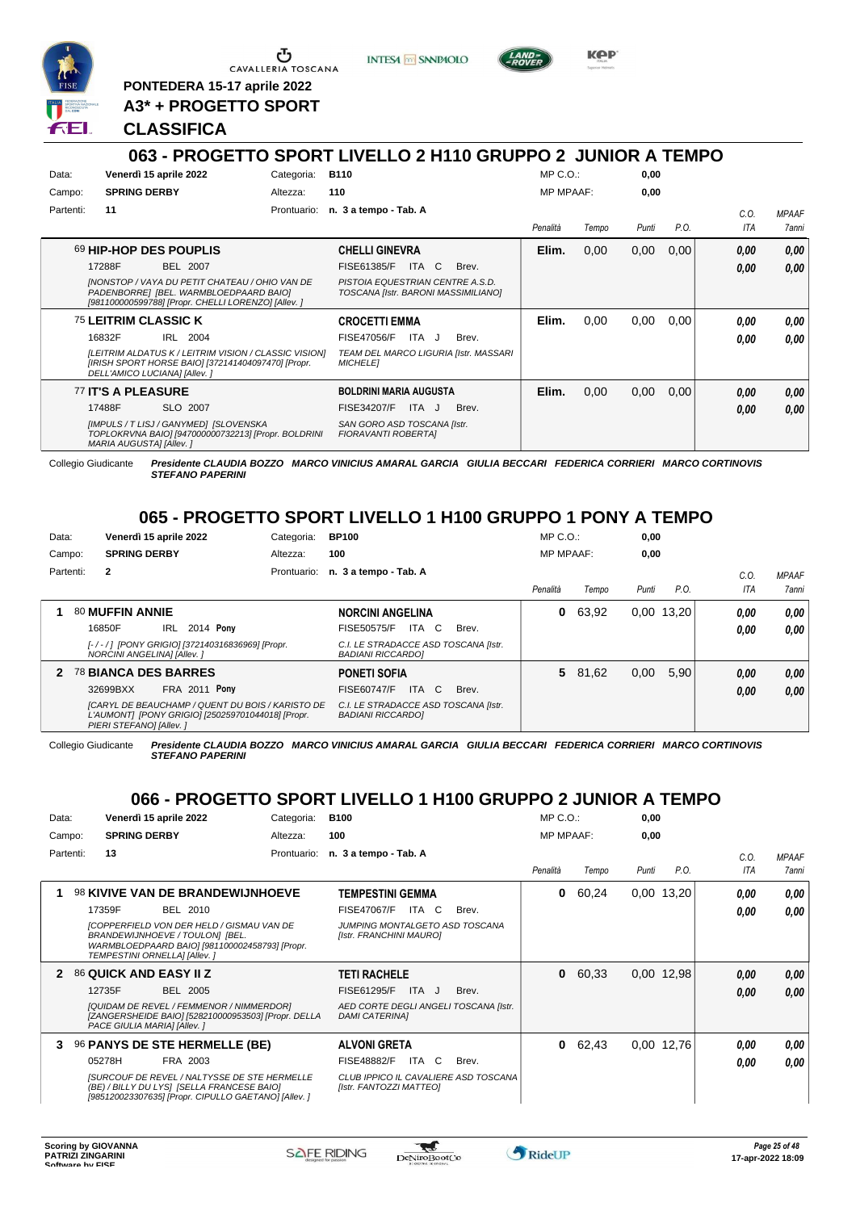

<u>ა</u> CAVALLERIA TOSCANA

**PONTEDERA 15-17 aprile 2022 A3\* + PROGETTO SPORT** **INTESA** M SANPAOLO



KOP

## **CLASSIFICA**

### **063 - PROGETTO SPORT LIVELLO 2 H110 GRUPPO 2 JUNIOR A TEMPO** Data: Venerdì 15 aprile 2022 **Base Categoria:** B110 Prontuario: **n. 3 a tempo - Tab. A** Campo: **SPRING DERBY** Partenti: **11** Altezza: **110** MP C.O.: MP MPAAF: **0,00 0,00** *Penalità Tempo Punti P.O. C.O. ITA MPAAF 7anni* 69 **HIP-HOP DES POUPLIS** BEL 2007 **CHELLI GINEVRA** *[NONSTOP / VAYA DU PETIT CHATEAU / OHIO VAN DE PADENBORRE] [BEL. WARMBLOEDPAARD BAIO] [981100000599788] [Propr. CHELLI LORENZO] [Allev. ] PISTOIA EQUESTRIAN CENTRE A.S.D. TOSCANA [Istr. BARONI MASSIMILIANO]* 17288F BEL 2007 FISE61385/F ITA C Brev. **0,00 0,00 Elim.** 0,00 0,00 0,00 *0,00 0,00 0,00* 75 **LEITRIM CLASSIC K** IRL 2004 **CROCETTI EMMA** *[LEITRIM ALDATUS K / LEITRIM VISION / CLASSIC VISION] [IRISH SPORT HORSE BAIO] [372141404097470] [Propr. DELL'AMICO LUCIANA] [Allev. ] TEAM DEL MARCO LIGURIA [Istr. MASSARI MICHELE]* 16832F IRL 2004 FISE47056/F ITA J Brev. **0,00 0,00 Elim.** 0,00 0,00 0,00 *0,00 0,00 0,00* 77 **IT'S A PLEASURE** SLO 2007 **BOLDRINI MARIA AUGUSTA** *[IMPULS / T LISJ / GANYMED] [SLOVENSKA TOPLOKRVNA BAIO] [947000000732213] [Propr. BOLDRINI MARIA AUGUSTA] [Allev. ] SAN GORO ASD TOSCANA [Istr. FIORAVANTI ROBERTA]* 17488F SLO 2007 FISE34207/F ITA J Brev. <mark>0,00 0,00</mark> **Elim.** 0,00 0,00 0,00 *0,00 0,00 0,00* Collegio Giudicante *Presidente CLAUDIA BOZZO MARCO VINICIUS AMARAL GARCIA GIULIA BECCARI FEDERICA CORRIERI MARCO CORTINOVIS*

*STEFANO PAPERINI*

# **065 - PROGETTO SPORT LIVELLO 1 H100 GRUPPO 1 PONY A TEMPO**

| Data:  |           |                             | Venerdì 15 aprile 2022 |                                                                                                       | Categoria: | <b>BP100</b>                                                     |       | $MP C. O.$ :     |         | 0,00  |              |      |                     |
|--------|-----------|-----------------------------|------------------------|-------------------------------------------------------------------------------------------------------|------------|------------------------------------------------------------------|-------|------------------|---------|-------|--------------|------|---------------------|
| Campo: |           | <b>SPRING DERBY</b>         |                        |                                                                                                       | Altezza:   | 100                                                              |       | <b>MP MPAAF:</b> |         | 0,00  |              |      |                     |
|        | Partenti: | $\mathbf{2}$                |                        |                                                                                                       |            | Prontuario: n. 3 a tempo - Tab. A                                |       |                  |         |       |              | C.0  | <b>MPAAF</b>        |
|        |           |                             |                        |                                                                                                       |            |                                                                  |       | Penalità         | Tempo   | Punti | P.O.         | ITA  | <i><b>7anni</b></i> |
|        |           | 80 MUFFIN ANNIE             |                        |                                                                                                       |            | <b>NORCINI ANGELINA</b>                                          |       | 0                | 63,92   |       | $0,00$ 13,20 | 0.00 | 0.00                |
|        |           | 16850F                      | IRL                    | 2014 <b>Pony</b>                                                                                      |            | FISE50575/F<br>ITA C                                             | Brev. |                  |         |       |              | 0,00 | 0.00                |
|        |           | NORCINI ANGELINA] [Allev. ] |                        | [-/-/] [PONY GRIGIO] [372140316836969] [Propr.                                                        |            | C.I. LE STRADACCE ASD TOSCANA [Istr.<br><b>BADIANI RICCARDOI</b> |       |                  |         |       |              |      |                     |
|        |           | 2 78 BIANCA DES BARRES      |                        |                                                                                                       |            | <b>PONETI SOFIA</b>                                              |       |                  | 5 81,62 | 0,00  | 5.90         | 0,00 | 0.00                |
|        |           | 32699BXX                    | <b>FRA 2011 Pony</b>   |                                                                                                       |            | ITA C<br>FISE60747/F                                             | Brev. |                  |         |       |              | 0.00 | 0.00                |
|        |           | PIERI STEFANO] [Allev.]     |                        | [CARYL DE BEAUCHAMP / QUENT DU BOIS / KARISTO DE<br>L'AUMONT] [PONY GRIGIO] [250259701044018] [Propr. |            | C.I. LE STRADACCE ASD TOSCANA [Istr.<br><b>BADIANI RICCARDOI</b> |       |                  |         |       |              |      |                     |

Collegio Giudicante *Presidente CLAUDIA BOZZO MARCO VINICIUS AMARAL GARCIA GIULIA BECCARI FEDERICA CORRIERI MARCO CORTINOVIS STEFANO PAPERINI*

## **066 - PROGETTO SPORT LIVELLO 1 H100 GRUPPO 2 JUNIOR A TEMPO**

| Data:  |           | Venerdì 15 aprile 2022       |                                                                                                                                                           | Categoria:  | <b>B100</b>                                                     |       | $MP C. O.$ :     |       | 0,00  |            |            |              |
|--------|-----------|------------------------------|-----------------------------------------------------------------------------------------------------------------------------------------------------------|-------------|-----------------------------------------------------------------|-------|------------------|-------|-------|------------|------------|--------------|
| Campo: |           | <b>SPRING DERBY</b>          |                                                                                                                                                           | Altezza:    | 100                                                             |       | <b>MP MPAAF:</b> |       | 0,00  |            |            |              |
|        | Partenti: | 13                           |                                                                                                                                                           | Prontuario: | n. 3 a tempo - Tab. A                                           |       |                  |       |       |            | C.O.       | <b>MPAAF</b> |
|        |           |                              |                                                                                                                                                           |             |                                                                 |       | Penalità         | Tempo | Punti | P.O.       | <b>ITA</b> | <b>7anni</b> |
|        |           |                              | <b>98 KIVIVE VAN DE BRANDEWIJNHOEVE</b>                                                                                                                   |             | <b>TEMPESTINI GEMMA</b>                                         |       | 0                | 60,24 | 0.00  | 13,20      | 0.00       | 0,00         |
|        |           | 17359F                       | BEL 2010                                                                                                                                                  |             | <b>FISE47067/F</b><br>ITA C                                     | Brev. |                  |       |       |            | 0.00       | 0.00         |
|        |           | TEMPESTINI ORNELLAI [Allev.] | [COPPERFIELD VON DER HELD / GISMAU VAN DE<br>BRANDEWIJNHOEVE / TOULON] [BEL.<br>WARMBLOEDPAARD BAIO] [981100002458793] [Propr.                            |             | JUMPING MONTALGETO ASD TOSCANA<br>[Istr. FRANCHINI MAURO]       |       |                  |       |       |            |            |              |
|        |           | 86 QUICK AND EASY II Z       |                                                                                                                                                           |             | <b>TETI RACHELE</b>                                             |       | 0                | 60,33 |       | 0,00 12,98 | 0.00       | 0.00         |
|        |           | 12735F                       | BEL 2005                                                                                                                                                  |             | <b>FISE61295/F</b><br>ITA.<br>J                                 | Brev. |                  |       |       |            | 0.00       | 0.00         |
|        |           | PACE GIULIA MARIA] [Allev. ] | [QUIDAM DE REVEL / FEMMENOR / NIMMERDOR]<br>[ZANGERSHEIDE BAIO] [528210000953503] [Propr. DELLA                                                           |             | AED CORTE DEGLI ANGELI TOSCANA [Istr.<br><b>DAMI CATERINAI</b>  |       |                  |       |       |            |            |              |
| 3      |           |                              | 96 PANYS DE STE HERMELLE (BE)                                                                                                                             |             | <b>ALVONI GRETA</b>                                             |       | 0                | 62,43 | 0.00  | 12,76      | 0.00       | 0,00         |
|        |           | 05278H                       | FRA 2003                                                                                                                                                  |             | <b>FISE48882/F</b><br>ITA C                                     | Brev. |                  |       |       |            | 0.00       | 0.00         |
|        |           |                              | <b>ISURCOUF DE REVEL / NALTYSSE DE STE HERMELLE</b><br>(BE) / BILLY DU LYSI [SELLA FRANCESE BAIO]<br>[985120023307635] [Propr. CIPULLO GAETANO] [Allev. ] |             | CLUB IPPICO IL CAVALIERE ASD TOSCANA<br>[Istr. FANTOZZI MATTEO] |       |                  |       |       |            |            |              |

\*

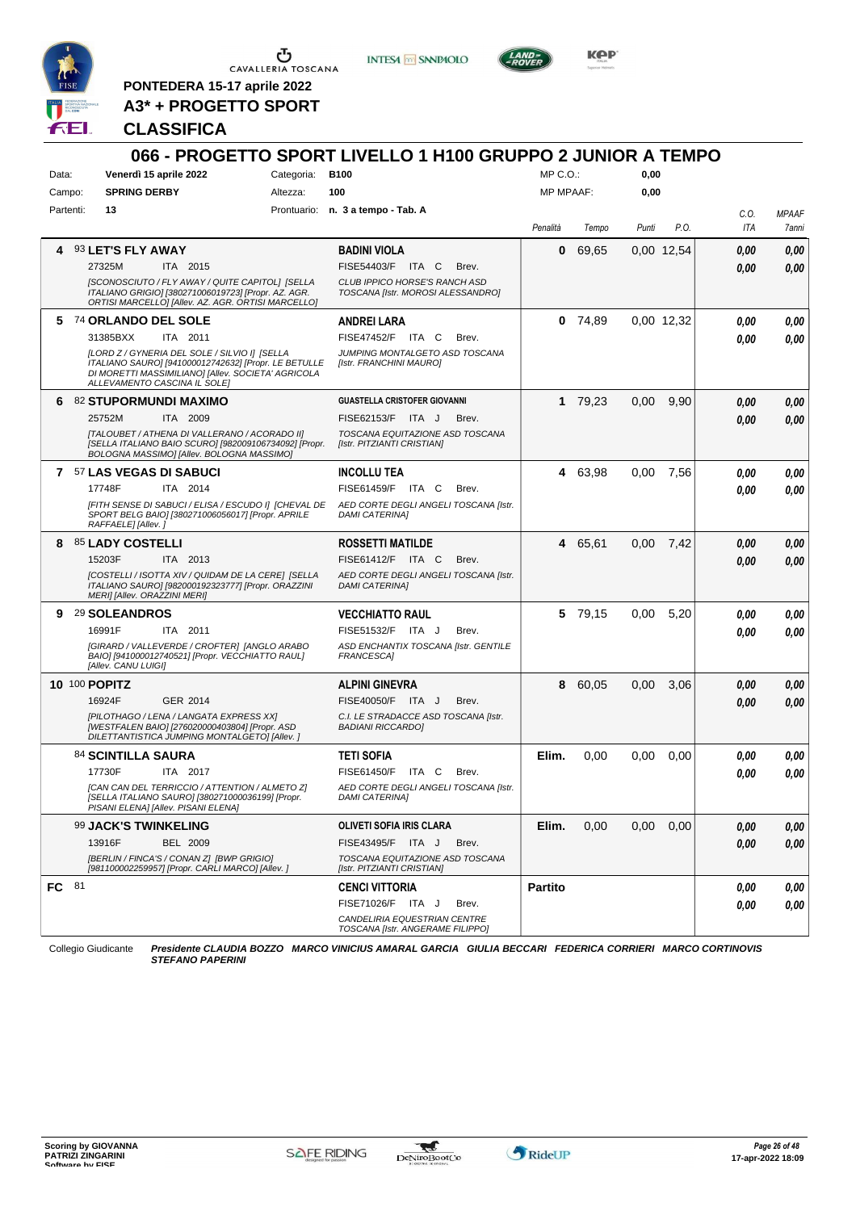

**PONTEDERA 15-17 aprile 2022 A3\* + PROGETTO SPORT** **INTESA m** SANPAOLO



KOP

## **CLASSIFICA**

### **066 - PROGETTO SPORT LIVELLO 1 H100 GRUPPO 2 JUNIOR A TEMPO** Data: Venerdì 15 aprile 2022 **Base Categoria:** B100 Prontuario: **n. 3 a tempo - Tab. A** Campo: **SPRING DERBY** Partenti: **13** Altezza: **100**  $MP \cap O$ MP MPAAF: **0,00 0,00** *Penalità Tempo Punti P.O. C.O. ITA MPAAF 7anni* **4** 93 **LET'S FLY AWAY** ITA 2015 **BADINI VIOLA** *[SCONOSCIUTO / FLY AWAY / QUITE CAPITOL] [SELLA ITALIANO GRIGIO] [380271006019723] [Propr. AZ. AGR. ORTISI MARCELLO] [Allev. AZ. AGR. ORTISI MARCELLO] CLUB IPPICO HORSE'S RANCH ASD TOSCANA [Istr. MOROSI ALESSANDRO]* 27325M ITA 2015 FISE54403/F ITA C Brev. **0,00 0,00 0** 69,65 0,00 12,54 *0,00 0,00 0,00* **5** 74 **ORLANDO DEL SOLE** ITA 2011 **ANDREI LARA** *[LORD Z / GYNERIA DEL SOLE / SILVIO I] [SELLA ITALIANO SAURO] [941000012742632] [Propr. LE BETULLE DI MORETTI MASSIMILIANO] [Allev. SOCIETA' AGRICOLA ALLEVAMENTO CASCINA IL SOLE] JUMPING MONTALGETO ASD TOSCANA [Istr. FRANCHINI MAURO]* 31385BXX ITA 2011 FISE47452/F ITA C Brev. **0,00 0,00 0** 74,89 0,00 12,32 *0,00 0,00 0,00* **6** 82 **STUPORMUNDI MAXIMO** ITA 2009 **GUASTELLA CRISTOFER GIOVANNI** *[TALOUBET / ATHENA DI VALLERANO / ACORADO II] [SELLA ITALIANO BAIO SCURO] [982009106734092] [Propr. BOLOGNA MASSIMO] [Allev. BOLOGNA MASSIMO] TOSCANA EQUITAZIONE ASD TOSCANA [Istr. PITZIANTI CRISTIAN]* 25752M ITA 2009 FISE62153/F ITA J Brev. **0,00 0,00 1** 79,23 0,00 9,90 *0,00 0,00 0,00* **7** 57 **LAS VEGAS DI SABUCI** ITA 2014 **INCOLLU TEA** *[FITH SENSE DI SABUCI / ELISA / ESCUDO I] [CHEVAL DE SPORT BELG BAIO] [380271006056017] [Propr. APRILE RAFFAELE] [Allev. ] AED CORTE DEGLI ANGELI TOSCANA [Istr. DAMI CATERINA]* 17748F ITA 2014 FISE61459/F ITA C Brev. **0,00 0,00 4** 63,98 0,00 7,56 *0,00 0,00 0,00* **8** 85 **LADY COSTELLI** ITA 2013 **ROSSETTI MATILDE** *[COSTELLI / ISOTTA XIV / QUIDAM DE LA CERE] [SELLA ITALIANO SAURO] [982000192323777] [Propr. ORAZZINI MERI] [Allev. ORAZZINI MERI] AED CORTE DEGLI ANGELI TOSCANA [Istr. DAMI CATERINA]* 15203F ITA 2013 FISE61412/F ITA C Brev. **0,00 0,00 4** 65,61 0,00 7,42 *0,00 0,00 0,00* **9** 29 **SOLEANDROS** ITA 2011 **VECCHIATTO RAUL** *[GIRARD / VALLEVERDE / CROFTER] [ANGLO ARABO BAIO] [941000012740521] [Propr. VECCHIATTO RAUL] [Allev. CANU LUIGI] ASD ENCHANTIX TOSCANA [Istr. GENTILE FRANCESCA]* 16991F ITA 2011 FISE51532/F ITA J Brev. **0,00 0,00 5** 79,15 0,00 5,20 *0,00 0,00 0,00* **10** 100 **POPITZ** GER 2014 **ALPINI GINEVRA** *[PILOTHAGO / LENA / LANGATA EXPRESS XX] [WESTFALEN BAIO] [276020000403804] [Propr. ASD DILETTANTISTICA JUMPING MONTALGETO] [Allev. ] C.I. LE STRADACCE ASD TOSCANA [Istr. BADIANI RICCARDO]* 16924F GER\_2014 FISE40050/F ITA J Brev. **0,00 0,00 8** 60,05 0,00 3,06 *0,00 0,00 0,00* 84 **SCINTILLA SAURA** ITA 2017 **TETI SOFIA** *[CAN CAN DEL TERRICCIO / ATTENTION / ALMETO Z] [SELLA ITALIANO SAURO] [380271000036199] [Propr. PISANI ELENA] [Allev. PISANI ELENA] AED CORTE DEGLI ANGELI TOSCANA [Istr. DAMI CATERINA]* ITA C Brev. **Elim.** 0,00 0,00 0,00 *0,00 0,00 0,00* 17730F ITA 2017 FISE61450/F ITA C Brev. <mark> 0,00 0,00</mark> 99 **JACK'S TWINKELING** BEL 2009 **OLIVETI SOFIA IRIS CLARA** *[BERLIN / FINCA'S / CONAN Z] [BWP GRIGIO] [981100002259957] [Propr. CARLI MARCO] [Allev. ] TOSCANA EQUITAZIONE ASD TOSCANA [Istr. PITZIANTI CRISTIAN]* 13916F BEL 2009 FISE43495/F ITA J Brev. *0,00 0,00* **Elim.** 0,00 0,00 0,00 *0,00 0,00 0,00* **FC** 81 **CENCI VITTORIA** *CANDELIRIA EQUESTRIAN CENTRE TOSCANA [Istr. ANGERAME FILIPPO]* ITA J Brev. FISE71026/F *0,00* **Partito** *0,00 0,00 0,00* Collegio Giudicante *Presidente CLAUDIA BOZZO MARCO VINICIUS AMARAL GARCIA GIULIA BECCARI FEDERICA CORRIERI MARCO CORTINOVIS*

*STEFANO PAPERINI*

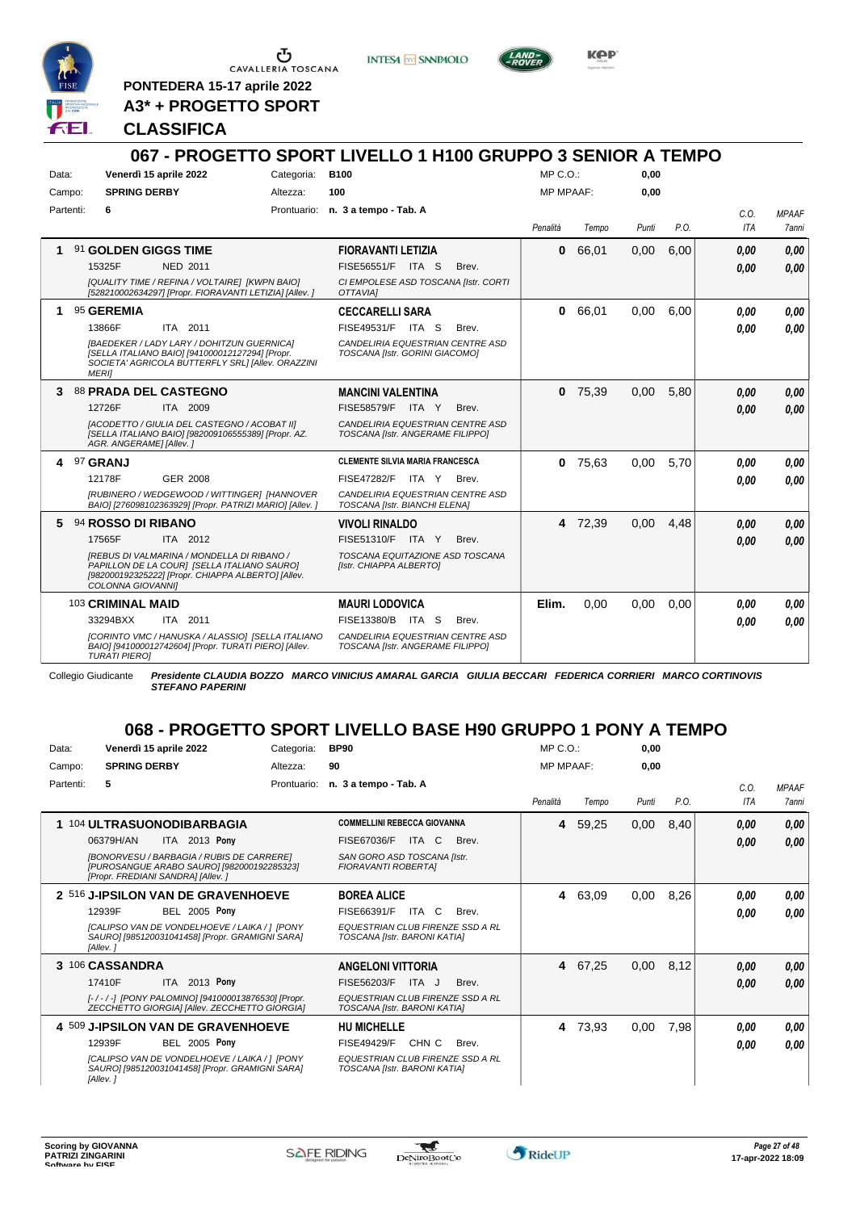

**PONTEDERA 15-17 aprile 2022 A3\* + PROGETTO SPORT** **INTESA** M SANPAOLO



KOP

## **CLASSIFICA**

### **067 - PROGETTO SPORT LIVELLO 1 H100 GRUPPO 3 SENIOR A TEMPO** Data: Venerdì 15 aprile 2022 **Base Categoria:** B100 Prontuario: **n. 3 a tempo - Tab. A** Campo: **SPRING DERBY** Partenti: **6** Altezza: **100** MP C.O.: MP MPAAF: **0,00 0,00** *Penalità Tempo Punti P.O. C.O. ITA MPAAF 7anni* **1** 91 **GOLDEN GIGGS TIME** NED 2011 **FIORAVANTI LETIZIA** *[QUALITY TIME / REFINA / VOLTAIRE] [KWPN BAIO] [528210002634297] [Propr. FIORAVANTI LETIZIA] [Allev. ] CI EMPOLESE ASD TOSCANA [Istr. CORTI OTTAVIA]* ITA S Brev. 15325F FISE56551/F *0,00* **0** 66,01 0,00 6,00 *0,00 0,00 0,00* **1** 95 **GEREMIA** ITA 2011 **CECCARELLI SARA** *[BAEDEKER / LADY LARY / DOHITZUN GUERNICA] [SELLA ITALIANO BAIO] [941000012127294] [Propr. SOCIETA' AGRICOLA BUTTERFLY SRL] [Allev. ORAZZINI MERI] CANDELIRIA EQUESTRIAN CENTRE ASD TOSCANA [Istr. GORINI GIACOMO]* 13866F ITA 2011 FISE49531/F ITA S Brev. **0,00 0,00 0** 66,01 0,00 6,00 *0,00 0,00 0,00* **3** 88 **PRADA DEL CASTEGNO** ITA 2009 **MANCINI VALENTINA** *[ACODETTO / GIULIA DEL CASTEGNO / ACOBAT II] [SELLA ITALIANO BAIO] [982009106555389] [Propr. AZ. AGR. ANGERAME] [Allev. ] CANDELIRIA EQUESTRIAN CENTRE ASD TOSCANA [Istr. ANGERAME FILIPPO]* 12726F ITA 2009 FISE58579/F ITA Y Brev. <mark>0,00 0,00</mark> **0** 75,39 0,00 5,80 *0,00 0,00 0,00* **4** 97 **GRANJ** GER 2008 **CLEMENTE SILVIA MARIA FRANCESCA** *[RUBINERO / WEDGEWOOD / WITTINGER] [HANNOVER BAIO] [276098102363929] [Propr. PATRIZI MARIO] [Allev. ] CANDELIRIA EQUESTRIAN CENTRE ASD TOSCANA [Istr. BIANCHI ELENA]* FISE47282/F ITA Y Brev. **0** 75,63 0,00 5,70 *0,00 0,00 0,00* 12178F GER\_2008 FISE47282/F ITA Y Brev. **0,00 0,00 5** 94 **ROSSO DI RIBANO** ITA 2012 **VIVOLI RINALDO** *[REBUS DI VALMARINA / MONDELLA DI RIBANO / PAPILLON DE LA COUR] [SELLA ITALIANO SAURO] [982000192325222] [Propr. CHIAPPA ALBERTO] [Allev. COLONNA GIOVANNI] TOSCANA EQUITAZIONE ASD TOSCANA [Istr. CHIAPPA ALBERTO]* 17565F ITA 2012 FISE51310/F ITA Y Brev. <mark> 0,00 0,00</mark> **4** 72,39 0,00 4,48 *0,00 0,00 0,00* 103 **CRIMINAL MAID** ITA 2011 **MAURI LODOVICA** *[CORINTO VMC / HANUSKA / ALASSIO] [SELLA ITALIANO BAIO] [941000012742604] [Propr. TURATI PIERO] [Allev. TURATI PIERO] CANDELIRIA EQUESTRIAN CENTRE ASD TOSCANA [Istr. ANGERAME FILIPPO]* 33294BXX ITA 2011 FISE13380/B ITA S Brev. **0,00 0,00 Elim.** 0,00 0,00 0,00 *0,00 0,00 0,00*

Collegio Giudicante *Presidente CLAUDIA BOZZO MARCO VINICIUS AMARAL GARCIA GIULIA BECCARI FEDERICA CORRIERI MARCO CORTINOVIS STEFANO PAPERINI*

# **068 - PROGETTO SPORT LIVELLO BASE H90 GRUPPO 1 PONY A TEMPO**

| Data:     | Venerdì 15 aprile 2022                                                                                                                                                                       | Categoria:  | <b>BP90</b>                                                                                                                               | $MP C. O.$ :     |         | 0,00  |      |                    |                       |
|-----------|----------------------------------------------------------------------------------------------------------------------------------------------------------------------------------------------|-------------|-------------------------------------------------------------------------------------------------------------------------------------------|------------------|---------|-------|------|--------------------|-----------------------|
| Campo:    | <b>SPRING DERBY</b>                                                                                                                                                                          | Altezza:    | 90                                                                                                                                        | <b>MP MPAAF:</b> |         | 0,00  |      |                    |                       |
| Partenti: | 5                                                                                                                                                                                            | Prontuario: | n. 3 a tempo - Tab. A                                                                                                                     | Penalità         | Tempo   | Punti | P.O. | C.0.<br><b>ITA</b> | <b>MPAAF</b><br>7anni |
|           | 1 104 ULTRASUONODIBARBAGIA<br>ITA 2013 Pony<br>06379H/AN<br>[BONORVESU / BARBAGIA / RUBIS DE CARRERE]<br>[PUROSANGUE ARABO SAURO] [982000192285323]<br>[Propr. FREDIANI SANDRA] [Allev.]     |             | <b>COMMELLINI REBECCA GIOVANNA</b><br>FISE67036/F<br>ITA C<br>Brev.<br>SAN GORO ASD TOSCANA [Istr.<br>FIORAVANTI ROBERTAI                 | 4                | 59,25   | 0,00  | 8,40 | 0.00<br>0,00       | 0,00<br>0,00          |
|           | 2 516 J-IPSILON VAN DE GRAVENHOEVE<br><b>BEL 2005 Pony</b><br>12939F<br><b>ICALIPSO VAN DE VONDELHOEVE / LAIKA / 1 IPONY</b><br>SAURO] [985120031041458] [Propr. GRAMIGNI SARA]<br>[Allev.]  |             | <b>BOREA ALICE</b><br>FISE66391/F<br>ITA C<br>Brev.<br>EQUESTRIAN CLUB FIRENZE SSD A RL<br>TOSCANA [Istr. BARONI KATIA]                   |                  | 4 63,09 | 0,00  | 8,26 | 0.00<br>0.00       | 0,00<br>0.00          |
|           | 3 106 CASSANDRA<br>ITA 2013 Pony<br>17410F<br>[-/-/-] [PONY PALOMINO] [941000013876530] [Propr.<br>ZECCHETTO GIORGIA] [Allev. ZECCHETTO GIORGIA]                                             |             | <b>ANGELONI VITTORIA</b><br>FISE56203/F<br>ITA J<br>Brev.<br><b>EQUESTRIAN CLUB FIRENZE SSD A RL</b><br>TOSCANA [Istr. BARONI KATIA]      |                  | 4 67,25 | 0,00  | 8,12 | 0,00<br>0.00       | 0,00<br>0.00          |
|           | 4 509 J-IPSILON VAN DE GRAVENHOEVE<br><b>BEL 2005 Pony</b><br>12939F<br><b>ICALIPSO VAN DE VONDELHOEVE / LAIKA / 1 IPONY</b><br>SAURO] [985120031041458] [Propr. GRAMIGNI SARA]<br>[Allev. i |             | <b>HU MICHELLE</b><br>CHN <sub>C</sub><br><b>FISE49429/F</b><br>Brev.<br>EQUESTRIAN CLUB FIRENZE SSD A RL<br>TOSCANA [Istr. BARONI KATIA] | 4                | 73,93   | 0,00  | 7,98 | 0.00<br>0.00       | 0.00<br>0.00          |

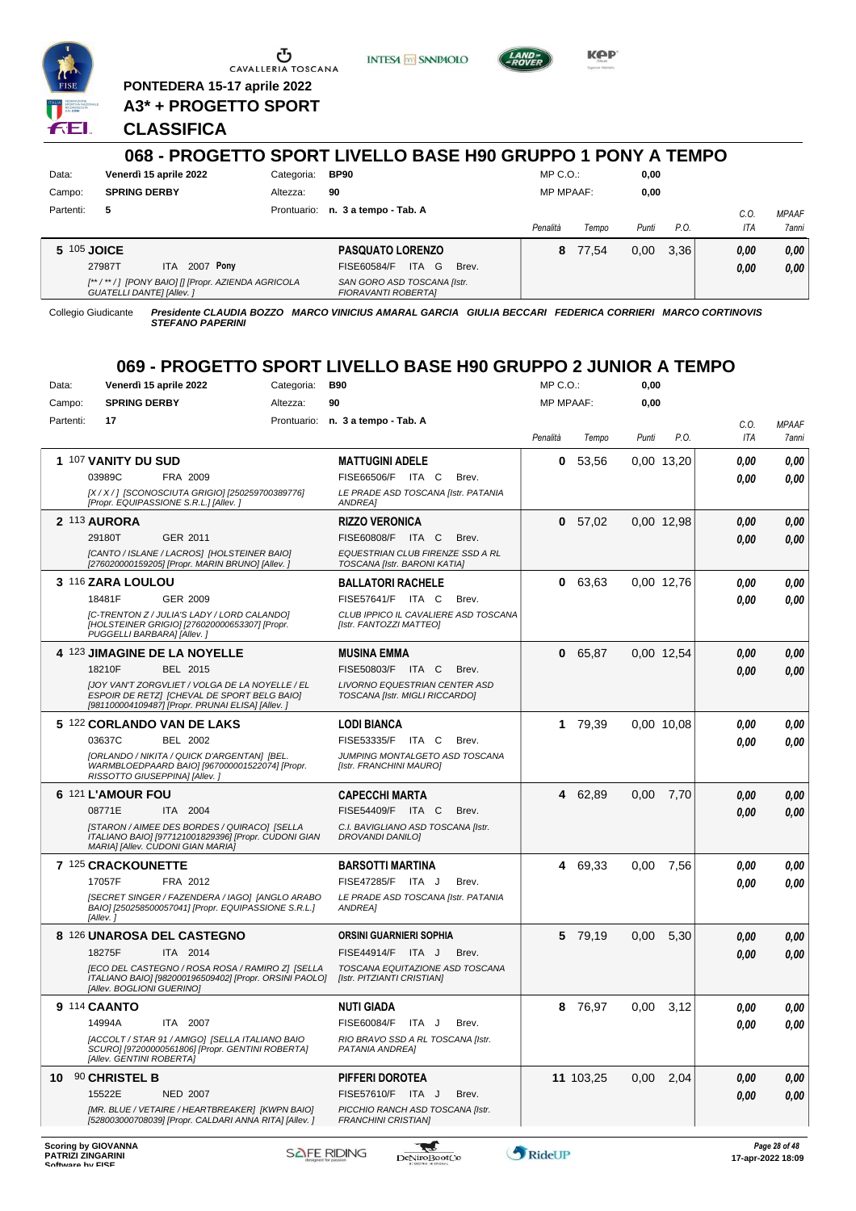

 $\begin{array}{c}\n\bullet \\
\bullet \\
\bullet \\
\bullet\n\end{array}$  CAVALLERIA TOSCANA

**PONTEDERA 15-17 aprile 2022**

**A3\* + PROGETTO SPORT**

# **CLASSIFICA**

|           |                                                                                      |             | 068 - PROGETTO SPORT LIVELLO BASE H90 GRUPPO 1 PONY A TEMPO |                  |       |       |      |            |              |
|-----------|--------------------------------------------------------------------------------------|-------------|-------------------------------------------------------------|------------------|-------|-------|------|------------|--------------|
| Data:     | Venerdì 15 aprile 2022                                                               | Categoria:  | <b>BP90</b>                                                 | MP C. O.         |       | 0.00  |      |            |              |
| Campo:    | <b>SPRING DERBY</b>                                                                  | Altezza:    | 90                                                          | <b>MP MPAAF:</b> |       | 0,00  |      |            |              |
| Partenti: | 5                                                                                    | Prontuario: | n. 3 a tempo - Tab. A                                       |                  |       |       |      | $C_{0}$    | <b>MPAAF</b> |
|           |                                                                                      |             |                                                             | Penalità         | Tempo | Punti | P.O. | <b>ITA</b> | 7anni        |
|           | 5 105 JOICE                                                                          |             | <b>PASQUATO LORENZO</b>                                     | 8                | 77.54 | 0.00  | 3.36 | 0.00       | 0,00         |
|           | 2007 Pony<br>27987T<br>ITA.                                                          |             | ITA G<br>FISE60584/F<br>Brev.                               |                  |       |       |      | 0.00       | 0,00         |
|           | [**/**/] [PONY BAIO] [] [Propr. AZIENDA AGRICOLA<br><b>GUATELLI DANTE] [Allev. ]</b> |             | SAN GORO ASD TOSCANA [Istr.<br><b>FIORAVANTI ROBERTAI</b>   |                  |       |       |      |            |              |

**INTESA** M SANPAOLO

**Kep** 

Collegio Giudicante *Presidente CLAUDIA BOZZO MARCO VINICIUS AMARAL GARCIA GIULIA BECCARI FEDERICA CORRIERI MARCO CORTINOVIS STEFANO PAPERINI*

# **069 - PROGETTO SPORT LIVELLO BASE H90 GRUPPO 2 JUNIOR A TEMPO**

| Data:            | Venerdì 15 aprile 2022                                                                                                                              | Categoria:         | <b>B90</b>                                                       | MP C.O.:  |           | 0,00  |             |      |                                    |
|------------------|-----------------------------------------------------------------------------------------------------------------------------------------------------|--------------------|------------------------------------------------------------------|-----------|-----------|-------|-------------|------|------------------------------------|
| Campo:           | <b>SPRING DERBY</b>                                                                                                                                 | Altezza:           | 90                                                               | MP MPAAF: |           | 0,00  |             |      |                                    |
| Partenti:        | 17                                                                                                                                                  |                    | Prontuario: n. 3 a tempo - Tab. A                                |           |           |       |             | C.O. | <b>MPAAF</b>                       |
|                  |                                                                                                                                                     |                    |                                                                  | Penalità  | Tempo     | Punti | P.O.        | ITA  | 7anni                              |
|                  | 1 107 VANITY DU SUD                                                                                                                                 |                    | <b>MATTUGINI ADELE</b>                                           | 0         | 53,56     |       | 0,00 13,20  | 0.00 | 0,00                               |
|                  | 03989C<br>FRA 2009                                                                                                                                  |                    | FISE66506/F ITA C<br>Brev.                                       |           |           |       |             | 0.00 | 0.00                               |
|                  | [X / X / ] [SCONOSCIUTA GRIGIO] [250259700389776]<br>[Propr. EQUIPASSIONE S.R.L.] [Allev.]                                                          |                    | LE PRADE ASD TOSCANA [Istr. PATANIA<br><b>ANDREA1</b>            |           |           |       |             |      |                                    |
|                  | 2 113 AURORA                                                                                                                                        |                    | <b>RIZZO VERONICA</b>                                            |           | 0 57,02   |       | 0,00 12,98  | 0.00 | 0,00                               |
|                  | 29180T<br>GER 2011                                                                                                                                  |                    | FISE60808/F ITA C<br>Brev.                                       |           |           |       |             | 0.00 | 0,00                               |
|                  | [CANTO / ISLANE / LACROS] [HOLSTEINER BAIO]<br>[276020000159205] [Propr. MARIN BRUNO] [Allev. ]                                                     |                    | EQUESTRIAN CLUB FIRENZE SSD A RL<br>TOSCANA [Istr. BARONI KATIA] |           |           |       |             |      |                                    |
|                  | 3 116 ZARA LOULOU                                                                                                                                   |                    | <b>BALLATORI RACHELE</b>                                         | 0         | 63,63     |       | 0,00 12,76  | 0.00 | 0,00                               |
|                  | 18481F<br>GER 2009                                                                                                                                  |                    | FISE57641/F ITA C<br>Brev.                                       |           |           |       |             | 0.00 | 0.00                               |
|                  | [C-TRENTON Z / JULIA'S LADY / LORD CALANDO]<br>[HOLSTEINER GRIGIO] [276020000653307] [Propr.<br>PUGGELLI BARBARA] [Allev.]                          |                    | CLUB IPPICO IL CAVALIERE ASD TOSCANA<br>[Istr. FANTOZZI MATTEO]  |           |           |       |             |      |                                    |
|                  | 4 123 JIMAGINE DE LA NOYELLE                                                                                                                        |                    | <b>MUSINA EMMA</b>                                               | 0         | 65,87     |       | 0,00 12,54  | 0.00 | 0,00                               |
|                  | 18210F<br>BEL 2015                                                                                                                                  |                    | FISE50803/F ITA C<br>Brev.                                       |           |           |       |             | 0.00 | 0,00                               |
|                  | IJOY VAN'T ZORGVLIET / VOLGA DE LA NOYELLE / EL<br>ESPOIR DE RETZI (CHEVAL DE SPORT BELG BAIO)<br>[981100004109487] [Propr. PRUNAI ELISA] [Allev. ] |                    | LIVORNO EQUESTRIAN CENTER ASD<br>TOSCANA [Istr. MIGLI RICCARDO]  |           |           |       |             |      |                                    |
|                  | 5 122 CORLANDO VAN DE LAKS                                                                                                                          |                    | LODI BIANCA                                                      |           | 1 79,39   |       | 0.00 10.08  | 0.00 | 0,00                               |
|                  | 03637C<br>BEL 2002                                                                                                                                  |                    | FISE53335/F ITA C<br>Brev.                                       |           |           |       |             | 0.00 | 0.00                               |
|                  | [ORLANDO / NIKITA / QUICK D'ARGENTAN] [BEL.<br>WARMBLOEDPAARD BAIO] [967000001522074] [Propr.<br>RISSOTTO GIUSEPPINA] [Allev.]                      |                    | JUMPING MONTALGETO ASD TOSCANA<br>[Istr. FRANCHINI MAURO]        |           |           |       |             |      |                                    |
|                  | 6 121 L'AMOUR FOU                                                                                                                                   |                    | <b>CAPECCHI MARTA</b>                                            |           | 4 62,89   | 0,00  | 7,70        | 0.00 | 0,00                               |
|                  | 08771E<br>ITA 2004                                                                                                                                  |                    | FISE54409/F ITA C<br>Brev.                                       |           |           |       |             | 0.00 | 0.00                               |
|                  | [STARON / AIMEE DES BORDES / QUIRACO] [SELLA<br>ITALIANO BAIO] [977121001829396] [Propr. CUDONI GIAN<br>MARIA] [Allev. CUDONI GIAN MARIA]           |                    | C.I. BAVIGLIANO ASD TOSCANA [Istr.<br>DROVANDI DANILO]           |           |           |       |             |      |                                    |
|                  | 7 125 CRACKOUNETTE                                                                                                                                  |                    | <b>BARSOTTI MARTINA</b>                                          |           | 4 69.33   | 0,00  | 7,56        | 0.00 | 0,00                               |
|                  | 17057F<br>FRA 2012                                                                                                                                  |                    | FISE47285/F ITA J<br>Brev.                                       |           |           |       |             | 0.00 | 0.00                               |
|                  | [SECRET SINGER / FAZENDERA / IAGO] [ANGLO ARABO<br>BAIO] [250258500057041] [Propr. EQUIPASSIONE S.R.L.]<br>[Allev.]                                 |                    | LE PRADE ASD TOSCANA [Istr. PATANIA<br>ANDREA]                   |           |           |       |             |      |                                    |
|                  | 8 126 UNAROSA DEL CASTEGNO                                                                                                                          |                    | ORSINI GUARNIERI SOPHIA                                          |           | 5 79,19   | 0,00  | 5,30        | 0,00 | 0,00                               |
|                  | 18275F<br>ITA 2014                                                                                                                                  |                    | FISE44914/F ITA J<br>Brev.                                       |           |           |       |             | 0.00 | 0.00                               |
|                  | [ECO DEL CASTEGNO / ROSA ROSA / RAMIRO Z] [SELLA<br>ITALIANO BAIO] [982000196509402] [Propr. ORSINI PAOLO]<br>[Allev. BOGLIONI GUERINO]             |                    | TOSCANA EQUITAZIONE ASD TOSCANA<br>[Istr. PITZIANTI CRISTIAN]    |           |           |       |             |      |                                    |
|                  | 9 114 CAANTO                                                                                                                                        |                    | <b>NUTI GIADA</b>                                                | 8         | 76,97     | 0.00  | 3,12        | 0.00 | 0,00                               |
|                  | 14994A<br>ITA 2007                                                                                                                                  |                    | FISE60084/F ITA J<br>Brev.                                       |           |           |       |             | 0,00 | 0,00                               |
|                  | [ACCOLT / STAR 91 / AMIGO]  [SELLA ITALIANO BAIO<br>SCURO] [97200000561806] [Propr. GENTINI ROBERTA]<br>[Allev. GENTINI ROBERTA]                    |                    | RIO BRAVO SSD A RL TOSCANA [Istr.<br>PATANIA ANDREA]             |           |           |       |             |      |                                    |
|                  | 10 90 CHRISTEL B                                                                                                                                    |                    | PIFFERI DOROTEA                                                  |           | 11 103,25 |       | $0,00$ 2,04 | 0,00 | 0,00                               |
|                  | 15522E<br><b>NED 2007</b>                                                                                                                           |                    | FISE57610/F ITA J<br>Brev.                                       |           |           |       |             | 0,00 | 0,00                               |
|                  | [MR. BLUE / VETAIRE / HEARTBREAKER] [KWPN BAIO]<br>[528003000708039] [Propr. CALDARI ANNA RITA] [Allev. ]                                           |                    | PICCHIO RANCH ASD TOSCANA [Istr.<br><b>FRANCHINI CRISTIANI</b>   |           |           |       |             |      |                                    |
| Coffware by EICE | <b>Scoring by GIOVANNA</b><br><b>PATRIZI ZINGARINI</b>                                                                                              | <b>SAFE RIDING</b> | w<br><b>DeNiroBootCo</b>                                         | RideUP    |           |       |             |      | Page 28 of 48<br>17-apr-2022 18:09 |

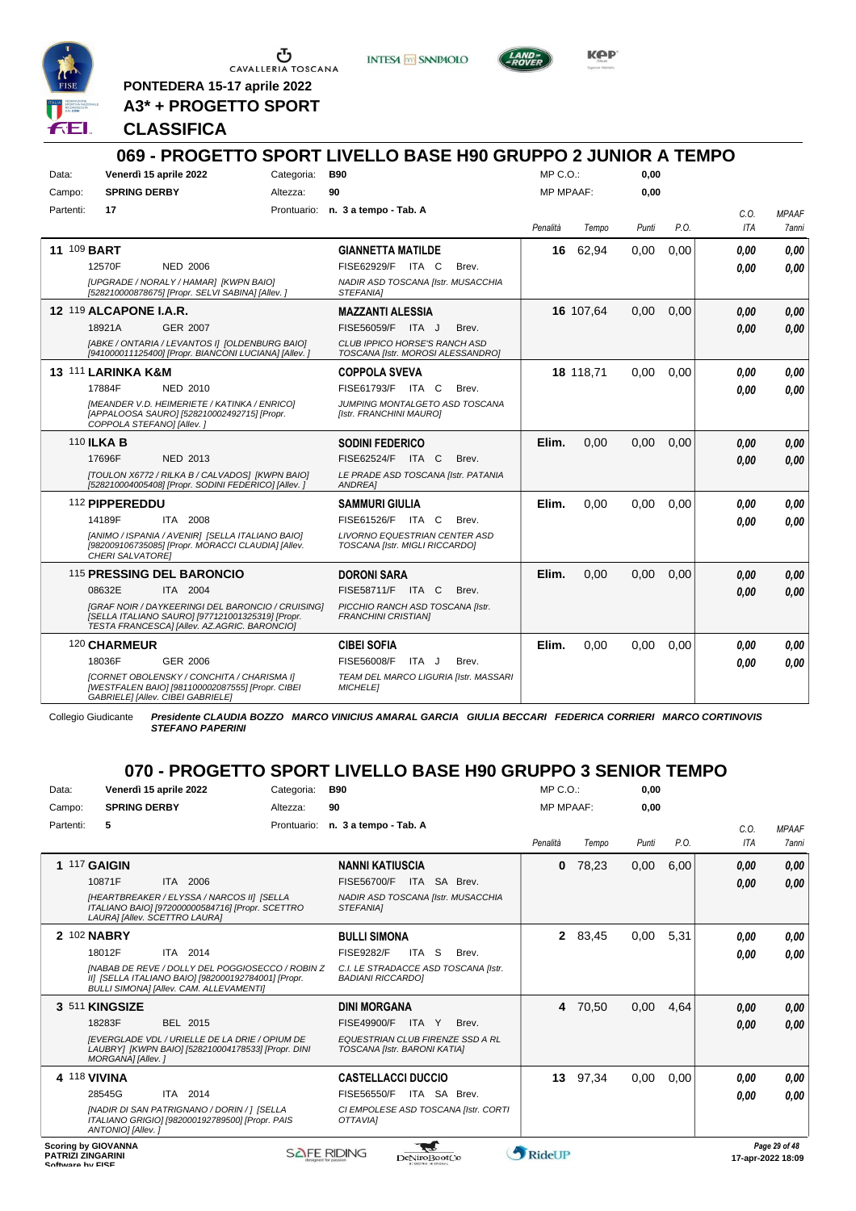

**INTESA** M SANPAOLO



KOP

**PONTEDERA 15-17 aprile 2022 A3\* + PROGETTO SPORT**

## **CLASSIFICA**

#### **069 - PROGETTO SPORT LIVELLO BASE H90 GRUPPO 2 JUNIOR A TEMPO** Data: Venerdì 15 aprile 2022 Categoria: B90 Prontuario: **n. 3 a tempo - Tab. A** Campo: **SPRING DERBY** Partenti: **17** Altezza: **90** MP C.O.: MP MPAAF: **0,00 0,00** *Penalità Tempo Punti P.O. C.O. ITA MPAAF 7anni* **11** 109 **BART** NED 2006 **GIANNETTA MATILDE** *[UPGRADE / NORALY / HAMAR] [KWPN BAIO] [528210000878675] [Propr. SELVI SABINA] [Allev. ] NADIR ASD TOSCANA [Istr. MUSACCHIA STEFANIA]* 12570F NED 2006 FISE62929/F ITA C Brev. **0,00 0,00 16** 62,94 0,00 0,00 *0,00 0,00 0,00* **12** 119 **ALCAPONE I.A.R.** GER 2007 **MAZZANTI ALESSIA** *[ABKE / ONTARIA / LEVANTOS I] [OLDENBURG BAIO] [941000011125400] [Propr. BIANCONI LUCIANA] [Allev. ] CLUB IPPICO HORSE'S RANCH ASD TOSCANA [Istr. MOROSI ALESSANDRO]* 18921A GER\_2007 FISE56059/F ITA J Brev. **0,00 0,00 16** 107,64 0,00 0,00 *0,00 0,00 0,00* **13** 111 **LARINKA K&M** NED 2010 **COPPOLA SVEVA** *[MEANDER V.D. HEIMERIETE / KATINKA / ENRICO] [APPALOOSA SAURO] [528210002492715] [Propr. COPPOLA STEFANO] [Allev. ] JUMPING MONTALGETO ASD TOSCANA [Istr. FRANCHINI MAURO]* 17884F NED 2010 FISE61793/F ITA C Brev. *0,00 0,00* **18** 118,71 0,00 0,00 *0,00 0,00 0,00* 110 **ILKA B** NED 2013 **SODINI FEDERICO** *[TOULON X6772 / RILKA B / CALVADOS] [KWPN BAIO] [528210004005408] [Propr. SODINI FEDERICO] [Allev. ] LE PRADE ASD TOSCANA [Istr. PATANIA ANDREA]* 17696F NED 2013 FISE62524/F ITA C Brev. *0,00 0,00* **Elim.** 0,00 0,00 0,00 *0,00 0,00 0,00* 112 **PIPPEREDDU** ITA 2008 **SAMMURI GIULIA** *[ANIMO / ISPANIA / AVENIR] [SELLA ITALIANO BAIO] [982009106735085] [Propr. MORACCI CLAUDIA] [Allev. CHERI SALVATORE] LIVORNO EQUESTRIAN CENTER ASD TOSCANA [Istr. MIGLI RICCARDO]* 14189F ITA 2008 FISE61526/F ITA C Brev. **0,00 0,00 Elim.** 0,00 0,00 0,00 *0,00 0,00 0,00* 115 **PRESSING DEL BARONCIO** ITA 2004 **DORONI SARA** *[GRAF NOIR / DAYKEERINGI DEL BARONCIO / CRUISING] [SELLA ITALIANO SAURO] [977121001325319] [Propr. TESTA FRANCESCA] [Allev. AZ.AGRIC. BARONCIO] PICCHIO RANCH ASD TOSCANA [Istr. FRANCHINI CRISTIAN]* 08632E ITA 2004 FISE58711/F ITA C Brev. **0,00 0,00 Elim.** 0,00 0,00 0,00 *0,00 0,00 0,00* 120 **CHARMEUR** GER 2006 **CIBEI SOFIA** *[CORNET OBOLENSKY / CONCHITA / CHARISMA I] [WESTFALEN BAIO] [981100002087555] [Propr. CIBEI GABRIELE] [Allev. CIBEI GABRIELE] TEAM DEL MARCO LIGURIA [Istr. MASSARI MICHELE]* 18036F GER\_2006 FISE56008/F ITA J Brev. *0,00 0,00* **Elim.** 0,00 0,00 0,00 *0,00 0,00 0,00*

Collegio Giudicante *Presidente CLAUDIA BOZZO MARCO VINICIUS AMARAL GARCIA GIULIA BECCARI FEDERICA CORRIERI MARCO CORTINOVIS STEFANO PAPERINI*

# **070 - PROGETTO SPORT LIVELLO BASE H90 GRUPPO 3 SENIOR TEMPO**

| Data:             | Venerdì 15 aprile 2022                                                                                                                                    | Categoria:         | <b>B90</b>                                                       | $MP C. O.$ :     |         | 0,00  |      |      |                                    |
|-------------------|-----------------------------------------------------------------------------------------------------------------------------------------------------------|--------------------|------------------------------------------------------------------|------------------|---------|-------|------|------|------------------------------------|
| Campo:            | <b>SPRING DERBY</b>                                                                                                                                       | Altezza:           | 90                                                               | <b>MP MPAAF:</b> |         | 0.00  |      |      |                                    |
| Partenti:         | 5                                                                                                                                                         | Prontuario:        | n. 3 a tempo - Tab. A                                            |                  |         |       |      | C.0. | <b>MPAAF</b>                       |
|                   |                                                                                                                                                           |                    |                                                                  | Penalità         | Tempo   | Punti | P.O. | ITA  | <b>7anni</b>                       |
|                   | <b>1 117 GAIGIN</b>                                                                                                                                       |                    | <b>NANNI KATIUSCIA</b>                                           | 0                | 78,23   | 0,00  | 6,00 | 0.00 | 0,00                               |
|                   | ITA 2006<br>10871F                                                                                                                                        |                    | FISE56700/F<br>ITA SA Brev.                                      |                  |         |       |      | 0,00 | 0,00                               |
|                   | [HEARTBREAKER / ELYSSA / NARCOS II] [SELLA<br>ITALIANO BAIO] [972000000584716] [Propr. SCETTRO<br>LAURA] [Allev. SCETTRO LAURA]                           |                    | NADIR ASD TOSCANA [Istr. MUSACCHIA<br><b>STEFANIAI</b>           |                  |         |       |      |      |                                    |
|                   | 2 102 NABRY                                                                                                                                               |                    | <b>BULLI SIMONA</b>                                              |                  | 2 83,45 | 0,00  | 5,31 | 0.00 | 0,00                               |
|                   | 18012F<br>ITA 2014                                                                                                                                        |                    | <b>FISE9282/F</b><br>ITA S<br>Brev.                              |                  |         |       |      | 0.00 | 0,00                               |
|                   | INABAB DE REVE / DOLLY DEL POGGIOSECCO / ROBIN Z<br>II] [SELLA ITALIANO BAIO] [982000192784001] [Propr.<br><b>BULLI SIMONAI [Allev. CAM. ALLEVAMENTI]</b> |                    | C.I. LE STRADACCE ASD TOSCANA [Istr.<br><b>BADIANI RICCARDOI</b> |                  |         |       |      |      |                                    |
|                   | 3 511 KINGSIZE                                                                                                                                            |                    | <b>DINI MORGANA</b>                                              |                  | 4 70,50 | 0,00  | 4,64 | 0,00 | 0,00                               |
|                   | 18283F<br>BEL 2015                                                                                                                                        |                    | <b>FISE49900/F</b><br>Brev.<br>ITA<br>Y                          |                  |         |       |      | 0.00 | 0.00                               |
|                   | <b>IEVERGLADE VDL / URIELLE DE LA DRIE / OPIUM DE</b><br>LAUBRY] [KWPN BAIO] [528210004178533] [Propr. DINI<br>MORGANA] [Allev.]                          |                    | EQUESTRIAN CLUB FIRENZE SSD A RL<br>TOSCANA [Istr. BARONI KATIA] |                  |         |       |      |      |                                    |
|                   | 4 118 VIVINA                                                                                                                                              |                    | <b>CASTELLACCI DUCCIO</b>                                        | 13 <sup>1</sup>  | 97,34   | 0,00  | 0,00 | 0.00 | 0,00                               |
|                   | 28545G<br>ITA 2014                                                                                                                                        |                    | ITA SA Brev.<br>FISE56550/F                                      |                  |         |       |      | 0.00 | 0.00                               |
|                   | [NADIR DI SAN PATRIGNANO / DORIN / ] [SELLA<br>ITALIANO GRIGIO] [982000192789500] [Propr. PAIS<br>ANTONIO] [Allev.]                                       |                    | CI EMPOLESE ASD TOSCANA [Istr. CORTI<br>OTTAVIAI                 |                  |         |       |      |      |                                    |
| Caffinana Lu FICE | <b>Scoring by GIOVANNA</b><br><b>PATRIZI ZINGARINI</b>                                                                                                    | <b>SAFE RIDING</b> | DeNiroBootCo                                                     | <b>RideUP</b>    |         |       |      |      | Page 29 of 48<br>17-apr-2022 18:09 |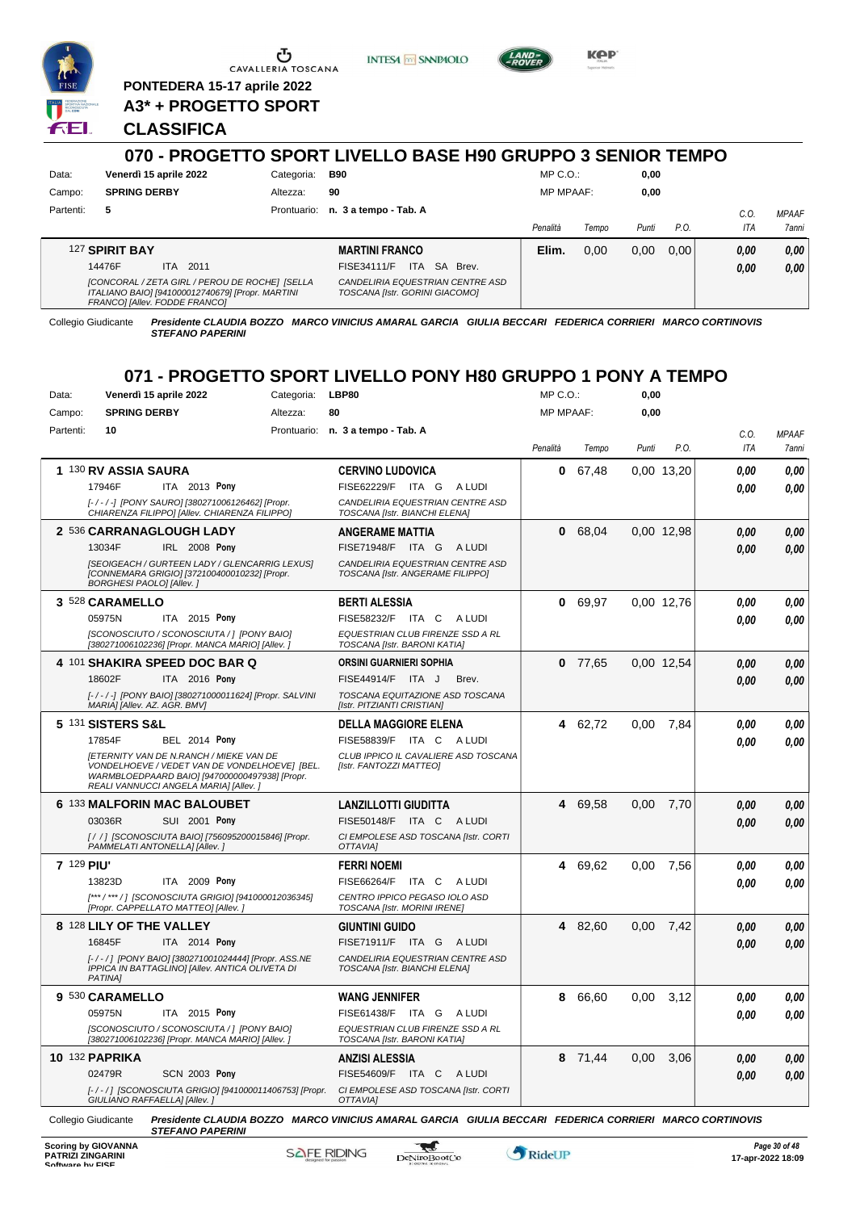

**PONTEDERA 15-17 aprile 2022 A3\* + PROGETTO SPORT**

**CLASSIFICA**

### **070 - PROGETTO SPORT LIVELLO BASE H90 GRUPPO 3 SENIOR TEMPO** Data: Venerdì 15 aprile 2022 Categoria: B90 Prontuario: **n. 3 a tempo - Tab. A** Campo: **SPRING DERBY** Partenti: **5** Altezza: **90** MP C.O.: MP MPAAF: **0,00 0,00** *Penalità Tempo Punti P.O. C.O. ITA MPAAF 7anni* 127 **SPIRIT BAY** ITA 2011 **MARTINI FRANCO** *[CONCORAL / ZETA GIRL / PEROU DE ROCHE] [SELLA ITALIANO BAIO] [941000012740679] [Propr. MARTINI FRANCO] [Allev. FODDE FRANCO] CANDELIRIA EQUESTRIAN CENTRE ASD TOSCANA [Istr. GORINI GIACOMO]* 14476F ITA 2011 FISE34111/F ITA SA Brev. **0,00 0,00 Elim.** 0,00 0,00 0,00 *0,00 0,00 0,00*

**INTESA M** SANPAOLO

Collegio Giudicante *Presidente CLAUDIA BOZZO MARCO VINICIUS AMARAL GARCIA GIULIA BECCARI FEDERICA CORRIERI MARCO CORTINOVIS STEFANO PAPERINI*

# **071 - PROGETTO SPORT LIVELLO PONY H80 GRUPPO 1 PONY A TEMPO**

| Data:      | Venerdì 15 aprile 2022                                                                                                                   | Categoria:  | LBP80                                                                                                   | MP C.O.:         |           | 0,00  |            |            |              |
|------------|------------------------------------------------------------------------------------------------------------------------------------------|-------------|---------------------------------------------------------------------------------------------------------|------------------|-----------|-------|------------|------------|--------------|
| Campo:     | <b>SPRING DERBY</b>                                                                                                                      | Altezza:    | 80                                                                                                      | <b>MP MPAAF:</b> |           | 0,00  |            |            |              |
| Partenti:  | 10                                                                                                                                       | Prontuario: | n. 3 a tempo - Tab. A                                                                                   |                  |           |       |            | C.O.       | <b>MPAAF</b> |
|            |                                                                                                                                          |             |                                                                                                         | Penalità         | Tempo     | Punti | P.O.       | <b>ITA</b> | 7anni        |
|            | 1 130 RV ASSIA SAURA                                                                                                                     |             | <b>CERVINO LUDOVICA</b>                                                                                 | 0                | 67,48     |       | 0,00 13,20 | 0,00       | 0,00         |
|            | 17946F<br>ITA 2013 Pony                                                                                                                  |             | FISE62229/F<br>ITA G<br>A LUDI                                                                          |                  |           |       |            | 0.00       | 0.00         |
|            | [-/-/-] [PONY SAURO] [380271006126462] [Propr.<br>CHIARENZA FILIPPO] [Allev. CHIARENZA FILIPPO]                                          |             | CANDELIRIA EQUESTRIAN CENTRE ASD<br>TOSCANA [Istr. BIANCHI ELENA]                                       |                  |           |       |            |            |              |
|            | 2 536 CARRANAGLOUGH LADY                                                                                                                 |             | <b>ANGERAME MATTIA</b>                                                                                  | 0                | 68,04     |       | 0.00 12.98 | 0,00       | 0.00         |
|            | IRL 2008 Pony<br>13034F                                                                                                                  |             | <b>FISE71948/F</b><br>ITA G<br>A LUDI                                                                   |                  |           |       |            | 0.00       | 0.00         |
|            | [SEOIGEACH / GURTEEN LADY / GLENCARRIG LEXUS]<br>[CONNEMARA GRIGIO] [372100400010232] [Propr.<br>BORGHESI PAOLO] [Allev.]                |             | CANDELIRIA EQUESTRIAN CENTRE ASD<br>TOSCANA [Istr. ANGERAME FILIPPO]                                    |                  |           |       |            |            |              |
|            | 3 528 CARAMELLO                                                                                                                          |             | <b>BERTI ALESSIA</b>                                                                                    | 0                | 69.97     |       | 0,00 12,76 | 0.00       | 0.00         |
|            | 05975N<br>ITA 2015 Pony                                                                                                                  |             | FISE58232/F ITA C<br>A LUDI                                                                             |                  |           |       |            | 0.00       | 0.00         |
|            | [SCONOSCIUTO / SCONOSCIUTA / ] [PONY BAIO]<br>[380271006102236] [Propr. MANCA MARIO] [Allev. ]                                           |             | EQUESTRIAN CLUB FIRENZE SSD A RL<br>TOSCANA [Istr. BARONI KATIA]                                        |                  |           |       |            |            |              |
|            | 4 101 SHAKIRA SPEED DOC BAR Q                                                                                                            |             | ORSINI GUARNIERI SOPHIA                                                                                 |                  | $0$ 77,65 |       | 0,00 12,54 | 0.00       | 0.00         |
|            | 18602F<br>ITA 2016 Pony                                                                                                                  |             | FISE44914/F ITA J<br>Brev.                                                                              |                  |           |       |            | 0,00       | 0.00         |
|            | [-/-/-] [PONY BAIO] [380271000011624] [Propr. SALVINI<br>MARIA] [Allev. AZ. AGR. BMV]                                                    |             | TOSCANA EQUITAZIONE ASD TOSCANA<br>[Istr. PITZIANTI CRISTIAN]                                           |                  |           |       |            |            |              |
|            | 5 131 SISTERS S&L                                                                                                                        |             | <b>DELLA MAGGIORE ELENA</b>                                                                             |                  | 4 62,72   | 0.00  | 7,84       | 0.00       | 0.00         |
|            | 17854F<br><b>BEL 2014 Pony</b>                                                                                                           |             | FISE58839/F ITA C<br>A LUDI                                                                             |                  |           |       |            | 0.00       | 0.00         |
|            | <b>IETERNITY VAN DE N.RANCH / MIEKE VAN DE</b>                                                                                           |             | CLUB IPPICO IL CAVALIERE ASD TOSCANA                                                                    |                  |           |       |            |            |              |
|            | VONDELHOEVE / VEDET VAN DE VONDELHOEVEJ [BEL.<br>WARMBLOEDPAARD BAIO] [947000000497938] [Propr.<br>REALI VANNUCCI ANGELA MARIA] [Allev.] |             | [Istr. FANTOZZI MATTEO]                                                                                 |                  |           |       |            |            |              |
|            | 6 133 MALFORIN MAC BALOUBET                                                                                                              |             | <b>LANZILLOTTI GIUDITTA</b>                                                                             | 4                | 69,58     | 0,00  | 7,70       | 0,00       | 0,00         |
|            | 03036R<br>SUI 2001 Pony                                                                                                                  |             | FISE50148/F ITA C ALUDI                                                                                 |                  |           |       |            | 0.00       | 0.00         |
|            | [/ /] [SCONOSCIUTA BAIO] [756095200015846] [Propr.<br>PAMMELATI ANTONELLA] [Allev.]                                                      |             | CI EMPOLESE ASD TOSCANA [Istr. CORTI<br>OTTAVIA]                                                        |                  |           |       |            |            |              |
| 7 129 PIU' |                                                                                                                                          |             | <b>FERRI NOEMI</b>                                                                                      | 4                | 69,62     | 0.00  | 7,56       | 0.00       | 0.00         |
|            | 13823D<br>ITA 2009 Pony                                                                                                                  |             | FISE66264/F ITA C<br>A LUDI                                                                             |                  |           |       |            | 0,00       | 0.00         |
|            | [***/***/] [SCONOSCIUTA GRIGIO] [941000012036345]<br>[Propr. CAPPELLATO MATTEO] [Allev.]                                                 |             | CENTRO IPPICO PEGASO IOLO ASD<br>TOSCANA [Istr. MORINI IRENE]                                           |                  |           |       |            |            |              |
|            | 8 128 LILY OF THE VALLEY                                                                                                                 |             | <b>GIUNTINI GUIDO</b>                                                                                   | 4                | 82,60     | 0.00  | 7,42       | 0,00       | 0,00         |
|            | 16845F<br>ITA 2014 Pony                                                                                                                  |             | FISE71911/F ITA G ALUDI                                                                                 |                  |           |       |            | 0.00       | 0.00         |
|            | [-/-/] [PONY BAIO] [380271001024444] [Propr. ASS.NE<br>IPPICA IN BATTAGLINO] [Allev. ANTICA OLIVETA DI<br><b>PATINAI</b>                 |             | CANDELIRIA EQUESTRIAN CENTRE ASD<br>TOSCANA [Istr. BIANCHI ELENA]                                       |                  |           |       |            |            |              |
|            | 9 530 CARAMELLO                                                                                                                          |             | <b>WANG JENNIFER</b>                                                                                    | 8                | 66,60     | 0,00  | 3,12       | 0.00       | 0.00         |
|            | 05975N<br>ITA 2015 Pony                                                                                                                  |             | FISE61438/F ITA G ALUDI                                                                                 |                  |           |       |            | 0.00       | 0.00         |
|            | [SCONOSCIUTO / SCONOSCIUTA / ] [PONY BAIO]<br>[380271006102236] [Propr. MANCA MARIO] [Allev. ]                                           |             | EQUESTRIAN CLUB FIRENZE SSD A RL<br>TOSCANA [Istr. BARONI KATIA]                                        |                  |           |       |            |            |              |
|            | <b>10 132 PAPRIKA</b>                                                                                                                    |             | ANZISI ALESSIA                                                                                          | 8                | 71,44     | 0,00  | 3,06       | 0,00       | 0,00         |
|            | 02479R<br><b>SCN 2003 Pony</b>                                                                                                           |             | FISE54609/F ITA C ALUDI                                                                                 |                  |           |       |            | 0.00       | 0.00         |
|            | [-/-/] [SCONOSCIUTA GRIGIO] [941000011406753] [Propr.<br>GIULIANO RAFFAELLA] [Allev.]                                                    |             | CI EMPOLESE ASD TOSCANA [Istr. CORTI<br>OTTAVIAI                                                        |                  |           |       |            |            |              |
|            | Collegio Giudicante<br><b>STEFANO PAPERINI</b>                                                                                           |             | Presidente CLAUDIA BOZZO MARCO VINICIUS AMARAL GARCIA GIULIA BECCARI FEDERICA CORRIERI MARCO CORTINOVIS |                  |           |       |            |            |              |



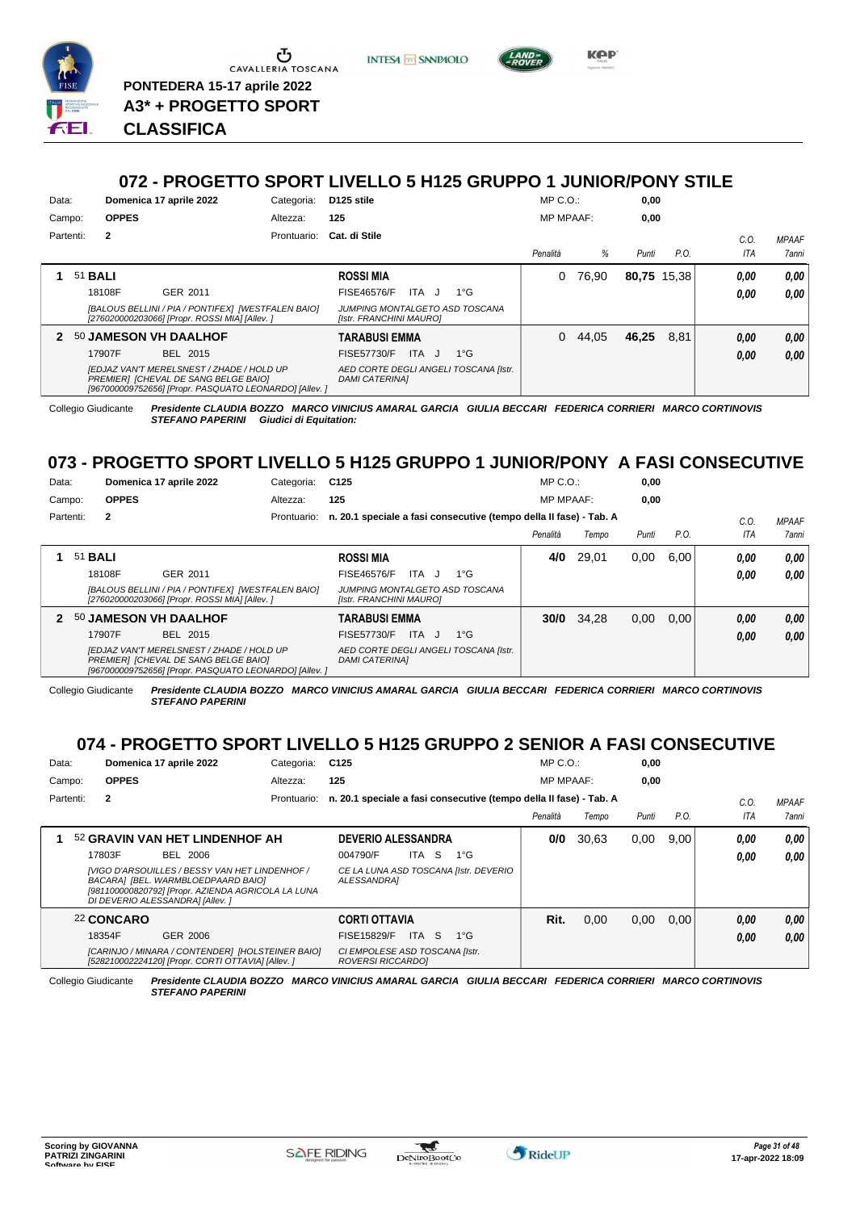

Ⴠ CAVALLERIA TOSCANA **PONTEDERA 15-17 aprile 2022**

**A3\* + PROGETTO SPORT**

**INTESA** M SANPAOLO



*Presidente CLAUDIA BOZZO MARCO VINICIUS AMARAL GARCIA GIULIA BECCARI FEDERICA CORRIERI MARCO CORTINOVIS STEFANO PAPERINI* **CLASSIFICA**

## **072 - PROGETTO SPORT LIVELLO 5 H125 GRUPPO 1 JUNIOR/PONY STILE**

| Data:  |                |              | Domenica 17 aprile 2022                                                                                                                            | Categoria:  | D125 stile                                                     |              | $MP C. O.$ :     |          | 0,00        |      |      |                     |
|--------|----------------|--------------|----------------------------------------------------------------------------------------------------------------------------------------------------|-------------|----------------------------------------------------------------|--------------|------------------|----------|-------------|------|------|---------------------|
| Campo: |                | <b>OPPES</b> |                                                                                                                                                    | Altezza:    | 125                                                            |              | <b>MP MPAAF:</b> |          | 0,00        |      |      |                     |
|        | Partenti:      | $\mathbf{2}$ |                                                                                                                                                    | Prontuario: | Cat. di Stile                                                  |              |                  |          |             |      | C.0  | <b>MPAAF</b>        |
|        |                |              |                                                                                                                                                    |             |                                                                |              | Penalità         | %        | Punti       | P.O. | ITA  | <i><b>7anni</b></i> |
|        | 51 <b>BALI</b> |              |                                                                                                                                                    |             | <b>ROSSI MIA</b>                                               |              | 0                | 76.90    | 80,75 15,38 |      | 0,00 | 0,00                |
|        |                | 18108F       | GER 2011                                                                                                                                           |             | ITA J<br><b>FISE46576/F</b>                                    | $1^{\circ}G$ |                  |          |             |      | 0,00 | 0,00                |
|        |                |              | [BALOUS BELLINI / PIA / PONTIFEX] [WESTFALEN BAIO]<br>[276020000203066] [Propr. ROSSI MIA] [Allev. ]                                               |             | JUMPING MONTALGETO ASD TOSCANA<br>[Istr. FRANCHINI MAURO]      |              |                  |          |             |      |      |                     |
|        |                |              | <b>50 JAMESON VH DAALHOF</b>                                                                                                                       |             | <b>TARABUSI EMMA</b>                                           |              |                  | 0, 44.05 | 46.25       | 8.81 | 0,00 | 0,00                |
|        |                | 17907F       | BEL 2015                                                                                                                                           |             | FISE57730/F<br>ITA J                                           | $1^{\circ}G$ |                  |          |             |      | 0,00 | 0.00                |
|        |                |              | <b>[EDJAZ VAN'T MERELSNEST / ZHADE / HOLD UP</b><br>PREMIERI [CHEVAL DE SANG BELGE BAIO]<br>[967000009752656] [Propr. PASQUATO LEONARDO] [Allev. ] |             | AED CORTE DEGLI ANGELI TOSCANA [Istr.<br><b>DAMI CATERINAI</b> |              |                  |          |             |      |      |                     |

Collegio Giudicante *Presidente CLAUDIA BOZZO MARCO VINICIUS AMARAL GARCIA GIULIA BECCARI FEDERICA CORRIERI MARCO CORTINOVIS STEFANO PAPERINI Giudici di Equitation:*

# **073 - PROGETTO SPORT LIVELLO 5 H125 GRUPPO 1 JUNIOR/PONY A FASI CONSECUTIVE**

| Data:  |                |              | Domenica 17 aprile 2022                                                                                                                            | Categoria:  | C125                                                               | $MP C. O.$ :     |       | 0,00  |      |      |              |
|--------|----------------|--------------|----------------------------------------------------------------------------------------------------------------------------------------------------|-------------|--------------------------------------------------------------------|------------------|-------|-------|------|------|--------------|
| Campo: |                | <b>OPPES</b> |                                                                                                                                                    | Altezza:    | 125                                                                | <b>MP MPAAF:</b> |       | 0,00  |      |      |              |
|        | Partenti:      | $\mathbf{2}$ |                                                                                                                                                    | Prontuario: | n. 20.1 speciale a fasi consecutive (tempo della II fase) - Tab. A |                  |       |       |      | C.0  | <b>MPAAF</b> |
|        |                |              |                                                                                                                                                    |             |                                                                    | Penalità         | Tempo | Punti | P.O. | ITA  | <b>7anni</b> |
|        | 51 <b>BALI</b> |              |                                                                                                                                                    |             | <b>ROSSI MIA</b>                                                   | 4/0              | 29,01 | 0.00  | 6.00 | 0,00 | 0.00         |
|        |                | 18108F       | GER 2011                                                                                                                                           |             | FISE46576/F<br>$1^{\circ}G$<br>ITA.<br>$\cdot$                     |                  |       |       |      | 0.00 | 0.00         |
|        |                |              | [BALOUS BELLINI / PIA / PONTIFEX] [WESTFALEN BAIO]<br>[276020000203066] [Propr. ROSSI MIA] [Allev. ]                                               |             | JUMPING MONTALGETO ASD TOSCANA<br>[Istr. FRANCHINI MAURO]          |                  |       |       |      |      |              |
|        |                |              | 50 JAMESON VH DAALHOF                                                                                                                              |             | <b>TARABUSI EMMA</b>                                               | 30/0             | 34.28 | 0.00  | 0.00 | 0,00 | 0.00         |
|        |                | 17907F       | BEL 2015                                                                                                                                           |             | ITA<br>$1^{\circ}$ G<br>FISE57730/F<br>$\mathbf{I}$                |                  |       |       |      | 0,00 | 0,00         |
|        |                |              | <b>[EDJAZ VAN'T MERELSNEST / ZHADE / HOLD UP</b><br>PREMIER1 [CHEVAL DE SANG BELGE BAIO]<br>[967000009752656] [Propr. PASQUATO LEONARDO] [Allev. ] |             | AED CORTE DEGLI ANGELI TOSCANA [Istr.<br><b>DAMI CATERINAI</b>     |                  |       |       |      |      |              |

Collegio Giudicante *Presidente CLAUDIA BOZZO MARCO VINICIUS AMARAL GARCIA GIULIA BECCARI FEDERICA CORRIERI MARCO CORTINOVIS STEFANO PAPERINI*

# **074 - PROGETTO SPORT LIVELLO 5 H125 GRUPPO 2 SENIOR A FASI CONSECUTIVE**

| Data:     | Domenica 17 aprile 2022                                                                                                                                                       | Categoria:  | C <sub>125</sub>                                                   | $MP C. O.$ :     |       | 0,00  |      |      |              |
|-----------|-------------------------------------------------------------------------------------------------------------------------------------------------------------------------------|-------------|--------------------------------------------------------------------|------------------|-------|-------|------|------|--------------|
| Campo:    | <b>OPPES</b>                                                                                                                                                                  | Altezza:    | 125                                                                | <b>MP MPAAF:</b> |       | 0.00  |      |      |              |
| Partenti: | 2                                                                                                                                                                             | Prontuario: | n. 20.1 speciale a fasi consecutive (tempo della II fase) - Tab. A |                  |       |       |      | C.0  | <b>MPAAF</b> |
|           |                                                                                                                                                                               |             |                                                                    | Penalità         | Tempo | Punti | P.O. | ITA  | 7anni        |
|           | 52 GRAVIN VAN HET LINDENHOF AH                                                                                                                                                |             | <b>DEVERIO ALESSANDRA</b>                                          | 0/0              | 30.63 | 0,00  | 9.00 | 0.00 | 0.00         |
|           | <b>BEL 2006</b><br>17803F                                                                                                                                                     |             | -S<br>004790/F<br>$1^{\circ}G$<br>ITA                              |                  |       |       |      | 0.00 | 0.00         |
|           | [VIGO D'ARSOUILLES / BESSY VAN HET LINDENHOF /<br>BACARA] [BEL. WARMBLOEDPAARD BAIO]<br>[981100000820792] [Propr. AZIENDA AGRICOLA LA LUNA<br>DI DEVERIO ALESSANDRA] [Allev.] |             | CE LA LUNA ASD TOSCANA [Istr. DEVERIO<br>ALESSANDRA]               |                  |       |       |      |      |              |
|           | 22 CONCARO                                                                                                                                                                    |             | <b>CORTI OTTAVIA</b>                                               | Rit.             | 0,00  | 0.00  | 0.00 | 0.00 | 0.00         |
|           | 18354F<br>GER 2006                                                                                                                                                            |             | -S<br><b>FISE15829/F</b><br>ITA I<br>$1^{\circ}G$                  |                  |       |       |      | 0.00 | 0.00         |
|           | [CARINJO / MINARA / CONTENDER] [HOLSTEINER BAIO]<br>[528210002224120] [Propr. CORTI OTTAVIA] [Allev. ]                                                                        |             | CI EMPOLESE ASD TOSCANA [Istr.<br>ROVERSI RICCARDO]                |                  |       |       |      |      |              |

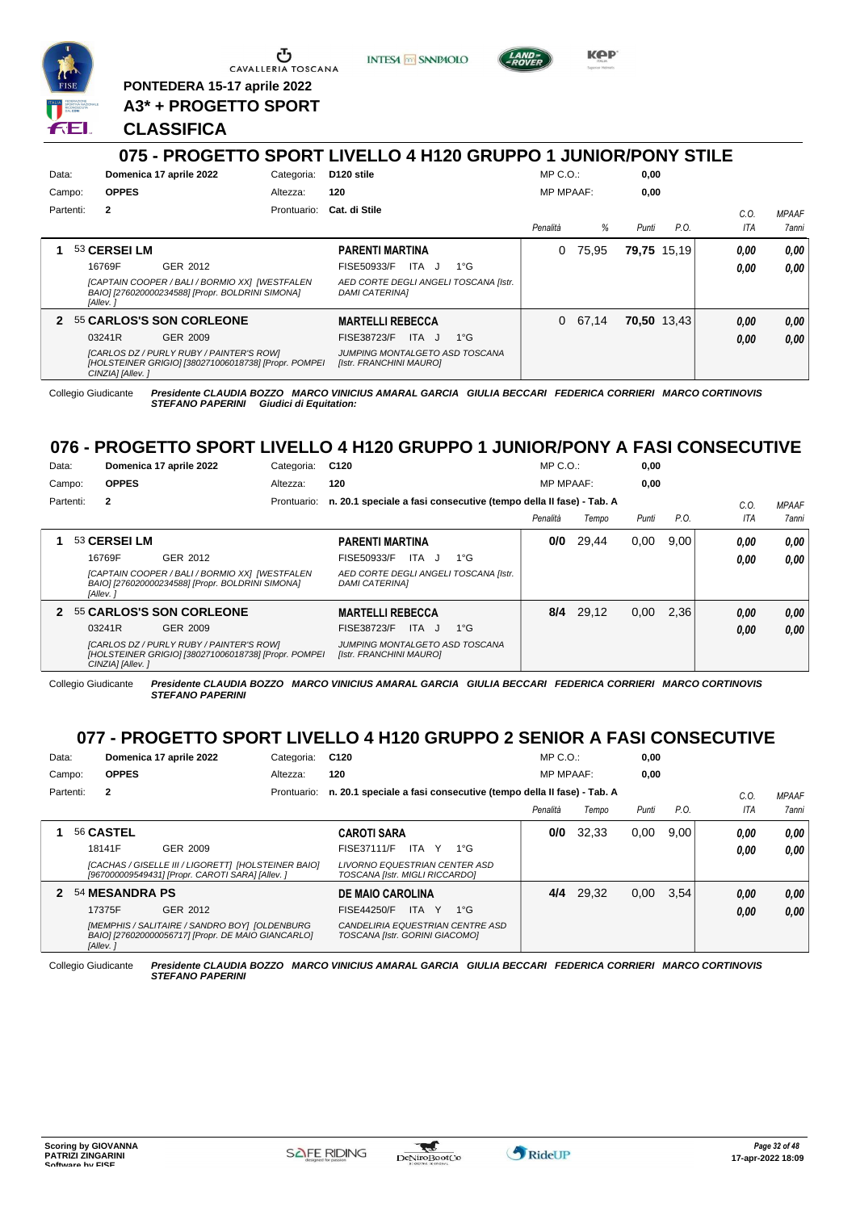

**PONTEDERA 15-17 aprile 2022 A3\* + PROGETTO SPORT** **INTESA** M SANPAOLO



KOP

## **CLASSIFICA**

#### **075 - PROGETTO SPORT LIVELLO 4 H120 GRUPPO 1 JUNIOR/PONY STILE** Data: **Domenica 17 aprile 2022** Categoria: D120 stile Prontuario: **Cat. di Stile** Campo: **OPPES** Partenti: **2** Altezza: **120** MP C.O.: MP MPAAF: **0,00 0,00** *Penalità % Punti P.O. C.O. ITA MPAAF 7anni* **1** 53 **CERSEI LM** GER 2012 **PARENTI MARTINA** *[CAPTAIN COOPER / BALI / BORMIO XX] [WESTFALEN BAIO] [276020000234588] [Propr. BOLDRINI SIMONA] [Allev. ] AED CORTE DEGLI ANGELI TOSCANA [Istr. DAMI CATERINA]* 16769F GER\_2012 FISE50933/F ITA J 1°G **0,00 0,00** 0 75,95 **79,75** 15,19 *0,00 0,00 0,00* **2** 55 **CARLOS'S SON CORLEONE** GER 2009 **MARTELLI REBECCA** *[CARLOS DZ / PURLY RUBY / PAINTER'S ROW] [HOLSTEINER GRIGIO] [380271006018738] [Propr. POMPEI CINZIA] [Allev. ] JUMPING MONTALGETO ASD TOSCANA [Istr. FRANCHINI MAURO]* FISE38723/E ITA J 1°G 0 67,14 **70,50** 13,43 *0,00 0,00 0,00* 03241R GER\_2009 FISE38723/F ITA J 1°G **0,00 0,00**

Collegio Giudicante *Presidente CLAUDIA BOZZO MARCO VINICIUS AMARAL GARCIA GIULIA BECCARI FEDERICA CORRIERI MARCO CORTINOVIS* **Giudici di Equitation:** 

# **076 - PROGETTO SPORT LIVELLO 4 H120 GRUPPO 1 JUNIOR/PONY A FASI CONSECUTIVE**

| Data:     |                  | Domenica 17 aprile 2022                                                                            | Categoria:  | C <sub>120</sub>                                                   |              | $MP C. O.$ :     |           | 0,00  |      |         |              |
|-----------|------------------|----------------------------------------------------------------------------------------------------|-------------|--------------------------------------------------------------------|--------------|------------------|-----------|-------|------|---------|--------------|
| Campo:    | <b>OPPES</b>     |                                                                                                    | Altezza:    | 120                                                                |              | <b>MP MPAAF:</b> |           | 0,00  |      |         |              |
| Partenti: | $\mathbf{2}$     |                                                                                                    | Prontuario: | n. 20.1 speciale a fasi consecutive (tempo della II fase) - Tab. A |              |                  |           |       |      | $C_{0}$ | <b>MPAAF</b> |
|           |                  |                                                                                                    |             |                                                                    |              | Penalità         | Tempo     | Punti | P.O. | ITA     | <b>7anni</b> |
|           | 53 CERSEI LM     |                                                                                                    |             | <b>PARENTI MARTINA</b>                                             |              | 0/0              | 29,44     | 0.00  | 9.00 | 0.00    | 0.00         |
|           | 16769F           | GER 2012                                                                                           |             | <b>ITA</b><br>FISE50933/F<br>J.                                    | $1^{\circ}G$ |                  |           |       |      | 0.00    | 0.00         |
|           | [Allev.]         | [CAPTAIN COOPER / BALI / BORMIO XX] [WESTFALEN<br>BAIO] [276020000234588] [Propr. BOLDRINI SIMONA] |             | AED CORTE DEGLI ANGELI TOSCANA [Istr.<br><b>DAMI CATERINAI</b>     |              |                  |           |       |      |         |              |
|           |                  | 2 55 CARLOS'S SON CORLEONE                                                                         |             | <b>MARTELLI REBECCA</b>                                            |              |                  | 8/4 29.12 | 0,00  | 2.36 | 0.00    | 0.00         |
|           | 03241R           | GER 2009                                                                                           |             | FISE38723/F<br>ITA.<br>. J                                         | $1^{\circ}G$ |                  |           |       |      | 0.00    | 0.00         |
|           | CINZIA] [Allev.] | [CARLOS DZ / PURLY RUBY / PAINTER'S ROW]<br>[HOLSTEINER GRIGIO] [380271006018738] [Propr. POMPEI   |             | JUMPING MONTALGETO ASD TOSCANA<br>[Istr. FRANCHINI MAURO]          |              |                  |           |       |      |         |              |

Collegio Giudicante *Presidente CLAUDIA BOZZO MARCO VINICIUS AMARAL GARCIA GIULIA BECCARI FEDERICA CORRIERI MARCO CORTINOVIS STEFANO PAPERINI*

# **077 - PROGETTO SPORT LIVELLO 4 H120 GRUPPO 2 SENIOR A FASI CONSECUTIVE**

| Data:  |           |                       | Domenica 17 aprile 2022                                                                                 | Categoria:  | C <sub>120</sub>                                                   | $MP C. O.$ :     |       | 0,00  |      |            |              |
|--------|-----------|-----------------------|---------------------------------------------------------------------------------------------------------|-------------|--------------------------------------------------------------------|------------------|-------|-------|------|------------|--------------|
| Campo: |           | <b>OPPES</b>          |                                                                                                         | Altezza:    | 120                                                                | <b>MP MPAAF:</b> |       | 0,00  |      |            |              |
|        | Partenti: | $\mathbf{2}$          |                                                                                                         | Prontuario: | n. 20.1 speciale a fasi consecutive (tempo della II fase) - Tab. A |                  |       |       |      | C.0        | <b>MPAAF</b> |
|        |           |                       |                                                                                                         |             |                                                                    | Penalità         | Tempo | Punti | P.O. | <b>ITA</b> | 7anni        |
|        |           | 56 CASTEL             |                                                                                                         |             | <b>CAROTI SARA</b>                                                 | 0/0              | 32.33 | 0.00  | 9.00 | 0,00       | 0,00         |
|        |           | 18141F                | GER 2009                                                                                                |             | <b>FISE37111/F</b><br>ITA Y<br>$1^{\circ}G$                        |                  |       |       |      | 0,00       | 0,00         |
|        |           |                       | [CACHAS / GISELLE III / LIGORETT] [HOLSTEINER BAIO]<br>[967000009549431] [Propr. CAROTI SARA] [Allev. ] |             | LIVORNO EQUESTRIAN CENTER ASD<br>TOSCANA [Istr. MIGLI RICCARDO]    |                  |       |       |      |            |              |
|        |           | <b>54 MESANDRA PS</b> |                                                                                                         |             | <b>DE MAIO CAROLINA</b>                                            | 4/4              | 29.32 | 0,00  | 3.54 | 0,00       | 0,00         |
|        |           | 17375F                | GER 2012                                                                                                |             | $1^{\circ}G$<br>FISE44250/F<br>ITA Y                               |                  |       |       |      | 0,00       | 0.00         |
|        |           |                       | IMEMPHIS / SALITAIRE / SANDRO BOVI IOLDENBLIRG                                                          |             | CANDELIBIA EQUESTRIAN CENTRE ASD                                   |                  |       |       |      |            |              |

Collegio Giudicante *Presidente CLAUDIA BOZZO MARCO VINICIUS AMARAL GARCIA GIULIA BECCARI FEDERICA CORRIERI MARCO CORTINOVIS STEFANO PAPERINI*

*TOSCANA [Istr. GORINI GIACOMO]*

*[Allev. ]*

*BAIO] [276020000056717] [Propr. DE MAIO GIANCARLO]*

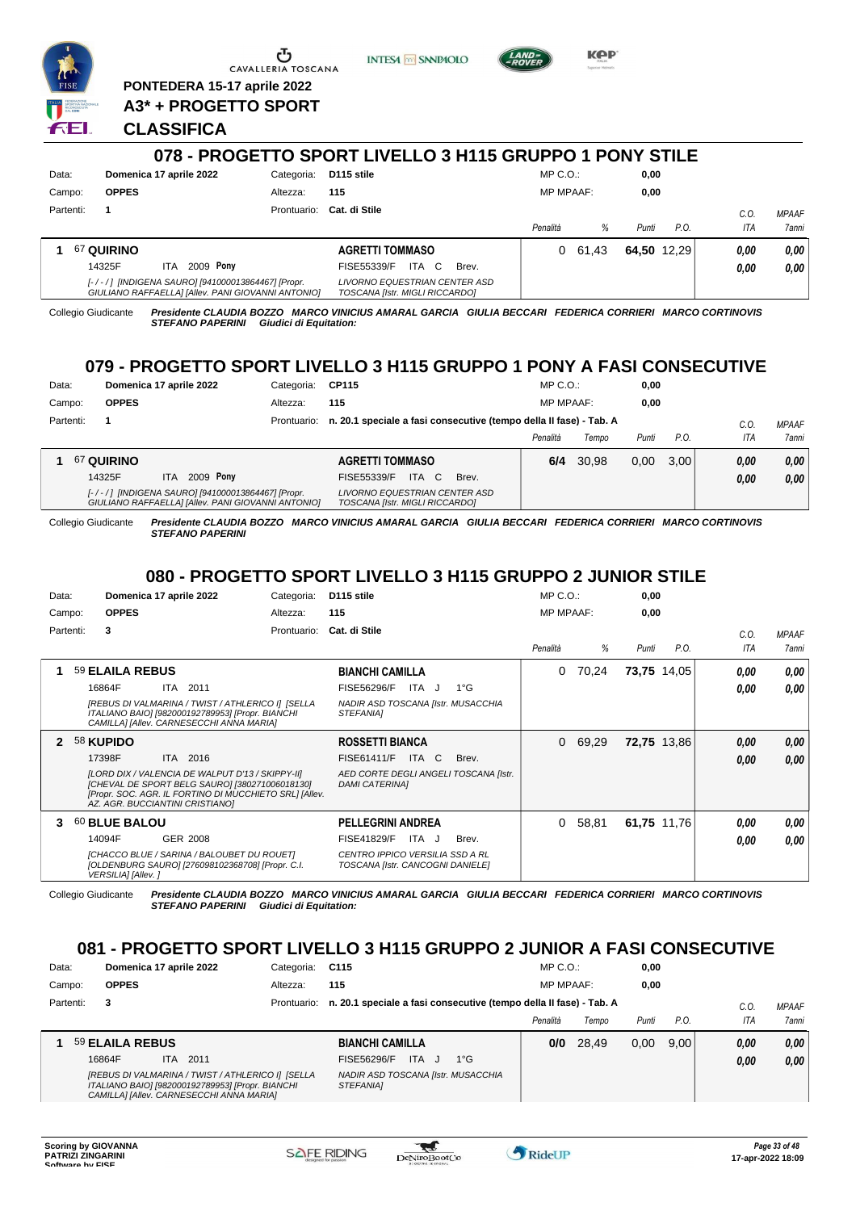

**PONTEDERA 15-17 aprile 2022 A3\* + PROGETTO SPORT** **INTESA** M SANPAOLO



**KPP** 

# **CLASSIFICA**

|           |                         | 078 - PROGETTO SPORT LIVELLO 3 H115 GRUPPO 1 PONY STILE                                                 |                                                                        |   |       |                  |       |       |             |            |                       |
|-----------|-------------------------|---------------------------------------------------------------------------------------------------------|------------------------------------------------------------------------|---|-------|------------------|-------|-------|-------------|------------|-----------------------|
| Data:     | Domenica 17 aprile 2022 | Categoria:                                                                                              | D <sub>115</sub> stile                                                 |   |       | $MP C. O.$ :     |       | 0,00  |             |            |                       |
| Campo:    | <b>OPPES</b>            | Altezza:                                                                                                | 115                                                                    |   |       | <b>MP MPAAF:</b> |       | 0,00  |             |            |                       |
| Partenti: |                         | Prontuario:                                                                                             | Cat. di Stile                                                          |   |       | Penalità         | %     | Punti | P.O.        | C.O<br>ITA | <b>MPAAF</b><br>7anni |
|           | 67 QUIRINO              |                                                                                                         | <b>AGRETTI TOMMASO</b>                                                 |   |       | 0                | 61.43 |       | 64.50 12.29 | 0.00       | 0,00                  |
|           | 14325F<br><b>ITA</b>    | 2009 Pony                                                                                               | <b>ITA</b><br>FISE55339/F                                              | C | Brev. |                  |       |       |             | 0.00       | 0,00                  |
|           |                         | [-/-/] [INDIGENA SAURO] [941000013864467] [Propr.<br>GIULIANO RAFFAELLA] [Allev. PANI GIOVANNI ANTONIO] | <b>LIVORNO EQUESTRIAN CENTER ASD</b><br>TOSCANA [Istr. MIGLI RICCARDO] |   |       |                  |       |       |             |            |                       |

Collegio Giudicante *Presidente CLAUDIA BOZZO MARCO VINICIUS AMARAL GARCIA GIULIA BECCARI FEDERICA CORRIERI MARCO CORTINOVIS STEFANO PAPERINI Giudici di Equitation:*

# **079 - PROGETTO SPORT LIVELLO 3 H115 GRUPPO 1 PONY A FASI CONSECUTIVE**

| Data:     | Domenica 17 aprile 2022                                                                                 | Categoria: | <b>CP115</b>                                                                   | $MP C. O.$ :     |       | 0,00  |      |      |              |
|-----------|---------------------------------------------------------------------------------------------------------|------------|--------------------------------------------------------------------------------|------------------|-------|-------|------|------|--------------|
| Campo:    | <b>OPPES</b>                                                                                            | Altezza:   | 115                                                                            | <b>MP MPAAF:</b> |       | 0.00  |      |      |              |
| Partenti: |                                                                                                         |            | Prontuario: n. 20.1 speciale a fasi consecutive (tempo della II fase) - Tab. A |                  |       |       |      | C.0  | <b>MPAAF</b> |
|           |                                                                                                         |            |                                                                                | Penalità         | Tempo | Punti | P.O. | ITA  | 7anni        |
|           | 67 QUIRINO                                                                                              |            | <b>AGRETTI TOMMASO</b>                                                         | 6/4              | 30.98 | 0.00  | 3.00 | 0.00 | 0.00         |
|           | 2009 Pony<br>14325F<br><b>ITA</b>                                                                       |            | FISE55339/F<br><b>ITA</b><br>C.<br>Brev.                                       |                  |       |       |      | 0.00 | 0.00         |
|           | [-/-/] [INDIGENA SAURO] [941000013864467] [Propr.<br>GIULIANO RAFFAELLA] [Allev. PANI GIOVANNI ANTONIO] |            | LIVORNO EQUESTRIAN CENTER ASD<br>TOSCANA [Istr. MIGLI RICCARDO]                |                  |       |       |      |      |              |

Collegio Giudicante *Presidente CLAUDIA BOZZO MARCO VINICIUS AMARAL GARCIA GIULIA BECCARI FEDERICA CORRIERI MARCO CORTINOVIS STEFANO PAPERINI*

# **080 - PROGETTO SPORT LIVELLO 3 H115 GRUPPO 2 JUNIOR STILE**

| Data:  |           |                    | Domenica 17 aprile 2022                                                                                                                                                                         | Categoria:  | D115 stile                                                          |               | $MP C. O.$ :     |       | 0,00        |             |            |              |
|--------|-----------|--------------------|-------------------------------------------------------------------------------------------------------------------------------------------------------------------------------------------------|-------------|---------------------------------------------------------------------|---------------|------------------|-------|-------------|-------------|------------|--------------|
| Campo: |           | <b>OPPES</b>       |                                                                                                                                                                                                 | Altezza:    | 115                                                                 |               | <b>MP MPAAF:</b> |       | 0,00        |             |            |              |
|        | Partenti: | 3                  |                                                                                                                                                                                                 | Prontuario: | Cat. di Stile                                                       |               |                  |       |             |             | C.O.       | <b>MPAAF</b> |
|        |           |                    |                                                                                                                                                                                                 |             |                                                                     |               | Penalità         | %     | Punti       | P.O.        | <b>ITA</b> | <b>7anni</b> |
|        |           | 59 ELAILA REBUS    |                                                                                                                                                                                                 |             | <b>BIANCHI CAMILLA</b>                                              |               | 0                | 70,24 |             | 73,75 14,05 | 0.00       | 0,00         |
|        |           | 16864F             | ITA 2011                                                                                                                                                                                        |             | FISE56296/F<br>ITA J                                                | $1^{\circ}$ G |                  |       |             |             | 0.00       | 0.00         |
|        |           |                    | [REBUS DI VALMARINA / TWIST / ATHLERICO I] [SELLA<br>ITALIANO BAIO] [982000192789953] [Propr. BIANCHI<br>CAMILLA] [Allev. CARNESECCHI ANNA MARIA]                                               |             | NADIR ASD TOSCANA [Istr. MUSACCHIA<br>STEFANIA1                     |               |                  |       |             |             |            |              |
|        |           | 58 KUPIDO          |                                                                                                                                                                                                 |             | <b>ROSSETTI BIANCA</b>                                              |               | 0                | 69,29 |             | 72,75 13,86 | 0.00       | 0,00         |
|        |           | 17398F             | ITA 2016                                                                                                                                                                                        |             | <b>FISE61411/F</b><br>ITA C                                         | Brev.         |                  |       |             |             | 0.00       | 0,00         |
|        |           |                    | [LORD DIX / VALENCIA DE WALPUT D'13 / SKIPPY-II]<br>[CHEVAL DE SPORT BELG SAURO] [380271006018130]<br>[Propr. SOC. AGR. IL FORTINO DI MUCCHIETO SRL] [Allev.<br>AZ. AGR. BUCCIANTINI CRISTIANO] |             | AED CORTE DEGLI ANGELI TOSCANA [Istr.<br><b>DAMI CATERINAI</b>      |               |                  |       |             |             |            |              |
| з.     |           | 60 BLUE BALOU      |                                                                                                                                                                                                 |             | <b>PELLEGRINI ANDREA</b>                                            |               | 0                | 58,81 | 61,75 11,76 |             | 0.00       | 0,00         |
|        |           | 14094F             | GER 2008                                                                                                                                                                                        |             | ITA J<br><b>FISE41829/F</b>                                         | Brev.         |                  |       |             |             | 0.00       | 0.00         |
|        |           | VERSILIA] [Allev.] | [CHACCO BLUE / SARINA / BALOUBET DU ROUET]<br>[OLDENBURG SAURO] [276098102368708] [Propr. C.I.                                                                                                  |             | CENTRO IPPICO VERSILIA SSD A RL<br>TOSCANA [Istr. CANCOGNI DANIELE] |               |                  |       |             |             |            |              |

Collegio Giudicante *Presidente CLAUDIA BOZZO MARCO VINICIUS AMARAL GARCIA GIULIA BECCARI FEDERICA CORRIERI MARCO CORTINOVIS STEFANO PAPERINI Giudici di Equitation:*

# **081 - PROGETTO SPORT LIVELLO 3 H115 GRUPPO 2 JUNIOR A FASI CONSECUTIVE**

| Data:     | Domenica 17 aprile 2022 |      |                                                                                                       | Categoria: | C115                                                                           |              | $MP C. O.$ :     |       | 0,00  |      |      |              |
|-----------|-------------------------|------|-------------------------------------------------------------------------------------------------------|------------|--------------------------------------------------------------------------------|--------------|------------------|-------|-------|------|------|--------------|
| Campo:    | <b>OPPES</b>            |      |                                                                                                       | Altezza:   | 115                                                                            |              | <b>MP MPAAF:</b> |       | 0.00  |      |      |              |
| Partenti: | 3                       |      |                                                                                                       |            | Prontuario: n. 20.1 speciale a fasi consecutive (tempo della II fase) - Tab. A |              |                  |       |       |      | C.O  | <b>MPAAF</b> |
|           |                         |      |                                                                                                       |            |                                                                                |              | Penalità         | Tempo | Punti | P.O. | ITA  | <b>7anni</b> |
|           | 59 ELAILA REBUS         |      |                                                                                                       |            | <b>BIANCHI CAMILLA</b>                                                         |              | 0/0              | 28.49 | 0.00  | 9.00 | 0.00 | 0,00         |
|           | 16864F                  | ITA. | 2011                                                                                                  |            | FISE56296/F<br>ITA.                                                            | $1^{\circ}G$ |                  |       |       |      | 0,00 | 0,00         |
|           |                         |      | [REBUS DI VALMARINA / TWIST / ATHLERICO I] [SELLA<br>ITALIANO BAIO] [982000192789953] [Propr. BIANCHI |            | NADIR ASD TOSCANA [Istr. MUSACCHIA<br><b>STEFANIAI</b>                         |              |                  |       |       |      |      |              |

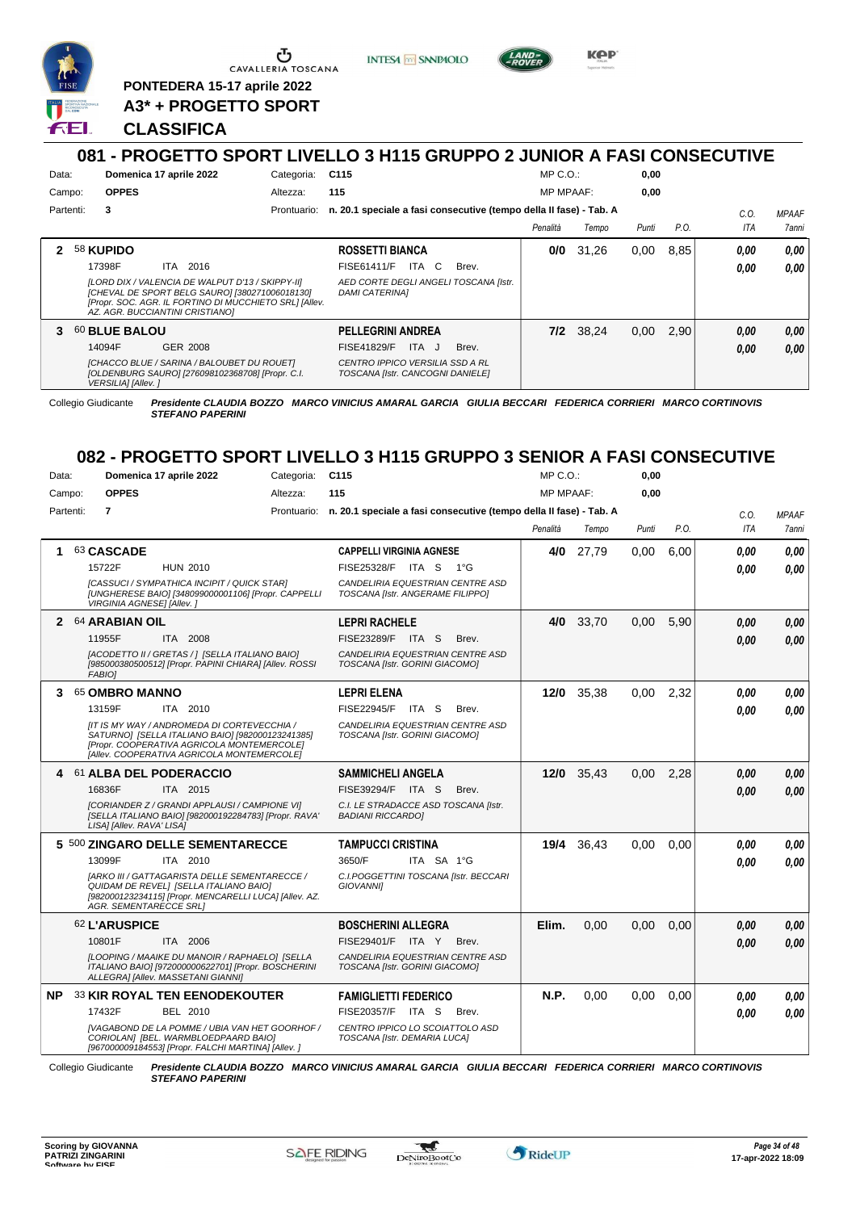

**PONTEDERA 15-17 aprile 2022 A3\* + PROGETTO SPORT** **INTESA M SANPAOLO** 



KOP

# **CLASSIFICA**

### **081 - PROGETTO SPORT LIVELLO 3 H115 GRUPPO 2 JUNIOR A FASI CONSECUTIVE** Data: **Domenica 17 aprile 2022** Categoria: C115 Prontuario: **n. 20.1 speciale a fasi consecutive (tempo della II fase) - Tab. A** Campo: **OPPES** Partenti: **3** Altezza: **115**  $MP \cap O$ MP MPAAF: **0,00 0,00** *Penalità Tempo Punti P.O. C.O. ITA MPAAF 7anni* **2** 58 **KUPIDO** ITA 2016 **ROSSETTI BIANCA** *[LORD DIX / VALENCIA DE WALPUT D'13 / SKIPPY-II] [CHEVAL DE SPORT BELG SAURO] [380271006018130] [Propr. SOC. AGR. IL FORTINO DI MUCCHIETO SRL] [Allev. AZ. AGR. BUCCIANTINI CRISTIANO] AED CORTE DEGLI ANGELI TOSCANA [Istr. DAMI CATERINA]* 17398F ITA 2016 FISE61411/F ITA C Brev. *0,00 0,00* **0/0** 31,26 0,00 8,85 *0,00 0,00 0,00* **3** 60 **BLUE BALOU** GER 2008 **PELLEGRINI ANDREA** *[CHACCO BLUE / SARINA / BALOUBET DU ROUET] [OLDENBURG SAURO] [276098102368708] [Propr. C.I. VERSILIA] [Allev. ] CENTRO IPPICO VERSILIA SSD A RL TOSCANA [Istr. CANCOGNI DANIELE]* 14094F GER\_2008 FISE41829/F ITA J Brev. **0,00 0,00 7/2** 38,24 0,00 2,90 *0,00 0,00 0,00*

Collegio Giudicante *Presidente CLAUDIA BOZZO MARCO VINICIUS AMARAL GARCIA GIULIA BECCARI FEDERICA CORRIERI MARCO CORTINOVIS STEFANO PAPERINI*

# **082 - PROGETTO SPORT LIVELLO 3 H115 GRUPPO 3 SENIOR A FASI CONSECUTIVE**

| Data:     |                               | Domenica 17 aprile 2022                                                                                                                                                                     | Categoria: | C <sub>115</sub>                                                               | $MP C. O.$ :     |       | 0,00  |      |            |                     |
|-----------|-------------------------------|---------------------------------------------------------------------------------------------------------------------------------------------------------------------------------------------|------------|--------------------------------------------------------------------------------|------------------|-------|-------|------|------------|---------------------|
| Campo:    | <b>OPPES</b>                  |                                                                                                                                                                                             | Altezza:   | 115                                                                            | <b>MP MPAAF:</b> |       | 0.00  |      |            |                     |
| Partenti: | $\overline{7}$                |                                                                                                                                                                                             |            | Prontuario: n. 20.1 speciale a fasi consecutive (tempo della II fase) - Tab. A |                  |       |       |      | C.O.       | <b>MPAAF</b>        |
|           |                               |                                                                                                                                                                                             |            |                                                                                | Penalità         | Tempo | Punti | P.O. | <b>ITA</b> | <i><b>7anni</b></i> |
| 1         | 63 CASCADE                    |                                                                                                                                                                                             |            | <b>CAPPELLI VIRGINIA AGNESE</b>                                                | 4/0              | 27,79 | 0,00  | 6,00 | 0.00       | 0.00                |
|           | 15722F                        | <b>HUN 2010</b>                                                                                                                                                                             |            | FISE25328/F<br>ITA S<br>$1^{\circ}G$                                           |                  |       |       |      | 0.00       | 0.00                |
|           | VIRGINIA AGNESE] [Allev. ]    | [CASSUCI / SYMPATHICA INCIPIT / QUICK STAR]<br>[UNGHERESE BAIO] [348099000001106] [Propr. CAPPELLI                                                                                          |            | CANDELIRIA EQUESTRIAN CENTRE ASD<br>TOSCANA [Istr. ANGERAME FILIPPO]           |                  |       |       |      |            |                     |
|           | 2 64 ARABIAN OIL              |                                                                                                                                                                                             |            | <b>LEPRI RACHELE</b>                                                           | 4/0              | 33,70 | 0,00  | 5,90 | 0.00       | 0,00                |
|           | 11955F                        | ITA 2008                                                                                                                                                                                    |            | FISE23289/F<br>ITA S<br>Brev.                                                  |                  |       |       |      | 0.00       | 0,00                |
|           | <b>FABIOI</b>                 | [ACODETTO II / GRETAS / ] [SELLA ITALIANO BAIO]<br>[985000380500512] [Propr. PAPINI CHIARA] [Allev. ROSSI                                                                                   |            | CANDELIRIA EQUESTRIAN CENTRE ASD<br>TOSCANA [Istr. GORINI GIACOMO]             |                  |       |       |      |            |                     |
| 3         | 65 OMBRO MANNO                |                                                                                                                                                                                             |            | <b>LEPRI ELENA</b>                                                             | $12/0$           | 35,38 | 0.00  | 2.32 | 0.00       | 0.00                |
|           | 13159F                        | ITA 2010                                                                                                                                                                                    |            | <b>FISE22945/F</b><br>ITA S<br>Brev.                                           |                  |       |       |      | 0.00       | 0.00                |
|           |                               | [IT IS MY WAY / ANDROMEDA DI CORTEVECCHIA /<br>SATURNO] [SELLA ITALIANO BAIO] [982000123241385]<br>[Propr. COOPERATIVA AGRICOLA MONTEMERCOLE]<br>[Allev. COOPERATIVA AGRICOLA MONTEMERCOLE] |            | CANDELIRIA EQUESTRIAN CENTRE ASD<br>TOSCANA [Istr. GORINI GIACOMO]             |                  |       |       |      |            |                     |
| 4         |                               | 61 ALBA DEL PODERACCIO                                                                                                                                                                      |            | <b>SAMMICHELI ANGELA</b>                                                       | 12/0             | 35,43 | 0,00  | 2,28 | 0.00       | 0,00                |
|           | 16836F                        | ITA 2015                                                                                                                                                                                    |            | FISE39294/F ITA S<br>Brev.                                                     |                  |       |       |      | 0.00       | 0.00                |
|           | LISA] [Allev. RAVA' LISA]     | [CORIANDER Z / GRANDI APPLAUSI / CAMPIONE VI]<br>[SELLA ITALIANO BAIO] [982000192284783] [Propr. RAVA'                                                                                      |            | C.I. LE STRADACCE ASD TOSCANA [Istr.<br><b>BADIANI RICCARDOI</b>               |                  |       |       |      |            |                     |
|           |                               | 5 500 ZINGARO DELLE SEMENTARECCE                                                                                                                                                            |            | <b>TAMPUCCI CRISTINA</b>                                                       | 19/4             | 36,43 | 0,00  | 0,00 | 0.00       | 0.00                |
|           | 13099F                        | ITA 2010                                                                                                                                                                                    |            | 3650/F<br>ITA SA 1°G                                                           |                  |       |       |      | 0.00       | 0.00                |
|           | <b>AGR. SEMENTARECCE SRLI</b> | [ARKO III / GATTAGARISTA DELLE SEMENTARECCE /<br>QUIDAM DE REVELI [SELLA ITALIANO BAIO]<br>[982000123234115] [Propr. MENCARELLI LUCA] [Allev. AZ.                                           |            | C.I.POGGETTINI TOSCANA [Istr. BECCARI<br><b>GIOVANNII</b>                      |                  |       |       |      |            |                     |
|           | 62 L'ARUSPICE                 |                                                                                                                                                                                             |            | <b>BOSCHERINI ALLEGRA</b>                                                      | Elim.            | 0.00  | 0.00  | 0.00 | 0.00       | 0,00                |
|           | 10801F                        | ITA 2006                                                                                                                                                                                    |            | FISE29401/F<br>ITA Y<br>Brev.                                                  |                  |       |       |      | 0.00       | 0.00                |
|           |                               | [LOOPING / MAAIKE DU MANOIR / RAPHAELO] [SELLA<br>ITALIANO BAIO] [972000000622701] [Propr. BOSCHERINI<br>ALLEGRA] [Allev. MASSETANI GIANNI]                                                 |            | CANDELIRIA EQUESTRIAN CENTRE ASD<br>TOSCANA [Istr. GORINI GIACOMO]             |                  |       |       |      |            |                     |
| <b>NP</b> |                               | 33 KIR ROYAL TEN EENODEKOUTER                                                                                                                                                               |            | <b>FAMIGLIETTI FEDERICO</b>                                                    | N.P.             | 0,00  | 0,00  | 0,00 | 0.00       | 0.00                |
|           | 17432F                        | BEL 2010                                                                                                                                                                                    |            | FISE20357/F<br>ITA S<br>Brev.                                                  |                  |       |       |      | 0.00       | 0.00                |
|           |                               | [VAGABOND DE LA POMME / UBIA VAN HET GOORHOF /<br>CORIOLANI [BEL. WARMBLOEDPAARD BAIO]                                                                                                      |            | CENTRO IPPICO LO SCOIATTOLO ASD<br>TOSCANA [Istr. DEMARIA LUCA]                |                  |       |       |      |            |                     |

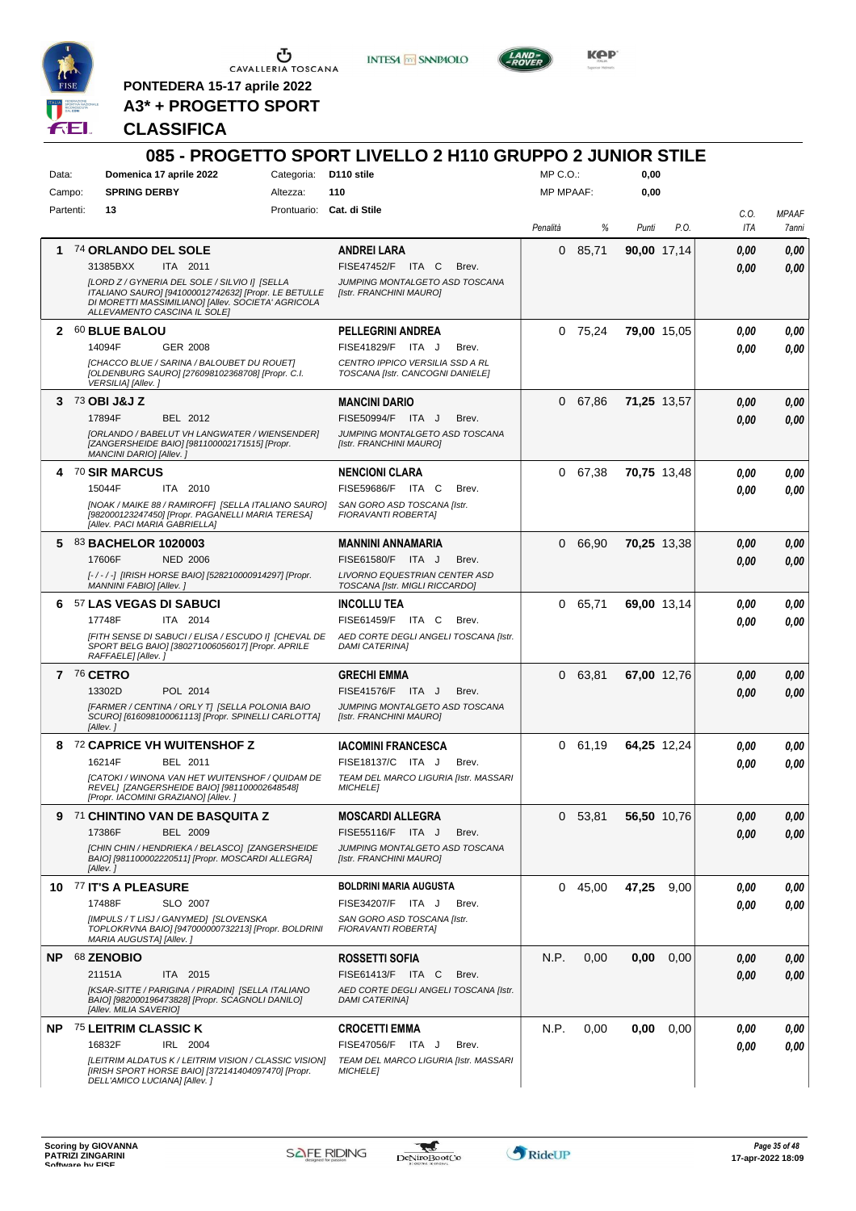

 $\begin{array}{c}\n\bullet \\
\bullet \\
\bullet \\
\bullet\n\end{array}$  CAVALLERIA TOSCANA

**PONTEDERA 15-17 aprile 2022 A3\* + PROGETTO SPORT** **INTESA M** SANPAOLO



**KOP** 

# **CLASSIFICA**

| Data:     | Domenica 17 aprile 2022                                                                                                                                                                     |                 | Categoria: D110 stile | 085 - PROGETTO SPORT LIVELLO 2 H110 GRUPPO 2 JUNIOR STILE           | MP C. O.         |           | 0,00  |             |             |                       |
|-----------|---------------------------------------------------------------------------------------------------------------------------------------------------------------------------------------------|-----------------|-----------------------|---------------------------------------------------------------------|------------------|-----------|-------|-------------|-------------|-----------------------|
| Campo:    | <b>SPRING DERBY</b>                                                                                                                                                                         |                 | Altezza:              | 110                                                                 | <b>MP MPAAF:</b> |           | 0,00  |             |             |                       |
| Partenti: | 13                                                                                                                                                                                          |                 |                       | Prontuario: Cat. di Stile                                           |                  |           |       |             |             |                       |
|           |                                                                                                                                                                                             |                 |                       |                                                                     | Penalità         | %         | Punti | P.O.        | C.O.<br>ITA | <b>MPAAF</b><br>7anni |
|           | 1 74 ORLANDO DEL SOLE                                                                                                                                                                       |                 |                       | <b>ANDREI LARA</b>                                                  |                  | 085,71    |       | 90,00 17,14 | 0,00        | 0,00                  |
|           | 31385BXX                                                                                                                                                                                    | ITA 2011        |                       | FISE47452/F ITA C<br>Brev.                                          |                  |           |       |             | 0.00        | 0.00                  |
|           | [LORD Z / GYNERIA DEL SOLE / SILVIO I] [SELLA<br>ITALIANO SAURO] [941000012742632] [Propr. LE BETULLE<br>DI MORETTI MASSIMILIANO] [Allev. SOCIETA' AGRICOLA<br>ALLEVAMENTO CASCINA IL SOLEI |                 |                       | JUMPING MONTALGETO ASD TOSCANA<br><b>Ilstr. FRANCHINI MAUROI</b>    |                  |           |       |             |             |                       |
|           | 2 60 BLUE BALOU                                                                                                                                                                             |                 |                       | <b>PELLEGRINI ANDREA</b>                                            |                  | $0$ 75,24 |       | 79,00 15,05 | 0.00        | 0,00                  |
|           | 14094F                                                                                                                                                                                      | <b>GER 2008</b> |                       | FISE41829/F ITA J<br>Brev.                                          |                  |           |       |             | 0.00        | 0,00                  |
|           | [CHACCO BLUE / SARINA / BALOUBET DU ROUET]<br>[OLDENBURG SAURO] [276098102368708] [Propr. C.I.<br>VERSILIA] [Allev.]                                                                        |                 |                       | CENTRO IPPICO VERSILIA SSD A RL<br>TOSCANA [Istr. CANCOGNI DANIELE] |                  |           |       |             |             |                       |
|           | $3^{73}$ OBI J&J Z                                                                                                                                                                          |                 |                       | <b>MANCINI DARIO</b>                                                |                  | 0 67,86   |       | 71,25 13,57 | 0.00        | 0,00                  |
|           | 17894F                                                                                                                                                                                      | BEL 2012        |                       | FISE50994/F ITA J<br>Brev.                                          |                  |           |       |             | 0.00        | 0,00                  |
|           | [ORLANDO / BABELUT VH LANGWATER / WIENSENDER]<br>[ZANGERSHEIDE BAIO] [981100002171515] [Propr.<br>MANCINI DARIO] [Allev.]                                                                   |                 |                       | JUMPING MONTALGETO ASD TOSCANA<br>[Istr. FRANCHINI MAURO]           |                  |           |       |             |             |                       |
|           | 4 70 SIR MARCUS                                                                                                                                                                             |                 |                       | <b>NENCIONI CLARA</b>                                               |                  | 0 67,38   |       | 70,75 13,48 | 0.00        | 0,00                  |
|           | 15044F                                                                                                                                                                                      | ITA 2010        |                       | FISE59686/F ITA C<br>Brev.                                          |                  |           |       |             | 0.00        | 0,00                  |
|           | [NOAK / MAIKE 88 / RAMIROFF] [SELLA ITALIANO SAURO]<br>[982000123247450] [Propr. PAGANELLI MARIA TERESA]<br>[Allev. PACI MARIA GABRIELLA]                                                   |                 |                       | SAN GORO ASD TOSCANA [Istr.<br>FIORAVANTI ROBERTA]                  |                  |           |       |             |             |                       |
|           | 5 83 BACHELOR 1020003                                                                                                                                                                       |                 |                       | <b>MANNINI ANNAMARIA</b>                                            |                  | 0 66,90   |       | 70,25 13,38 | 0,00        | 0,00                  |
|           | 17606F                                                                                                                                                                                      | <b>NED 2006</b> |                       | FISE61580/F ITA J<br>Brev.                                          |                  |           |       |             | 0.00        | 0,00                  |
|           | [-/-/-] [IRISH HORSE BAIO] [528210000914297] [Propr.<br>MANNINI FABIO] [Allev. j                                                                                                            |                 |                       | LIVORNO EQUESTRIAN CENTER ASD<br>TOSCANA [Istr. MIGLI RICCARDO]     |                  |           |       |             |             |                       |
|           | 6 57 LAS VEGAS DI SABUCI                                                                                                                                                                    |                 |                       | <b>INCOLLU TEA</b>                                                  |                  | 0 65,71   |       | 69,00 13,14 | 0.00        | 0,00                  |
|           | 17748F                                                                                                                                                                                      | ITA 2014        |                       | FISE61459/F ITA C<br>Brev.                                          |                  |           |       |             | 0.00        | 0.00                  |
|           | [FITH SENSE DI SABUCI / ELISA / ESCUDO I] [CHEVAL DE<br>SPORT BELG BAIO] [380271006056017] [Propr. APRILE<br>RAFFAELE] [Allev.]                                                             |                 |                       | AED CORTE DEGLI ANGELI TOSCANA [Istr.<br><b>DAMI CATERINAI</b>      |                  |           |       |             |             |                       |
|           | 7 76 CETRO                                                                                                                                                                                  |                 |                       | <b>GRECHI EMMA</b>                                                  |                  | 0 63,81   |       | 67,00 12,76 | 0.00        | 0,00                  |
|           | 13302D                                                                                                                                                                                      | POL 2014        |                       | FISE41576/F ITA J<br>Brev.                                          |                  |           |       |             | 0.00        | 0,00                  |
|           | [FARMER / CENTINA / ORLY T] [SELLA POLONIA BAIO<br>SCURO] [616098100061113] [Propr. SPINELLI CARLOTTA]<br>[Allev.]                                                                          |                 |                       | JUMPING MONTALGETO ASD TOSCANA<br>[Istr. FRANCHINI MAURO]           |                  |           |       |             |             |                       |
|           | 8 72 CAPRICE VH WUITENSHOF Z                                                                                                                                                                |                 |                       | <b>IACOMINI FRANCESCA</b>                                           |                  | 0 61,19   |       | 64,25 12,24 | 0.00        | 0,00                  |
|           | 16214F                                                                                                                                                                                      | BEL 2011        |                       | FISE18137/C ITA J<br>Brev.                                          |                  |           |       |             | 0.00        | 0,00                  |
|           | [CATOKI / WINONA VAN HET WUITENSHOF / QUIDAM DE<br>REVEL] [ZANGERSHEIDE BAIO] [981100002648548]<br>[Propr. IACOMINI GRAZIANO] [Allev.]                                                      |                 |                       | TEAM DEL MARCO LIGURIA [Istr. MASSARI<br><b>MICHELE1</b>            |                  |           |       |             |             |                       |
|           | 9 71 CHINTINO VAN DE BASQUITA Z                                                                                                                                                             |                 |                       | <b>MOSCARDI ALLEGRA</b>                                             |                  | 0, 53, 81 |       | 56,50 10,76 | 0.00        | 0,00                  |
|           | 17386F                                                                                                                                                                                      | BEL 2009        |                       | FISE55116/F ITA J<br>Brev.                                          |                  |           |       |             | 0.00        | 0,00                  |
|           | [CHIN CHIN / HENDRIEKA / BELASCO] [ZANGERSHEIDE<br>BAIO] [981100002220511] [Propr. MOSCARDI ALLEGRA]<br>[Allev.]                                                                            |                 |                       | JUMPING MONTALGETO ASD TOSCANA<br>[Istr. FRANCHINI MAURO]           |                  |           |       |             |             |                       |
|           | 10 77 IT'S A PLEASURE                                                                                                                                                                       |                 |                       | <b>BOLDRINI MARIA AUGUSTA</b>                                       |                  | 0, 45,00  | 47,25 | 9,00        | 0.00        | 0,00                  |
|           | 17488F                                                                                                                                                                                      | SLO 2007        |                       | FISE34207/F ITA J<br>Brev.                                          |                  |           |       |             | 0.00        | 0,00                  |
|           | [IMPULS / T LISJ / GANYMED] [SLOVENSKA<br>TOPLOKRVNA BAIO] [947000000732213] [Propr. BOLDRINI<br>MARIA AUGUSTA] [Allev.]                                                                    |                 |                       | SAN GORO ASD TOSCANA [Istr.<br>FIORAVANTI ROBERTA]                  |                  |           |       |             |             |                       |
|           | NP 68 ZENOBIO                                                                                                                                                                               |                 |                       | <b>ROSSETTI SOFIA</b>                                               | N.P.             | 0,00      | 0,00  | 0,00        | 0.00        | 0,00                  |
|           | 21151A                                                                                                                                                                                      | ITA 2015        |                       | FISE61413/F ITA C<br>Brev.                                          |                  |           |       |             | 0.00        | 0,00                  |
|           | [KSAR-SITTE / PARIGINA / PIRADIN] [SELLA ITALIANO<br>BAIO] [982000196473828] [Propr. SCAGNOLI DANILO]<br>[Allev. MILIA SAVERIO]                                                             |                 |                       | AED CORTE DEGLI ANGELI TOSCANA [Istr.<br><b>DAMI CATERINA]</b>      |                  |           |       |             |             |                       |
|           | NP 75 LEITRIM CLASSIC K                                                                                                                                                                     |                 |                       | <b>CROCETTI EMMA</b>                                                | N.P.             | 0,00      | 0,00  | 0,00        | 0.00        | 0,00                  |
|           | 16832F                                                                                                                                                                                      | IRL 2004        |                       | FISE47056/F ITA J<br>Brev.                                          |                  |           |       |             | 0.00        | 0,00                  |
|           | [LEITRIM ALDATUS K / LEITRIM VISION / CLASSIC VISION]<br>[IRISH SPORT HORSE BAIO] [372141404097470] [Propr.                                                                                 |                 |                       | TEAM DEL MARCO LIGURIA [Istr. MASSARI<br><b>MICHELE]</b>            |                  |           |       |             |             |                       |
|           | DELL'AMICO LUCIANA] [Allev. ]                                                                                                                                                               |                 |                       |                                                                     |                  |           |       |             |             |                       |

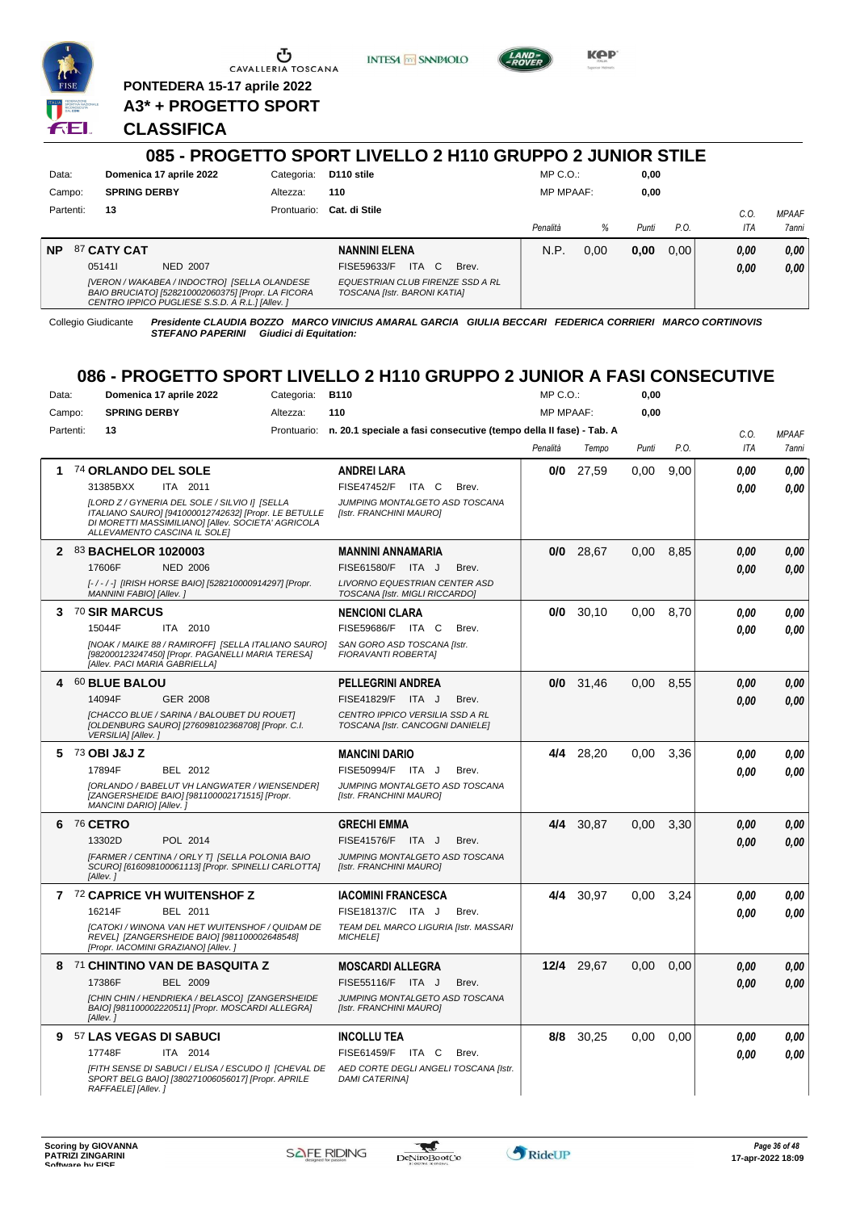

**PONTEDERA 15-17 aprile 2022 A3\* + PROGETTO SPORT** **INTESA** M SANPAOLO



## **CLASSIFICA**

|           |                                                                                                                                                       |             | 085 - PROGETTO SPORT LIVELLO 2 H110 GRUPPO 2 JUNIOR STILE        |                  |      |       |                |            |                       |
|-----------|-------------------------------------------------------------------------------------------------------------------------------------------------------|-------------|------------------------------------------------------------------|------------------|------|-------|----------------|------------|-----------------------|
| Data:     | Domenica 17 aprile 2022                                                                                                                               | Categoria:  | D <sub>110</sub> stile                                           | $MP C. O.$ :     |      | 0,00  |                |            |                       |
| Campo:    | <b>SPRING DERBY</b>                                                                                                                                   | Altezza:    | 110                                                              | <b>MP MPAAF:</b> |      | 0,00  |                |            |                       |
| Partenti: | 13                                                                                                                                                    | Prontuario: | Cat. di Stile                                                    | Penalità         | %    | Punti | $P_{\cdot}$ O. | C.0<br>ITA | <b>MPAAF</b><br>7anni |
| <b>NP</b> | 87 CATY CAT                                                                                                                                           |             | <b>NANNINI ELENA</b>                                             | N.P.             | 0.00 | 0,00  | 0.00           | 0,00       | 0,00                  |
|           | 051411<br>NED 2007                                                                                                                                    |             | ITA.<br>C.<br>FISE59633/F<br>Brev.                               |                  |      |       |                | 0,00       | 0,00                  |
|           | [VERON / WAKABEA / INDOCTRO] [SELLA OLANDESE<br>BAIO BRUCIATO] [528210002060375] [Propr. LA FICORA<br>CENTRO IPPICO PUGLIESE S.S.D. A R.L.] [Allev. ] |             | EQUESTRIAN CLUB FIRENZE SSD A RL<br>TOSCANA [Istr. BARONI KATIA] |                  |      |       |                |            |                       |

Collegio Giudicante *Presidente CLAUDIA BOZZO MARCO VINICIUS AMARAL GARCIA GIULIA BECCARI FEDERICA CORRIERI MARCO CORTINOVIS STEFANO PAPERINI Giudici di Equitation:*

# **086 - PROGETTO SPORT LIVELLO 2 H110 GRUPPO 2 JUNIOR A FASI CONSECUTIVE**

| Data:        |                 | Domenica 17 aprile 2022                                                                                                                                                                     | Categoria:  | <b>B110</b>                                                         | MP C. O.         |            | 0,00  |      |            |              |
|--------------|-----------------|---------------------------------------------------------------------------------------------------------------------------------------------------------------------------------------------|-------------|---------------------------------------------------------------------|------------------|------------|-------|------|------------|--------------|
| Campo:       |                 | <b>SPRING DERBY</b>                                                                                                                                                                         | Altezza:    | 110                                                                 | <b>MP MPAAF:</b> |            | 0,00  |      |            |              |
| Partenti:    |                 | 13                                                                                                                                                                                          | Prontuario: | n. 20.1 speciale a fasi consecutive (tempo della II fase) - Tab. A  |                  |            |       |      | C.O.       | <b>MPAAF</b> |
|              |                 |                                                                                                                                                                                             |             |                                                                     | Penalità         | Tempo      | Punti | P.O. | <b>ITA</b> | <b>7anni</b> |
| 1            |                 | 74 ORLANDO DEL SOLE                                                                                                                                                                         |             | <b>ANDREI LARA</b>                                                  | 0/0              | 27,59      | 0.00  | 9.00 | 0.00       | 0,00         |
|              |                 | 31385BXX<br>ITA 2011                                                                                                                                                                        |             | FISE47452/F ITA C<br>Brev.                                          |                  |            |       |      | 0.00       | 0.00         |
|              |                 | [LORD Z / GYNERIA DEL SOLE / SILVIO I] [SELLA<br>ITALIANO SAURO] [941000012742632] [Propr. LE BETULLE<br>DI MORETTI MASSIMILIANO] [Allev. SOCIETA' AGRICOLA<br>ALLEVAMENTO CASCINA IL SOLEI |             | JUMPING MONTALGETO ASD TOSCANA<br>[Istr. FRANCHINI MAURO]           |                  |            |       |      |            |              |
| $\mathbf{2}$ |                 | <b>83 BACHELOR 1020003</b>                                                                                                                                                                  |             | <b>MANNINI ANNAMARIA</b>                                            | 0/0              | 28,67      | 0.00  | 8.85 | 0,00       | 0,00         |
|              |                 | 17606F<br><b>NED 2006</b>                                                                                                                                                                   |             | FISE61580/F ITA J<br>Brev.                                          |                  |            |       |      | 0.00       | 0.00         |
|              |                 | [-/-/-] [IRISH HORSE BAIO] [528210000914297] [Propr.<br>MANNINI FABIOI [Allev. ]                                                                                                            |             | LIVORNO EQUESTRIAN CENTER ASD<br>TOSCANA [Istr. MIGLI RICCARDO]     |                  |            |       |      |            |              |
|              |                 | 3 70 SIR MARCUS                                                                                                                                                                             |             | <b>NENCIONI CLARA</b>                                               | 0/0              | 30,10      | 0.00  | 8.70 | 0.00       | 0.00         |
|              |                 | 15044F<br>ITA 2010                                                                                                                                                                          |             | FISE59686/F ITA C<br>Brev.                                          |                  |            |       |      | 0.00       | 0.00         |
|              |                 | [NOAK / MAIKE 88 / RAMIROFF] [SELLA ITALIANO SAURO]<br>[982000123247450] [Propr. PAGANELLI MARIA TERESA]<br>[Allev. PACI MARIA GABRIELLA]                                                   |             | SAN GORO ASD TOSCANA [Istr.<br>FIORAVANTI ROBERTAI                  |                  |            |       |      |            |              |
| 4            |                 | 60 BLUE BALOU                                                                                                                                                                               |             | <b>PELLEGRINI ANDREA</b>                                            | 0/0              | 31,46      | 0,00  | 8,55 | 0.00       | 0,00         |
|              |                 | 14094F<br><b>GER 2008</b>                                                                                                                                                                   |             | FISE41829/F ITA J<br>Brev.                                          |                  |            |       |      | 0.00       | 0,00         |
|              |                 | [CHACCO BLUE / SARINA / BALOUBET DU ROUET]<br>[OLDENBURG SAURO] [276098102368708] [Propr. C.I.<br>VERSILIA] [Allev.]                                                                        |             | CENTRO IPPICO VERSILIA SSD A RL<br>TOSCANA [Istr. CANCOGNI DANIELE] |                  |            |       |      |            |              |
| 5            |                 | 73 OBI J&J Z                                                                                                                                                                                |             | <b>MANCINI DARIO</b>                                                | 4/4              | 28.20      | 0.00  | 3.36 | 0.00       | 0.00         |
|              |                 | 17894F<br>BEL 2012                                                                                                                                                                          |             | FISE50994/F ITA J<br>Brev.                                          |                  |            |       |      | 0.00       | 0.00         |
|              |                 | [ORLANDO / BABELUT VH LANGWATER / WIENSENDER]<br>[ZANGERSHEIDE BAIO] [981100002171515] [Propr.<br>MANCINI DARIO] [Allev.]                                                                   |             | JUMPING MONTALGETO ASD TOSCANA<br>[Istr. FRANCHINI MAURO]           |                  |            |       |      |            |              |
| 6            | <b>76 CETRO</b> |                                                                                                                                                                                             |             | <b>GRECHI EMMA</b>                                                  | 4/4              | 30.87      | 0.00  | 3.30 | 0.00       | 0,00         |
|              |                 | 13302D<br>POL 2014                                                                                                                                                                          |             | FISE41576/F ITA J<br>Brev.                                          |                  |            |       |      | 0.00       | 0.00         |
|              |                 | [FARMER / CENTINA / ORLY T] [SELLA POLONIA BAIO<br>SCURO] [616098100061113] [Propr. SPINELLI CARLOTTA]<br>[Allev.]                                                                          |             | JUMPING MONTALGETO ASD TOSCANA<br>[Istr. FRANCHINI MAURO]           |                  |            |       |      |            |              |
|              |                 | 7 72 CAPRICE VH WUITENSHOF Z                                                                                                                                                                |             | <b>IACOMINI FRANCESCA</b>                                           | 4/4              | 30,97      | 0,00  | 3,24 | 0.00       | 0,00         |
|              |                 | 16214F<br>BEL 2011                                                                                                                                                                          |             | FISE18137/C ITA J<br>Brev.                                          |                  |            |       |      | 0.00       | 0.00         |
|              |                 | ICATOKI / WINONA VAN HET WUITENSHOF / QUIDAM DE<br>REVEL] [ZANGERSHEIDE BAIO] [981100002648548]<br>[Propr. IACOMINI GRAZIANO] [Allev.]                                                      |             | TEAM DEL MARCO LIGURIA [Istr. MASSARI<br><b>MICHELE1</b>            |                  |            |       |      |            |              |
| 8            |                 | 71 CHINTINO VAN DE BASQUITA Z                                                                                                                                                               |             | <b>MOSCARDI ALLEGRA</b>                                             |                  | 12/4 29.67 | 0.00  | 0.00 | 0.00       | 0,00         |
|              |                 | <b>BEL 2009</b><br>17386F                                                                                                                                                                   |             | FISE55116/F ITA J<br>Brev.                                          |                  |            |       |      | 0.00       | 0,00         |
|              |                 | [CHIN CHIN / HENDRIEKA / BELASCO] [ZANGERSHEIDE<br>BAIO] [981100002220511] [Propr. MOSCARDI ALLEGRA]<br>[Allev.]                                                                            |             | JUMPING MONTALGETO ASD TOSCANA<br>[Istr. FRANCHINI MAURO]           |                  |            |       |      |            |              |
| 9            |                 | 57 LAS VEGAS DI SABUCI                                                                                                                                                                      |             | <b>INCOLLU TEA</b>                                                  | 8/8              | 30,25      | 0,00  | 0,00 | 0.00       | 0,00         |
|              |                 | 17748F<br>ITA 2014                                                                                                                                                                          |             | FISE61459/F ITA C<br>Brev.                                          |                  |            |       |      | 0.00       | 0.00         |
|              |                 | [FITH SENSE DI SABUCI / ELISA / ESCUDO I] [CHEVAL DE<br>SPORT BELG BAIO] [380271006056017] [Propr. APRILE<br>RAFFAELE] [Allev.]                                                             |             | AED CORTE DEGLI ANGELI TOSCANA [Istr.<br><b>DAMI CATERINAI</b>      |                  |            |       |      |            |              |

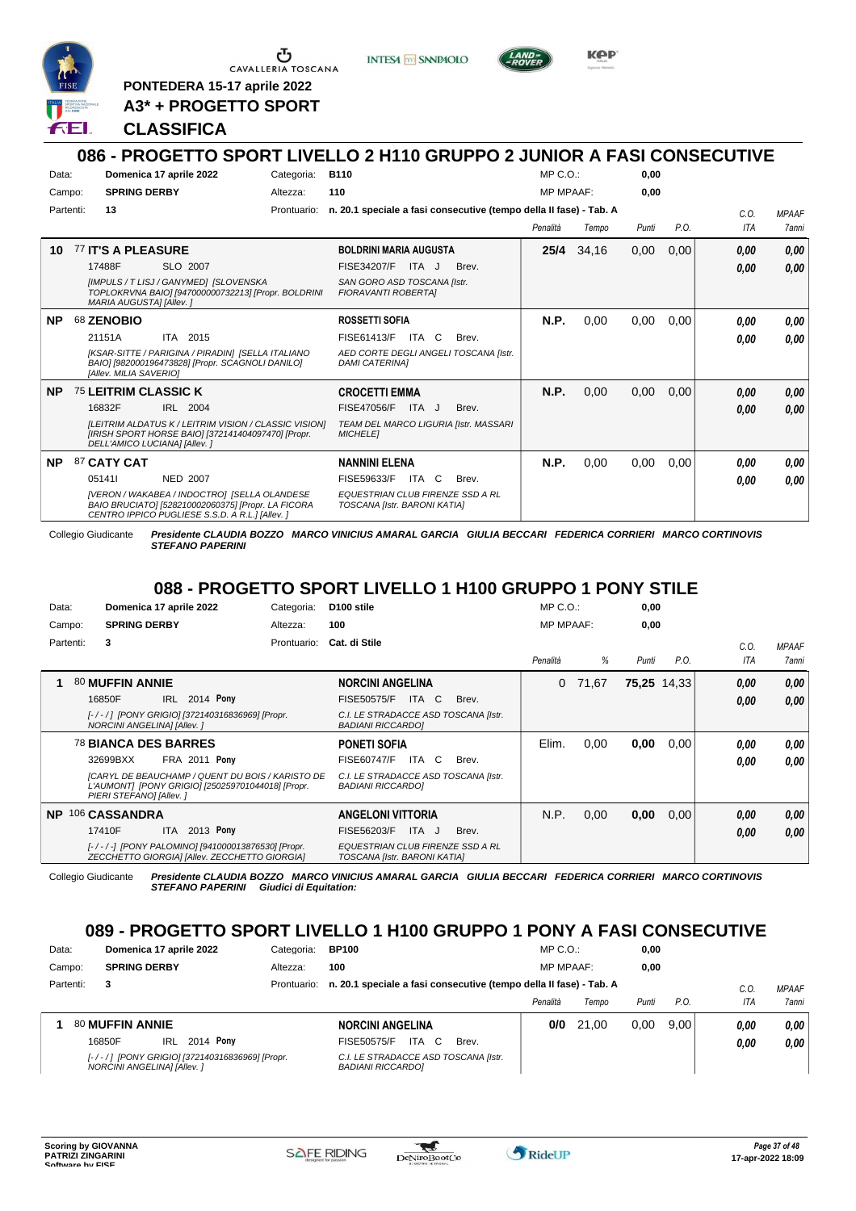

**INTESA M** SANPAOLO



**KPP** 

**PONTEDERA 15-17 aprile 2022 A3\* + PROGETTO SPORT**

## **CLASSIFICA**

# **086 - PROGETTO SPORT LIVELLO 2 H110 GRUPPO 2 JUNIOR A FASI CONSECUTIVE**

| Data:<br>Campo: |           | Domenica 17 aprile 2022<br><b>SPRING DERBY</b>                                                                                                                                                   | Categoria:<br>Altezza: | <b>B110</b><br>110                                                                                                                 | MP C. O.<br><b>MP MPAAF:</b> |       | 0.00<br>0,00 |      |                    |                       |
|-----------------|-----------|--------------------------------------------------------------------------------------------------------------------------------------------------------------------------------------------------|------------------------|------------------------------------------------------------------------------------------------------------------------------------|------------------------------|-------|--------------|------|--------------------|-----------------------|
|                 | Partenti: | 13                                                                                                                                                                                               | Prontuario:            | n. 20.1 speciale a fasi consecutive (tempo della II fase) - Tab. A                                                                 | Penalità                     | Tempo | Punti        | P.O. | C.0.<br><b>ITA</b> | <b>MPAAF</b><br>7anni |
| 10              |           | 77 IT'S A PLEASURE<br>17488F<br>SLO 2007<br>[IMPULS / T LISJ / GANYMED] [SLOVENSKA<br>TOPLOKRVNA BAIO] [947000000732213] [Propr. BOLDRINI<br><b>MARIA AUGUSTAI [Allev. ]</b>                     |                        | <b>BOLDRINI MARIA AUGUSTA</b><br><b>FISE34207/F</b><br>ITA J<br>Brev.<br>SAN GORO ASD TOSCANA Ilstr.<br><b>FIORAVANTI ROBERTAI</b> | 25/4                         | 34,16 | 0,00         | 0,00 | 0,00<br>0,00       | 0,00<br>0,00          |
| <b>NP</b>       |           | 68 ZENOBIO<br>21151A<br>ITA 2015<br>[KSAR-SITTE / PARIGINA / PIRADIN] [SELLA ITALIANO<br>BAIO] [982000196473828] [Propr. SCAGNOLI DANILO]<br>[Allev. MILIA SAVERIO]                              |                        | <b>ROSSETTI SOFIA</b><br>FISE61413/F<br>ITA C<br>Brev.<br>AED CORTE DEGLI ANGELI TOSCANA [Istr.<br><b>DAMI CATERINAI</b>           | N.P.                         | 0,00  | 0,00         | 0,00 | 0.00<br>0.00       | 0,00<br>0.00          |
| <b>NP</b>       |           | 75 LEITRIM CLASSIC K<br>16832F<br>IRL 2004<br>[LEITRIM ALDATUS K / LEITRIM VISION / CLASSIC VISION]<br>[IRISH SPORT HORSE BAIO] [372141404097470] [Propr.<br>DELL'AMICO LUCIANA] [Allev.]        |                        | <b>CROCETTI EMMA</b><br>FISE47056/F ITA J<br>Brev.<br>TEAM DEL MARCO LIGURIA [Istr. MASSARI<br><b>MICHELE1</b>                     | <b>N.P.</b>                  | 0.00  | 0,00         | 0,00 | 0,00<br>0.00       | 0,00<br>0,00          |
| <b>NP</b>       |           | 87 CATY CAT<br>051411<br><b>NED 2007</b><br>[VERON / WAKABEA / INDOCTRO] [SELLA OLANDESE<br>BAIO BRUCIATO] [528210002060375] [Propr. LA FICORA<br>CENTRO IPPICO PUGLIESE S.S.D. A R.L.] [Allev.] |                        | <b>NANNINI ELENA</b><br>FISE59633/F<br>ITA C<br>Brev.<br>EQUESTRIAN CLUB FIRENZE SSD A RL<br>TOSCANA [Istr. BARONI KATIA]          | N.P.                         | 0,00  | 0,00         | 0,00 | 0.00<br>0,00       | 0,00<br>0,00          |

Collegio Giudicante *Presidente CLAUDIA BOZZO MARCO VINICIUS AMARAL GARCIA GIULIA BECCARI FEDERICA CORRIERI MARCO CORTINOVIS STEFANO PAPERINI*

## **088 - PROGETTO SPORT LIVELLO 1 H100 GRUPPO 1 PONY STILE**

| Data:     | Domenica 17 aprile 2022                                                                                                          | Categoria:  | D <sub>100</sub> stile                                           | $MP C. O.$ :     |       | 0,00  |             |            |              |
|-----------|----------------------------------------------------------------------------------------------------------------------------------|-------------|------------------------------------------------------------------|------------------|-------|-------|-------------|------------|--------------|
| Campo:    | <b>SPRING DERBY</b>                                                                                                              | Altezza:    | 100                                                              | <b>MP MPAAF:</b> |       | 0,00  |             |            |              |
| Partenti: | 3                                                                                                                                | Prontuario: | Cat. di Stile                                                    |                  |       |       |             | C.0        | <b>MPAAF</b> |
|           |                                                                                                                                  |             |                                                                  | Penalità         | %     | Punti | P.O.        | <b>ITA</b> | <b>7anni</b> |
|           | 80 MUFFIN ANNIE                                                                                                                  |             | <b>NORCINI ANGELINA</b>                                          | 0                | 71.67 |       | 75,25 14,33 | 0,00       | 0,00         |
|           | 2014 Pony<br>IRL<br>16850F                                                                                                       |             | <b>ITA</b><br>C<br><b>FISE50575/F</b><br>Brev.                   |                  |       |       |             | 0,00       | 0.00         |
|           | [-/-/] [PONY GRIGIO] [372140316836969] [Propr.<br><b>NORCINI ANGELINAI [Allev. ]</b>                                             |             | C.I. LE STRADACCE ASD TOSCANA [Istr.<br><b>BADIANI RICCARDOI</b> |                  |       |       |             |            |              |
|           | <b>78 BIANCA DES BARRES</b>                                                                                                      |             | <b>PONETI SOFIA</b>                                              | Elim.            | 0,00  | 0,00  | 0,00        | 0.00       | 0.00         |
|           | FRA 2011 Pony<br>32699BXX                                                                                                        |             | <b>FISE60747/F</b><br>ITA I<br>C.<br>Brev.                       |                  |       |       |             | 0.00       | 0.00         |
|           | [CARYL DE BEAUCHAMP / QUENT DU BOIS / KARISTO DE<br>L'AUMONT] [PONY GRIGIO] [250259701044018] [Propr.<br>PIERI STEFANO] [Allev.] |             | C.I. LE STRADACCE ASD TOSCANA [Istr.<br><b>BADIANI RICCARDOI</b> |                  |       |       |             |            |              |
| <b>NP</b> | 106 CASSANDRA                                                                                                                    |             | <b>ANGELONI VITTORIA</b>                                         | N.P.             | 0,00  | 0,00  | 0,00        | 0,00       | 0,00         |
|           | 2013 Pony<br>17410F<br><b>ITA</b>                                                                                                |             | FISE56203/F<br>ITA J<br>Brev.                                    |                  |       |       |             | 0,00       | 0.00         |
|           | [-/-/-] [PONY PALOMINO] [941000013876530] [Propr.<br>ZECCHETTO GIORGIA] [Allev. ZECCHETTO GIORGIA]                               |             | EQUESTRIAN CLUB FIRENZE SSD A RL<br>TOSCANA [Istr. BARONI KATIA] |                  |       |       |             |            |              |

Collegio Giudicante *Presidente CLAUDIA BOZZO MARCO VINICIUS AMARAL GARCIA GIULIA BECCARI FEDERICA CORRIERI MARCO CORTINOVIS STEFANO PAPERINI Giudici di Equitation:*

# **089 - PROGETTO SPORT LIVELLO 1 H100 GRUPPO 1 PONY A FASI CONSECUTIVE**

| Data:     | Domenica 17 aprile 2022    |     |                  | Categoria:                                     | <b>BP100</b>             |                  |                                                                    | $MP C. O.$ :     |       | 0,00  |      |      |              |
|-----------|----------------------------|-----|------------------|------------------------------------------------|--------------------------|------------------|--------------------------------------------------------------------|------------------|-------|-------|------|------|--------------|
| Campo:    | <b>SPRING DERBY</b>        |     |                  | Altezza:                                       | 100                      |                  |                                                                    | <b>MP MPAAF:</b> |       | 0,00  |      |      |              |
| Partenti: | 3                          |     |                  | Prontuario:                                    |                          |                  | n. 20.1 speciale a fasi consecutive (tempo della II fase) - Tab. A |                  |       |       |      | C.O  | <b>MPAAF</b> |
|           |                            |     |                  |                                                |                          |                  |                                                                    | Penalità         | Tempo | Punti | P.O. | ITA  | 7anni        |
|           | 80 MUFFIN ANNIE            |     |                  |                                                | <b>NORCINI ANGELINA</b>  |                  |                                                                    | 0/0              | 21.00 | 0.00  | 9.00 | 0.00 | 0.00         |
|           | 16850F                     | IRL | 2014 <b>Pony</b> |                                                | FISE50575/F              | <b>ITA</b><br>C. | Brev.                                                              |                  |       |       |      | 0.00 | 0.00         |
|           | NORCINI ANGELINA] [Allev.] |     |                  | [-/-/] [PONY GRIGIO] [372140316836969] [Propr. | <b>BADIANI RICCARDOI</b> |                  | C.I. LE STRADACCE ASD TOSCANA [Istr.                               |                  |       |       |      |      |              |

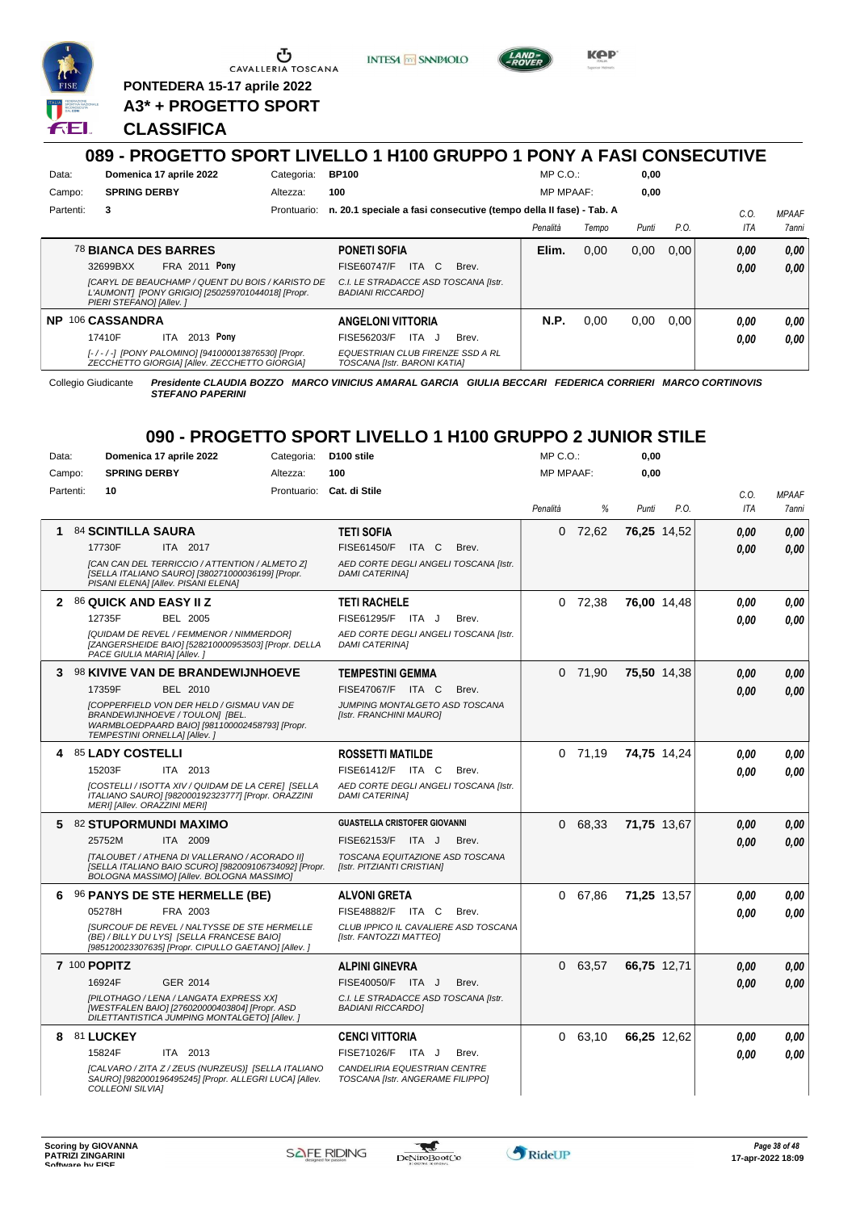

**PONTEDERA 15-17 aprile 2022 A3\* + PROGETTO SPORT**

### **CLASSIFICA**

### **089 - PROGETTO SPORT LIVELLO 1 H100 GRUPPO 1 PONY A FASI CONSECUTIVE** Data: **Domenica 17 aprile 2022** Categoria: BP100 Prontuario: **n. 20.1 speciale a fasi consecutive (tempo della II fase) - Tab. A** Campo: **SPRING DERBY** Partenti: **3** Altezza: **100** MP C.O.: MP MPAAF: **0,00 0,00** *Penalità Tempo Punti P.O. C.O. ITA MPAAF 7anni* 78 **BIANCA DES BARRES FRA 2011 Pony PONETI SOFIA** *[CARYL DE BEAUCHAMP / QUENT DU BOIS / KARISTO DE L'AUMONT] [PONY GRIGIO] [250259701044018] [Propr. PIERI STEFANO] [Allev. ] C.I. LE STRADACCE ASD TOSCANA [Istr. BADIANI RICCARDO]* ITA C Brev. 32699BXX FISE60747/F *0,00* **Pony Elim.** 0,00 0,00 0,00 *0,00 0,00 0,00* **NP** 106 **CASSANDRA ITA** 2013 **Pony ANGELONI VITTORIA** ITA J Brev. 17410F FISE56203/F *0,00* **Pony N.P.** 0,00 0,00 0,00 *0,00 0,00 0,00*

**INTESA M SANPAOLO** 

*EQUESTRIAN CLUB FIRENZE SSD A RL TOSCANA [Istr. BARONI KATIA]*

*[- / - / -] [PONY PALOMINO] [941000013876530] [Propr. ZECCHETTO GIORGIA] [Allev. ZECCHETTO GIORGIA]*

Collegio Giudicante *Presidente CLAUDIA BOZZO MARCO VINICIUS AMARAL GARCIA GIULIA BECCARI FEDERICA CORRIERI MARCO CORTINOVIS STEFANO PAPERINI*

**KPP** 

# **090 - PROGETTO SPORT LIVELLO 1 H100 GRUPPO 2 JUNIOR STILE**

| Data:     | Domenica 17 aprile 2022                                                                                                                                               | Categoria: | D <sub>100</sub> stile                                           | MP C.O.:         |           | 0,00        |             |            |              |
|-----------|-----------------------------------------------------------------------------------------------------------------------------------------------------------------------|------------|------------------------------------------------------------------|------------------|-----------|-------------|-------------|------------|--------------|
| Campo:    | <b>SPRING DERBY</b>                                                                                                                                                   | Altezza:   | 100                                                              | <b>MP MPAAF:</b> |           | 0.00        |             |            |              |
| Partenti: | 10                                                                                                                                                                    |            | Prontuario: Cat. di Stile                                        |                  |           |             |             | C.O.       | <b>MPAAF</b> |
|           |                                                                                                                                                                       |            |                                                                  | Penalità         | %         | Punti       | P.O.        | <b>ITA</b> | 7anni        |
| 1         | 84 SCINTILLA SAURA                                                                                                                                                    |            | <b>TETI SOFIA</b>                                                | $\Omega$         | 72,62     | 76,25 14,52 |             | 0.00       | 0.00         |
|           | 17730F<br>ITA 2017                                                                                                                                                    |            | FISE61450/F ITA C<br>Brev.                                       |                  |           |             |             | 0.00       | 0.00         |
|           | [CAN CAN DEL TERRICCIO / ATTENTION / ALMETO Z]<br>[SELLA ITALIANO SAURO] [380271000036199] [Propr.<br>PISANI ELENA] [Allev. PISANI ELENA]                             |            | AED CORTE DEGLI ANGELI TOSCANA [Istr.<br><b>DAMI CATERINAI</b>   |                  |           |             |             |            |              |
|           | <b>2 86 QUICK AND EASY II Z</b>                                                                                                                                       |            | <b>TETI RACHELE</b>                                              |                  | $0$ 72,38 | 76,00 14,48 |             | 0.00       | 0,00         |
|           | 12735F<br>BEL 2005                                                                                                                                                    |            | FISE61295/F ITA J<br>Brev.                                       |                  |           |             |             | 0.00       | 0.00         |
|           | [QUIDAM DE REVEL / FEMMENOR / NIMMERDOR]<br>[ZANGERSHEIDE BAIO] [528210000953503] [Propr. DELLA<br>PACE GIULIA MARIA] [Allev.]                                        |            | AED CORTE DEGLI ANGELI TOSCANA [Istr.<br><b>DAMI CATERINA]</b>   |                  |           |             |             |            |              |
| 3         | 98 KIVIVE VAN DE BRANDEWIJNHOEVE                                                                                                                                      |            | <b>TEMPESTINI GEMMA</b>                                          |                  | $0$ 71,90 | 75,50 14,38 |             | 0,00       | 0.00         |
|           | <b>BEL 2010</b><br>17359F                                                                                                                                             |            | FISE47067/F ITA C<br>Brev.                                       |                  |           |             |             | 0.00       | 0.00         |
|           | <b>ICOPPERFIELD VON DER HELD / GISMAU VAN DE</b><br>BRANDEWIJNHOEVE / TOULON] [BEL.<br>WARMBLOEDPAARD BAIO] [981100002458793] [Propr.<br>TEMPESTINI ORNELLA] [Allev.] |            | JUMPING MONTALGETO ASD TOSCANA<br>[Istr. FRANCHINI MAURO]        |                  |           |             |             |            |              |
|           | 4 85 LADY COSTELLI                                                                                                                                                    |            | <b>ROSSETTI MATILDE</b>                                          |                  | $0$ 71,19 |             | 74,75 14,24 | 0.00       | 0.00         |
|           | 15203F<br>ITA 2013                                                                                                                                                    |            | FISE61412/F ITA C<br>Brev.                                       |                  |           |             |             | 0.00       | 0.00         |
|           | [COSTELLI / ISOTTA XIV / QUIDAM DE LA CERE] [SELLA<br>ITALIANO SAURO] [982000192323777] [Propr. ORAZZINI<br>MERI] [Allev. ORAZZINI MERI]                              |            | AED CORTE DEGLI ANGELI TOSCANA [Istr.<br><b>DAMI CATERINAI</b>   |                  |           |             |             |            |              |
|           | 5 82 STUPORMUNDI MAXIMO                                                                                                                                               |            | <b>GUASTELLA CRISTOFER GIOVANNI</b>                              |                  | 0 68,33   | 71,75 13,67 |             | 0.00       | 0,00         |
|           | ITA 2009<br>25752M                                                                                                                                                    |            | FISE62153/F ITA J<br>Brev.                                       |                  |           |             |             | 0.00       | 0.00         |
|           | [TALOUBET / ATHENA DI VALLERANO / ACORADO II]<br>[SELLA ITALIANO BAIO SCURO] [982009106734092] [Propr.<br>BOLOGNA MASSIMO] [Allev. BOLOGNA MASSIMO]                   |            | TOSCANA EQUITAZIONE ASD TOSCANA<br>[Istr. PITZIANTI CRISTIAN]    |                  |           |             |             |            |              |
| 6         | <b>96 PANYS DE STE HERMELLE (BE)</b>                                                                                                                                  |            | <b>ALVONI GRETA</b>                                              |                  | 0 67,86   | 71,25 13,57 |             | 0.00       | 0.00         |
|           | 05278H<br>FRA 2003                                                                                                                                                    |            | FISE48882/F ITA C<br>Brev.                                       |                  |           |             |             | 0.00       | 0.00         |
|           | <b>ISURCOUF DE REVEL / NALTYSSE DE STE HERMELLE</b><br>(BE) / BILLY DU LYSI [SELLA FRANCESE BAIO]<br>[985120023307635] [Propr. CIPULLO GAETANO] [Allev. ]             |            | CLUB IPPICO IL CAVALIERE ASD TOSCANA<br>[Istr. FANTOZZI MATTEO]  |                  |           |             |             |            |              |
|           | 7 100 POPITZ                                                                                                                                                          |            | <b>ALPINI GINEVRA</b>                                            |                  | 0 63,57   | 66,75 12,71 |             | 0.00       | 0,00         |
|           | 16924F<br>GER 2014                                                                                                                                                    |            | FISE40050/F ITA J<br>Brev.                                       |                  |           |             |             | 0.00       | 0.00         |
|           | [PILOTHAGO / LENA / LANGATA EXPRESS XX]<br>[WESTFALEN BAIO] [276020000403804] [Propr. ASD<br>DILETTANTISTICA JUMPING MONTALGETO] [Allev. ]                            |            | C.I. LE STRADACCE ASD TOSCANA [Istr.<br><b>BADIANI RICCARDOI</b> |                  |           |             |             |            |              |
|           | 8 81 LUCKEY                                                                                                                                                           |            | <b>CENCI VITTORIA</b>                                            |                  | 0 63,10   |             | 66,25 12,62 | 0,00       | 0,00         |
|           | 15824F<br>ITA 2013                                                                                                                                                    |            | FISE71026/F ITA J<br>Brev.                                       |                  |           |             |             | 0.00       | 0.00         |
|           | [CALVARO / ZITA Z / ZEUS (NURZEUS)] [SELLA ITALIANO<br>SAURO] [982000196495245] [Propr. ALLEGRI LUCA] [Allev.<br><b>COLLEONI SILVIAI</b>                              |            | CANDELIRIA EQUESTRIAN CENTRE<br>TOSCANA [Istr. ANGERAME FILIPPO] |                  |           |             |             |            |              |

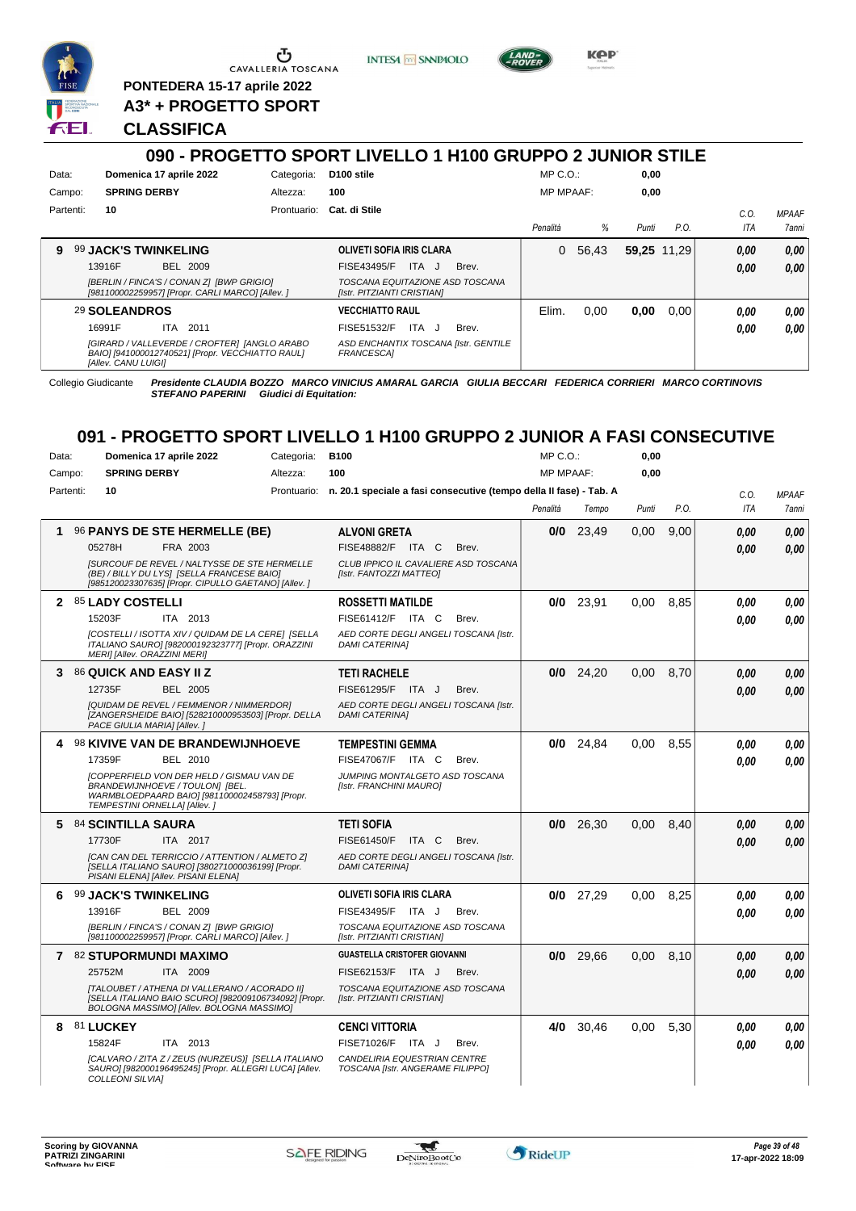

**PONTEDERA 15-17 aprile 2022 A3\* + PROGETTO SPORT**

**CLASSIFICA**





**KPP** 

**090 - PROGETTO SPORT LIVELLO 1 H100 GRUPPO 2 JUNIOR STILE**

| Data:     |                             | Domenica 17 aprile 2022                                                                          | Categoria:  | D <sub>100</sub> stile                                        | $MP C. O.$ :     |       | 0,00        |      |            |              |
|-----------|-----------------------------|--------------------------------------------------------------------------------------------------|-------------|---------------------------------------------------------------|------------------|-------|-------------|------|------------|--------------|
| Campo:    | <b>SPRING DERBY</b>         |                                                                                                  | Altezza:    | 100                                                           | <b>MP MPAAF:</b> |       | 0,00        |      |            |              |
| Partenti: | 10                          |                                                                                                  | Prontuario: | Cat. di Stile                                                 |                  |       |             |      | C.O.       | <b>MPAAF</b> |
|           |                             |                                                                                                  |             |                                                               | Penalità         | %     | Punti       | P.O. | <b>ITA</b> | 7anni        |
| 9         | <b>99 JACK'S TWINKELING</b> |                                                                                                  |             | OLIVETI SOFIA IRIS CLARA                                      | 0                | 56.43 | 59.25 11.29 |      | 0,00       | 0.00         |
|           | 13916F                      | <b>BEL 2009</b>                                                                                  |             | FISE43495/F<br>ITA J<br>Brev.                                 |                  |       |             |      | 0.00       | 0.00         |
|           |                             | [BERLIN / FINCA'S / CONAN Z] [BWP GRIGIO]<br>[981100002259957] [Propr. CARLI MARCO] [Allev. ]    |             | TOSCANA EQUITAZIONE ASD TOSCANA<br>[Istr. PITZIANTI CRISTIAN] |                  |       |             |      |            |              |
|           | 29 SOLEANDROS               |                                                                                                  |             | <b>VECCHIATTO RAUL</b>                                        | Elim.            | 0,00  | 0.00        | 0.00 | 0.00       | 0.00         |
|           | 16991F                      | 2011<br>ITA.                                                                                     |             | FISE51532/F<br>ITA.<br>Brev.<br>J.                            |                  |       |             |      | 0.00       | 0.00         |
|           | [Allev. CANU LUIGI]         | [GIRARD / VALLEVERDE / CROFTER] [ANGLO ARABO<br>BAIO] [941000012740521] [Propr. VECCHIATTO RAUL] |             | ASD ENCHANTIX TOSCANA [Istr. GENTILE<br><b>FRANCESCAI</b>     |                  |       |             |      |            |              |

Collegio Giudicante *Presidente CLAUDIA BOZZO MARCO VINICIUS AMARAL GARCIA GIULIA BECCARI FEDERICA CORRIERI MARCO CORTINOVIS STEFANO PAPERINI Giudici di Equitation:*

# **091 - PROGETTO SPORT LIVELLO 1 H100 GRUPPO 2 JUNIOR A FASI CONSECUTIVE**

| Data:     | Domenica 17 aprile 2022       |                                                                                                                                                           | Categoria: | <b>B100</b>                                                                    |          | $MP C. O.$ :     | 0,00  |      |            |              |
|-----------|-------------------------------|-----------------------------------------------------------------------------------------------------------------------------------------------------------|------------|--------------------------------------------------------------------------------|----------|------------------|-------|------|------------|--------------|
| Campo:    | <b>SPRING DERBY</b>           |                                                                                                                                                           | Altezza:   | 100                                                                            |          | <b>MP MPAAF:</b> | 0,00  |      |            |              |
| Partenti: | 10                            |                                                                                                                                                           |            | Prontuario: n. 20.1 speciale a fasi consecutive (tempo della II fase) - Tab. A |          |                  |       |      | C.O.       | <b>MPAAF</b> |
|           |                               |                                                                                                                                                           |            |                                                                                | Penalità | Tempo            | Punti | P.O. | <b>ITA</b> | <b>7anni</b> |
|           |                               | 96 PANYS DE STE HERMELLE (BE)                                                                                                                             |            | <b>ALVONI GRETA</b>                                                            |          | $0/0$ 23,49      | 0,00  | 9,00 | 0.00       | 0,00         |
|           | 05278H                        | FRA 2003                                                                                                                                                  |            | FISE48882/F ITA C<br>Brev.                                                     |          |                  |       |      | 0.00       | 0.00         |
|           |                               | <b>ISURCOUF DE REVEL / NALTYSSE DE STE HERMELLE</b><br>(BE) / BILLY DU LYS] [SELLA FRANCESE BAIO]<br>[985120023307635] [Propr. CIPULLO GAETANO] [Allev. ] |            | CLUB IPPICO IL CAVALIERE ASD TOSCANA<br>[Istr. FANTOZZI MATTEO]                |          |                  |       |      |            |              |
|           | 2 85 LADY COSTELLI            |                                                                                                                                                           |            | <b>ROSSETTI MATILDE</b>                                                        |          | 23,91<br>0/0     | 0.00  | 8.85 | 0.00       | 0.00         |
|           | 15203F                        | ITA 2013                                                                                                                                                  |            | FISE61412/F ITA C<br>Brev.                                                     |          |                  |       |      | 0.00       | 0.00         |
|           | MERI] [Allev. ORAZZINI MERI]  | [COSTELLI / ISOTTA XIV / QUIDAM DE LA CERE] [SELLA<br>ITALIANO SAURO] [982000192323777] [Propr. ORAZZINI                                                  |            | AED CORTE DEGLI ANGELI TOSCANA Ilstr.<br><b>DAMI CATERINAI</b>                 |          |                  |       |      |            |              |
| 3         | <b>86 QUICK AND EASY II Z</b> |                                                                                                                                                           |            | <b>TETI RACHELE</b>                                                            |          | $0/0$ 24,20      | 0.00  | 8.70 | 0.00       | 0.00         |
|           | 12735F                        | <b>BEL 2005</b>                                                                                                                                           |            | FISE61295/F ITA J<br>Brev.                                                     |          |                  |       |      | 0.00       | 0.00         |
|           | PACE GIULIA MARIA] [Allev.]   | [QUIDAM DE REVEL / FEMMENOR / NIMMERDOR]<br>[ZANGERSHEIDE BAIO] [528210000953503] [Propr. DELLA                                                           |            | AED CORTE DEGLI ANGELI TOSCANA [Istr.<br><b>DAMI CATERINA]</b>                 |          |                  |       |      |            |              |
|           |                               | 4 98 KIVIVE VAN DE BRANDEWIJNHOEVE                                                                                                                        |            | <b>TEMPESTINI GEMMA</b>                                                        |          | $0/0$ 24,84      | 0,00  | 8,55 | 0.00       | 0,00         |
|           | 17359F                        | BEL 2010                                                                                                                                                  |            | FISE47067/F ITA C<br>Brev.                                                     |          |                  |       |      | 0.00       | 0.00         |
|           | TEMPESTINI ORNELLA] [Allev.]  | <b>[COPPERFIELD VON DER HELD / GISMAU VAN DE</b><br>BRANDEWIJNHOEVE / TOULON] [BEL.<br>WARMBLOEDPAARD BAIO] [981100002458793] [Propr.                     |            | JUMPING MONTALGETO ASD TOSCANA<br>[Istr. FRANCHINI MAURO]                      |          |                  |       |      |            |              |
| 5.        | 84 SCINTILLA SAURA            |                                                                                                                                                           |            | <b>TETI SOFIA</b>                                                              |          | 0/0<br>26,30     | 0.00  | 8,40 | 0.00       | 0,00         |
|           | 17730F                        | ITA 2017                                                                                                                                                  |            | FISE61450/F ITA C<br>Brev.                                                     |          |                  |       |      | 0.00       | 0.00         |
|           |                               | [CAN CAN DEL TERRICCIO / ATTENTION / ALMETO Z]<br>[SELLA ITALIANO SAURO] [380271000036199] [Propr.<br>PISANI ELENA] [Allev. PISANI ELENA]                 |            | AED CORTE DEGLI ANGELI TOSCANA [Istr.<br><b>DAMI CATERINA1</b>                 |          |                  |       |      |            |              |
| 6         | <b>99 JACK'S TWINKELING</b>   |                                                                                                                                                           |            | <b>OLIVETI SOFIA IRIS CLARA</b>                                                |          | $0/0$ 27,29      | 0.00  | 8,25 | 0.00       | 0,00         |
|           | 13916F                        | <b>BEL 2009</b>                                                                                                                                           |            | FISE43495/F ITA J<br>Brev.                                                     |          |                  |       |      | 0.00       | 0.00         |
|           |                               | [BERLIN / FINCA'S / CONAN Z] [BWP GRIGIO]<br>[981100002259957] [Propr. CARLI MARCO] [Allev. ]                                                             |            | TOSCANA EQUITAZIONE ASD TOSCANA<br>[Istr. PITZIANTI CRISTIAN]                  |          |                  |       |      |            |              |
|           | 7 82 STUPORMUNDI MAXIMO       |                                                                                                                                                           |            | <b>GUASTELLA CRISTOFER GIOVANNI</b>                                            |          | 29,66<br>0/0     | 0.00  | 8.10 | 0,00       | 0.00         |
|           | 25752M                        | ITA 2009                                                                                                                                                  |            | FISE62153/F ITA J<br>Brev.                                                     |          |                  |       |      | 0.00       | 0.00         |
|           |                               | [TALOUBET / ATHENA DI VALLERANO / ACORADO II]<br>[SELLA ITALIANO BAIO SCURO] [982009106734092] [Propr.<br>BOLOGNA MASSIMO] [Allev. BOLOGNA MASSIMO]       |            | TOSCANA EQUITAZIONE ASD TOSCANA<br>[Istr. PITZIANTI CRISTIAN]                  |          |                  |       |      |            |              |
|           | 8 81 LUCKEY                   |                                                                                                                                                           |            | <b>CENCI VITTORIA</b>                                                          |          | 4/0<br>30,46     | 0.00  | 5,30 | 0.00       | 0,00         |
|           | 15824F                        | ITA 2013                                                                                                                                                  |            | FISE71026/F ITA J<br>Brev.                                                     |          |                  |       |      | 0.00       | 0.00         |
|           | <b>COLLEONI SILVIA]</b>       | [CALVARO / ZITA Z / ZEUS (NURZEUS)] [SELLA ITALIANO<br>SAURO] [982000196495245] [Propr. ALLEGRI LUCA] [Allev.                                             |            | CANDELIRIA EQUESTRIAN CENTRE<br>TOSCANA [Istr. ANGERAME FILIPPO]               |          |                  |       |      |            |              |

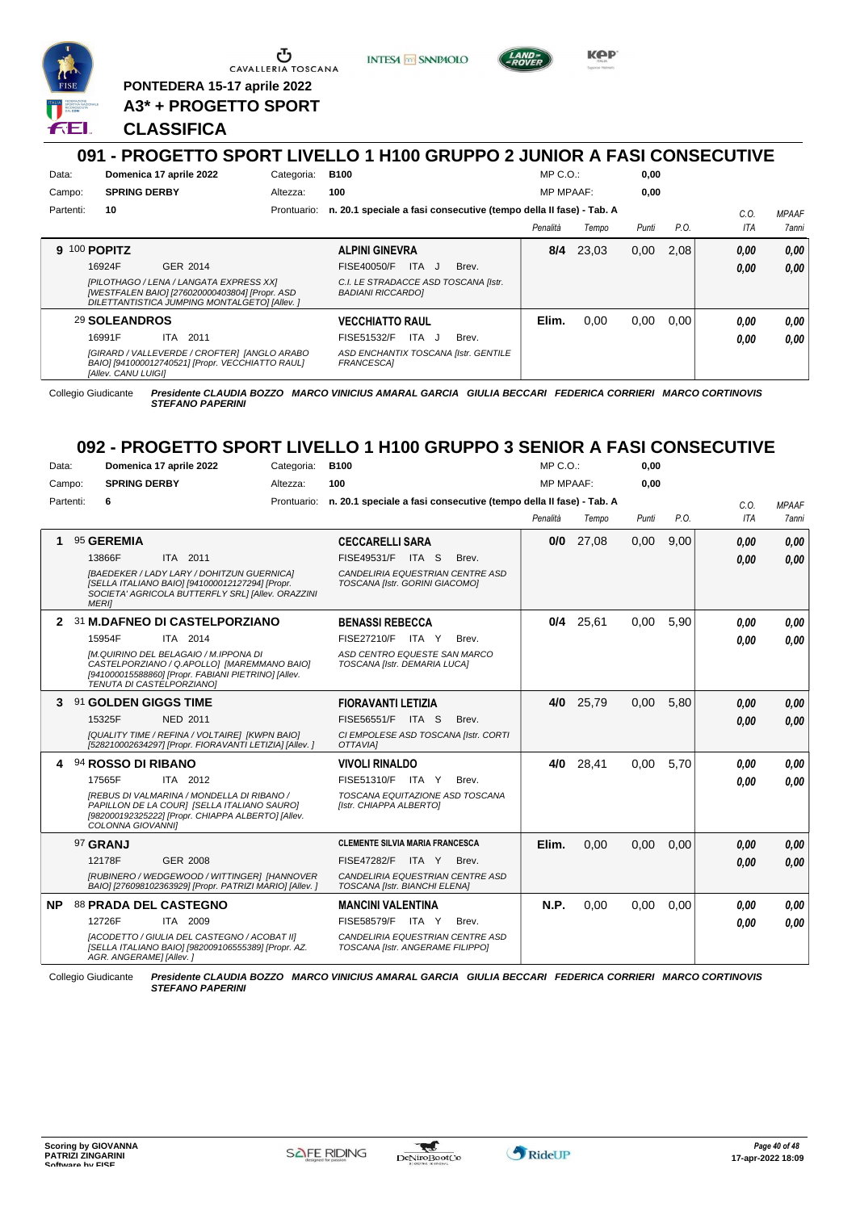

<u>ა</u> CAVALLERIA TOSCANA

**PONTEDERA 15-17 aprile 2022 A3\* + PROGETTO SPORT** **INTESA M SANPAOLO** 



**KPP** 

## **CLASSIFICA**

### **091 - PROGETTO SPORT LIVELLO 1 H100 GRUPPO 2 JUNIOR A FASI CONSECUTIVE** Data: **Domenica 17 aprile 2022** Categoria: B100 Prontuario: **n. 20.1 speciale a fasi consecutive (tempo della II fase) - Tab. A** Campo: **SPRING DERBY** Partenti: **10** Altezza: **100**  $MP \cap O$ MP MPAAF: **0,00 0,00** *Penalità Tempo Punti P.O. C.O. ITA MPAAF 7anni* **9** 100 **POPITZ** GER 2014 **ALPINI GINEVRA** *[PILOTHAGO / LENA / LANGATA EXPRESS XX] [WESTFALEN BAIO] [276020000403804] [Propr. ASD DILETTANTISTICA JUMPING MONTALGETO] [Allev. ] C.I. LE STRADACCE ASD TOSCANA [Istr. BADIANI RICCARDO]* 16924F GER\_2014 FISE40050/F ITA J Brev. **0,00 0,00 8/4** 23,03 0,00 2,08 *0,00 0,00 0,00* 29 **SOLEANDROS** ITA 2011 **VECCHIATTO RAUL** *[GIRARD / VALLEVERDE / CROFTER] [ANGLO ARABO BAIO] [941000012740521] [Propr. VECCHIATTO RAUL] [Allev. CANU LUIGI] ASD ENCHANTIX TOSCANA [Istr. GENTILE FRANCESCA]* FISE51532/F ITA J Brev. **Elim.** 0,00 0,00 0,00 *0,00 0,00 0,00* 16991F ITA 2011 FISE51532/F ITA J Brev. **0,00 0,00**

*STEFANO PAPERINI*

Collegio Giudicante *Presidente CLAUDIA BOZZO MARCO VINICIUS AMARAL GARCIA GIULIA BECCARI FEDERICA CORRIERI MARCO CORTINOVIS*

# **092 - PROGETTO SPORT LIVELLO 1 H100 GRUPPO 3 SENIOR A FASI CONSECUTIVE**

| Data:        | Domenica 17 aprile 2022                                                                                                        | Categoria:                                                                                               | <b>B100</b>                                                                    |       | $MP C. O.$ :     |             | 0,00  |      |            |              |
|--------------|--------------------------------------------------------------------------------------------------------------------------------|----------------------------------------------------------------------------------------------------------|--------------------------------------------------------------------------------|-------|------------------|-------------|-------|------|------------|--------------|
| Campo:       | <b>SPRING DERBY</b>                                                                                                            | Altezza:                                                                                                 | 100                                                                            |       | <b>MP MPAAF:</b> |             | 0,00  |      |            |              |
| Partenti:    | 6                                                                                                                              |                                                                                                          | Prontuario: n. 20.1 speciale a fasi consecutive (tempo della II fase) - Tab. A |       |                  |             |       |      | C.0.       | <b>MPAAF</b> |
|              |                                                                                                                                |                                                                                                          |                                                                                |       | Penalità         | Tempo       | Punti | P.O. | <b>ITA</b> | 7anni        |
|              | 95 GEREMIA                                                                                                                     |                                                                                                          | <b>CECCARELLI SARA</b>                                                         |       | 0/0              | 27,08       | 0,00  | 9,00 | 0.00       | 0.00         |
|              | ITA 2011<br>13866F                                                                                                             |                                                                                                          | FISE49531/F ITA S                                                              | Brev. |                  |             |       |      | 0.00       | 0.00         |
|              | <b>IBAEDEKER / LADY LARY / DOHITZUN GUERNICAI</b>                                                                              |                                                                                                          | CANDELIRIA EQUESTRIAN CENTRE ASD                                               |       |                  |             |       |      |            |              |
|              | [SELLA ITALIANO BAIO] [941000012127294] [Propr.<br><b>MERII</b>                                                                | SOCIETA' AGRICOLA BUTTERFLY SRL] [Allev. ORAZZINI                                                        | TOSCANA [Istr. GORINI GIACOMO]                                                 |       |                  |             |       |      |            |              |
| $\mathbf{2}$ | 31 M.DAFNEO DI CASTELPORZIANO                                                                                                  |                                                                                                          | <b>BENASSI REBECCA</b>                                                         |       |                  | $0/4$ 25,61 | 0,00  | 5,90 | 0.00       | 0.00         |
|              | ITA 2014<br>15954F                                                                                                             |                                                                                                          | FISE27210/F ITA Y                                                              | Brev. |                  |             |       |      | 0.00       | 0.00         |
|              | [M.QUIRINO DEL BELAGAIO / M.IPPONA DI<br>CASTELPORZIANO / Q.APOLLO] [MAREMMANO BAIO]                                           |                                                                                                          | ASD CENTRO EQUESTE SAN MARCO<br>TOSCANA [Istr. DEMARIA LUCA]                   |       |                  |             |       |      |            |              |
|              | [941000015588860] [Propr. FABIANI PIETRINO] [Allev.                                                                            |                                                                                                          |                                                                                |       |                  |             |       |      |            |              |
|              | TENUTA DI CASTELPORZIANO]                                                                                                      |                                                                                                          |                                                                                |       |                  |             |       |      |            |              |
| 3            | 91 GOLDEN GIGGS TIME                                                                                                           |                                                                                                          | <b>FIORAVANTI LETIZIA</b>                                                      |       | 4/0              | 25,79       | 0,00  | 5.80 | 0,00       | 0,00         |
|              | 15325F<br>NED 2011                                                                                                             |                                                                                                          | FISE56551/F ITA S                                                              | Brev. |                  |             |       |      | 0.00       | 0.00         |
|              | [QUALITY TIME / REFINA / VOLTAIRE] [KWPN BAIO]<br>[528210002634297] [Propr. FIORAVANTI LETIZIA] [Allev. ]                      |                                                                                                          | CI EMPOLESE ASD TOSCANA [Istr. CORTI<br>OTTAVIAI                               |       |                  |             |       |      |            |              |
|              | 94 ROSSO DI RIBANO                                                                                                             |                                                                                                          | <b>VIVOLI RINALDO</b>                                                          |       | 4/0              | 28,41       | 0,00  | 5,70 | 0,00       | 0.00         |
|              | 17565F<br>ITA 2012                                                                                                             |                                                                                                          | FISE51310/F<br>ITA Y                                                           | Brev. |                  |             |       |      | 0.00       | 0.00         |
|              | IREBUS DI VALMARINA / MONDELLA DI RIBANO /                                                                                     |                                                                                                          | TOSCANA EQUITAZIONE ASD TOSCANA                                                |       |                  |             |       |      |            |              |
|              | PAPILLON DE LA COURI [SELLA ITALIANO SAURO]<br>[982000192325222] [Propr. CHIAPPA ALBERTO] [Allev.                              |                                                                                                          | [Istr. CHIAPPA ALBERTO]                                                        |       |                  |             |       |      |            |              |
|              | COLONNA GIOVANNI]                                                                                                              |                                                                                                          |                                                                                |       |                  |             |       |      |            |              |
|              | 97 GRANJ                                                                                                                       |                                                                                                          | <b>CLEMENTE SILVIA MARIA FRANCESCA</b>                                         |       | Elim.            | 0.00        | 0,00  | 0,00 | 0,00       | 0,00         |
|              | <b>GER 2008</b><br>12178F                                                                                                      |                                                                                                          | <b>FISE47282/F</b><br>ITA Y                                                    | Brev. |                  |             |       |      | 0.00       | 0.00         |
|              |                                                                                                                                | [RUBINERO / WEDGEWOOD / WITTINGER] [HANNOVER<br>BAIO] [276098102363929] [Propr. PATRIZI MARIO] [Allev. ] | CANDELIRIA EQUESTRIAN CENTRE ASD<br>TOSCANA [Istr. BIANCHI ELENA]              |       |                  |             |       |      |            |              |
| <b>NP</b>    | 88 PRADA DEL CASTEGNO                                                                                                          |                                                                                                          | <b>MANCINI VALENTINA</b>                                                       |       | N.P.             | 0,00        | 0,00  | 0,00 | 0,00       | 0,00         |
|              | 12726F<br>ITA 2009                                                                                                             |                                                                                                          | FISE58579/F ITA Y                                                              | Brev. |                  |             |       |      | 0,00       | 0.00         |
|              | [ACODETTO / GIULIA DEL CASTEGNO / ACOBAT II]<br>[SELLA ITALIANO BAIO] [982009106555389] [Propr. AZ.<br>AGR. ANGERAME] [Allev.] |                                                                                                          | CANDELIRIA EQUESTRIAN CENTRE ASD<br>TOSCANA [Istr. ANGERAME FILIPPO]           |       |                  |             |       |      |            |              |

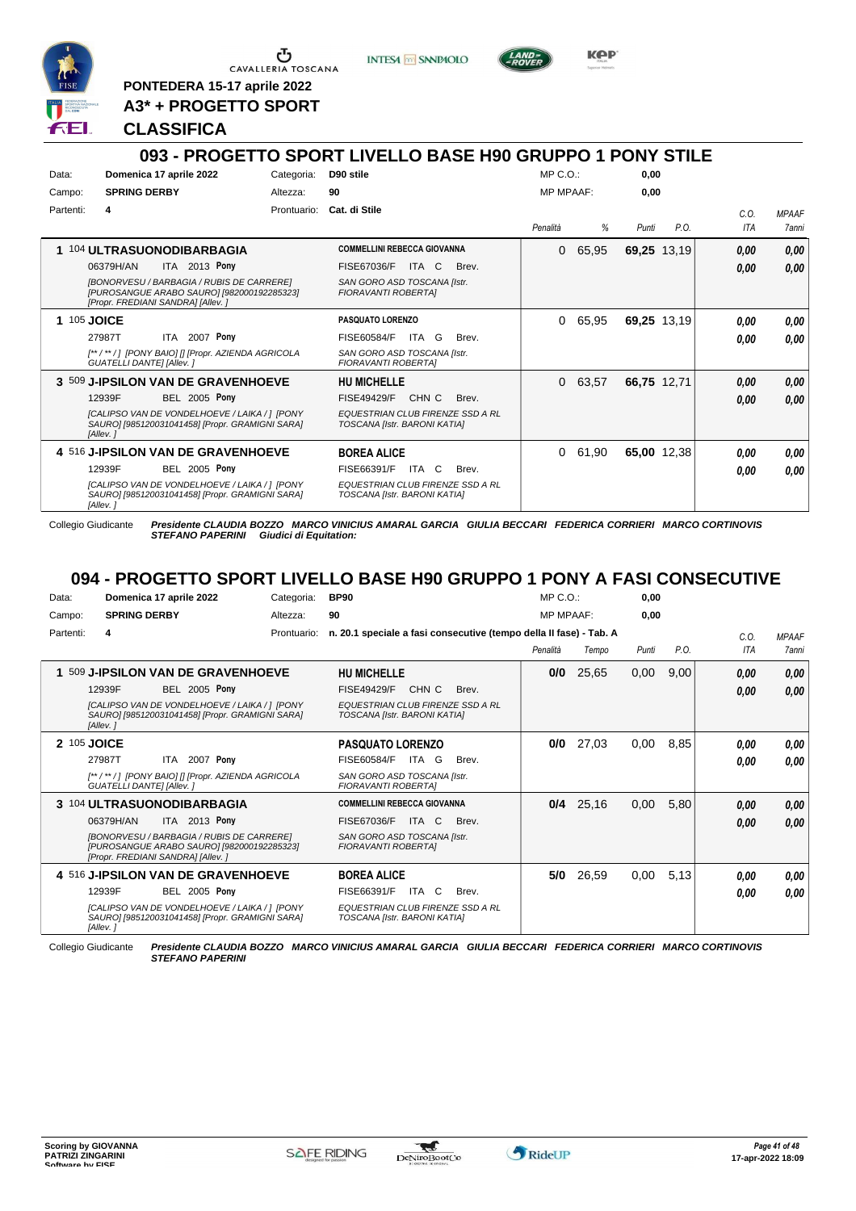

<u>ა</u> CAVALLERIA TOSCANA

**INTESA** M SANPAOLO



KOP

**PONTEDERA 15-17 aprile 2022 A3\* + PROGETTO SPORT**

### **CLASSIFICA**

#### **093 - PROGETTO SPORT LIVELLO BASE H90 GRUPPO 1 PONY STILE** Data: **Domenica 17 aprile 2022** Categoria: D90 stile Prontuario: **Cat. di Stile** Campo: **SPRING DERBY** Partenti: Altezza: **90** MP C.O.: MP MPAAF: **0,00 0,00** *Penalità % Punti P.O. C.O. ITA MPAAF 7anni* **1** 104 **ULTRASUONODIBARBAGIA** ITA 2013 Pony **COMMELLINI REBECCA GIOVANNA** *[BONORVESU / BARBAGIA / RUBIS DE CARRERE] [PUROSANGUE ARABO SAURO] [982000192285323] [Propr. FREDIANI SANDRA] [Allev. ] SAN GORO ASD TOSCANA [Istr. FIORAVANTI ROBERTA]* ITA C Brev. 06379H/AN FISE67036/F *0,00* **Pony** 0 65,95 **69,25** 13,19 *0,00 0,00 0,00* **1** 105 **JOICE ITA 2007 Pony PASQUATO LORENZO** *[\*\* / \*\* / ] [PONY BAIO] [] [Propr. AZIENDA AGRICOLA GUATELLI DANTE] [Allev. ] SAN GORO ASD TOSCANA [Istr. FIORAVANTI ROBERTA]* ITA G Brev. 27987T FISE60584/F *0,00* **Pony** 0 65,95 **69,25** 13,19 *0,00 0,00 0,00* **3** 509 **J-IPSILON VAN DE GRAVENHOEVE BEL 2005 Pony HU MICHELLE** *[CALIPSO VAN DE VONDELHOEVE / LAIKA / ] [PONY SAURO] [985120031041458] [Propr. GRAMIGNI SARA] [Allev. ] EQUESTRIAN CLUB FIRENZE SSD A RL TOSCANA [Istr. BARONI KATIA]* 12939F BEL 2005 Pony FISE49429/F CHN C Brev. *0,00 0,00* 0 63,57 **66,75** 12,71 *0,00 0,00 0,00* **4** 516 **J-IPSILON VAN DE GRAVENHOEVE BEL 2005 Pony BOREA ALICE** *[CALIPSO VAN DE VONDELHOEVE / LAIKA / ] [PONY SAURO] [985120031041458] [Propr. GRAMIGNI SARA] [Allev. ] EQUESTRIAN CLUB FIRENZE SSD A RL TOSCANA [Istr. BARONI KATIA]* ITA C Brev. 0 61,90 **65,00** 12,38 *0,00 0,00 0,00* 12939F FISE66391/F *0,00* **Pony**

Collegio Giudicante *Presidente CLAUDIA BOZZO MARCO VINICIUS AMARAL GARCIA GIULIA BECCARI FEDERICA CORRIERI MARCO CORTINOVIS* **Giudici di Equitation:** 

## **094 - PROGETTO SPORT LIVELLO BASE H90 GRUPPO 1 PONY A FASI CONSECUTIVE**

| Data:     | Domenica 17 aprile 2022                                                                                                              | Categoria:  | <b>BP90</b>                                                             | $MP C. O.$ :     |       | 0.00  |      |            |              |
|-----------|--------------------------------------------------------------------------------------------------------------------------------------|-------------|-------------------------------------------------------------------------|------------------|-------|-------|------|------------|--------------|
| Campo:    | <b>SPRING DERBY</b>                                                                                                                  | Altezza:    | 90                                                                      | <b>MP MPAAF:</b> |       | 0.00  |      |            |              |
| Partenti: | 4                                                                                                                                    | Prontuario: | n. 20.1 speciale a fasi consecutive (tempo della Il fase) - Tab. A      |                  |       |       |      | C.0.       | <b>MPAAF</b> |
|           |                                                                                                                                      |             |                                                                         | Penalità         | Tempo | Punti | P.O. | <b>ITA</b> | <b>7anni</b> |
| 1         | 509 J-IPSILON VAN DE GRAVENHOEVE                                                                                                     |             | <b>HU MICHELLE</b>                                                      | 0/0              | 25,65 | 0,00  | 9,00 | 0.00       | 0,00         |
|           | <b>BEL 2005 Pony</b><br>12939F                                                                                                       |             | CHN C<br><b>FISE49429/F</b><br>Brev.                                    |                  |       |       |      | 0.00       | 0,00         |
|           | <b>ICALIPSO VAN DE VONDELHOEVE / LAIKA / 1 IPONY</b><br>SAURO] [985120031041458] [Propr. GRAMIGNI SARA]<br>[Allev.]                  |             | <b>EQUESTRIAN CLUB FIRENZE SSD A RL</b><br>TOSCANA [Istr. BARONI KATIA] |                  |       |       |      |            |              |
|           | 2 105 JOICE                                                                                                                          |             | <b>PASQUATO LORENZO</b>                                                 | 0/0              | 27,03 | 0,00  | 8,85 | 0.00       | 0.00         |
|           | ITA 2007 Pony<br>27987T                                                                                                              |             | FISE60584/F<br>ITA G<br>Brev.                                           |                  |       |       |      | 0.00       | 0.00         |
|           | [**/**/] [PONY BAIO] [] [Propr. AZIENDA AGRICOLA<br><b>GUATELLI DANTE] [Allev. ]</b>                                                 |             | SAN GORO ASD TOSCANA [Istr.<br><b>FIORAVANTI ROBERTAI</b>               |                  |       |       |      |            |              |
|           | 3 104 ULTRASUONODIBARBAGIA                                                                                                           |             | <b>COMMELLINI REBECCA GIOVANNA</b>                                      | 0/4              | 25,16 | 0,00  | 5,80 | 0,00       | 0,00         |
|           | ITA 2013 Pony<br>06379H/AN                                                                                                           |             | FISE67036/F<br>ITA C<br>Brev.                                           |                  |       |       |      | 0,00       | 0,00         |
|           | <b>IBONORVESU / BARBAGIA / RUBIS DE CARREREI</b><br>[PUROSANGUE ARABO SAURO] [982000192285323]<br>[Propr. FREDIANI SANDRA] [Allev. ] |             | SAN GORO ASD TOSCANA [Istr.<br><b>FIORAVANTI ROBERTAI</b>               |                  |       |       |      |            |              |
|           | 4 516 J-IPSILON VAN DE GRAVENHOEVE                                                                                                   |             | <b>BOREA ALICE</b>                                                      | 5/0              | 26,59 | 0,00  | 5,13 | 0.00       | 0,00         |
|           | <b>BEL 2005 Pony</b><br>12939F                                                                                                       |             | FISE66391/F<br>ITA C<br>Brev.                                           |                  |       |       |      | 0.00       | 0.00         |
|           | [CALIPSO VAN DE VONDELHOEVE / LAIKA / 1 [PONY<br>SAURO] [985120031041458] [Propr. GRAMIGNI SARA]<br>[Allev.]                         |             | <b>EQUESTRIAN CLUB FIRENZE SSD A RL</b><br>TOSCANA [Istr. BARONI KATIA] |                  |       |       |      |            |              |

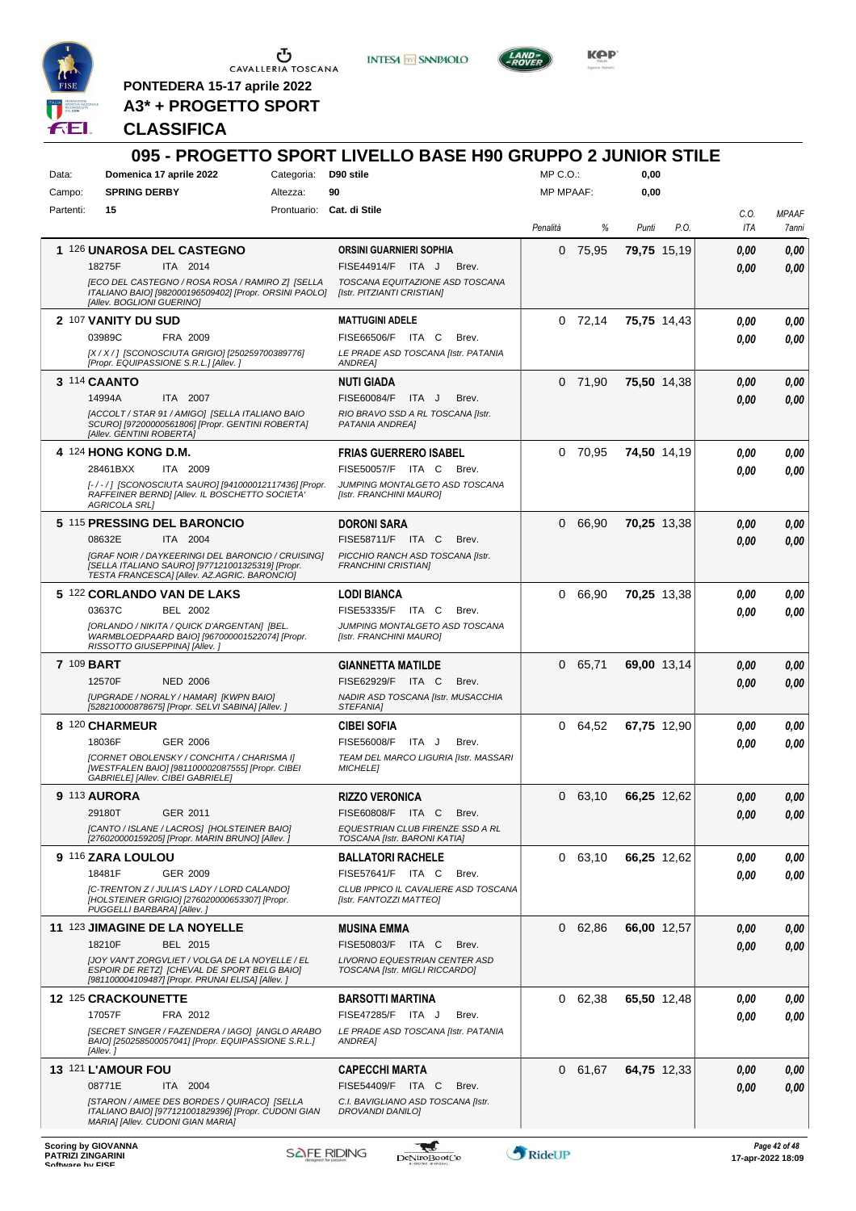

**INTES4 M SANPAOLO** 



KOP

**PONTEDERA 15-17 aprile 2022 A3\* + PROGETTO SPORT**

### **CLASSIFICA**

#### **095 - PROGETTO SPORT LIVELLO BASE H90 GRUPPO 2 JUNIOR STILE** Data: **Domenica 17 aprile 2022** Categoria: D90 stile Prontuario: **Cat. di Stile** Campo: **SPRING DERBY** Partenti: **15** Altezza: **90**  $MP \cap \bigcap$ MP MPAAF: **0,00 0,00** *Penalità % Punti P.O. C.O. ITA MPAAF 7anni* **1** 126 **UNAROSA DEL CASTEGNO** ITA 2014 **ORSINI GUARNIERI SOPHIA** *[ECO DEL CASTEGNO / ROSA ROSA / RAMIRO Z] [SELLA ITALIANO BAIO] [982000196509402] [Propr. ORSINI PAOLO] [Allev. BOGLIONI GUERINO] TOSCANA EQUITAZIONE ASD TOSCANA [Istr. PITZIANTI CRISTIAN]* 18275F ITA 2014 FISE44914/F ITA J Brev. **0,00 0,00** 0 75,95 **79,75** 15,19 *0,00 0,00 0,00* **2** 107 **VANITY DU SUD** FRA 2009 **MATTUGINI ADELE** *[X / X / ] [SCONOSCIUTA GRIGIO] [250259700389776] [Propr. EQUIPASSIONE S.R.L.] [Allev. ] LE PRADE ASD TOSCANA [Istr. PATANIA ANDREA]* 03989C FRA 2009 FISE66506/F ITA C Brev. *0,00 0,00* 0 72,14 **75,75** 14,43 *0,00 0,00 0,00* **3** 114 **CAANTO** ITA 2007 **NUTI GIADA** *[ACCOLT / STAR 91 / AMIGO] [SELLA ITALIANO BAIO SCURO] [97200000561806] [Propr. GENTINI ROBERTA] [Allev. GENTINI ROBERTA] RIO BRAVO SSD A RL TOSCANA [Istr. PATANIA ANDREA]* ITA J Brev. 0 71,90 **75,50** 14,38 *0,00 0,00 0,00* 14994A ITA 2007 FISE60084/F ITA J Brev. <mark>0,00 0,00</mark> **4** 124 **HONG KONG D.M.** ITA 2009 **FRIAS GUERRERO ISABEL** *[- / - / ] [SCONOSCIUTA SAURO] [941000012117436] [Propr. RAFFEINER BERND] [Allev. IL BOSCHETTO SOCIETA' AGRICOLA SRL] JUMPING MONTALGETO ASD TOSCANA [Istr. FRANCHINI MAURO]* ITA C. Brev. 0 70,95 **74,50** 14,19 *0,00 0,00 0,00* 28461BXX ITA 2009 FISE50057/F ITA C Brev. <mark>0,00 0,00</mark> **5** 115 **PRESSING DEL BARONCIO** ITA 2004 **DORONI SARA** *[GRAF NOIR / DAYKEERINGI DEL BARONCIO / CRUISING] [SELLA ITALIANO SAURO] [977121001325319] [Propr. TESTA FRANCESCA] [Allev. AZ.AGRIC. BARONCIO] PICCHIO RANCH ASD TOSCANA [Istr. FRANCHINI CRISTIAN]* 08632E ITA 2004 FISE58711/F ITA C Brev. **0,00 0,00** 0 66,90 **70,25** 13,38 *0,00 0,00 0,00* **5** 122 **CORLANDO VAN DE LAKS** BEL 2002 **LODI BIANCA** *[ORLANDO / NIKITA / QUICK D'ARGENTAN] [BEL. WARMBLOEDPAARD BAIO] [967000001522074] [Propr. RISSOTTO GIUSEPPINA] [Allev. ] JUMPING MONTALGETO ASD TOSCANA [Istr. FRANCHINI MAURO]* 03637C BEL 2002 FISE53335/F ITA C Brev. **0,00 0,00** 0 66,90 **70,25** 13,38 *0,00 0,00 0,00* **7** 109 **BART** NED 2006 **GIANNETTA MATILDE** *[UPGRADE / NORALY / HAMAR] [KWPN BAIO] [528210000878675] [Propr. SELVI SABINA] [Allev. ] NADIR ASD TOSCANA [Istr. MUSACCHIA STEFANIA]* 12570F NED 2006 FISE62929/F ITA C Brev. **0,00 0,00** 0 65,71 **69,00** 13,14 *0,00 0,00 0,00* **8** 120 **CHARMEUR** GER 2006 **CIBEI SOFIA** *[CORNET OBOLENSKY / CONCHITA / CHARISMA I] [WESTFALEN BAIO] [981100002087555] [Propr. CIBEI GABRIELE] [Allev. CIBEI GABRIELE] TEAM DEL MARCO LIGURIA [Istr. MASSARI MICHELE]* 18036F GER\_2006 FISE56008/F ITA J Brev. *0,00 0,00* 0 64,52 **67,75** 12,90 *0,00 0,00 0,00* **9** 113 **AURORA** GER 2011 **RIZZO VERONICA** *[CANTO / ISLANE / LACROS] [HOLSTEINER BAIO] [276020000159205] [Propr. MARIN BRUNO] [Allev. ] EQUESTRIAN CLUB FIRENZE SSD A RL TOSCANA [Istr. BARONI KATIA]* 29180T GER\_2011 FISE60808/F ITA C Brev. *0,00 0,00* 0 63,10 **66,25** 12,62 *0,00 0,00 0,00* **9** 116 **ZARA LOULOU** GER 2009 **BALLATORI RACHELE** *[C-TRENTON Z / JULIA'S LADY / LORD CALANDO] [HOLSTEINER GRIGIO] [276020000653307] [Propr. PUGGELLI BARBARA] [Allev. ] CLUB IPPICO IL CAVALIERE ASD TOSCANA [Istr. FANTOZZI MATTEO]* 18481F GER\_2009 FISE57641/F ITA C Brev. *0,00 0,00* 0 63,10 **66,25** 12,62 *0,00 0,00 0,00* **11** 123 **JIMAGINE DE LA NOYELLE** BEL 2015 **MUSINA EMMA** *[JOY VAN'T ZORGVLIET / VOLGA DE LA NOYELLE / EL ESPOIR DE RETZ] [CHEVAL DE SPORT BELG BAIO] [981100004109487] [Propr. PRUNAI ELISA] [Allev. ] LIVORNO EQUESTRIAN CENTER ASD TOSCANA [Istr. MIGLI RICCARDO]* 18210F BEL 2015 FISE50803/F ITA C Brev. **0,00 0,00** 0 62,86 **66,00** 12,57 *0,00 0,00 0,00* **12** 125 **CRACKOUNETTE** FRA 2012 **BARSOTTI MARTINA** *[SECRET SINGER / FAZENDERA / IAGO] [ANGLO ARABO BAIO] [250258500057041] [Propr. EQUIPASSIONE S.R.L.] [Allev. ] LE PRADE ASD TOSCANA [Istr. PATANIA ANDREA]* 17057F FRA 2012 FISE47285/F ITA J Brev. <mark>0,00 0,00</mark> 0 62,38 **65,50** 12,48 *0,00 0,00 0,00* **13** 121 **L'AMOUR FOU** ITA 2004 **CAPECCHI MARTA** *[STARON / AIMEE DES BORDES / QUIRACO] [SELLA ITALIANO BAIO] [977121001829396] [Propr. CUDONI GIAN MARIA] [Allev. CUDONI GIAN MARIA] C.I. BAVIGLIANO ASD TOSCANA [Istr. DROVANDI DANILO]* 08771E ITA 2004 FISE54409/F ITA C Brev. **0,00 0,00** 0 61,67 **64,75** 12,33 *0,00 0,00 0,00*

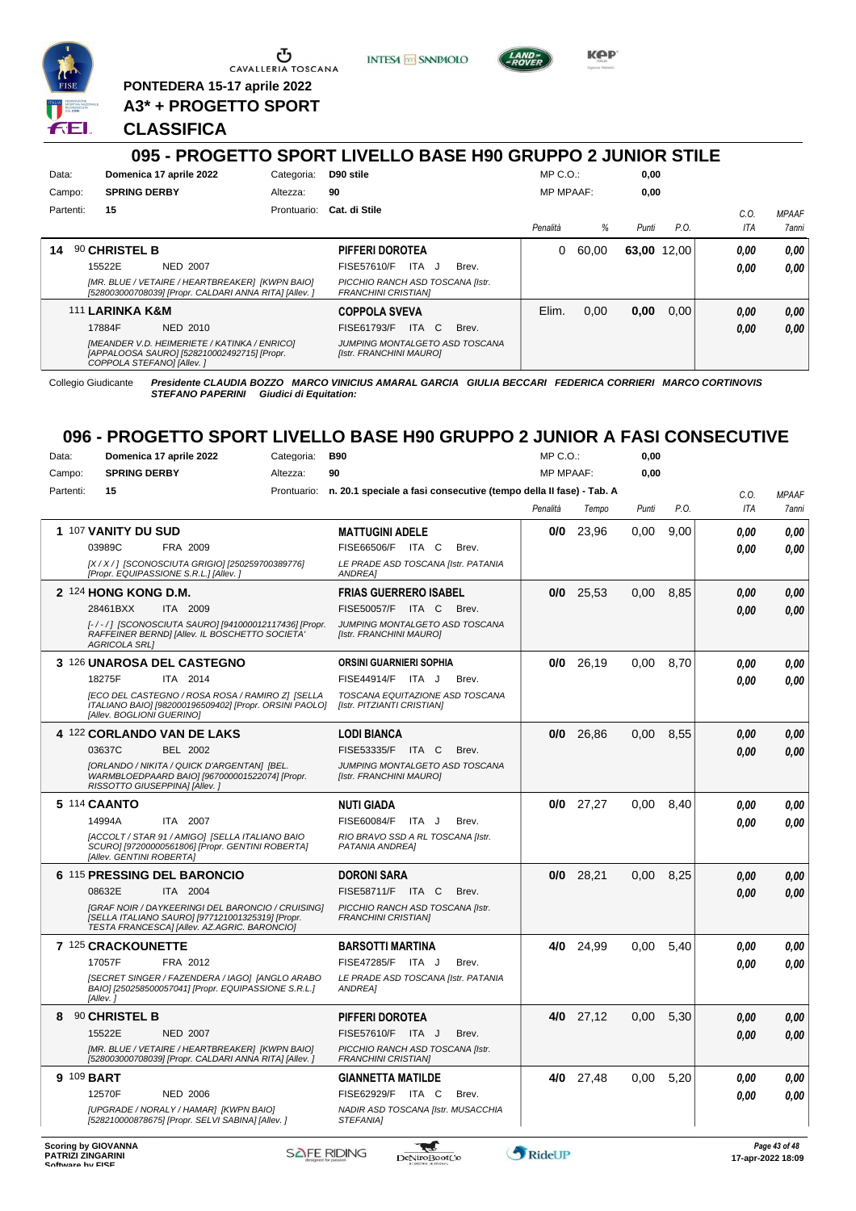

<u>ය</u> CAVALLERIA TOSCANA

**PONTEDERA 15-17 aprile 2022 A3\* + PROGETTO SPORT**

**CLASSIFICA**





**Kep** 

# **095 - PROGETTO SPORT LIVELLO BASE H90 GRUPPO 2 JUNIOR STILE**

| Data:     | Domenica 17 aprile 2022                                                                                                  | Categoria:  | D90 stile                                                      | $MP C. O.$ :     |       | 0,00        |      |            |              |
|-----------|--------------------------------------------------------------------------------------------------------------------------|-------------|----------------------------------------------------------------|------------------|-------|-------------|------|------------|--------------|
| Campo:    | <b>SPRING DERBY</b>                                                                                                      | Altezza:    | 90                                                             | <b>MP MPAAF:</b> |       | 0,00        |      |            |              |
| Partenti: | 15                                                                                                                       | Prontuario: | Cat. di Stile                                                  |                  |       |             |      | C.O.       | <b>MPAAF</b> |
|           |                                                                                                                          |             |                                                                | Penalità         | ℅     | Punti       | P.O. | <b>ITA</b> | 7anni        |
| 14        | 90 CHRISTEL B                                                                                                            |             | PIFFERI DOROTEA                                                | 0                | 60.00 | 63,00 12,00 |      | 0.00       | 0.00         |
|           | 15522E<br>NED 2007                                                                                                       |             | ITA J<br>FISE57610/F<br>Brev.                                  |                  |       |             |      | 0,00       | 0,00         |
|           | [MR. BLUE / VETAIRE / HEARTBREAKER] [KWPN BAIO]<br>[528003000708039] [Propr. CALDARI ANNA RITA] [Allev. ]                |             | PICCHIO RANCH ASD TOSCANA [Istr.<br><b>FRANCHINI CRISTIANI</b> |                  |       |             |      |            |              |
|           | 111 LARINKA K&M                                                                                                          |             | <b>COPPOLA SVEVA</b>                                           | Elim.            | 0,00  | 0,00        | 0.00 | 0.00       | 0,00         |
|           | 17884F<br>NED 2010                                                                                                       |             | ITA C<br>FISE61793/F<br>Brev.                                  |                  |       |             |      | 0,00       | 0,00         |
|           | [MEANDER V.D. HEIMERIETE / KATINKA / ENRICO]<br>[APPALOOSA SAURO] [528210002492715] [Propr.<br>COPPOLA STEFANOI [Allev.] |             | JUMPING MONTALGETO ASD TOSCANA<br>[Istr. FRANCHINI MAURO]      |                  |       |             |      |            |              |

Collegio Giudicante *Presidente CLAUDIA BOZZO MARCO VINICIUS AMARAL GARCIA GIULIA BECCARI FEDERICA CORRIERI MARCO CORTINOVIS STEFANO PAPERINI Giudici di Equitation:*

### **096 - PROGETTO SPORT LIVELLO BASE H90 GRUPPO 2 JUNIOR A FASI CONSECUTIVE**  $MDCO.$ **0,00**

| Data:     | Domenica 17 aprile 2022                                                                                                                               | Categoria: | <b>B90</b>                                                                     | MP C. O.         |             | 0,00  |      |            |              |
|-----------|-------------------------------------------------------------------------------------------------------------------------------------------------------|------------|--------------------------------------------------------------------------------|------------------|-------------|-------|------|------------|--------------|
| Campo:    | <b>SPRING DERBY</b>                                                                                                                                   | Altezza:   | 90                                                                             | <b>MP MPAAF:</b> |             | 0,00  |      |            |              |
| Partenti: | 15                                                                                                                                                    |            | Prontuario: n. 20.1 speciale a fasi consecutive (tempo della II fase) - Tab. A |                  |             |       |      | C.0.       | <b>MPAAF</b> |
|           |                                                                                                                                                       |            |                                                                                | Penalità         | Tempo       | Punti | P.O. | <b>ITA</b> | 7anni        |
|           | 1 107 VANITY DU SUD                                                                                                                                   |            | <b>MATTUGINI ADELE</b>                                                         | 0/0              | 23,96       | 0,00  | 9,00 | 0.00       | 0,00         |
|           | 03989C<br>FRA 2009                                                                                                                                    |            | FISE66506/F ITA C<br>Brev.                                                     |                  |             |       |      | 0.00       | 0.00         |
|           | [X / X / ] [SCONOSCIUTA GRIGIO] [250259700389776]<br>[Propr. EQUIPASSIONE S.R.L.] [Allev.]                                                            |            | LE PRADE ASD TOSCANA [Istr. PATANIA<br>ANDREA]                                 |                  |             |       |      |            |              |
|           | 2 124 HONG KONG D.M.                                                                                                                                  |            | <b>FRIAS GUERRERO ISABEL</b>                                                   | 0/0              | 25,53       | 0,00  | 8,85 | 0,00       | 0.00         |
|           | 28461BXX<br>ITA 2009                                                                                                                                  |            | FISE50057/F ITA C<br>Brev.                                                     |                  |             |       |      | 0.00       | 0,00         |
|           | [-/-/] [SCONOSCIUTA SAURO] [941000012117436] [Propr.<br>RAFFEINER BERND] [Allev. IL BOSCHETTO SOCIETA'<br><b>AGRICOLA SRL1</b>                        |            | JUMPING MONTALGETO ASD TOSCANA<br>[Istr. FRANCHINI MAURO]                      |                  |             |       |      |            |              |
|           | <b>3 126 UNAROSA DEL CASTEGNO</b>                                                                                                                     |            | <b>ORSINI GUARNIERI SOPHIA</b>                                                 | 0/0              | 26,19       | 0,00  | 8.70 | 0.00       | 0,00         |
|           | 18275F<br>ITA 2014                                                                                                                                    |            | FISE44914/F ITA J<br>Brev.                                                     |                  |             |       |      | 0.00       | 0.00         |
|           | [ECO DEL CASTEGNO / ROSA ROSA / RAMIRO Z] [SELLA<br>ITALIANO BAIO] [982000196509402] [Propr. ORSINI PAOLO]<br>[Allev. BOGLIONI GUERINO]               |            | TOSCANA EQUITAZIONE ASD TOSCANA<br>[Istr. PITZIANTI CRISTIAN]                  |                  |             |       |      |            |              |
|           | 4 122 CORLANDO VAN DE LAKS                                                                                                                            |            | <b>LODI BIANCA</b>                                                             | 0/0              | 26,86       | 0.00  | 8,55 | 0.00       | 0.00         |
|           | 03637C<br><b>BEL 2002</b>                                                                                                                             |            | FISE53335/F ITA C<br>Brev.                                                     |                  |             |       |      | 0.00       | 0,00         |
|           | [ORLANDO / NIKITA / QUICK D'ARGENTAN] [BEL.<br>WARMBLOEDPAARD BAIO] [967000001522074] [Propr.<br>RISSOTTO GIUSEPPINA] [Allev.]                        |            | JUMPING MONTALGETO ASD TOSCANA<br>[Istr. FRANCHINI MAURO]                      |                  |             |       |      |            |              |
|           | 5 114 CAANTO                                                                                                                                          |            | NUTI GIADA                                                                     |                  | $0/0$ 27,27 | 0.00  | 8.40 | 0.00       | 0.00         |
|           | 14994A<br>ITA 2007                                                                                                                                    |            | FISE60084/F<br>ITA J<br>Brev.                                                  |                  |             |       |      | 0.00       | 0.00         |
|           | [ACCOLT / STAR 91 / AMIGO] [SELLA ITALIANO BAIO<br>SCURO] [97200000561806] [Propr. GENTINI ROBERTA]<br>[Allev. GENTINI ROBERTA]                       |            | RIO BRAVO SSD A RL TOSCANA [Istr.<br>PATANIA ANDREAI                           |                  |             |       |      |            |              |
|           | 6 115 PRESSING DEL BARONCIO                                                                                                                           |            | <b>DORONI SARA</b>                                                             | 0/0              | 28.21       | 0.00  | 8.25 | 0.00       | 0,00         |
|           | 08632E<br>ITA 2004                                                                                                                                    |            | FISE58711/F ITA C<br>Brev.                                                     |                  |             |       |      | 0.00       | 0.00         |
|           | [GRAF NOIR / DAYKEERINGI DEL BARONCIO / CRUISING]<br>[SELLA ITALIANO SAURO] [977121001325319] [Propr.<br>TESTA FRANCESCA] [Allev. AZ.AGRIC. BARONCIO] |            | PICCHIO RANCH ASD TOSCANA [Istr.<br><b>FRANCHINI CRISTIAN]</b>                 |                  |             |       |      |            |              |
|           | 7 125 CRACKOUNETTE                                                                                                                                    |            | <b>BARSOTTI MARTINA</b>                                                        | 4/0              | 24,99       | 0,00  | 5,40 | 0.00       | 0.00         |
|           | 17057F<br>FRA 2012                                                                                                                                    |            | FISE47285/F ITA J<br>Brev.                                                     |                  |             |       |      | 0.00       | 0.00         |
|           | [SECRET SINGER / FAZENDERA / IAGO] [ANGLO ARABO<br>BAIO] [250258500057041] [Propr. EQUIPASSIONE S.R.L.]<br>[Allev.]                                   |            | LE PRADE ASD TOSCANA [Istr. PATANIA<br><b>ANDREA1</b>                          |                  |             |       |      |            |              |
| 8         | 90 CHRISTEL B                                                                                                                                         |            | PIFFERI DOROTEA                                                                |                  | $4/0$ 27,12 | 0,00  | 5,30 | 0,00       | 0,00         |
|           | 15522E<br><b>NED 2007</b>                                                                                                                             |            | FISE57610/F ITA J<br>Brev.                                                     |                  |             |       |      | 0.00       | 0.00         |
|           | IMR. BLUE / VETAIRE / HEARTBREAKER1 IKWPN BAIO1<br>[528003000708039] [Propr. CALDARI ANNA RITA] [Allev. ]                                             |            | PICCHIO RANCH ASD TOSCANA [Istr.<br><b>FRANCHINI CRISTIANI</b>                 |                  |             |       |      |            |              |
|           | 9 109 BART                                                                                                                                            |            | <b>GIANNETTA MATILDE</b>                                                       |                  | 4/0 27,48   | 0,00  | 5,20 | 0.00       | 0.00         |
|           | 12570F<br><b>NED 2006</b>                                                                                                                             |            | FISE62929/F ITA C<br>Brev.                                                     |                  |             |       |      | 0.00       | 0.00         |
|           | [UPGRADE / NORALY / HAMAR] [KWPN BAIO]<br>[528210000878675] [Propr. SELVI SABINA] [Allev. ]                                                           |            | NADIR ASD TOSCANA [Istr. MUSACCHIA<br>STEFANIA1                                |                  |             |       |      |            |              |
|           |                                                                                                                                                       |            |                                                                                |                  |             |       |      |            |              |

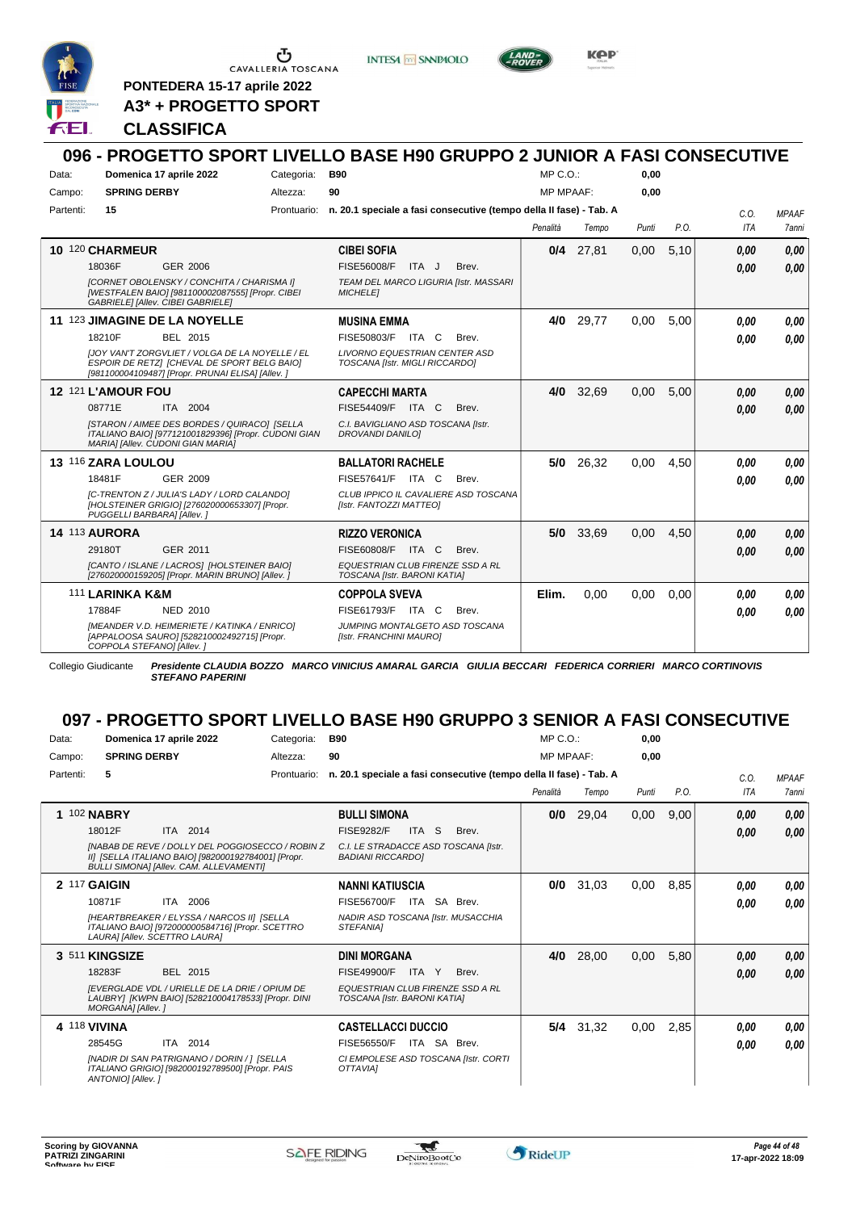

**PONTEDERA 15-17 aprile 2022 A3\* + PROGETTO SPORT** **INTESA M SANPAOLO** 



KOP

## **CLASSIFICA**

### **096 - PROGETTO SPORT LIVELLO BASE H90 GRUPPO 2 JUNIOR A FASI CONSECUTIVE** Data: **Domenica 17 aprile 2022** Categoria: B90 Prontuario: **n. 20.1 speciale a fasi consecutive (tempo della II fase) - Tab. A** Campo: **SPRING DERBY** Partenti: **15** Altezza: **90**  $MP \cap \bigcap$ MP MPAAF: **0,00 0,00** *Penalità Tempo Punti P.O. C.O. ITA MPAAF 7anni* **10** 120 **CHARMEUR** GER 2006 **CIBEI SOFIA** *[CORNET OBOLENSKY / CONCHITA / CHARISMA I] [WESTFALEN BAIO] [981100002087555] [Propr. CIBEI GABRIELE] [Allev. CIBEI GABRIELE] TEAM DEL MARCO LIGURIA [Istr. MASSARI MICHELE]* 18036F GER\_2006 FISE56008/F ITA J Brev. **0,00 0,00 0/4** 27,81 0,00 5,10 *0,00 0,00 0,00* **11** 123 **JIMAGINE DE LA NOYELLE** BEL 2015 **MUSINA EMMA** *[JOY VAN'T ZORGVLIET / VOLGA DE LA NOYELLE / EL ESPOIR DE RETZ] [CHEVAL DE SPORT BELG BAIO] [981100004109487] [Propr. PRUNAI ELISA] [Allev. ] LIVORNO EQUESTRIAN CENTER ASD TOSCANA [Istr. MIGLI RICCARDO]* 18210F BEL 2015 FISE50803/F ITA C Brev. **0,00 0,00 4/0** 29,77 0,00 5,00 *0,00 0,00 0,00* **12** 121 **L'AMOUR FOU** ITA 2004 **CAPECCHI MARTA** *[STARON / AIMEE DES BORDES / QUIRACO] [SELLA ITALIANO BAIO] [977121001829396] [Propr. CUDONI GIAN MARIA] [Allev. CUDONI GIAN MARIA] C.I. BAVIGLIANO ASD TOSCANA [Istr. DROVANDI DANILO]* 08771E ITA 2004 FISE54409/F ITA C Brev. **0,00 0,00 4/0** 32,69 0,00 5,00 *0,00 0,00 0,00* **13** 116 **ZARA LOULOU** GER 2009 **BALLATORI RACHELE** *[C-TRENTON Z / JULIA'S LADY / LORD CALANDO] [HOLSTEINER GRIGIO] [276020000653307] [Propr. PUGGELLI BARBARA] [Allev. ] CLUB IPPICO IL CAVALIERE ASD TOSCANA [Istr. FANTOZZI MATTEO]* 18481F GER\_2009 FISE57641/F ITA C Brev. **0,00 0,00 5/0** 26,32 0,00 4,50 *0,00 0,00 0,00* **14** 113 **AURORA** GER 2011 **RIZZO VERONICA** *[CANTO / ISLANE / LACROS] [HOLSTEINER BAIO] [276020000159205] [Propr. MARIN BRUNO] [Allev. ] EQUESTRIAN CLUB FIRENZE SSD A RL TOSCANA [Istr. BARONI KATIA]* 29180T GER\_2011 FISE60808/F ITA C Brev. *0,00 0,00* **5/0** 33,69 0,00 4,50 *0,00 0,00 0,00* 111 **LARINKA K&M** NED 2010 **COPPOLA SVEVA** *[MEANDER V.D. HEIMERIETE / KATINKA / ENRICO] [APPALOOSA SAURO] [528210002492715] [Propr. COPPOLA STEFANO] [Allev. ] JUMPING MONTALGETO ASD TOSCANA [Istr. FRANCHINI MAURO]* 17884F NED 2010 FISE61793/F ITA C Brev. *0,00 0,00* **Elim.** 0,00 0,00 0,00 *0,00 0,00 0,00* Collegio Giudicante *Presidente CLAUDIA BOZZO MARCO VINICIUS AMARAL GARCIA GIULIA BECCARI FEDERICA CORRIERI MARCO CORTINOVIS*

*STEFANO PAPERINI*

# **097 - PROGETTO SPORT LIVELLO BASE H90 GRUPPO 3 SENIOR A FASI CONSECUTIVE**

| Data:     | Domenica 17 aprile 2022                                                                                                                            | Categoria:  | <b>B90</b>                                                         | $MP C. O.$ :     |       | 0,00  |      |      |              |
|-----------|----------------------------------------------------------------------------------------------------------------------------------------------------|-------------|--------------------------------------------------------------------|------------------|-------|-------|------|------|--------------|
| Campo:    | <b>SPRING DERBY</b>                                                                                                                                | Altezza:    | 90                                                                 | <b>MP MPAAF:</b> |       | 0.00  |      |      |              |
| Partenti: | 5                                                                                                                                                  | Prontuario: | n. 20.1 speciale a fasi consecutive (tempo della II fase) - Tab. A |                  |       |       |      | C.O. | <b>MPAAF</b> |
|           |                                                                                                                                                    |             |                                                                    | Penalità         | Tempo | Punti | P.O. | ITA  | 7anni        |
|           | 1 102 NABRY                                                                                                                                        |             | <b>BULLI SIMONA</b>                                                | 0/0              | 29,04 | 0,00  | 9,00 | 0,00 | 0,00         |
|           | 18012F<br>ITA 2014                                                                                                                                 |             | <b>FISE9282/F</b><br><b>ITA</b><br>S.<br>Brev.                     |                  |       |       |      | 0,00 | 0,00         |
|           | INABAB DE REVE / DOLLY DEL POGGIOSECCO / ROBIN Z<br>II] [SELLA ITALIANO BAIO] [982000192784001] [Propr.<br>BULLI SIMONA] [Allev. CAM. ALLEVAMENTI] |             | C.I. LE STRADACCE ASD TOSCANA [Istr.<br><b>BADIANI RICCARDOI</b>   |                  |       |       |      |      |              |
|           | 2 117 GAIGIN                                                                                                                                       |             | <b>NANNI KATIUSCIA</b>                                             | 0/0              | 31,03 | 0,00  | 8,85 | 0.00 | 0,00         |
|           | 10871F<br>ITA 2006                                                                                                                                 |             | SA Brev.<br><b>FISE56700/F</b><br>ITA                              |                  |       |       |      | 0.00 | 0.00         |
|           | <b>IHEARTBREAKER / ELYSSA / NARCOS III ISELLA</b><br>ITALIANO BAIO] [972000000584716] [Propr. SCETTRO<br>LAURAI [Allev. SCETTRO LAURA]             |             | NADIR ASD TOSCANA [Istr. MUSACCHIA<br>STEFANIA1                    |                  |       |       |      |      |              |
|           | 3 511 KINGSIZE                                                                                                                                     |             | <b>DINI MORGANA</b>                                                | 4/0              | 28,00 | 0,00  | 5,80 | 0.00 | 0.00         |
|           | 18283F<br>BEL 2015                                                                                                                                 |             | FISE49900/F<br>ITA Y<br>Brev.                                      |                  |       |       |      | 0.00 | 0,00         |
|           | <b>IEVERGLADE VDL / URIELLE DE LA DRIE / OPIUM DE</b><br>LAUBRY] [KWPN BAIO] [528210004178533] [Propr. DINI<br>MORGANA] [Allev. ]                  |             | EQUESTRIAN CLUB FIRENZE SSD A RL<br>TOSCANA [Istr. BARONI KATIA]   |                  |       |       |      |      |              |
|           | 4 118 VIVINA                                                                                                                                       |             | <b>CASTELLACCI DUCCIO</b>                                          | 5/4              | 31,32 | 0,00  | 2,85 | 0.00 | 0,00         |
|           | ITA 2014<br>28545G                                                                                                                                 |             | FISE56550/F<br>ITA SA Brev.                                        |                  |       |       |      | 0.00 | 0.00         |
|           | [NADIR DI SAN PATRIGNANO / DORIN / 1 [SELLA<br>ITALIANO GRIGIO] [982000192789500] [Propr. PAIS<br>ANTONIO] [Allev. ]                               |             | CI EMPOLESE ASD TOSCANA [Istr. CORTI<br><b>OTTAVIAI</b>            |                  |       |       |      |      |              |

w

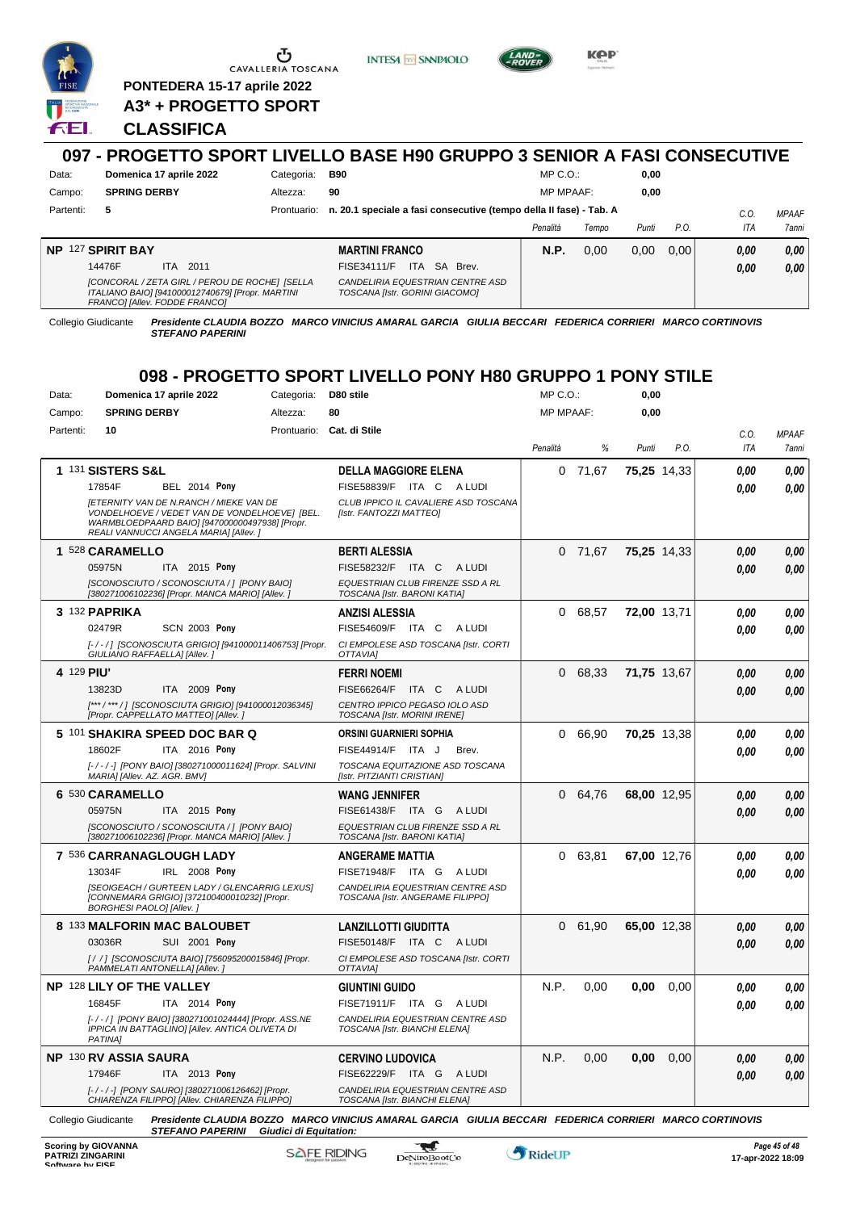

**PONTEDERA 15-17 aprile 2022 A3\* + PROGETTO SPORT**

### **CLASSIFICA**

### **097 - PROGETTO SPORT LIVELLO BASE H90 GRUPPO 3 SENIOR A FASI CONSECUTIVE** Data: **Domenica 17 aprile 2022** Categoria: B90 Prontuario: **n. 20.1 speciale a fasi consecutive (tempo della II fase) - Tab. A** Campo: **SPRING DERBY** Partenti: **5** Altezza: **90** MP C.O.: MP MPAAF: **0,00 0,00** *C.O. MPAAF*

**INTESA M** SANPAOLO

|                                                                                                                                     |                                                                    |             |       |       |       | $\mathsf{v} \mathsf{v} \mathsf{v}$ |       |
|-------------------------------------------------------------------------------------------------------------------------------------|--------------------------------------------------------------------|-------------|-------|-------|-------|------------------------------------|-------|
|                                                                                                                                     |                                                                    | Penalità    | Tempo | Punti | P.O.  | ITA                                | 7anni |
| NP 127 SPIRIT BAY                                                                                                                   | <b>MARTINI FRANCO</b>                                              | <b>N.P.</b> | 0.00  | 0.00  | 0.001 | 0.00                               | 0,00  |
| 2011<br>14476F<br>ITA.                                                                                                              | <b>ITA</b><br>SA Brev.<br><b>FISE34111/F</b>                       |             |       |       |       | 0.00                               | 0.00  |
| [CONCORAL / ZETA GIRL / PEROU DE ROCHE] [SELLA<br>ITALIANO BAIO] [941000012740679] [Propr. MARTINI<br>FRANCOI [Allev. FODDE FRANCO] | CANDELIRIA EQUESTRIAN CENTRE ASD<br>TOSCANA [Istr. GORINI GIACOMO] |             |       |       |       |                                    |       |

Collegio Giudicante *Presidente CLAUDIA BOZZO MARCO VINICIUS AMARAL GARCIA GIULIA BECCARI FEDERICA CORRIERI MARCO CORTINOVIS STEFANO PAPERINI*

# **098 - PROGETTO SPORT LIVELLO PONY H80 GRUPPO 1 PONY STILE**

| Data:      | Domenica 17 aprile 2022                                                                                                                                                                    | Categoria:  | D80 stile                                                                                               | MP C.O.:         |       | 0,00        |             |      |              |
|------------|--------------------------------------------------------------------------------------------------------------------------------------------------------------------------------------------|-------------|---------------------------------------------------------------------------------------------------------|------------------|-------|-------------|-------------|------|--------------|
| Campo:     | <b>SPRING DERBY</b>                                                                                                                                                                        | Altezza:    | 80                                                                                                      | <b>MP MPAAF:</b> |       | 0,00        |             |      |              |
| Partenti:  | 10                                                                                                                                                                                         | Prontuario: | Cat. di Stile                                                                                           |                  |       |             |             | C.O. | <b>MPAAF</b> |
|            |                                                                                                                                                                                            |             |                                                                                                         | Penalità         | %     | Punti       | P.O.        | ITA  | 7anni        |
|            | 1 131 SISTERS S&L                                                                                                                                                                          |             | <b>DELLA MAGGIORE ELENA</b>                                                                             | 0                | 71,67 |             | 75,25 14,33 | 0.00 | 0,00         |
|            | 17854F<br><b>BEL 2014 Pony</b>                                                                                                                                                             |             | FISE58839/F<br>ITA C<br>A LUDI                                                                          |                  |       |             |             | 0.00 | 0.00         |
|            | <b>IETERNITY VAN DE N.RANCH / MIEKE VAN DE</b><br>VONDELHOEVE / VEDET VAN DE VONDELHOEVEJ [BEL.<br>WARMBLOEDPAARD BAIO] [947000000497938] [Propr.<br>REALI VANNUCCI ANGELA MARIA] [Allev.] |             | CLUB IPPICO IL CAVALIERE ASD TOSCANA<br>[Istr. FANTOZZI MATTEO]                                         |                  |       |             |             |      |              |
|            | 1 528 CARAMELLO                                                                                                                                                                            |             | <b>BERTI ALESSIA</b>                                                                                    | 0                | 71,67 |             | 75,25 14,33 | 0.00 | 0.00         |
|            | 05975N<br>ITA 2015 Pony                                                                                                                                                                    |             | FISE58232/F<br>ITA C<br>A LUDI                                                                          |                  |       |             |             | 0.00 | 0.00         |
|            | [SCONOSCIUTO / SCONOSCIUTA / ] [PONY BAIO]<br>[380271006102236] [Propr. MANCA MARIO] [Allev. ]                                                                                             |             | EQUESTRIAN CLUB FIRENZE SSD A RL<br>TOSCANA [Istr. BARONI KATIA]                                        |                  |       |             |             |      |              |
|            | 3 132 PAPRIKA                                                                                                                                                                              |             | <b>ANZISI ALESSIA</b>                                                                                   | 0                | 68,57 | 72,00 13,71 |             | 0,00 | 0,00         |
|            | 02479R<br><b>SCN 2003 Pony</b>                                                                                                                                                             |             | FISE54609/F<br>ITA C<br>A LUDI                                                                          |                  |       |             |             | 0.00 | 0.00         |
|            | [-/-/] [SCONOSCIUTA GRIGIO] [941000011406753] [Propr.<br>GIULIANO RAFFAELLA] [Allev.]                                                                                                      |             | CI EMPOLESE ASD TOSCANA [Istr. CORTI<br>OTTAVIA]                                                        |                  |       |             |             |      |              |
| 4 129 PIU' |                                                                                                                                                                                            |             | <b>FERRI NOEMI</b>                                                                                      | 0                | 68,33 | 71,75 13,67 |             | 0.00 | 0.00         |
|            | 13823D<br><b>ITA</b> 2009 Pony                                                                                                                                                             |             | FISE66264/F<br>ITA C<br>A LUDI                                                                          |                  |       |             |             | 0.00 | 0.00         |
|            | [***/***/] [SCONOSCIUTA GRIGIO] [941000012036345]<br>[Propr. CAPPELLATO MATTEO] [Allev.]                                                                                                   |             | CENTRO IPPICO PEGASO IOLO ASD<br>TOSCANA [Istr. MORINI IRENE]                                           |                  |       |             |             |      |              |
|            | 5 101 SHAKIRA SPEED DOC BAR Q                                                                                                                                                              |             | <b>ORSINI GUARNIERI SOPHIA</b>                                                                          | 0                | 66,90 |             | 70,25 13,38 | 0.00 | 0.00         |
|            | ITA 2016 Pony<br>18602F                                                                                                                                                                    |             | FISE44914/F<br>ITA J<br>Brev.                                                                           |                  |       |             |             | 0.00 | 0,00         |
|            | [-/-/-] [PONY BAIO] [380271000011624] [Propr. SALVINI<br>MARIA] [Allev. AZ. AGR. BMV]                                                                                                      |             | TOSCANA EQUITAZIONE ASD TOSCANA<br>[Istr. PITZIANTI CRISTIAN]                                           |                  |       |             |             |      |              |
|            | 6 530 CARAMELLO                                                                                                                                                                            |             | <b>WANG JENNIFER</b>                                                                                    | 0                | 64,76 |             | 68,00 12,95 | 0,00 | 0,00         |
|            | ITA 2015 Pony<br>05975N                                                                                                                                                                    |             | FISE61438/F<br>ITA G<br>A LUDI                                                                          |                  |       |             |             | 0.00 | 0.00         |
|            | [SCONOSCIUTO / SCONOSCIUTA / ] [PONY BAIO]<br>[380271006102236] [Propr. MANCA MARIO] [Allev.                                                                                               |             | EQUESTRIAN CLUB FIRENZE SSD A RL<br>TOSCANA [Istr. BARONI KATIA]                                        |                  |       |             |             |      |              |
|            | 7 536 CARRANAGLOUGH LADY                                                                                                                                                                   |             | ANGERAME MATTIA                                                                                         | 0                | 63,81 |             | 67,00 12,76 | 0,00 | 0,00         |
|            | 13034F<br>IRL 2008 Pony                                                                                                                                                                    |             | <b>FISE71948/F</b><br>ITA G<br>A LUDI                                                                   |                  |       |             |             | 0.00 | 0.00         |
|            | [SEOIGEACH / GURTEEN LADY / GLENCARRIG LEXUS]<br>[CONNEMARA GRIGIO] [372100400010232] [Propr.<br><b>BORGHESI PAOLO] [Allev.]</b>                                                           |             | CANDELIRIA EQUESTRIAN CENTRE ASD<br>TOSCANA [Istr. ANGERAME FILIPPO]                                    |                  |       |             |             |      |              |
|            | 8 133 MALFORIN MAC BALOUBET                                                                                                                                                                |             | LANZILLOTTI GIUDITTA                                                                                    | 0                | 61,90 |             | 65,00 12,38 | 0,00 | 0,00         |
|            | 03036R<br>SUI 2001 Pony                                                                                                                                                                    |             | FISE50148/F ITA C ALUDI                                                                                 |                  |       |             |             | 0.00 | 0.00         |
|            | [/ / ] [SCONOSCIUTA BAIO] [756095200015846] [Propr.<br>PAMMELATI ANTONELLA] [Allev.]                                                                                                       |             | CI EMPOLESE ASD TOSCANA [Istr. CORTI<br>OTTAVIA]                                                        |                  |       |             |             |      |              |
|            | NP 128 LILY OF THE VALLEY                                                                                                                                                                  |             | <b>GIUNTINI GUIDO</b>                                                                                   | N.P.             | 0,00  | 0,00        | 0,00        | 0.00 | 0.00         |
|            | 16845F<br>ITA 2014 Pony                                                                                                                                                                    |             | <b>FISE71911/F</b><br>ITA GALUDI                                                                        |                  |       |             |             | 0.00 | 0,00         |
|            | [-/-/] [PONY BAIO] [380271001024444] [Propr. ASS.NE<br>IPPICA IN BATTAGLINO] [Allev. ANTICA OLIVETA DI<br>PATINA1                                                                          |             | CANDELIRIA EQUESTRIAN CENTRE ASD<br>TOSCANA [Istr. BIANCHI ELENA]                                       |                  |       |             |             |      |              |
|            | NP 130 RV ASSIA SAURA                                                                                                                                                                      |             | <b>CERVINO LUDOVICA</b>                                                                                 | N.P.             | 0,00  | 0,00        | 0,00        | 0,00 | 0.00         |
|            | 17946F<br>ITA 2013 Pony                                                                                                                                                                    |             | FISE62229/F ITA G<br>A LUDI                                                                             |                  |       |             |             | 0.00 | 0.00         |
|            | [-/-/-] [PONY SAURO] [380271006126462] [Propr.<br>CHIARENZA FILIPPO] [Allev. CHIARENZA FILIPPO]                                                                                            |             | CANDELIRIA EQUESTRIAN CENTRE ASD<br>TOSCANA [Istr. BIANCHI ELENA]                                       |                  |       |             |             |      |              |
|            | Collegio Giudicante<br>STEFANO PAPERINI Giudici di Equitation:                                                                                                                             |             | Presidente CLAUDIA BOZZO MARCO VINICIUS AMARAL GARCIA GIULIA BECCARI FEDERICA CORRIERI MARCO CORTINOVIS |                  |       |             |             |      |              |



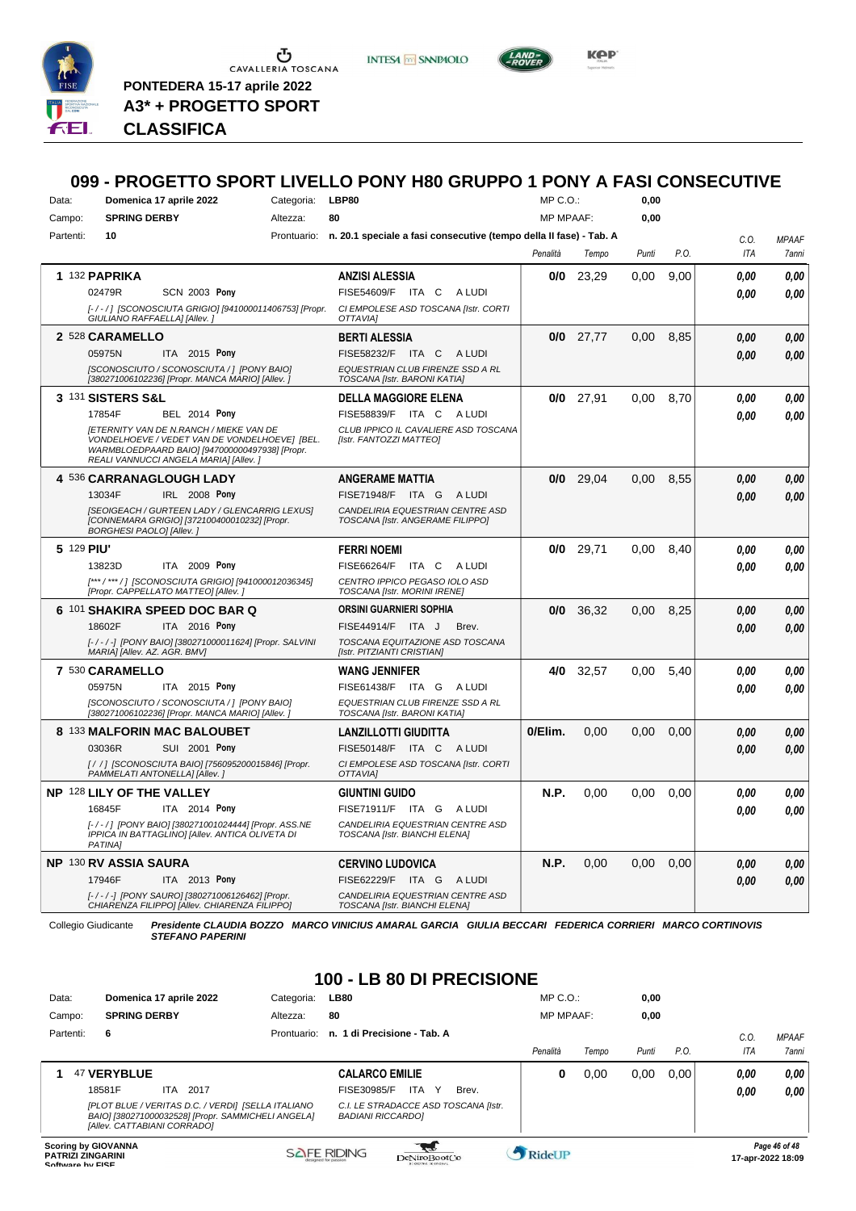

 $\sigma$  CAVALLERIA TOSCANA **PONTEDERA 15-17 aprile 2022**

**A3\* + PROGETTO SPORT**

*Presidente CLAUDIA BOZZO MARCO VINICIUS AMARAL GARCIA GIULIA BECCARI FEDERICA CORRIERI MARCO CORTINOVIS* **CLASSIFICA** *STEFANO PAPERINI Giudici di Equitation:*

## **099 - PROGETTO SPORT LIVELLO PONY H80 GRUPPO 1 PONY A FASI CONSECUTIVE**

**INTESA** M SANPAOLO

| Data: |           | Domenica 17 aprile 2022                                                                                                                           | Categoria: | LBP80                                                                          | MP C. O.         |             | 0,00  |      |      |              |
|-------|-----------|---------------------------------------------------------------------------------------------------------------------------------------------------|------------|--------------------------------------------------------------------------------|------------------|-------------|-------|------|------|--------------|
|       | Campo:    | <b>SPRING DERBY</b>                                                                                                                               | Altezza:   | 80                                                                             | <b>MP MPAAF:</b> |             | 0,00  |      |      |              |
|       | Partenti: | 10                                                                                                                                                |            | Prontuario: n. 20.1 speciale a fasi consecutive (tempo della II fase) - Tab. A |                  |             |       |      | C.0. | <b>MPAAF</b> |
|       |           |                                                                                                                                                   |            |                                                                                | Penalità         | Tempo       | Punti | P.O. | ITA  | 7anni        |
|       |           | 1 132 PAPRIKA                                                                                                                                     |            | <b>ANZISI ALESSIA</b>                                                          | 0/0              | 23,29       | 0,00  | 9,00 | 0.00 | 0.00         |
|       |           | <b>SCN 2003 Pony</b><br>02479R                                                                                                                    |            | FISE54609/F ITA C<br>A LUDI                                                    |                  |             |       |      | 0.00 | 0.00         |
|       |           | [-/-/] [SCONOSCIUTA GRIGIO] [941000011406753] [Propr.                                                                                             |            | CI EMPOLESE ASD TOSCANA [Istr. CORTI                                           |                  |             |       |      |      |              |
|       |           | GIULIANO RAFFAELLA] [Allev. ]                                                                                                                     |            | OTTAVIAI                                                                       |                  |             |       |      |      |              |
|       |           | 2 528 CARAMELLO                                                                                                                                   |            | <b>BERTI ALESSIA</b>                                                           | 0/0              | 27,77       | 0,00  | 8,85 | 0.00 | 0,00         |
|       |           | 05975N<br>ITA 2015 Pony                                                                                                                           |            | FISE58232/F<br>ITA C ALUDI                                                     |                  |             |       |      | 0.00 | 0.00         |
|       |           | [SCONOSCIUTO / SCONOSCIUTA / ] [PONY BAIO]<br>[380271006102236] [Propr. MANCA MARIO] [Allev. ]                                                    |            | EQUESTRIAN CLUB FIRENZE SSD A RL<br>TOSCANA [Istr. BARONI KATIA]               |                  |             |       |      |      |              |
|       |           | 3 131 SISTERS S&L                                                                                                                                 |            | <b>DELLA MAGGIORE ELENA</b>                                                    |                  | $0/0$ 27,91 | 0.00  | 8,70 | 0.00 | 0.00         |
|       |           | 17854F<br><b>BEL 2014 Pony</b>                                                                                                                    |            | FISE58839/F ITA C<br>A LUDI                                                    |                  |             |       |      | 0.00 | 0.00         |
|       |           | <b>IETERNITY VAN DE N.RANCH / MIEKE VAN DE</b><br>VONDELHOEVE / VEDET VAN DE VONDELHOEVE] [BEL.<br>WARMBLOEDPAARD BAIO] [947000000497938] [Propr. |            | CLUB IPPICO IL CAVALIERE ASD TOSCANA<br>[Istr. FANTOZZI MATTEO]                |                  |             |       |      |      |              |
|       |           | REALI VANNUCCI ANGELA MARIAI [Allev. ]<br>4 536 CARRANAGLOUGH LADY                                                                                |            | <b>ANGERAME MATTIA</b>                                                         | 0/0              | 29,04       | 0.00  | 8,55 | 0.00 | 0.00         |
|       |           | 13034F<br>IRL 2008 Pony                                                                                                                           |            | FISE71948/F ITA G ALUDI                                                        |                  |             |       |      |      |              |
|       |           | [SEOIGEACH / GURTEEN LADY / GLENCARRIG LEXUS]                                                                                                     |            | CANDELIRIA EQUESTRIAN CENTRE ASD                                               |                  |             |       |      | 0.00 | 0,00         |
|       |           | [CONNEMARA GRIGIO] [372100400010232] [Propr.<br><b>BORGHESI PAOLO] [Allev.]</b>                                                                   |            | TOSCANA [Istr. ANGERAME FILIPPO]                                               |                  |             |       |      |      |              |
|       |           | 5 129 PIU'                                                                                                                                        |            | <b>FERRI NOEMI</b>                                                             | 0/0              | 29,71       | 0.00  | 8.40 | 0.00 | 0.00         |
|       |           | 13823D<br><b>ITA 2009 Pony</b>                                                                                                                    |            | FISE66264/F<br>ITA C<br>A LUDI                                                 |                  |             |       |      | 0.00 | 0.00         |
|       |           | [***/***/] [SCONOSCIUTA GRIGIO] [941000012036345]<br>[Propr. CAPPELLATO MATTEO] [Allev.]                                                          |            | CENTRO IPPICO PEGASO IOLO ASD<br>TOSCANA [Istr. MORINI IRENE]                  |                  |             |       |      |      |              |
|       |           | 6 101 SHAKIRA SPEED DOC BAR Q                                                                                                                     |            | <b>ORSINI GUARNIERI SOPHIA</b>                                                 | 0/0              | 36.32       | 0.00  | 8,25 | 0.00 | 0,00         |
|       |           | 18602F<br>ITA 2016 Pony                                                                                                                           |            | FISE44914/F ITA J<br>Brev.                                                     |                  |             |       |      | 0.00 | 0.00         |
|       |           | [-/-/-] [PONY BAIO] [380271000011624] [Propr. SALVINI<br>MARIA] [Allev. AZ. AGR. BMV]                                                             |            | TOSCANA EQUITAZIONE ASD TOSCANA<br>[Istr. PITZIANTI CRISTIAN]                  |                  |             |       |      |      |              |
|       |           | 7 530 CARAMELLO                                                                                                                                   |            | <b>WANG JENNIFER</b>                                                           | 4/0              | 32,57       | 0.00  | 5,40 | 0.00 | 0,00         |
|       |           | 05975N<br>ITA 2015 Pony                                                                                                                           |            | FISE61438/F ITA G ALUDI                                                        |                  |             |       |      | 0.00 | 0.00         |
|       |           | [SCONOSCIUTO / SCONOSCIUTA / ] [PONY BAIO]<br>[380271006102236] [Propr. MANCA MARIO] [Allev. ]                                                    |            | EQUESTRIAN CLUB FIRENZE SSD A RL<br>TOSCANA [Istr. BARONI KATIA]               |                  |             |       |      |      |              |
|       |           | 8 133 MALFORIN MAC BALOUBET                                                                                                                       |            | <b>LANZILLOTTI GIUDITTA</b>                                                    | 0/Elim.          | 0,00        | 0,00  | 0,00 | 0.00 | 0.00         |
|       |           | 03036R<br>SUI 2001 Pony                                                                                                                           |            | FISE50148/F ITA C ALUDI                                                        |                  |             |       |      | 0.00 | 0.00         |
|       |           | [/ / ] [SCONOSCIUTA BAIO] [756095200015846] [Propr.<br>PAMMELATI ANTONELLA] [Allev.]                                                              |            | CI EMPOLESE ASD TOSCANA [Istr. CORTI<br><b>OTTAVIAI</b>                        |                  |             |       |      |      |              |
|       |           | NP 128 LILY OF THE VALLEY                                                                                                                         |            | <b>GIUNTINI GUIDO</b>                                                          | N.P.             | 0.00        | 0.00  | 0,00 | 0.00 | 0.00         |
|       |           | 16845F<br>ITA 2014 Pony                                                                                                                           |            | FISE71911/F ITA G ALUDI                                                        |                  |             |       |      | 0.00 | 0.00         |
|       |           | [-/-/] [PONY BAIO] [380271001024444] [Propr. ASS.NE<br>IPPICA IN BATTAGLINO] [Allev. ANTICA OLIVETA DI<br>PATINA]                                 |            | CANDELIRIA EQUESTRIAN CENTRE ASD<br>TOSCANA [Istr. BIANCHI ELENA]              |                  |             |       |      |      |              |
|       |           | <b>NP 130 RV ASSIA SAURA</b>                                                                                                                      |            | <b>CERVINO LUDOVICA</b>                                                        | N.P.             | 0.00        | 0,00  | 0,00 | 0.00 | 0,00         |
|       |           | 17946F<br>ITA 2013 Pony                                                                                                                           |            | FISE62229/F ITA G ALUDI                                                        |                  |             |       |      | 0.00 | 0.00         |
|       |           | [-/-/-] [PONY SAURO] [380271006126462] [Propr.<br>CHIARENZA FILIPPOI [Allev. CHIARENZA FILIPPO]                                                   |            | CANDELIRIA EQUESTRIAN CENTRE ASD<br>TOSCANA [Istr. BIANCHI ELENA]              |                  |             |       |      |      |              |

Collegio Giudicante *Presidente CLAUDIA BOZZO MARCO VINICIUS AMARAL GARCIA GIULIA BECCARI FEDERICA CORRIERI MARCO CORTINOVIS STEFANO PAPERINI*

# **100 - LB 80 DI PRECISIONE**

| Data:                                                                      | Domenica 17 aprile 2022                                                                                                                 | Categoria:  | <b>LB80</b>                                                      |       | $MP C. O.$ :     |       | 0,00  |      |         |                                    |
|----------------------------------------------------------------------------|-----------------------------------------------------------------------------------------------------------------------------------------|-------------|------------------------------------------------------------------|-------|------------------|-------|-------|------|---------|------------------------------------|
| Campo:                                                                     | <b>SPRING DERBY</b>                                                                                                                     | Altezza:    | 80                                                               |       | <b>MP MPAAF:</b> |       | 0.00  |      |         |                                    |
| Partenti:                                                                  | 6                                                                                                                                       | Prontuario: | n. 1 di Precisione - Tab. A                                      |       |                  |       |       |      | $C_{0}$ | <b>MPAAF</b>                       |
|                                                                            |                                                                                                                                         |             |                                                                  |       | Penalità         | Tempo | Punti | P.O. | ITA     | 7anni                              |
|                                                                            | 47 VERYBLUE                                                                                                                             |             | <b>CALARCO EMILIE</b>                                            |       | 0                | 0.00  | 0,00  | 0.00 | 0,00    | 0,00                               |
|                                                                            | 18581F<br>2017<br>ITA.                                                                                                                  |             | FISE30985/F<br>ITA Y                                             | Brev. |                  |       |       |      | 0.00    | 0.00                               |
|                                                                            | [PLOT BLUE / VERITAS D.C. / VERDI] [SELLA ITALIANO<br>BAIO] [380271000032528] [Propr. SAMMICHELI ANGELA]<br>[Allev. CATTABIANI CORRADO] |             | C.I. LE STRADACCE ASD TOSCANA [Istr.<br><b>BADIANI RICCARDOI</b> |       |                  |       |       |      |         |                                    |
| <b>Scoring by GIOVANNA</b><br><b>PATRIZI ZINGARINI</b><br>Coffware by EICE |                                                                                                                                         |             | <b>SAFE RIDING</b><br>DeNiroBootCo                               |       | RideUP           |       |       |      |         | Page 46 of 48<br>17-apr-2022 18:09 |

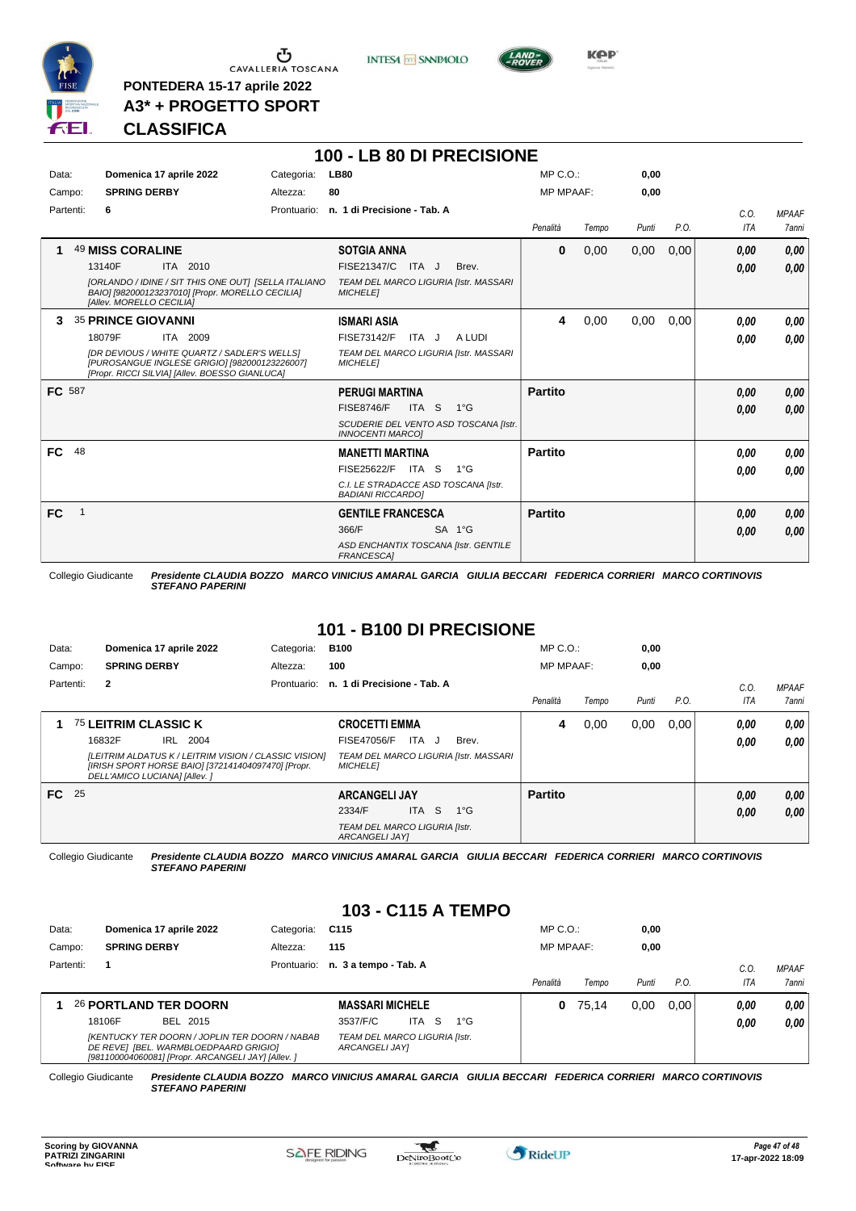

 $\sigma$  cavalleria toscana

**PONTEDERA 15-17 aprile 2022 A3\* + PROGETTO SPORT** **INTESA** M SANPAOLO



# **CLASSIFICA**

|        |              |                                                                                                                                                 |            | 100 - LB 80 DI PRECISIONE                                        |        |                  |       |       |      |            |              |
|--------|--------------|-------------------------------------------------------------------------------------------------------------------------------------------------|------------|------------------------------------------------------------------|--------|------------------|-------|-------|------|------------|--------------|
| Data:  |              | Domenica 17 aprile 2022                                                                                                                         | Categoria: | <b>LB80</b>                                                      |        | $MP C. O.$ :     |       | 0,00  |      |            |              |
| Campo: |              | <b>SPRING DERBY</b>                                                                                                                             | Altezza:   | 80                                                               |        | <b>MP MPAAF:</b> |       | 0,00  |      |            |              |
|        | Partenti:    | 6                                                                                                                                               |            | Prontuario: n. 1 di Precisione - Tab. A                          |        |                  |       |       |      | C.0.       | <b>MPAAF</b> |
|        |              |                                                                                                                                                 |            |                                                                  |        | Penalità         | Tempo | Punti | P.O. | <b>ITA</b> | 7anni        |
| 1      |              | <b>49 MISS CORALINE</b>                                                                                                                         |            | <b>SOTGIA ANNA</b>                                               |        | $\bf{0}$         | 0,00  | 0,00  | 0,00 | 0.00       | 0,00         |
|        |              | 13140F<br>ITA 2010                                                                                                                              |            | FISE21347/C ITA J                                                | Brev.  |                  |       |       |      | 0,00       | 0,00         |
|        |              | [ORLANDO / IDINE / SIT THIS ONE OUT] [SELLA ITALIANO<br>BAIO] [982000123237010] [Propr. MORELLO CECILIA]<br>[Allev. MORELLO CECILIA]            |            | TEAM DEL MARCO LIGURIA [Istr. MASSARI<br><b>MICHELEI</b>         |        |                  |       |       |      |            |              |
| З.     |              | <b>35 PRINCE GIOVANNI</b>                                                                                                                       |            | <b>ISMARI ASIA</b>                                               |        | 4                | 0,00  | 0,00  | 0.00 | 0,00       | 0.00         |
|        |              | 18079F<br>ITA 2009                                                                                                                              |            | FISE73142/F<br>ITA J                                             | A LUDI |                  |       |       |      | 0,00       | 0,00         |
|        |              | [DR DEVIOUS / WHITE QUARTZ / SADLER'S WELLS]<br>[PUROSANGUE INGLESE GRIGIO] [982000123226007]<br>[Propr. RICCI SILVIA] [Allev. BOESSO GIANLUCA] |            | TEAM DEL MARCO LIGURIA [Istr. MASSARI<br><b>MICHELE1</b>         |        |                  |       |       |      |            |              |
| FC 587 |              |                                                                                                                                                 |            | <b>PERUGI MARTINA</b>                                            |        | <b>Partito</b>   |       |       |      | 0.00       | 0,00         |
|        |              |                                                                                                                                                 |            | ITA <sub>S</sub><br><b>FISE8746/F</b><br>$1^{\circ}G$            |        |                  |       |       |      | 0,00       | 0.00         |
|        |              |                                                                                                                                                 |            | SCUDERIE DEL VENTO ASD TOSCANA [Istr.<br><b>INNOCENTI MARCOI</b> |        |                  |       |       |      |            |              |
| FC 48  |              |                                                                                                                                                 |            | <b>MANETTI MARTINA</b>                                           |        | <b>Partito</b>   |       |       |      | 0.00       | 0,00         |
|        |              |                                                                                                                                                 |            | FISE25622/F ITA S<br>$1^{\circ}G$                                |        |                  |       |       |      | 0,00       | 0.00         |
|        |              |                                                                                                                                                 |            | C.I. LE STRADACCE ASD TOSCANA [Istr.<br><b>BADIANI RICCARDO]</b> |        |                  |       |       |      |            |              |
| FC     | $\mathbf{1}$ |                                                                                                                                                 |            | <b>GENTILE FRANCESCA</b>                                         |        | <b>Partito</b>   |       |       |      | 0.00       | 0,00         |
|        |              |                                                                                                                                                 |            | 366/F<br>$SA$ 1°G                                                |        |                  |       |       |      | 0,00       | 0,00         |
|        |              |                                                                                                                                                 |            | ASD ENCHANTIX TOSCANA [Istr. GENTILE<br><b>FRANCESCA1</b>        |        |                  |       |       |      |            |              |

Collegio Giudicante *Presidente CLAUDIA BOZZO MARCO VINICIUS AMARAL GARCIA GIULIA BECCARI FEDERICA CORRIERI MARCO CORTINOVIS STEFANO PAPERINI*

# **101 - B100 DI PRECISIONE**

| Data:     | Domenica 17 aprile 2022      |                                                                                                             | Categoria:  | <b>B100</b>                                            |            |                                       | $MP C. O.$ :     |       | 0,00  |      |      |              |
|-----------|------------------------------|-------------------------------------------------------------------------------------------------------------|-------------|--------------------------------------------------------|------------|---------------------------------------|------------------|-------|-------|------|------|--------------|
| Campo:    | <b>SPRING DERBY</b>          |                                                                                                             | Altezza:    | 100                                                    |            |                                       | <b>MP MPAAF:</b> |       | 0,00  |      |      |              |
| Partenti: | $\mathbf{2}$                 |                                                                                                             | Prontuario: | n. 1 di Precisione - Tab. A                            |            |                                       |                  |       |       |      | C.0  | <b>MPAAF</b> |
|           |                              |                                                                                                             |             |                                                        |            |                                       | Penalità         | Tempo | Punti | P.O. | ITA  | <b>7anni</b> |
|           | 75 LEITRIM CLASSIC K         |                                                                                                             |             | <b>CROCETTI EMMA</b>                                   |            |                                       | 4                | 0.00  | 0.00  | 0.00 | 0,00 | 0,00         |
|           | 16832F                       | IRL 2004                                                                                                    |             | <b>FISE47056/F</b>                                     | ITA J      | Brev.                                 |                  |       |       |      | 0.00 | 0,00         |
|           | DELL'AMICO LUCIANA] [Allev.] | [LEITRIM ALDATUS K / LEITRIM VISION / CLASSIC VISION]<br>[IRISH SPORT HORSE BAIO] [372141404097470] [Propr. |             | <b>MICHELE1</b>                                        |            | TEAM DEL MARCO LIGURIA [Istr. MASSARI |                  |       |       |      |      |              |
| FC 25     |                              |                                                                                                             |             | <b>ARCANGELI JAY</b>                                   |            |                                       | <b>Partito</b>   |       |       |      | 0,00 | 0,00         |
|           |                              |                                                                                                             |             | 2334/F                                                 | S.<br>ITA. | $1^{\circ}$ G                         |                  |       |       |      | 0,00 | 0.00         |
|           |                              |                                                                                                             |             | TEAM DEL MARCO LIGURIA [Istr.<br><b>ARCANGELI JAYI</b> |            |                                       |                  |       |       |      |      |              |

Collegio Giudicante *Presidente CLAUDIA BOZZO MARCO VINICIUS AMARAL GARCIA GIULIA BECCARI FEDERICA CORRIERI MARCO CORTINOVIS STEFANO PAPERINI*

# **103 - C115 A TEMPO**

| Data:     | Domenica 17 aprile 2022                                                                                                                       | Categoria:  | C115                                            |      |    |              | $MP C. O.$ :     |       | 0,00  |      |            |              |
|-----------|-----------------------------------------------------------------------------------------------------------------------------------------------|-------------|-------------------------------------------------|------|----|--------------|------------------|-------|-------|------|------------|--------------|
| Campo:    | <b>SPRING DERBY</b>                                                                                                                           | Altezza:    | 115                                             |      |    |              | <b>MP MPAAF:</b> |       | 0,00  |      |            |              |
| Partenti: |                                                                                                                                               | Prontuario: | n. 3 a tempo - Tab. A                           |      |    |              |                  |       |       |      | C.0        | <b>MPAAF</b> |
|           |                                                                                                                                               |             |                                                 |      |    |              | Penalità         | Tempo | Punti | P.O. | <b>ITA</b> | 7anni        |
|           | 26 PORTLAND TER DOORN                                                                                                                         |             | <b>MASSARI MICHELE</b>                          |      |    |              | 0                | 75.14 | 0.00  | 0.00 | 0,00       | 0,00         |
|           | 18106F<br>BEL 2015                                                                                                                            |             | 3537/F/C                                        | ITA. | -S | $1^{\circ}G$ |                  |       |       |      | 0,00       | 0,00         |
|           | [KENTUCKY TER DOORN / JOPLIN TER DOORN / NABAB<br>DE REVEI [BEL. WARMBLOEDPAARD GRIGIO]<br>[981100004060081] [Propr. ARCANGELI JAY] [Allev. ] |             | TEAM DEL MARCO LIGURIA [Istr.<br>ARCANGELI JAY] |      |    |              |                  |       |       |      |            |              |